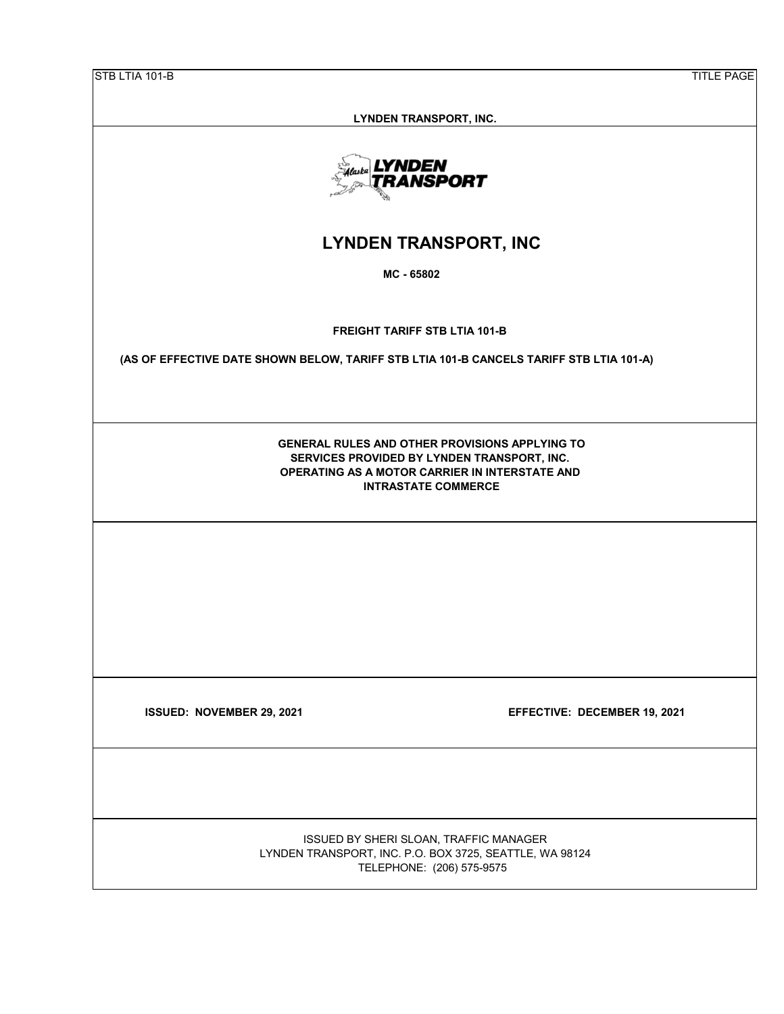| STB LTIA 101-B<br><b>TITLE PAGE</b>                                                                                                                                                  |
|--------------------------------------------------------------------------------------------------------------------------------------------------------------------------------------|
|                                                                                                                                                                                      |
| LYNDEN TRANSPORT, INC.                                                                                                                                                               |
| LYNDEN<br>TRANSPORT                                                                                                                                                                  |
| <b>LYNDEN TRANSPORT, INC</b>                                                                                                                                                         |
| MC - 65802                                                                                                                                                                           |
| <b>FREIGHT TARIFF STB LTIA 101-B</b>                                                                                                                                                 |
| (AS OF EFFECTIVE DATE SHOWN BELOW, TARIFF STB LTIA 101-B CANCELS TARIFF STB LTIA 101-A)                                                                                              |
|                                                                                                                                                                                      |
| <b>GENERAL RULES AND OTHER PROVISIONS APPLYING TO</b><br>SERVICES PROVIDED BY LYNDEN TRANSPORT, INC.<br>OPERATING AS A MOTOR CARRIER IN INTERSTATE AND<br><b>INTRASTATE COMMERCE</b> |
|                                                                                                                                                                                      |
|                                                                                                                                                                                      |
|                                                                                                                                                                                      |
|                                                                                                                                                                                      |
| EFFECTIVE: DECEMBER 19, 2021<br>ISSUED: NOVEMBER 29, 2021                                                                                                                            |
|                                                                                                                                                                                      |
|                                                                                                                                                                                      |
| ISSUED BY SHERI SLOAN, TRAFFIC MANAGER<br>LYNDEN TRANSPORT, INC. P.O. BOX 3725, SEATTLE, WA 98124<br>TELEPHONE: (206) 575-9575                                                       |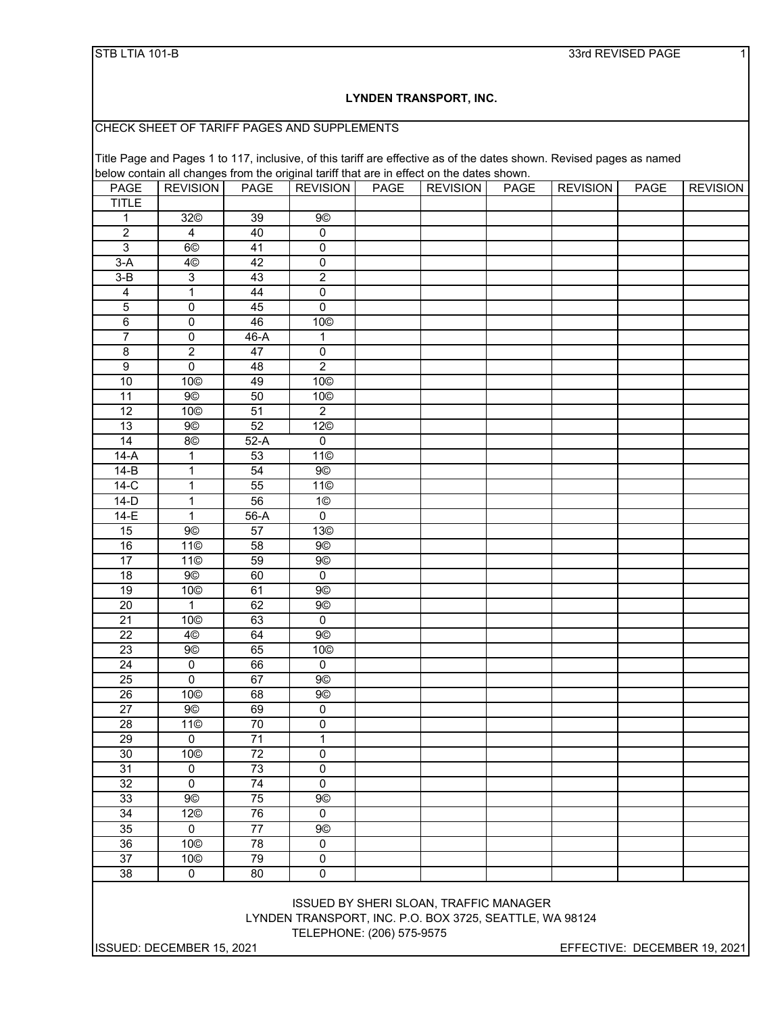#### STB LTIA 101-B 33rd REVISED PAGE 1.1 and 2.1 and 3.3 and 3.3 and 3.3 and 3.3 and 3.3 and 3.3 and 3.3 and 3.3 and 3.3 and 3.3 and 3.3 and 3.3 and 3.3 and 3.3 and 3.3 and 3.3 and 3.3 and 3.3 and 3.3 and 3.4 and 3.4 and 3.4 a

### **LYNDEN TRANSPORT, INC.**

CHECK SHEET OF TARIFF PAGES AND SUPPLEMENTS

Title Page and Pages 1 to 117, inclusive, of this tariff are effective as of the dates shown. Revised pages as named below contain all changes from the original tariff that are in effect on the dates shown.

| <b>PAGE</b>     | <b>REVISION</b>     | <b>PAGE</b>     | <b>REVISION</b>       | <b>PAGE</b> | <b>REVISION</b> | <b>PAGE</b> | <b>REVISION</b> | <b>PAGE</b> | <b>REVISION</b> |
|-----------------|---------------------|-----------------|-----------------------|-------------|-----------------|-------------|-----------------|-------------|-----------------|
| <b>TITLE</b>    |                     |                 |                       |             |                 |             |                 |             |                 |
| $\mathbf 1$     | 32 <sup>©</sup>     | 39              | <b>9©</b>             |             |                 |             |                 |             |                 |
| $\overline{2}$  | $\overline{4}$      | 40              | $\overline{0}$        |             |                 |             |                 |             |                 |
| $\overline{3}$  | 6 <sup>°</sup>      | 41              | $\overline{0}$        |             |                 |             |                 |             |                 |
| $3-A$           | 4 <sup>©</sup>      | 42              | $\overline{0}$        |             |                 |             |                 |             |                 |
| $3 - B$         | $\overline{3}$      | 43              | $\overline{2}$        |             |                 |             |                 |             |                 |
| $\overline{4}$  | $\mathbf{1}$        | 44              | $\overline{0}$        |             |                 |             |                 |             |                 |
| $\overline{5}$  | $\overline{0}$      | 45              | $\overline{0}$        |             |                 |             |                 |             |                 |
| $6\overline{6}$ | $\overline{0}$      | 46              | 10 <sup>©</sup>       |             |                 |             |                 |             |                 |
| 7               | $\overline{0}$      | $46-A$          | $\mathbf{1}$          |             |                 |             |                 |             |                 |
| $\overline{8}$  | $\overline{2}$      | 47              | $\overline{0}$        |             |                 |             |                 |             |                 |
| $\overline{9}$  | $\overline{0}$      | 48              | $\overline{2}$        |             |                 |             |                 |             |                 |
| 10              | 10 <sup>°</sup>     | 49              | 10 <sup>°</sup>       |             |                 |             |                 |             |                 |
| $\overline{11}$ | 9 <sup>°</sup>      | 50              | 10©                   |             |                 |             |                 |             |                 |
| $\overline{12}$ | 10©                 | $\overline{51}$ | $\overline{2}$        |             |                 |             |                 |             |                 |
| 13              | <b>9</b> ©          | 52              | 12 <sup>©</sup>       |             |                 |             |                 |             |                 |
| 14              | 8©                  | $52-A$          | $\overline{0}$        |             |                 |             |                 |             |                 |
| $14-A$          | $\mathbf{1}$        | 53              | 11©                   |             |                 |             |                 |             |                 |
| $14-B$          | $\mathbf 1$         | 54              | 9©                    |             |                 |             |                 |             |                 |
| $14-C$          | $\mathbf{1}$        | $\overline{55}$ | 11 <sup>°</sup>       |             |                 |             |                 |             |                 |
| $14-D$          | $\overline{1}$      | 56              | 1 <sup>°</sup>        |             |                 |             |                 |             |                 |
| $14-E$          | $\overline{1}$      | 56-A            | $\overline{0}$        |             |                 |             |                 |             |                 |
| 15              | 9 <sup>°</sup>      | $\overline{57}$ | 13 <sup>°</sup>       |             |                 |             |                 |             |                 |
| 16              | 11 <sup>°</sup>     | $\overline{58}$ | <b>9©</b>             |             |                 |             |                 |             |                 |
| 17              | 11 <sup>°</sup>     | 59              | <b>9©</b>             |             |                 |             |                 |             |                 |
| $\overline{18}$ | $9°$                | 60              | $\pmb{0}$             |             |                 |             |                 |             |                 |
| 19              | 10 <sup>°</sup>     | 61              | <b>9©</b>             |             |                 |             |                 |             |                 |
| $\overline{20}$ | $\mathbf{1}$        | 62              | <b>9©</b>             |             |                 |             |                 |             |                 |
| 21              | 10 <sup>°</sup>     | 63              | $\overline{0}$        |             |                 |             |                 |             |                 |
| $\overline{22}$ | 4 <sup>°</sup>      | 64              | <b>9©</b>             |             |                 |             |                 |             |                 |
| $\overline{23}$ | <b>9</b> ©          | 65              | 10©                   |             |                 |             |                 |             |                 |
| $\overline{24}$ | $\pmb{0}$           | 66              | $\pmb{0}$             |             |                 |             |                 |             |                 |
| 25              | $\overline{0}$      | 67              | <b>9</b> <sup>o</sup> |             |                 |             |                 |             |                 |
| 26              | 10 <sup>°</sup>     | 68              | <b>9</b> ©            |             |                 |             |                 |             |                 |
| $\overline{27}$ | <b>9©</b>           | 69              | $\overline{0}$        |             |                 |             |                 |             |                 |
| 28              | 11©                 | 70              | $\overline{0}$        |             |                 |             |                 |             |                 |
| 29              | $\overline{0}$      | 71              | $\overline{1}$        |             |                 |             |                 |             |                 |
| 30              | 10 <sup>©</sup>     | 72              | $\overline{0}$        |             |                 |             |                 |             |                 |
| 31              | $\mathbf 0$         | 73              | $\overline{0}$        |             |                 |             |                 |             |                 |
| $\overline{32}$ | $\overline{0}$      | $\overline{74}$ | $\overline{0}$        |             |                 |             |                 |             |                 |
| 33              | 9 <sup>°</sup>      | 75              | <b>9©</b>             |             |                 |             |                 |             |                 |
| $\overline{34}$ | 12 <sup>©</sup>     | $\overline{76}$ | $\overline{0}$        |             |                 |             |                 |             |                 |
| 35              | $\mathbf 0$         | 77              | <b>9</b> ©            |             |                 |             |                 |             |                 |
| 36              | 10©                 | $\overline{78}$ | $\overline{0}$        |             |                 |             |                 |             |                 |
| $\overline{37}$ | 10©                 | 79              | $\overline{0}$        |             |                 |             |                 |             |                 |
| 38              | $\mathsf{O}\xspace$ | 80              | $\overline{0}$        |             |                 |             |                 |             |                 |

TELEPHONE: (206) 575-9575 ISSUED BY SHERI SLOAN, TRAFFIC MANAGER LYNDEN TRANSPORT, INC. P.O. BOX 3725, SEATTLE, WA 98124

ISSUED: DECEMBER 15, 2021 EFFECTIVE: DECEMBER 19, 2021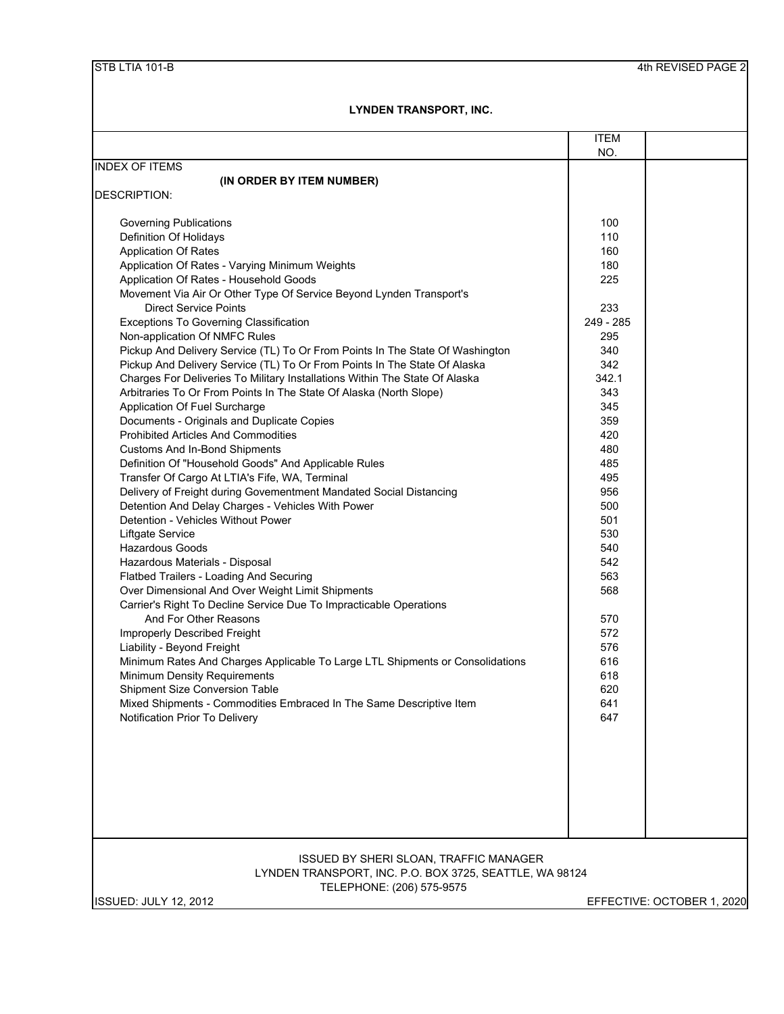|                                                                               | <b>ITEM</b> |                            |
|-------------------------------------------------------------------------------|-------------|----------------------------|
| <b>INDEX OF ITEMS</b>                                                         | NO.         |                            |
|                                                                               |             |                            |
| (IN ORDER BY ITEM NUMBER)<br><b>DESCRIPTION:</b>                              |             |                            |
|                                                                               |             |                            |
| <b>Governing Publications</b>                                                 | 100         |                            |
| Definition Of Holidays                                                        | 110         |                            |
| <b>Application Of Rates</b>                                                   | 160         |                            |
| Application Of Rates - Varying Minimum Weights                                | 180         |                            |
| Application Of Rates - Household Goods                                        | 225         |                            |
| Movement Via Air Or Other Type Of Service Beyond Lynden Transport's           |             |                            |
| <b>Direct Service Points</b>                                                  | 233         |                            |
| <b>Exceptions To Governing Classification</b>                                 | 249 - 285   |                            |
| Non-application Of NMFC Rules                                                 | 295         |                            |
| Pickup And Delivery Service (TL) To Or From Points In The State Of Washington | 340         |                            |
| Pickup And Delivery Service (TL) To Or From Points In The State Of Alaska     | 342         |                            |
| Charges For Deliveries To Military Installations Within The State Of Alaska   | 342.1       |                            |
| Arbitraries To Or From Points In The State Of Alaska (North Slope)            | 343         |                            |
| Application Of Fuel Surcharge                                                 | 345         |                            |
| Documents - Originals and Duplicate Copies                                    | 359         |                            |
| <b>Prohibited Articles And Commodities</b>                                    | 420         |                            |
| <b>Customs And In-Bond Shipments</b>                                          | 480         |                            |
| Definition Of "Household Goods" And Applicable Rules                          | 485         |                            |
| Transfer Of Cargo At LTIA's Fife, WA, Terminal                                | 495         |                            |
| Delivery of Freight during Govementment Mandated Social Distancing            | 956         |                            |
| Detention And Delay Charges - Vehicles With Power                             | 500         |                            |
| Detention - Vehicles Without Power                                            | 501         |                            |
| Liftgate Service                                                              | 530         |                            |
| Hazardous Goods                                                               | 540         |                            |
| Hazardous Materials - Disposal                                                | 542         |                            |
| Flatbed Trailers - Loading And Securing                                       | 563         |                            |
| Over Dimensional And Over Weight Limit Shipments                              | 568         |                            |
| Carrier's Right To Decline Service Due To Impracticable Operations            |             |                            |
| And For Other Reasons                                                         | 570         |                            |
| Improperly Described Freight                                                  | 572         |                            |
| Liability - Beyond Freight                                                    | 576         |                            |
| Minimum Rates And Charges Applicable To Large LTL Shipments or Consolidations | 616         |                            |
| <b>Minimum Density Requirements</b>                                           | 618         |                            |
| <b>Shipment Size Conversion Table</b>                                         | 620         |                            |
| Mixed Shipments - Commodities Embraced In The Same Descriptive Item           | 641         |                            |
| Notification Prior To Delivery                                                | 647         |                            |
|                                                                               |             |                            |
|                                                                               |             |                            |
|                                                                               |             |                            |
|                                                                               |             |                            |
|                                                                               |             |                            |
|                                                                               |             |                            |
|                                                                               |             |                            |
|                                                                               |             |                            |
| ISSUED BY SHERI SLOAN, TRAFFIC MANAGER                                        |             |                            |
| LYNDEN TRANSPORT, INC. P.O. BOX 3725, SEATTLE, WA 98124                       |             |                            |
| TELEPHONE: (206) 575-9575                                                     |             |                            |
| <b>ISSUED: JULY 12, 2012</b>                                                  |             | EFFECTIVE: OCTOBER 1, 2020 |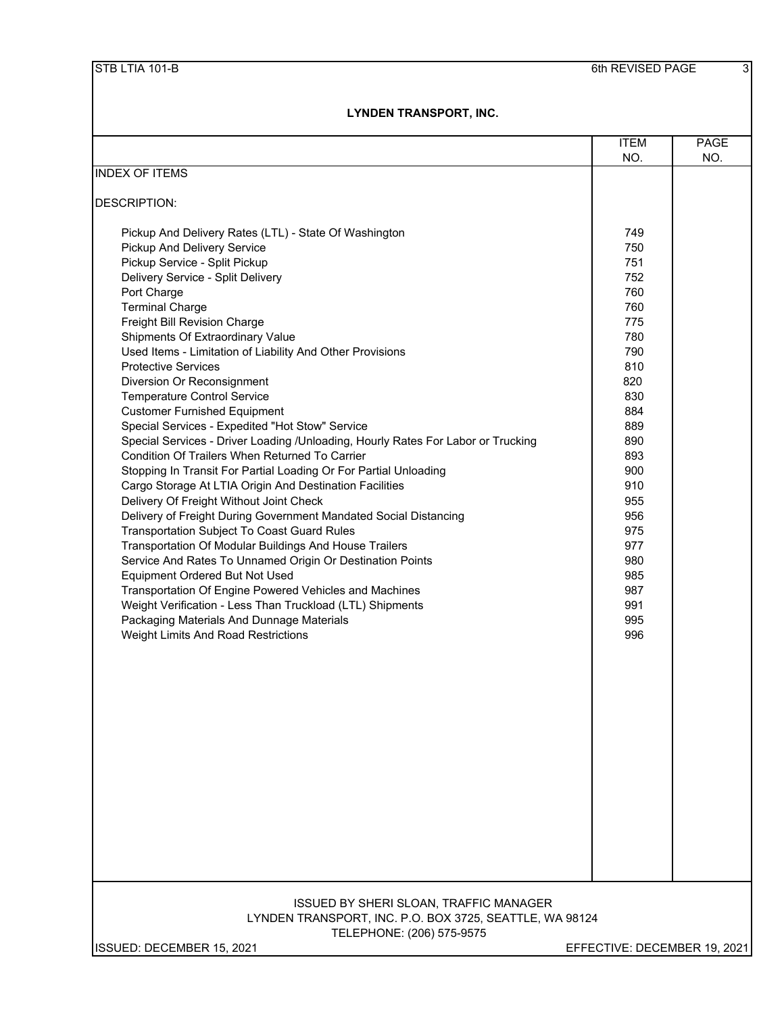|                                                                                                                                                                                                                                                                                                                                                                                                                                                                                                                                                                                                                                                                                                                                                                                                                                                                                                                                                                                                                                                                                                                                                                                                                                                                                                                                         | <b>ITEM</b>                                                                                                                                                                                      | <b>PAGE</b> |
|-----------------------------------------------------------------------------------------------------------------------------------------------------------------------------------------------------------------------------------------------------------------------------------------------------------------------------------------------------------------------------------------------------------------------------------------------------------------------------------------------------------------------------------------------------------------------------------------------------------------------------------------------------------------------------------------------------------------------------------------------------------------------------------------------------------------------------------------------------------------------------------------------------------------------------------------------------------------------------------------------------------------------------------------------------------------------------------------------------------------------------------------------------------------------------------------------------------------------------------------------------------------------------------------------------------------------------------------|--------------------------------------------------------------------------------------------------------------------------------------------------------------------------------------------------|-------------|
|                                                                                                                                                                                                                                                                                                                                                                                                                                                                                                                                                                                                                                                                                                                                                                                                                                                                                                                                                                                                                                                                                                                                                                                                                                                                                                                                         | NO.                                                                                                                                                                                              | NO.         |
| <b>INDEX OF ITEMS</b>                                                                                                                                                                                                                                                                                                                                                                                                                                                                                                                                                                                                                                                                                                                                                                                                                                                                                                                                                                                                                                                                                                                                                                                                                                                                                                                   |                                                                                                                                                                                                  |             |
| DESCRIPTION:                                                                                                                                                                                                                                                                                                                                                                                                                                                                                                                                                                                                                                                                                                                                                                                                                                                                                                                                                                                                                                                                                                                                                                                                                                                                                                                            |                                                                                                                                                                                                  |             |
| Pickup And Delivery Rates (LTL) - State Of Washington<br>Pickup And Delivery Service<br>Pickup Service - Split Pickup<br>Delivery Service - Split Delivery<br>Port Charge<br><b>Terminal Charge</b><br>Freight Bill Revision Charge<br>Shipments Of Extraordinary Value<br>Used Items - Limitation of Liability And Other Provisions<br><b>Protective Services</b><br>Diversion Or Reconsignment<br><b>Temperature Control Service</b><br><b>Customer Furnished Equipment</b><br>Special Services - Expedited "Hot Stow" Service<br>Special Services - Driver Loading /Unloading, Hourly Rates For Labor or Trucking<br>Condition Of Trailers When Returned To Carrier<br>Stopping In Transit For Partial Loading Or For Partial Unloading<br>Cargo Storage At LTIA Origin And Destination Facilities<br>Delivery Of Freight Without Joint Check<br>Delivery of Freight During Government Mandated Social Distancing<br>Transportation Subject To Coast Guard Rules<br>Transportation Of Modular Buildings And House Trailers<br>Service And Rates To Unnamed Origin Or Destination Points<br>Equipment Ordered But Not Used<br>Transportation Of Engine Powered Vehicles and Machines<br>Weight Verification - Less Than Truckload (LTL) Shipments<br>Packaging Materials And Dunnage Materials<br>Weight Limits And Road Restrictions | 749<br>750<br>751<br>752<br>760<br>760<br>775<br>780<br>790<br>810<br>820<br>830<br>884<br>889<br>890<br>893<br>900<br>910<br>955<br>956<br>975<br>977<br>980<br>985<br>987<br>991<br>995<br>996 |             |
| <b>ISSUED BY SHERI SLOAN, TRAFFIC MANAGER</b>                                                                                                                                                                                                                                                                                                                                                                                                                                                                                                                                                                                                                                                                                                                                                                                                                                                                                                                                                                                                                                                                                                                                                                                                                                                                                           |                                                                                                                                                                                                  |             |
| LYNDEN TRANSPORT, INC. P.O. BOX 3725, SEATTLE, WA 98124<br>TELEPHONE: (206) 575-9575                                                                                                                                                                                                                                                                                                                                                                                                                                                                                                                                                                                                                                                                                                                                                                                                                                                                                                                                                                                                                                                                                                                                                                                                                                                    |                                                                                                                                                                                                  |             |
| ISSUED: DECEMBER 15, 2021                                                                                                                                                                                                                                                                                                                                                                                                                                                                                                                                                                                                                                                                                                                                                                                                                                                                                                                                                                                                                                                                                                                                                                                                                                                                                                               | EFFECTIVE: DECEMBER 19, 2021                                                                                                                                                                     |             |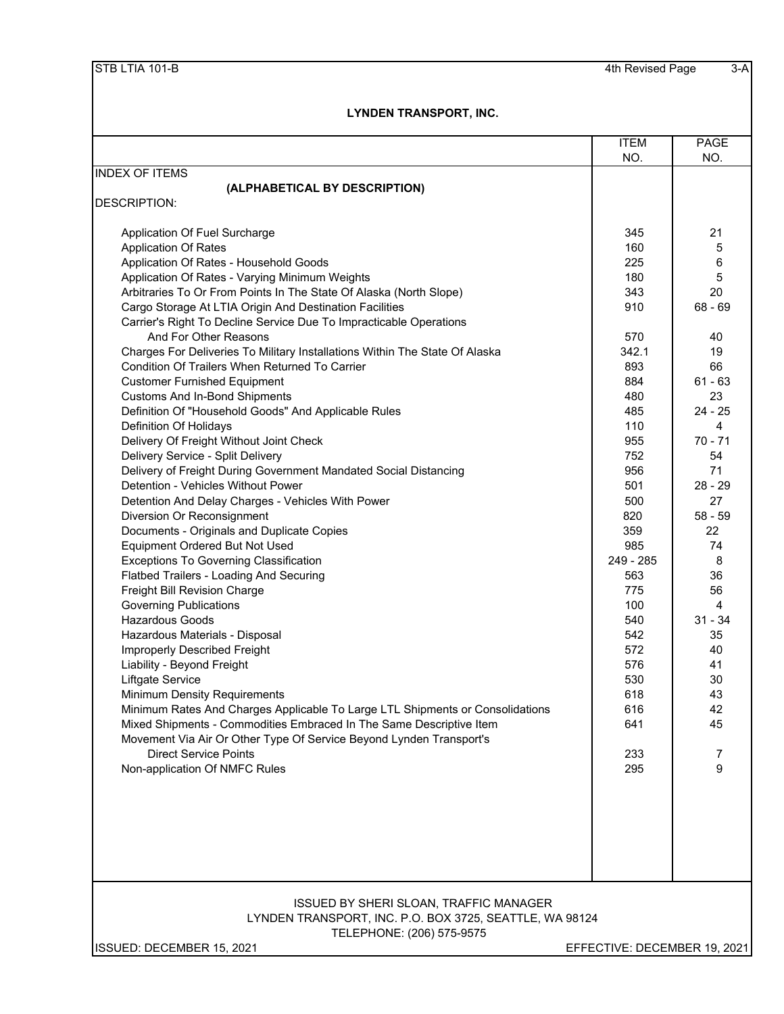|                                                                               | <b>ITEM</b>                  | PAGE      |
|-------------------------------------------------------------------------------|------------------------------|-----------|
|                                                                               | NO.                          | NO.       |
| <b>INDEX OF ITEMS</b>                                                         |                              |           |
| (ALPHABETICAL BY DESCRIPTION)<br><b>DESCRIPTION:</b>                          |                              |           |
|                                                                               |                              |           |
| Application Of Fuel Surcharge                                                 | 345                          | 21        |
| <b>Application Of Rates</b>                                                   | 160                          | 5         |
| Application Of Rates - Household Goods                                        | 225                          | 6         |
| Application Of Rates - Varying Minimum Weights                                | 180                          | 5         |
| Arbitraries To Or From Points In The State Of Alaska (North Slope)            | 343                          | 20        |
| Cargo Storage At LTIA Origin And Destination Facilities                       | 910                          | $68 - 69$ |
| Carrier's Right To Decline Service Due To Impracticable Operations            |                              |           |
| And For Other Reasons                                                         | 570                          | 40        |
| Charges For Deliveries To Military Installations Within The State Of Alaska   | 342.1                        | 19        |
| Condition Of Trailers When Returned To Carrier                                | 893                          | 66        |
| <b>Customer Furnished Equipment</b>                                           | 884                          | $61 - 63$ |
| <b>Customs And In-Bond Shipments</b>                                          | 480                          | 23        |
| Definition Of "Household Goods" And Applicable Rules                          | 485                          | $24 - 25$ |
| Definition Of Holidays                                                        | 110                          | 4         |
| Delivery Of Freight Without Joint Check                                       | 955                          | $70 - 71$ |
| Delivery Service - Split Delivery                                             | 752                          | 54        |
| Delivery of Freight During Government Mandated Social Distancing              | 956                          | 71        |
| Detention - Vehicles Without Power                                            | 501                          | $28 - 29$ |
| Detention And Delay Charges - Vehicles With Power                             | 500                          | 27        |
| Diversion Or Reconsignment                                                    | 820                          | $58 - 59$ |
| Documents - Originals and Duplicate Copies                                    | 359                          | 22        |
| <b>Equipment Ordered But Not Used</b>                                         | 985                          | 74        |
| <b>Exceptions To Governing Classification</b>                                 | 249 - 285                    | 8         |
| Flatbed Trailers - Loading And Securing                                       | 563                          | 36        |
| Freight Bill Revision Charge                                                  | 775                          | 56        |
| <b>Governing Publications</b>                                                 | 100                          | 4         |
| <b>Hazardous Goods</b>                                                        | 540                          | $31 - 34$ |
| Hazardous Materials - Disposal                                                | 542                          | 35        |
| Improperly Described Freight                                                  | 572                          | 40        |
| Liability - Beyond Freight                                                    | 576                          | 41        |
| Liftgate Service                                                              | 530                          | 30        |
| <b>Minimum Density Requirements</b>                                           | 618                          | 43        |
| Minimum Rates And Charges Applicable To Large LTL Shipments or Consolidations | 616                          | 42        |
| Mixed Shipments - Commodities Embraced In The Same Descriptive Item           | 641                          | 45        |
| Movement Via Air Or Other Type Of Service Beyond Lynden Transport's           |                              |           |
| <b>Direct Service Points</b>                                                  | 233                          | 7         |
| Non-application Of NMFC Rules                                                 | 295                          | 9         |
|                                                                               |                              |           |
|                                                                               |                              |           |
|                                                                               |                              |           |
|                                                                               |                              |           |
|                                                                               |                              |           |
|                                                                               |                              |           |
|                                                                               |                              |           |
| <b>ISSUED BY SHERI SLOAN, TRAFFIC MANAGER</b>                                 |                              |           |
| LYNDEN TRANSPORT, INC. P.O. BOX 3725, SEATTLE, WA 98124                       |                              |           |
| TELEPHONE: (206) 575-9575                                                     |                              |           |
| ISSUED: DECEMBER 15, 2021                                                     | EFFECTIVE: DECEMBER 19, 2021 |           |
|                                                                               |                              |           |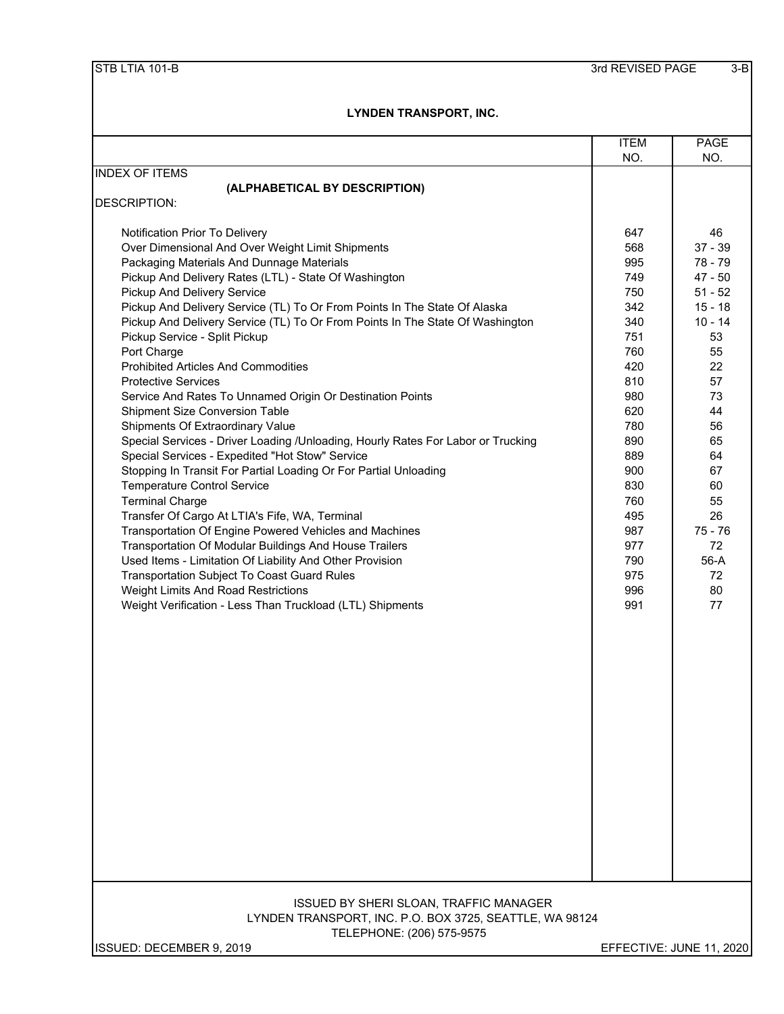|                                                                                  | <b>ITEM</b> | <b>PAGE</b>              |
|----------------------------------------------------------------------------------|-------------|--------------------------|
|                                                                                  | NO.         | NO.                      |
| <b>INDEX OF ITEMS</b>                                                            |             |                          |
| (ALPHABETICAL BY DESCRIPTION)                                                    |             |                          |
| <b>DESCRIPTION:</b>                                                              |             |                          |
| Notification Prior To Delivery                                                   | 647         | 46                       |
| Over Dimensional And Over Weight Limit Shipments                                 | 568         | $37 - 39$                |
| Packaging Materials And Dunnage Materials                                        | 995         | 78 - 79                  |
| Pickup And Delivery Rates (LTL) - State Of Washington                            | 749         | $47 - 50$                |
| Pickup And Delivery Service                                                      | 750         | $51 - 52$                |
| Pickup And Delivery Service (TL) To Or From Points In The State Of Alaska        | 342         | $15 - 18$                |
| Pickup And Delivery Service (TL) To Or From Points In The State Of Washington    | 340         | $10 - 14$                |
| Pickup Service - Split Pickup                                                    | 751         | 53                       |
| Port Charge                                                                      | 760         | 55                       |
| <b>Prohibited Articles And Commodities</b>                                       | 420         | 22                       |
| <b>Protective Services</b>                                                       | 810         | 57                       |
| Service And Rates To Unnamed Origin Or Destination Points                        | 980         | 73                       |
| <b>Shipment Size Conversion Table</b>                                            | 620         | 44                       |
| Shipments Of Extraordinary Value                                                 | 780         | 56                       |
| Special Services - Driver Loading /Unloading, Hourly Rates For Labor or Trucking | 890         | 65                       |
| Special Services - Expedited "Hot Stow" Service                                  | 889         | 64                       |
| Stopping In Transit For Partial Loading Or For Partial Unloading                 | 900         | 67                       |
| <b>Temperature Control Service</b>                                               | 830         | 60                       |
| <b>Terminal Charge</b>                                                           | 760         | 55                       |
| Transfer Of Cargo At LTIA's Fife, WA, Terminal                                   | 495         | 26                       |
| Transportation Of Engine Powered Vehicles and Machines                           | 987         | $75 - 76$                |
| Transportation Of Modular Buildings And House Trailers                           | 977         | 72                       |
| Used Items - Limitation Of Liability And Other Provision                         | 790         | 56-A                     |
| Transportation Subject To Coast Guard Rules                                      | 975         | 72                       |
| Weight Limits And Road Restrictions                                              | 996         | 80                       |
| Weight Verification - Less Than Truckload (LTL) Shipments                        | 991         | 77                       |
|                                                                                  |             |                          |
|                                                                                  |             |                          |
|                                                                                  |             |                          |
|                                                                                  |             |                          |
|                                                                                  |             |                          |
|                                                                                  |             |                          |
|                                                                                  |             |                          |
|                                                                                  |             |                          |
|                                                                                  |             |                          |
|                                                                                  |             |                          |
|                                                                                  |             |                          |
|                                                                                  |             |                          |
|                                                                                  |             |                          |
|                                                                                  |             |                          |
|                                                                                  |             |                          |
|                                                                                  |             |                          |
|                                                                                  |             |                          |
|                                                                                  |             |                          |
| ISSUED BY SHERI SLOAN, TRAFFIC MANAGER                                           |             |                          |
| LYNDEN TRANSPORT, INC. P.O. BOX 3725, SEATTLE, WA 98124                          |             |                          |
| TELEPHONE: (206) 575-9575                                                        |             |                          |
| ISSUED: DECEMBER 9, 2019                                                         |             | EFFECTIVE: JUNE 11, 2020 |
|                                                                                  |             |                          |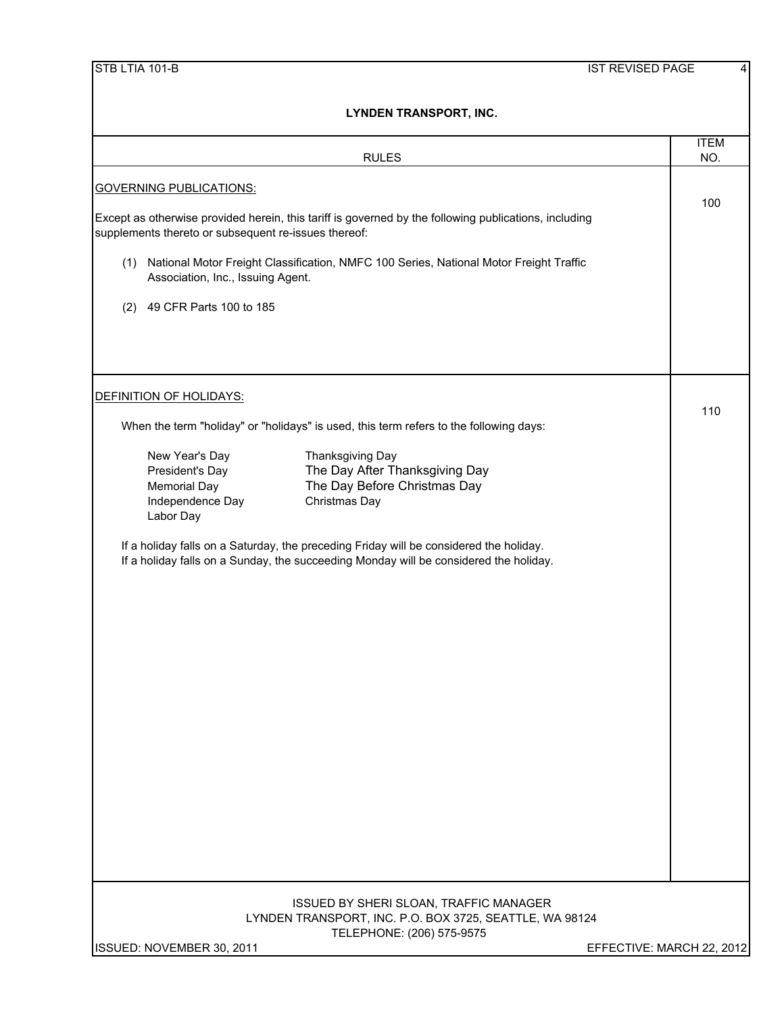|                                                      | <b>RULES</b>                                                                                                                                                                    | <b>ITEM</b><br>NO.        |
|------------------------------------------------------|---------------------------------------------------------------------------------------------------------------------------------------------------------------------------------|---------------------------|
| <b>GOVERNING PUBLICATIONS:</b>                       |                                                                                                                                                                                 |                           |
| supplements thereto or subsequent re-issues thereof: | Except as otherwise provided herein, this tariff is governed by the following publications, including                                                                           | 100                       |
| (1)<br>Association, Inc., Issuing Agent.             | National Motor Freight Classification, NMFC 100 Series, National Motor Freight Traffic                                                                                          |                           |
| 49 CFR Parts 100 to 185<br>(2)                       |                                                                                                                                                                                 |                           |
|                                                      |                                                                                                                                                                                 |                           |
| DEFINITION OF HOLIDAYS:                              |                                                                                                                                                                                 |                           |
|                                                      | When the term "holiday" or "holidays" is used, this term refers to the following days:                                                                                          | 110                       |
| New Year's Day                                       | Thanksgiving Day                                                                                                                                                                |                           |
| President's Day                                      | The Day After Thanksgiving Day                                                                                                                                                  |                           |
| <b>Memorial Day</b><br>Independence Day<br>Labor Day | The Day Before Christmas Day<br>Christmas Day                                                                                                                                   |                           |
|                                                      | If a holiday falls on a Saturday, the preceding Friday will be considered the holiday.<br>If a holiday falls on a Sunday, the succeeding Monday will be considered the holiday. |                           |
|                                                      |                                                                                                                                                                                 |                           |
|                                                      | ISSUED BY SHERI SLOAN, TRAFFIC MANAGER<br>LYNDEN TRANSPORT, INC. P.O. BOX 3725, SEATTLE, WA 98124<br>TELEPHONE: (206) 575-9575                                                  |                           |
| ISSUED: NOVEMBER 30, 2011                            |                                                                                                                                                                                 | EFFECTIVE: MARCH 22, 2012 |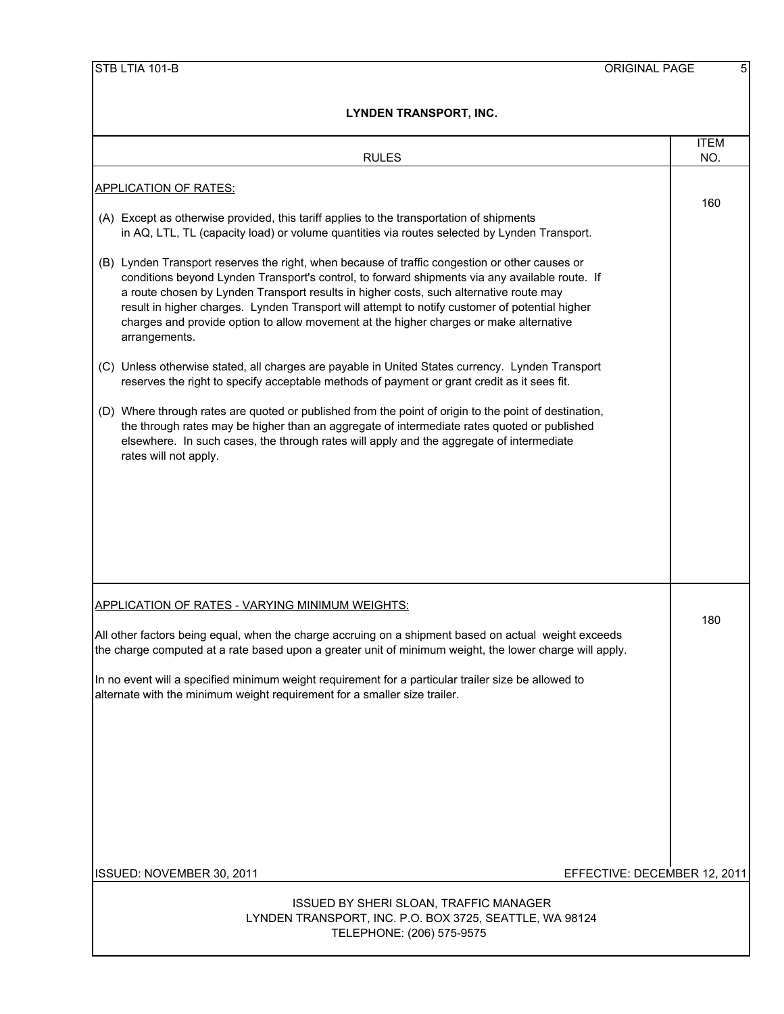| LINUEN IRANJPURI, INU.                                                                                                                                                                                                                                                                                                                                                                                                                                                                                  |                    |
|---------------------------------------------------------------------------------------------------------------------------------------------------------------------------------------------------------------------------------------------------------------------------------------------------------------------------------------------------------------------------------------------------------------------------------------------------------------------------------------------------------|--------------------|
| <b>RULES</b>                                                                                                                                                                                                                                                                                                                                                                                                                                                                                            | <b>ITEM</b><br>NO. |
| <b>APPLICATION OF RATES:</b>                                                                                                                                                                                                                                                                                                                                                                                                                                                                            |                    |
| (A) Except as otherwise provided, this tariff applies to the transportation of shipments<br>in AQ, LTL, TL (capacity load) or volume quantities via routes selected by Lynden Transport.                                                                                                                                                                                                                                                                                                                | 160                |
| (B) Lynden Transport reserves the right, when because of traffic congestion or other causes or<br>conditions beyond Lynden Transport's control, to forward shipments via any available route. If<br>a route chosen by Lynden Transport results in higher costs, such alternative route may<br>result in higher charges. Lynden Transport will attempt to notify customer of potential higher<br>charges and provide option to allow movement at the higher charges or make alternative<br>arrangements. |                    |
| (C) Unless otherwise stated, all charges are payable in United States currency. Lynden Transport<br>reserves the right to specify acceptable methods of payment or grant credit as it sees fit.                                                                                                                                                                                                                                                                                                         |                    |
| (D) Where through rates are quoted or published from the point of origin to the point of destination,<br>the through rates may be higher than an aggregate of intermediate rates quoted or published<br>elsewhere. In such cases, the through rates will apply and the aggregate of intermediate<br>rates will not apply.                                                                                                                                                                               |                    |
|                                                                                                                                                                                                                                                                                                                                                                                                                                                                                                         |                    |
|                                                                                                                                                                                                                                                                                                                                                                                                                                                                                                         |                    |
|                                                                                                                                                                                                                                                                                                                                                                                                                                                                                                         |                    |
| <b>APPLICATION OF RATES - VARYING MINIMUM WEIGHTS:</b>                                                                                                                                                                                                                                                                                                                                                                                                                                                  | 180                |
| All other factors being equal, when the charge accruing on a shipment based on actual weight exceeds<br>the charge computed at a rate based upon a greater unit of minimum weight, the lower charge will apply.                                                                                                                                                                                                                                                                                         |                    |
| In no event will a specified minimum weight requirement for a particular trailer size be allowed to<br>alternate with the minimum weight requirement for a smaller size trailer.                                                                                                                                                                                                                                                                                                                        |                    |
|                                                                                                                                                                                                                                                                                                                                                                                                                                                                                                         |                    |
|                                                                                                                                                                                                                                                                                                                                                                                                                                                                                                         |                    |
|                                                                                                                                                                                                                                                                                                                                                                                                                                                                                                         |                    |
| EFFECTIVE: DECEMBER 12, 2011<br>ISSUED: NOVEMBER 30, 2011                                                                                                                                                                                                                                                                                                                                                                                                                                               |                    |
|                                                                                                                                                                                                                                                                                                                                                                                                                                                                                                         |                    |
| ISSUED BY SHERI SLOAN, TRAFFIC MANAGER<br>LYNDEN TRANSPORT, INC. P.O. BOX 3725, SEATTLE, WA 98124<br>TELEPHONE: (206) 575-9575                                                                                                                                                                                                                                                                                                                                                                          |                    |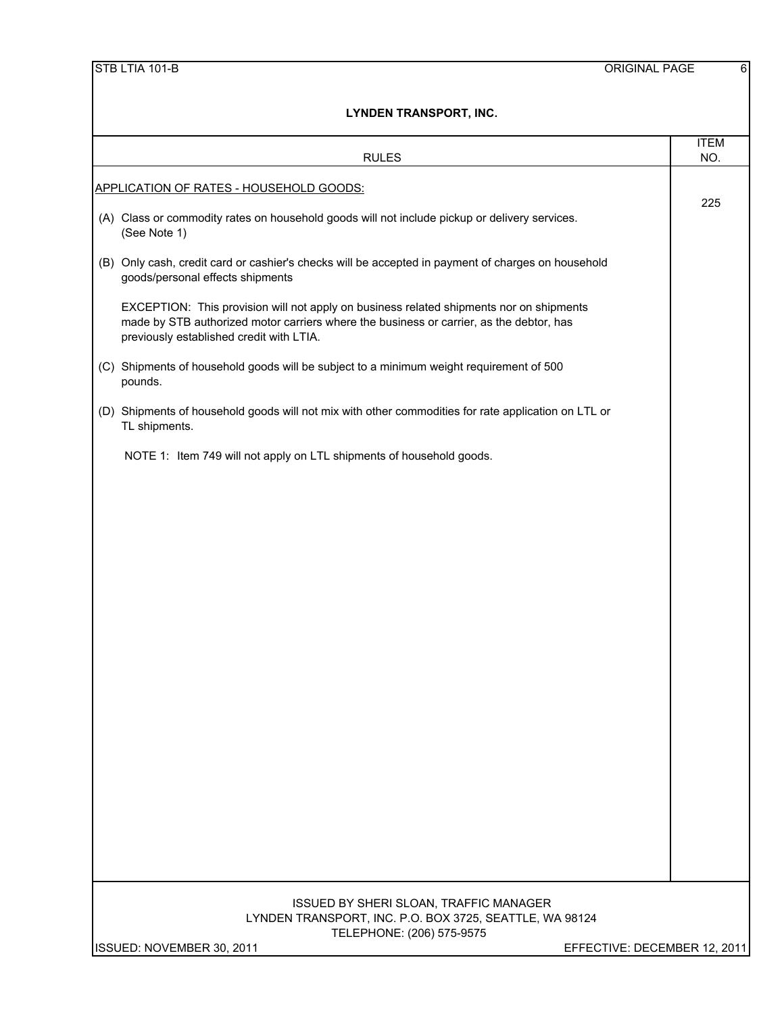|  | STB LTIA 101-B |
|--|----------------|
|  |                |

| LYNDEN I KANSPORT, ING.                                                                                                                                                                                                        |                              |  |  |  |
|--------------------------------------------------------------------------------------------------------------------------------------------------------------------------------------------------------------------------------|------------------------------|--|--|--|
| <b>RULES</b>                                                                                                                                                                                                                   | <b>ITEM</b><br>NO.           |  |  |  |
| APPLICATION OF RATES - HOUSEHOLD GOODS:                                                                                                                                                                                        |                              |  |  |  |
| (A) Class or commodity rates on household goods will not include pickup or delivery services.<br>(See Note 1)                                                                                                                  | 225                          |  |  |  |
| (B) Only cash, credit card or cashier's checks will be accepted in payment of charges on household<br>goods/personal effects shipments                                                                                         |                              |  |  |  |
| EXCEPTION: This provision will not apply on business related shipments nor on shipments<br>made by STB authorized motor carriers where the business or carrier, as the debtor, has<br>previously established credit with LTIA. |                              |  |  |  |
| (C) Shipments of household goods will be subject to a minimum weight requirement of 500<br>pounds.                                                                                                                             |                              |  |  |  |
| (D) Shipments of household goods will not mix with other commodities for rate application on LTL or<br>TL shipments.                                                                                                           |                              |  |  |  |
| NOTE 1: Item 749 will not apply on LTL shipments of household goods.                                                                                                                                                           |                              |  |  |  |
|                                                                                                                                                                                                                                |                              |  |  |  |
|                                                                                                                                                                                                                                |                              |  |  |  |
|                                                                                                                                                                                                                                |                              |  |  |  |
|                                                                                                                                                                                                                                |                              |  |  |  |
|                                                                                                                                                                                                                                |                              |  |  |  |
|                                                                                                                                                                                                                                |                              |  |  |  |
|                                                                                                                                                                                                                                |                              |  |  |  |
|                                                                                                                                                                                                                                |                              |  |  |  |
|                                                                                                                                                                                                                                |                              |  |  |  |
|                                                                                                                                                                                                                                |                              |  |  |  |
|                                                                                                                                                                                                                                |                              |  |  |  |
| ISSUED BY SHERI SLOAN, TRAFFIC MANAGER<br>LYNDEN TRANSPORT, INC. P.O. BOX 3725, SEATTLE, WA 98124                                                                                                                              |                              |  |  |  |
| TELEPHONE: (206) 575-9575<br>ISSUED: NOVEMBER 30, 2011                                                                                                                                                                         | EFFECTIVE: DECEMBER 12, 2011 |  |  |  |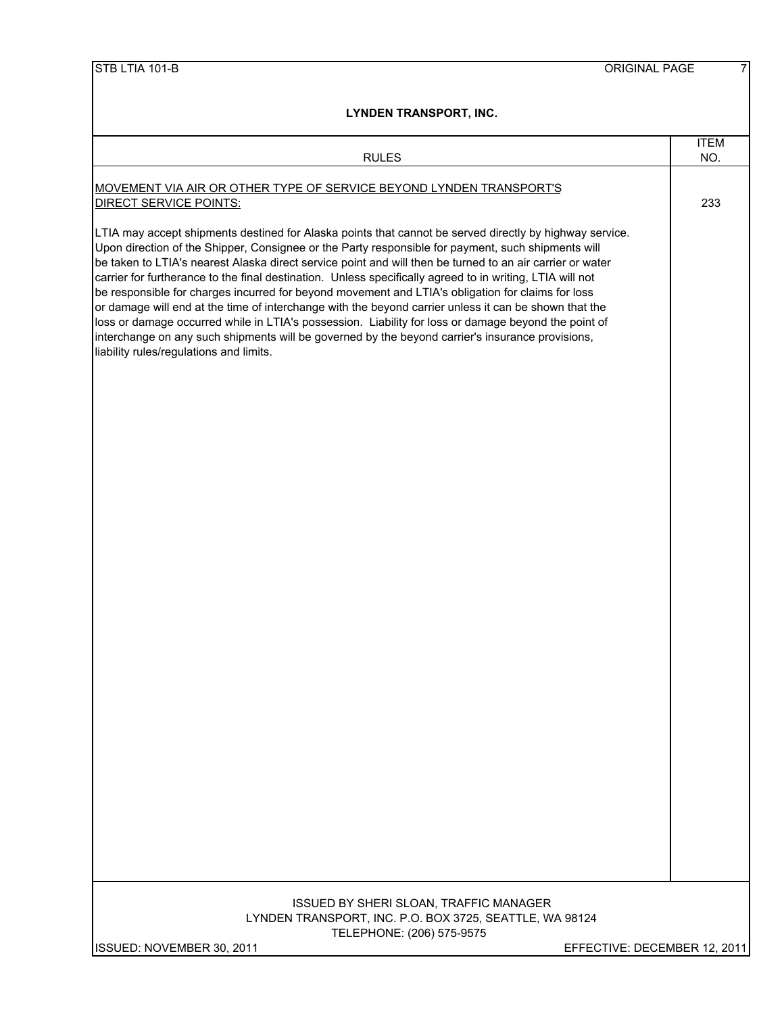| <b>RULES</b>                                                                                                                                                                                                                                                                                                                                                                                                                                                                                                                                                                                                                                                                                                                                                                                                                                                                                                 | <b>ITEM</b><br>NO. |
|--------------------------------------------------------------------------------------------------------------------------------------------------------------------------------------------------------------------------------------------------------------------------------------------------------------------------------------------------------------------------------------------------------------------------------------------------------------------------------------------------------------------------------------------------------------------------------------------------------------------------------------------------------------------------------------------------------------------------------------------------------------------------------------------------------------------------------------------------------------------------------------------------------------|--------------------|
| <b>MOVEMENT VIA AIR OR OTHER TYPE OF SERVICE BEYOND LYNDEN TRANSPORT'S</b><br>DIRECT SERVICE POINTS:                                                                                                                                                                                                                                                                                                                                                                                                                                                                                                                                                                                                                                                                                                                                                                                                         | 233                |
| LTIA may accept shipments destined for Alaska points that cannot be served directly by highway service.<br>Upon direction of the Shipper, Consignee or the Party responsible for payment, such shipments will<br>be taken to LTIA's nearest Alaska direct service point and will then be turned to an air carrier or water<br>carrier for furtherance to the final destination. Unless specifically agreed to in writing, LTIA will not<br>be responsible for charges incurred for beyond movement and LTIA's obligation for claims for loss<br>or damage will end at the time of interchange with the beyond carrier unless it can be shown that the<br>loss or damage occurred while in LTIA's possession. Liability for loss or damage beyond the point of<br>interchange on any such shipments will be governed by the beyond carrier's insurance provisions,<br>liability rules/regulations and limits. |                    |
|                                                                                                                                                                                                                                                                                                                                                                                                                                                                                                                                                                                                                                                                                                                                                                                                                                                                                                              |                    |
|                                                                                                                                                                                                                                                                                                                                                                                                                                                                                                                                                                                                                                                                                                                                                                                                                                                                                                              |                    |
|                                                                                                                                                                                                                                                                                                                                                                                                                                                                                                                                                                                                                                                                                                                                                                                                                                                                                                              |                    |
|                                                                                                                                                                                                                                                                                                                                                                                                                                                                                                                                                                                                                                                                                                                                                                                                                                                                                                              |                    |
|                                                                                                                                                                                                                                                                                                                                                                                                                                                                                                                                                                                                                                                                                                                                                                                                                                                                                                              |                    |
| ISSUED BY SHERI SLOAN, TRAFFIC MANAGER<br>LYNDEN TRANSPORT, INC. P.O. BOX 3725, SEATTLE, WA 98124<br>TELEPHONE: (206) 575-9575<br>ISSUED: NOVEMBER 30, 2011<br>EFFECTIVE: DECEMBER 12, 2011                                                                                                                                                                                                                                                                                                                                                                                                                                                                                                                                                                                                                                                                                                                  |                    |
|                                                                                                                                                                                                                                                                                                                                                                                                                                                                                                                                                                                                                                                                                                                                                                                                                                                                                                              |                    |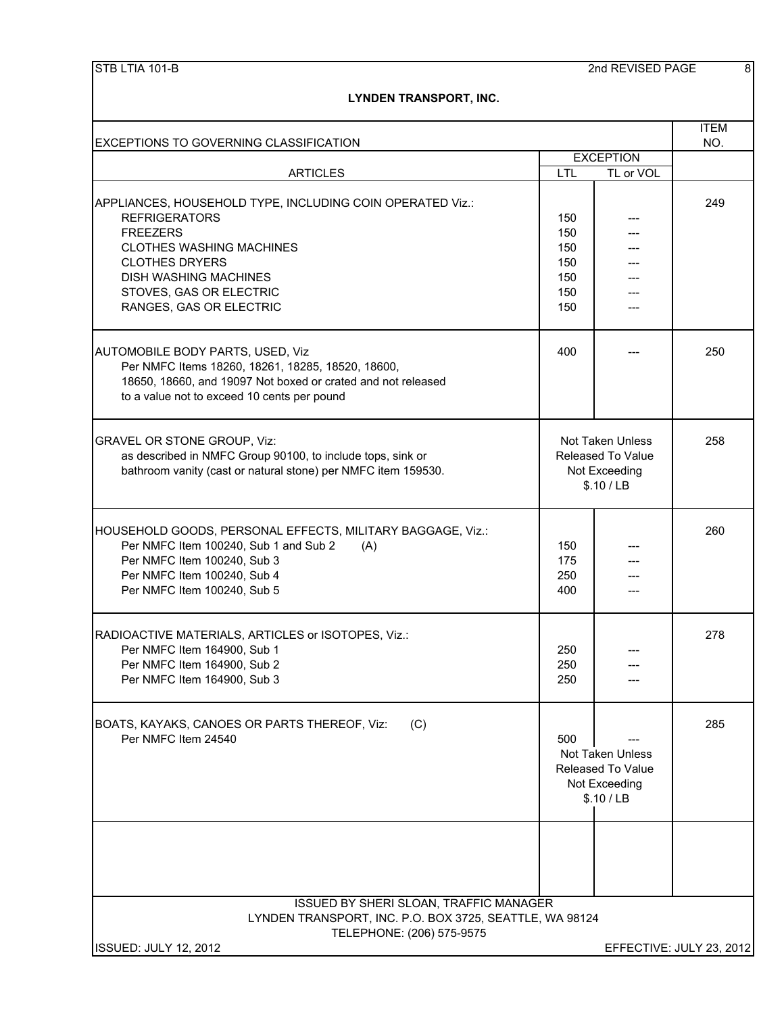| <b>EXCEPTIONS TO GOVERNING CLASSIFICATION</b>                                                                                                                                                                                                          |                                                                                    |                                                                                    | <b>ITEM</b><br>NO.       |
|--------------------------------------------------------------------------------------------------------------------------------------------------------------------------------------------------------------------------------------------------------|------------------------------------------------------------------------------------|------------------------------------------------------------------------------------|--------------------------|
|                                                                                                                                                                                                                                                        |                                                                                    | <b>EXCEPTION</b>                                                                   |                          |
| <b>ARTICLES</b>                                                                                                                                                                                                                                        | <b>LTL</b>                                                                         | TL or VOL                                                                          |                          |
| APPLIANCES, HOUSEHOLD TYPE, INCLUDING COIN OPERATED Viz.:<br><b>REFRIGERATORS</b><br><b>FREEZERS</b><br><b>CLOTHES WASHING MACHINES</b><br><b>CLOTHES DRYERS</b><br><b>DISH WASHING MACHINES</b><br>STOVES, GAS OR ELECTRIC<br>RANGES, GAS OR ELECTRIC | 150<br>150<br>150<br>150<br>150<br>150<br>150                                      |                                                                                    | 249                      |
| AUTOMOBILE BODY PARTS, USED, Viz<br>Per NMFC Items 18260, 18261, 18285, 18520, 18600,<br>18650, 18660, and 19097 Not boxed or crated and not released<br>to a value not to exceed 10 cents per pound                                                   | 400                                                                                |                                                                                    | 250                      |
| GRAVEL OR STONE GROUP, Viz:<br>as described in NMFC Group 90100, to include tops, sink or<br>bathroom vanity (cast or natural stone) per NMFC item 159530.                                                                                             |                                                                                    | <b>Not Taken Unless</b><br><b>Released To Value</b><br>Not Exceeding<br>\$.10 / LB | 258                      |
| HOUSEHOLD GOODS, PERSONAL EFFECTS, MILITARY BAGGAGE, Viz.:<br>Per NMFC Item 100240, Sub 1 and Sub 2<br>(A)<br>Per NMFC Item 100240, Sub 3<br>Per NMFC Item 100240, Sub 4<br>Per NMFC Item 100240, Sub 5                                                | 150<br>175<br>250<br>400                                                           |                                                                                    | 260                      |
| RADIOACTIVE MATERIALS, ARTICLES or ISOTOPES, Viz.:<br>Per NMFC Item 164900, Sub 1<br>Per NMFC Item 164900, Sub 2<br>Per NMFC Item 164900, Sub 3                                                                                                        | 250<br>250<br>250                                                                  |                                                                                    | 278                      |
| BOATS, KAYAKS, CANOES OR PARTS THEREOF, Viz:<br>(C)<br>Per NMFC Item 24540                                                                                                                                                                             | 500<br>Not Taken Unless<br><b>Released To Value</b><br>Not Exceeding<br>\$.10 / LB |                                                                                    | 285                      |
| ISSUED BY SHERI SLOAN, TRAFFIC MANAGER                                                                                                                                                                                                                 |                                                                                    |                                                                                    |                          |
| LYNDEN TRANSPORT, INC. P.O. BOX 3725, SEATTLE, WA 98124<br>TELEPHONE: (206) 575-9575<br><b>ISSUED: JULY 12, 2012</b>                                                                                                                                   |                                                                                    |                                                                                    | EFFECTIVE: JULY 23, 2012 |
|                                                                                                                                                                                                                                                        |                                                                                    |                                                                                    |                          |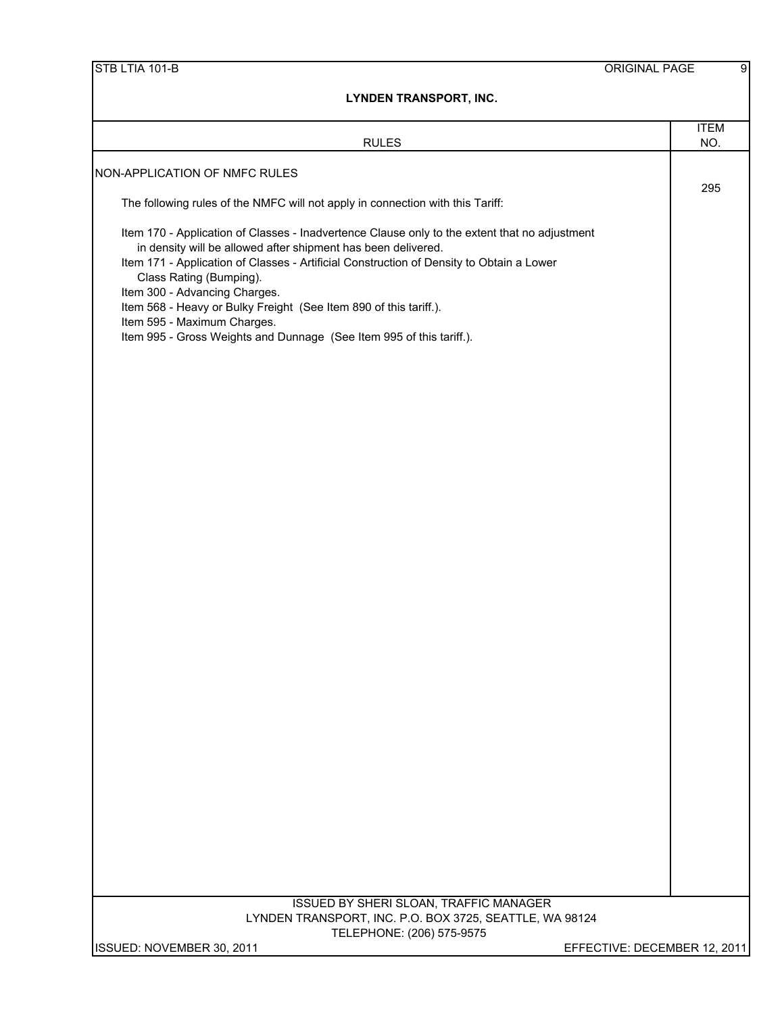| STB LTIA 101-B                                                                                                                                                                                                                                                                                                                                                                                                                                                                                     | ORIGINAL PAGE              | 9 |
|----------------------------------------------------------------------------------------------------------------------------------------------------------------------------------------------------------------------------------------------------------------------------------------------------------------------------------------------------------------------------------------------------------------------------------------------------------------------------------------------------|----------------------------|---|
| <b>LYNDEN TRANSPORT, INC.</b>                                                                                                                                                                                                                                                                                                                                                                                                                                                                      |                            |   |
| <b>RULES</b>                                                                                                                                                                                                                                                                                                                                                                                                                                                                                       | <b>ITEM</b><br>NO.         |   |
| NON-APPLICATION OF NMFC RULES                                                                                                                                                                                                                                                                                                                                                                                                                                                                      |                            |   |
| The following rules of the NMFC will not apply in connection with this Tariff:                                                                                                                                                                                                                                                                                                                                                                                                                     | 295                        |   |
| Item 170 - Application of Classes - Inadvertence Clause only to the extent that no adjustment<br>in density will be allowed after shipment has been delivered.<br>Item 171 - Application of Classes - Artificial Construction of Density to Obtain a Lower<br>Class Rating (Bumping).<br>Item 300 - Advancing Charges.<br>Item 568 - Heavy or Bulky Freight (See Item 890 of this tariff.).<br>Item 595 - Maximum Charges.<br>Item 995 - Gross Weights and Dunnage (See Item 995 of this tariff.). |                            |   |
|                                                                                                                                                                                                                                                                                                                                                                                                                                                                                                    |                            |   |
|                                                                                                                                                                                                                                                                                                                                                                                                                                                                                                    |                            |   |
|                                                                                                                                                                                                                                                                                                                                                                                                                                                                                                    |                            |   |
|                                                                                                                                                                                                                                                                                                                                                                                                                                                                                                    |                            |   |
|                                                                                                                                                                                                                                                                                                                                                                                                                                                                                                    |                            |   |
|                                                                                                                                                                                                                                                                                                                                                                                                                                                                                                    |                            |   |
|                                                                                                                                                                                                                                                                                                                                                                                                                                                                                                    |                            |   |
|                                                                                                                                                                                                                                                                                                                                                                                                                                                                                                    |                            |   |
|                                                                                                                                                                                                                                                                                                                                                                                                                                                                                                    |                            |   |
|                                                                                                                                                                                                                                                                                                                                                                                                                                                                                                    |                            |   |
|                                                                                                                                                                                                                                                                                                                                                                                                                                                                                                    |                            |   |
|                                                                                                                                                                                                                                                                                                                                                                                                                                                                                                    |                            |   |
|                                                                                                                                                                                                                                                                                                                                                                                                                                                                                                    |                            |   |
|                                                                                                                                                                                                                                                                                                                                                                                                                                                                                                    |                            |   |
|                                                                                                                                                                                                                                                                                                                                                                                                                                                                                                    |                            |   |
| ISSUED BY SHERI SLOAN, TRAFFIC MANAGER<br>LYNDEN TRANSPORT, INC. P.O. BOX 3725, SEATTLE, WA 98124<br>TELEPHONE: (206) 575-9575                                                                                                                                                                                                                                                                                                                                                                     |                            |   |
| ISSUED: NOVEMBER 30 2011                                                                                                                                                                                                                                                                                                                                                                                                                                                                           | FFFECTIVE DECEMBER 12 2011 |   |

ISSUED: NOVEMBER 30, 2011 EFFECTIVE: DECEMBER 12, 2011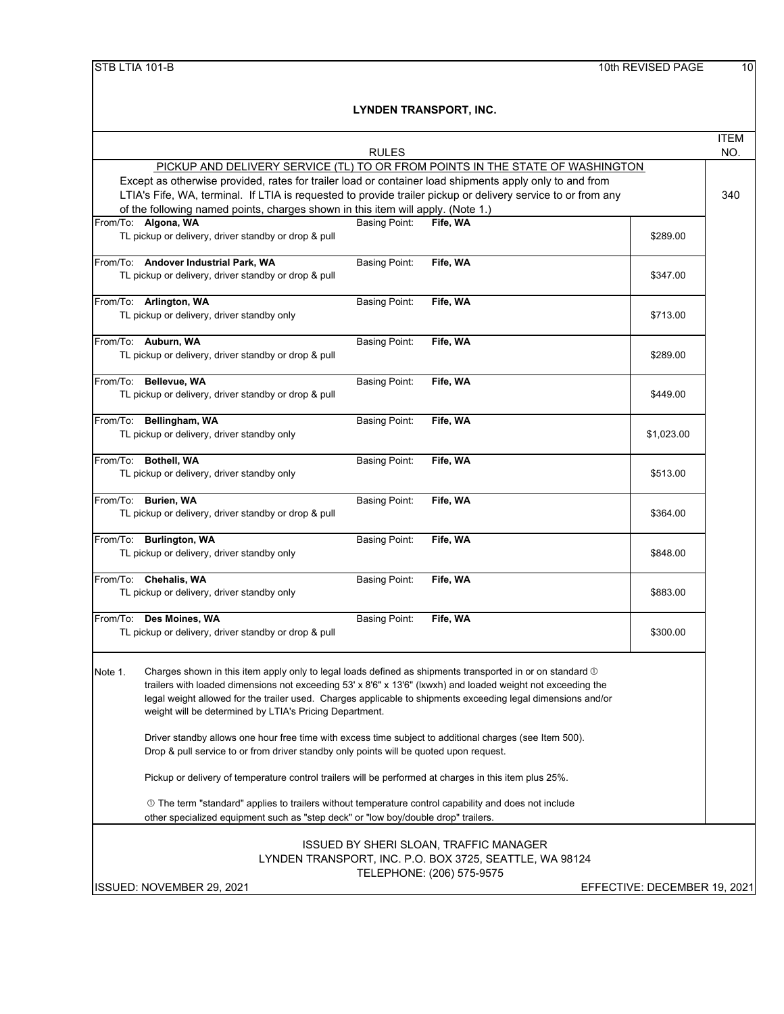|                                                                                                                                                                                                                                                                                                                                                                                                                           | <b>ITEM</b> |
|---------------------------------------------------------------------------------------------------------------------------------------------------------------------------------------------------------------------------------------------------------------------------------------------------------------------------------------------------------------------------------------------------------------------------|-------------|
| <b>RULES</b>                                                                                                                                                                                                                                                                                                                                                                                                              | NO.         |
| PICKUP AND DELIVERY SERVICE (TL) TO OR FROM POINTS IN THE STATE OF WASHINGTON<br>Except as otherwise provided, rates for trailer load or container load shipments apply only to and from<br>LTIA's Fife, WA, terminal. If LTIA is requested to provide trailer pickup or delivery service to or from any<br>of the following named points, charges shown in this item will apply. (Note 1.)                               |             |
| From/To: Algona, WA<br>Basing Point:<br>Fife, WA<br>TL pickup or delivery, driver standby or drop & pull<br>\$289.00                                                                                                                                                                                                                                                                                                      |             |
| From/To: Andover Industrial Park, WA<br><b>Basing Point:</b><br>Fife, WA<br>TL pickup or delivery, driver standby or drop & pull<br>\$347.00                                                                                                                                                                                                                                                                              |             |
| From/To: Arlington, WA<br><b>Basing Point:</b><br>Fife, WA<br>TL pickup or delivery, driver standby only<br>\$713.00                                                                                                                                                                                                                                                                                                      |             |
| From/To: Auburn, WA<br><b>Basing Point:</b><br>Fife, WA<br>\$289.00<br>TL pickup or delivery, driver standby or drop & pull                                                                                                                                                                                                                                                                                               |             |
| From/To: Bellevue, WA<br><b>Basing Point:</b><br>Fife, WA<br>TL pickup or delivery, driver standby or drop & pull<br>\$449.00                                                                                                                                                                                                                                                                                             |             |
| From/To: Bellingham, WA<br><b>Basing Point:</b><br>Fife, WA<br>TL pickup or delivery, driver standby only<br>\$1,023.00                                                                                                                                                                                                                                                                                                   |             |
| From/To: Bothell, WA<br>Fife, WA<br><b>Basing Point:</b><br>TL pickup or delivery, driver standby only<br>\$513.00                                                                                                                                                                                                                                                                                                        |             |
| From/To: Burien, WA<br><b>Basing Point:</b><br>Fife, WA<br>TL pickup or delivery, driver standby or drop & pull<br>\$364.00                                                                                                                                                                                                                                                                                               |             |
| From/To: Burlington, WA<br><b>Basing Point:</b><br>Fife, WA<br>TL pickup or delivery, driver standby only<br>\$848.00                                                                                                                                                                                                                                                                                                     |             |
| From/To: Chehalis, WA<br><b>Basing Point:</b><br>Fife, WA<br>TL pickup or delivery, driver standby only<br>\$883.00                                                                                                                                                                                                                                                                                                       |             |
| From/To: Des Moines, WA<br><b>Basing Point:</b><br>Fife, WA<br>\$300.00<br>TL pickup or delivery, driver standby or drop & pull                                                                                                                                                                                                                                                                                           |             |
| Charges shown in this item apply only to legal loads defined as shipments transported in or on standard $\mathbb O$<br>Note 1.<br>trailers with loaded dimensions not exceeding 53' x 8'6" x 13'6" (Ixwxh) and loaded weight not exceeding the<br>legal weight allowed for the trailer used. Charges applicable to shipments exceeding legal dimensions and/or<br>weight will be determined by LTIA's Pricing Department. |             |
| Driver standby allows one hour free time with excess time subject to additional charges (see Item 500).<br>Drop & pull service to or from driver standby only points will be quoted upon request.                                                                                                                                                                                                                         |             |
| Pickup or delivery of temperature control trailers will be performed at charges in this item plus 25%.                                                                                                                                                                                                                                                                                                                    |             |
| 10 The term "standard" applies to trailers without temperature control capability and does not include<br>other specialized equipment such as "step deck" or "low boy/double drop" trailers.                                                                                                                                                                                                                              |             |
| <b>ISSUED BY SHERI SLOAN, TRAFFIC MANAGER</b><br>LYNDEN TRANSPORT, INC. P.O. BOX 3725, SEATTLE, WA 98124<br>TELEPHONE: (206) 575-9575                                                                                                                                                                                                                                                                                     |             |
| ISSUED: NOVEMBER 29, 2021<br>EFFECTIVE: DECEMBER 19, 2021                                                                                                                                                                                                                                                                                                                                                                 |             |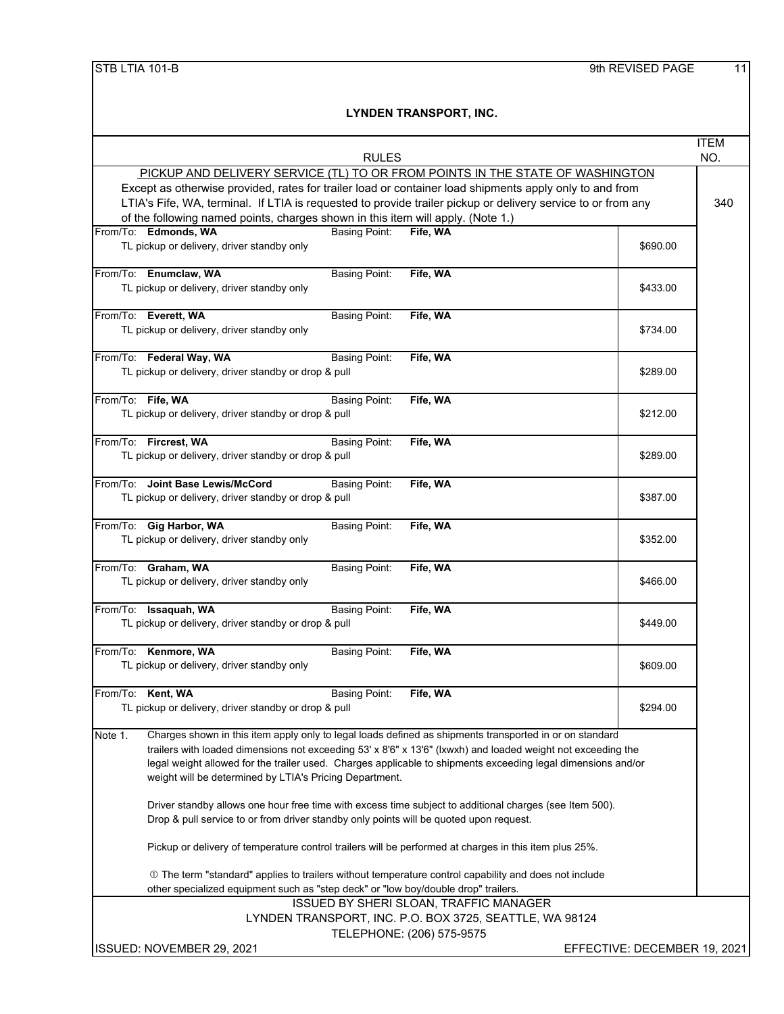| <b>RULES</b>                                                                                                       |                              | <b>ITEM</b><br>NO. |
|--------------------------------------------------------------------------------------------------------------------|------------------------------|--------------------|
| PICKUP AND DELIVERY SERVICE (TL) TO OR FROM POINTS IN THE STATE OF WASHINGTON                                      |                              |                    |
|                                                                                                                    |                              |                    |
| Except as otherwise provided, rates for trailer load or container load shipments apply only to and from            |                              |                    |
| LTIA's Fife, WA, terminal. If LTIA is requested to provide trailer pickup or delivery service to or from any       |                              | 340                |
| of the following named points, charges shown in this item will apply. (Note 1.)                                    |                              |                    |
| From/To: Edmonds, WA<br><b>Basing Point:</b><br>Fife, WA                                                           |                              |                    |
| TL pickup or delivery, driver standby only                                                                         | \$690.00                     |                    |
|                                                                                                                    |                              |                    |
| From/To: Enumclaw, WA<br>Fife, WA<br><b>Basing Point:</b>                                                          |                              |                    |
| TL pickup or delivery, driver standby only                                                                         | \$433.00                     |                    |
|                                                                                                                    |                              |                    |
| From/To: Everett, WA<br><b>Basing Point:</b><br>Fife, WA                                                           |                              |                    |
| TL pickup or delivery, driver standby only                                                                         | \$734.00                     |                    |
|                                                                                                                    |                              |                    |
| From/To: Federal Way, WA<br><b>Basing Point:</b><br>Fife, WA                                                       |                              |                    |
| TL pickup or delivery, driver standby or drop & pull                                                               | \$289.00                     |                    |
|                                                                                                                    |                              |                    |
| From/To: Fife, WA<br><b>Basing Point:</b><br>Fife, WA                                                              |                              |                    |
| TL pickup or delivery, driver standby or drop & pull                                                               | \$212.00                     |                    |
|                                                                                                                    |                              |                    |
| From/To: Fircrest, WA<br><b>Basing Point:</b><br>Fife, WA                                                          |                              |                    |
| TL pickup or delivery, driver standby or drop & pull                                                               | \$289.00                     |                    |
| From/To: Joint Base Lewis/McCord                                                                                   |                              |                    |
| <b>Basing Point:</b><br>Fife, WA                                                                                   |                              |                    |
| TL pickup or delivery, driver standby or drop & pull                                                               | \$387.00                     |                    |
|                                                                                                                    |                              |                    |
| From/To: Gig Harbor, WA<br><b>Basing Point:</b><br>Fife, WA                                                        |                              |                    |
| TL pickup or delivery, driver standby only                                                                         | \$352.00                     |                    |
| From/To: Graham, WA<br><b>Basing Point:</b><br>Fife, WA                                                            |                              |                    |
| TL pickup or delivery, driver standby only                                                                         | \$466.00                     |                    |
|                                                                                                                    |                              |                    |
| From/To: Issaquah, WA<br>Fife, WA<br><b>Basing Point:</b>                                                          |                              |                    |
| TL pickup or delivery, driver standby or drop & pull                                                               | \$449.00                     |                    |
|                                                                                                                    |                              |                    |
| From/To: Kenmore, WA<br><b>Basing Point:</b><br>Fife, WA                                                           |                              |                    |
| TL pickup or delivery, driver standby only                                                                         | \$609.00                     |                    |
|                                                                                                                    |                              |                    |
| From/To: Kent, WA<br>Fife, WA<br><b>Basing Point:</b>                                                              |                              |                    |
| TL pickup or delivery, driver standby or drop & pull                                                               | \$294.00                     |                    |
|                                                                                                                    |                              |                    |
| Charges shown in this item apply only to legal loads defined as shipments transported in or on standard<br>Note 1. |                              |                    |
| trailers with loaded dimensions not exceeding 53' x 8'6" x 13'6" (Ixwxh) and loaded weight not exceeding the       |                              |                    |
| legal weight allowed for the trailer used. Charges applicable to shipments exceeding legal dimensions and/or       |                              |                    |
| weight will be determined by LTIA's Pricing Department.                                                            |                              |                    |
|                                                                                                                    |                              |                    |
| Driver standby allows one hour free time with excess time subject to additional charges (see Item 500).            |                              |                    |
| Drop & pull service to or from driver standby only points will be quoted upon request.                             |                              |                    |
|                                                                                                                    |                              |                    |
| Pickup or delivery of temperature control trailers will be performed at charges in this item plus 25%.             |                              |                    |
| ① The term "standard" applies to trailers without temperature control capability and does not include              |                              |                    |
| other specialized equipment such as "step deck" or "low boy/double drop" trailers.                                 |                              |                    |
| ISSUED BY SHERI SLOAN, TRAFFIC MANAGER                                                                             |                              |                    |
| LYNDEN TRANSPORT, INC. P.O. BOX 3725, SEATTLE, WA 98124                                                            |                              |                    |
| TELEPHONE: (206) 575-9575                                                                                          |                              |                    |
|                                                                                                                    |                              |                    |
| ISSUED: NOVEMBER 29, 2021                                                                                          | EFFECTIVE: DECEMBER 19, 2021 |                    |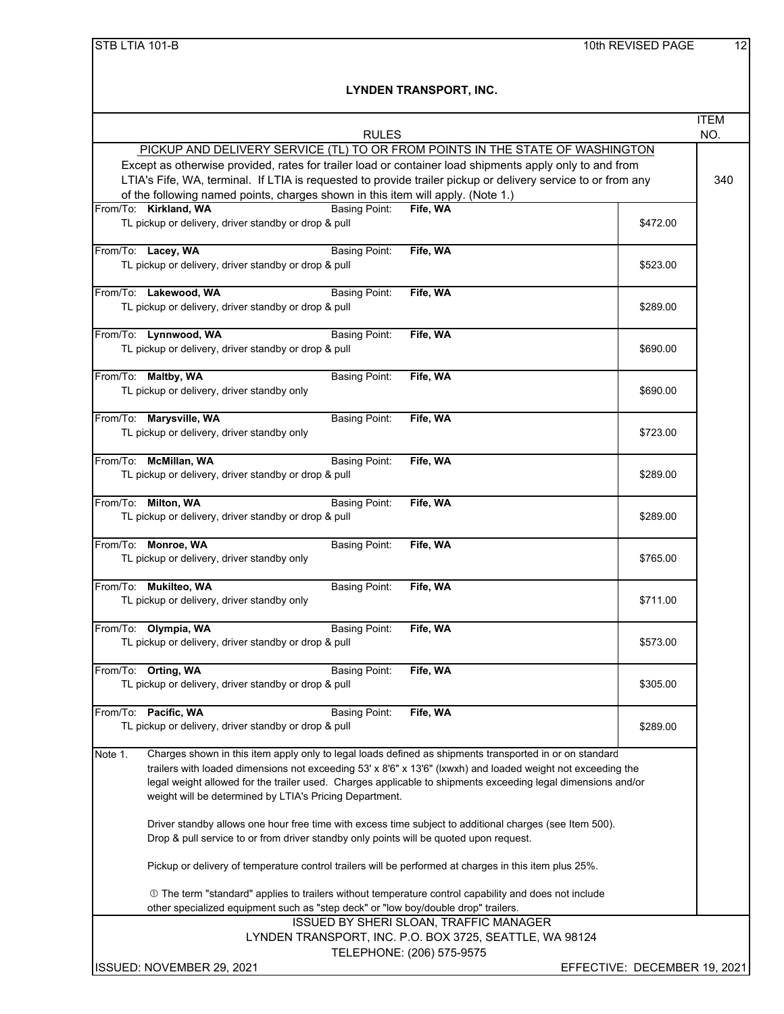|                                                                                                                                              |                              | <b>ITEM</b> |
|----------------------------------------------------------------------------------------------------------------------------------------------|------------------------------|-------------|
| <b>RULES</b>                                                                                                                                 |                              | NO.         |
| PICKUP AND DELIVERY SERVICE (TL) TO OR FROM POINTS IN THE STATE OF WASHINGTON                                                                |                              |             |
| Except as otherwise provided, rates for trailer load or container load shipments apply only to and from                                      |                              |             |
| LTIA's Fife, WA, terminal. If LTIA is requested to provide trailer pickup or delivery service to or from any                                 |                              | 340         |
| of the following named points, charges shown in this item will apply. (Note 1.)<br>From/To: Kirkland, WA<br><b>Basing Point:</b><br>Fife, WA |                              |             |
| TL pickup or delivery, driver standby or drop & pull                                                                                         | \$472.00                     |             |
|                                                                                                                                              |                              |             |
| From/To: Lacey, WA<br><b>Basing Point:</b><br>Fife, WA                                                                                       |                              |             |
| TL pickup or delivery, driver standby or drop & pull                                                                                         | \$523.00                     |             |
|                                                                                                                                              |                              |             |
| From/To: Lakewood, WA<br><b>Basing Point:</b><br>Fife, WA                                                                                    |                              |             |
| TL pickup or delivery, driver standby or drop & pull                                                                                         | \$289.00                     |             |
|                                                                                                                                              |                              |             |
| From/To: Lynnwood, WA<br><b>Basing Point:</b><br>Fife, WA                                                                                    |                              |             |
| TL pickup or delivery, driver standby or drop & pull                                                                                         | \$690.00                     |             |
|                                                                                                                                              |                              |             |
| From/To: Maltby, WA<br><b>Basing Point:</b><br>Fife, WA                                                                                      |                              |             |
| TL pickup or delivery, driver standby only                                                                                                   | \$690.00                     |             |
| From/To: Marysville, WA<br><b>Basing Point:</b><br>Fife, WA                                                                                  |                              |             |
| TL pickup or delivery, driver standby only                                                                                                   | \$723.00                     |             |
|                                                                                                                                              |                              |             |
| From/To: McMillan, WA<br><b>Basing Point:</b><br>Fife, WA                                                                                    |                              |             |
| TL pickup or delivery, driver standby or drop & pull                                                                                         | \$289.00                     |             |
|                                                                                                                                              |                              |             |
| From/To: Milton, WA<br>Basing Point:<br>Fife, WA                                                                                             |                              |             |
| TL pickup or delivery, driver standby or drop & pull                                                                                         | \$289.00                     |             |
|                                                                                                                                              |                              |             |
| From/To: Monroe, WA<br>Fife, WA<br><b>Basing Point:</b>                                                                                      |                              |             |
| TL pickup or delivery, driver standby only                                                                                                   | \$765.00                     |             |
|                                                                                                                                              |                              |             |
| From/To: Mukilteo, WA<br><b>Basing Point:</b><br>Fife, WA                                                                                    | \$711.00                     |             |
| TL pickup or delivery, driver standby only                                                                                                   |                              |             |
| From/To: Olympia, WA<br><b>Basing Point:</b><br>Fife, WA                                                                                     |                              |             |
| TL pickup or delivery, driver standby or drop & pull                                                                                         | \$573.00                     |             |
|                                                                                                                                              |                              |             |
| From/To: Orting, WA<br>Fife, WA<br><b>Basing Point:</b>                                                                                      |                              |             |
| TL pickup or delivery, driver standby or drop & pull                                                                                         | \$305.00                     |             |
|                                                                                                                                              |                              |             |
| From/To: Pacific, WA<br>Fife, WA<br>Basing Point:                                                                                            |                              |             |
| TL pickup or delivery, driver standby or drop & pull                                                                                         | \$289.00                     |             |
|                                                                                                                                              |                              |             |
| Charges shown in this item apply only to legal loads defined as shipments transported in or on standard<br>Note 1.                           |                              |             |
| trailers with loaded dimensions not exceeding 53' x 8'6" x 13'6" (Ixwxh) and loaded weight not exceeding the                                 |                              |             |
| legal weight allowed for the trailer used. Charges applicable to shipments exceeding legal dimensions and/or                                 |                              |             |
| weight will be determined by LTIA's Pricing Department.                                                                                      |                              |             |
| Driver standby allows one hour free time with excess time subject to additional charges (see Item 500).                                      |                              |             |
| Drop & pull service to or from driver standby only points will be quoted upon request.                                                       |                              |             |
|                                                                                                                                              |                              |             |
| Pickup or delivery of temperature control trailers will be performed at charges in this item plus 25%.                                       |                              |             |
| ① The term "standard" applies to trailers without temperature control capability and does not include                                        |                              |             |
| other specialized equipment such as "step deck" or "low boy/double drop" trailers.                                                           |                              |             |
| ISSUED BY SHERI SLOAN, TRAFFIC MANAGER                                                                                                       |                              |             |
| LYNDEN TRANSPORT, INC. P.O. BOX 3725, SEATTLE, WA 98124                                                                                      |                              |             |
| TELEPHONE: (206) 575-9575                                                                                                                    |                              |             |
| ISSUED: NOVEMBER 29, 2021                                                                                                                    | EFFECTIVE: DECEMBER 19, 2021 |             |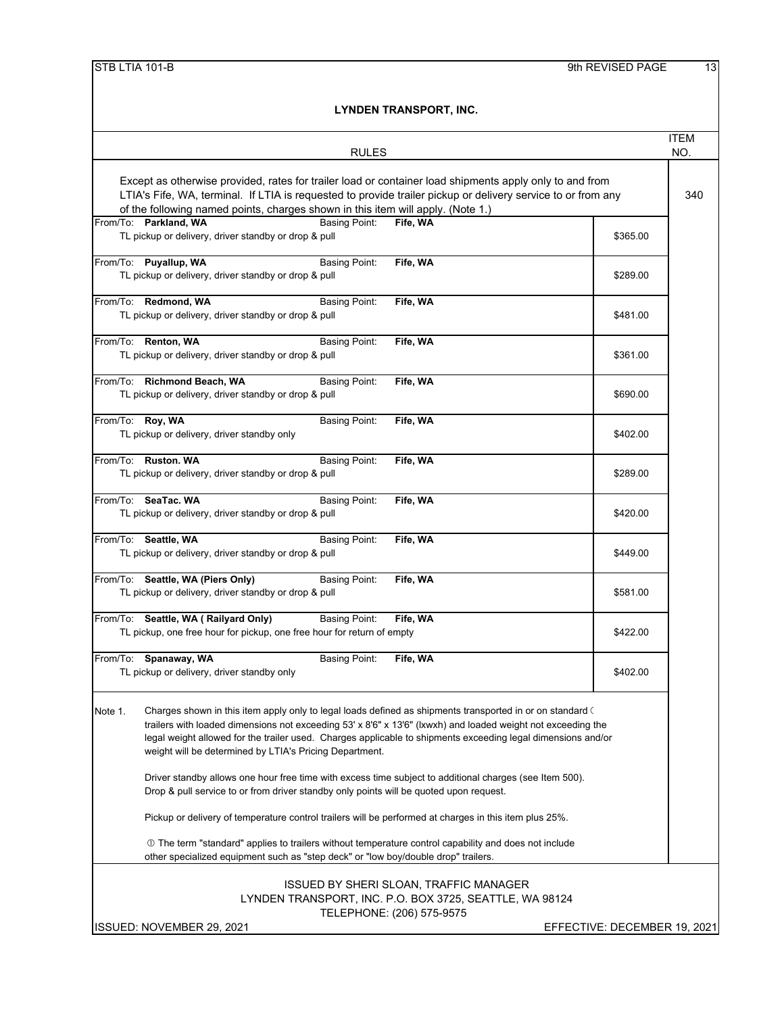|                                                                                                                                                                                                                                                                                                                                                                                                                                                                                                                                  |                              | ITEM |
|----------------------------------------------------------------------------------------------------------------------------------------------------------------------------------------------------------------------------------------------------------------------------------------------------------------------------------------------------------------------------------------------------------------------------------------------------------------------------------------------------------------------------------|------------------------------|------|
| <b>RULES</b>                                                                                                                                                                                                                                                                                                                                                                                                                                                                                                                     |                              | NO.  |
| Except as otherwise provided, rates for trailer load or container load shipments apply only to and from<br>LTIA's Fife, WA, terminal. If LTIA is requested to provide trailer pickup or delivery service to or from any<br>of the following named points, charges shown in this item will apply. (Note 1.)                                                                                                                                                                                                                       |                              | 340  |
| From/To: Parkland, WA<br><b>Basing Point:</b><br>Fife, WA<br>TL pickup or delivery, driver standby or drop & pull                                                                                                                                                                                                                                                                                                                                                                                                                | \$365.00                     |      |
| From/To: Puyallup, WA<br><b>Basing Point:</b><br>Fife, WA<br>TL pickup or delivery, driver standby or drop & pull                                                                                                                                                                                                                                                                                                                                                                                                                | \$289.00                     |      |
| From/To: Redmond, WA<br><b>Basing Point:</b><br>Fife, WA<br>TL pickup or delivery, driver standby or drop & pull                                                                                                                                                                                                                                                                                                                                                                                                                 | \$481.00                     |      |
| From/To: Renton, WA<br>Basing Point:<br>Fife, WA<br>TL pickup or delivery, driver standby or drop & pull                                                                                                                                                                                                                                                                                                                                                                                                                         | \$361.00                     |      |
| From/To: Richmond Beach, WA<br><b>Basing Point:</b><br>Fife, WA<br>TL pickup or delivery, driver standby or drop & pull                                                                                                                                                                                                                                                                                                                                                                                                          | \$690.00                     |      |
| From/To: Roy, WA<br><b>Basing Point:</b><br>Fife, WA<br>TL pickup or delivery, driver standby only                                                                                                                                                                                                                                                                                                                                                                                                                               | \$402.00                     |      |
| From/To: Ruston, WA<br><b>Basing Point:</b><br>Fife, WA<br>TL pickup or delivery, driver standby or drop & pull                                                                                                                                                                                                                                                                                                                                                                                                                  | \$289.00                     |      |
| From/To: SeaTac. WA<br><b>Basing Point:</b><br>Fife, WA<br>TL pickup or delivery, driver standby or drop & pull                                                                                                                                                                                                                                                                                                                                                                                                                  | \$420.00                     |      |
| From/To: Seattle, WA<br><b>Basing Point:</b><br>Fife, WA<br>TL pickup or delivery, driver standby or drop & pull                                                                                                                                                                                                                                                                                                                                                                                                                 | \$449.00                     |      |
| From/To: Seattle, WA (Piers Only)<br><b>Basing Point:</b><br>Fife, WA<br>TL pickup or delivery, driver standby or drop & pull                                                                                                                                                                                                                                                                                                                                                                                                    | \$581.00                     |      |
| <b>Basing Point:</b><br>Fife, WA<br>From/To: Seattle, WA (Railyard Only)<br>TL pickup, one free hour for pickup, one free hour for return of empty                                                                                                                                                                                                                                                                                                                                                                               | \$422.00                     |      |
| From/To:<br>Fife, WA<br>Spanaway, WA<br><b>Basing Point:</b><br>TL pickup or delivery, driver standby only                                                                                                                                                                                                                                                                                                                                                                                                                       | \$402.00                     |      |
| Charges shown in this item apply only to legal loads defined as shipments transported in or on standard $\zeta$<br>Note 1.<br>trailers with loaded dimensions not exceeding 53' x 8'6" x 13'6" (Ixwxh) and loaded weight not exceeding the<br>legal weight allowed for the trailer used. Charges applicable to shipments exceeding legal dimensions and/or<br>weight will be determined by LTIA's Pricing Department.<br>Driver standby allows one hour free time with excess time subject to additional charges (see Item 500). |                              |      |
| Drop & pull service to or from driver standby only points will be quoted upon request.                                                                                                                                                                                                                                                                                                                                                                                                                                           |                              |      |
| Pickup or delivery of temperature control trailers will be performed at charges in this item plus 25%.                                                                                                                                                                                                                                                                                                                                                                                                                           |                              |      |
| ① The term "standard" applies to trailers without temperature control capability and does not include<br>other specialized equipment such as "step deck" or "low boy/double drop" trailers.                                                                                                                                                                                                                                                                                                                                      |                              |      |
| <b>ISSUED BY SHERI SLOAN, TRAFFIC MANAGER</b><br>LYNDEN TRANSPORT, INC. P.O. BOX 3725, SEATTLE, WA 98124<br>TELEPHONE: (206) 575-9575                                                                                                                                                                                                                                                                                                                                                                                            |                              |      |
| ISSUED: NOVEMBER 29, 2021                                                                                                                                                                                                                                                                                                                                                                                                                                                                                                        | EFFECTIVE: DECEMBER 19, 2021 |      |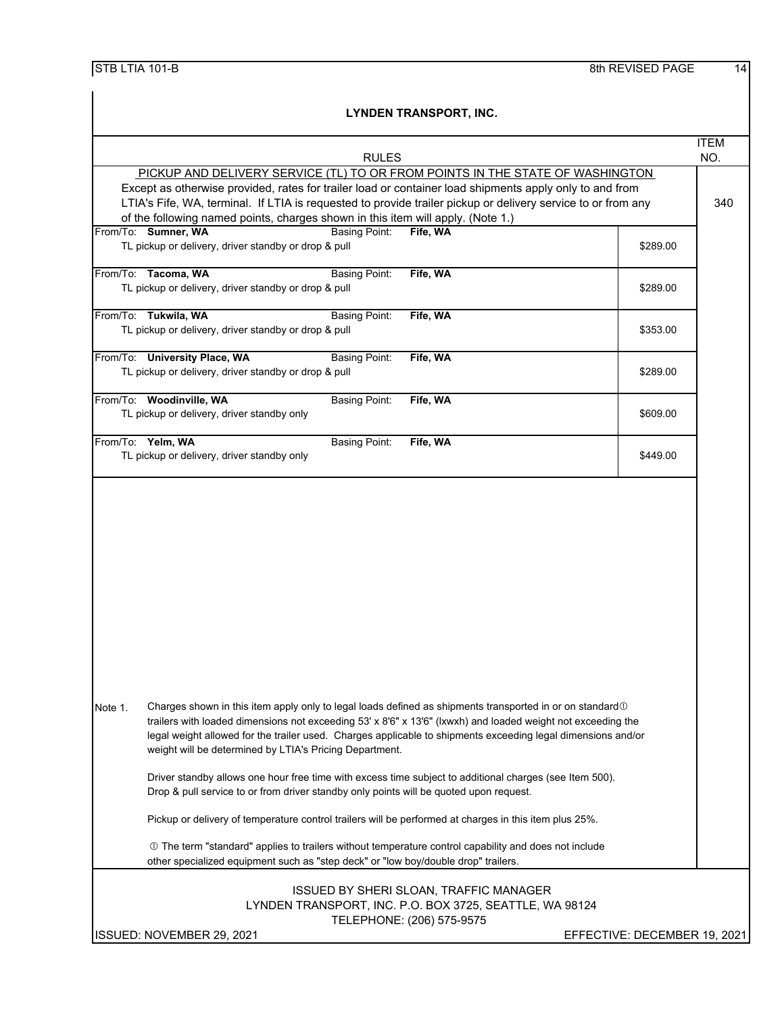| STB LTIA 101-B |  |
|----------------|--|
|----------------|--|

|                                                                                                                                                                                                                                                                                                                                                                                                                  | <b>ITEM</b> |
|------------------------------------------------------------------------------------------------------------------------------------------------------------------------------------------------------------------------------------------------------------------------------------------------------------------------------------------------------------------------------------------------------------------|-------------|
| <b>RULES</b>                                                                                                                                                                                                                                                                                                                                                                                                     | NO.         |
| PICKUP AND DELIVERY SERVICE (TL) TO OR FROM POINTS IN THE STATE OF WASHINGTON<br>Except as otherwise provided, rates for trailer load or container load shipments apply only to and from<br>LTIA's Fife, WA, terminal. If LTIA is requested to provide trailer pickup or delivery service to or from any<br>of the following named points, charges shown in this item will apply. (Note 1.)                      |             |
| From/To: Sumner, WA<br><b>Basing Point:</b><br>Fife, WA<br>TL pickup or delivery, driver standby or drop & pull<br>\$289.00                                                                                                                                                                                                                                                                                      |             |
| From/To: Tacoma, WA<br>Fife, WA<br><b>Basing Point:</b><br>TL pickup or delivery, driver standby or drop & pull<br>\$289.00                                                                                                                                                                                                                                                                                      |             |
| From/To: Tukwila, WA<br><b>Basing Point:</b><br>Fife, WA<br>TL pickup or delivery, driver standby or drop & pull<br>\$353.00                                                                                                                                                                                                                                                                                     |             |
| From/To: University Place, WA<br><b>Basing Point:</b><br>Fife, WA<br>TL pickup or delivery, driver standby or drop & pull<br>\$289.00                                                                                                                                                                                                                                                                            |             |
| From/To: Woodinville, WA<br><b>Basing Point:</b><br>Fife, WA<br>TL pickup or delivery, driver standby only<br>\$609.00                                                                                                                                                                                                                                                                                           |             |
| From/To: Yelm, WA<br><b>Basing Point:</b><br>Fife, WA<br>TL pickup or delivery, driver standby only<br>\$449.00                                                                                                                                                                                                                                                                                                  |             |
|                                                                                                                                                                                                                                                                                                                                                                                                                  |             |
| Note 1.<br>Charges shown in this item apply only to legal loads defined as shipments transported in or on standard 10<br>trailers with loaded dimensions not exceeding 53' x 8'6" x 13'6" (lxwxh) and loaded weight not exceeding the<br>legal weight allowed for the trailer used. Charges applicable to shipments exceeding legal dimensions and/or<br>weight will be determined by LTIA's Pricing Department. |             |
| Driver standby allows one hour free time with excess time subject to additional charges (see Item 500).<br>Drop & pull service to or from driver standby only points will be quoted upon request.                                                                                                                                                                                                                |             |
| Pickup or delivery of temperature control trailers will be performed at charges in this item plus 25%.                                                                                                                                                                                                                                                                                                           |             |
| ① The term "standard" applies to trailers without temperature control capability and does not include<br>other specialized equipment such as "step deck" or "low boy/double drop" trailers.                                                                                                                                                                                                                      |             |
| <b>ISSUED BY SHERI SLOAN, TRAFFIC MANAGER</b><br>LYNDEN TRANSPORT, INC. P.O. BOX 3725, SEATTLE, WA 98124<br>TELEPHONE: (206) 575-9575                                                                                                                                                                                                                                                                            |             |
| ISSUED: NOVEMBER 29, 2021<br>EFFECTIVE: DECEMBER 19, 2021                                                                                                                                                                                                                                                                                                                                                        |             |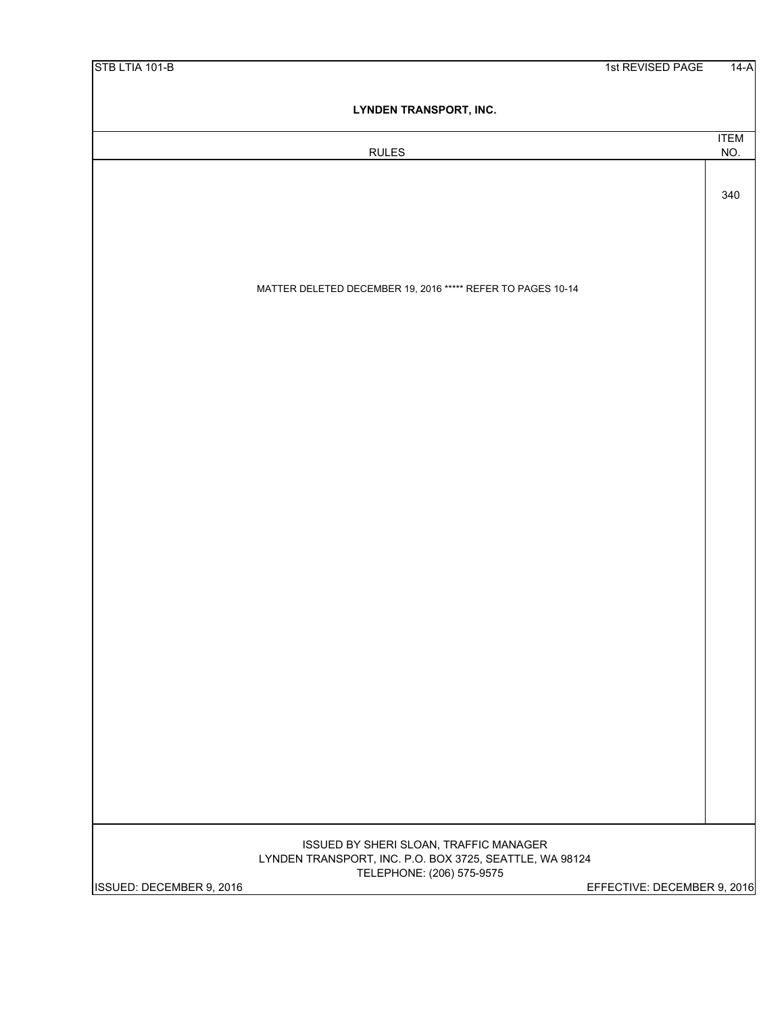| STB LTIA 101-B           |                                                                                                   | 1st REVISED PAGE            | $14-A$             |
|--------------------------|---------------------------------------------------------------------------------------------------|-----------------------------|--------------------|
|                          | LYNDEN TRANSPORT, INC.                                                                            |                             |                    |
|                          |                                                                                                   |                             |                    |
|                          | <b>RULES</b>                                                                                      |                             | <b>ITEM</b><br>NO. |
|                          |                                                                                                   |                             |                    |
|                          |                                                                                                   |                             | 340                |
|                          |                                                                                                   |                             |                    |
|                          |                                                                                                   |                             |                    |
|                          |                                                                                                   |                             |                    |
|                          |                                                                                                   |                             |                    |
|                          | MATTER DELETED DECEMBER 19, 2016 ***** REFER TO PAGES 10-14                                       |                             |                    |
|                          |                                                                                                   |                             |                    |
|                          |                                                                                                   |                             |                    |
|                          |                                                                                                   |                             |                    |
|                          |                                                                                                   |                             |                    |
|                          |                                                                                                   |                             |                    |
|                          |                                                                                                   |                             |                    |
|                          |                                                                                                   |                             |                    |
|                          |                                                                                                   |                             |                    |
|                          |                                                                                                   |                             |                    |
|                          |                                                                                                   |                             |                    |
|                          |                                                                                                   |                             |                    |
|                          |                                                                                                   |                             |                    |
|                          |                                                                                                   |                             |                    |
|                          |                                                                                                   |                             |                    |
|                          |                                                                                                   |                             |                    |
|                          |                                                                                                   |                             |                    |
|                          |                                                                                                   |                             |                    |
|                          |                                                                                                   |                             |                    |
|                          |                                                                                                   |                             |                    |
|                          |                                                                                                   |                             |                    |
|                          |                                                                                                   |                             |                    |
|                          |                                                                                                   |                             |                    |
|                          |                                                                                                   |                             |                    |
|                          |                                                                                                   |                             |                    |
|                          |                                                                                                   |                             |                    |
|                          | ISSUED BY SHERI SLOAN, TRAFFIC MANAGER<br>LYNDEN TRANSPORT, INC. P.O. BOX 3725, SEATTLE, WA 98124 |                             |                    |
|                          | TELEPHONE: (206) 575-9575                                                                         |                             |                    |
| ISSUED: DECEMBER 9, 2016 |                                                                                                   | EFFECTIVE: DECEMBER 9, 2016 |                    |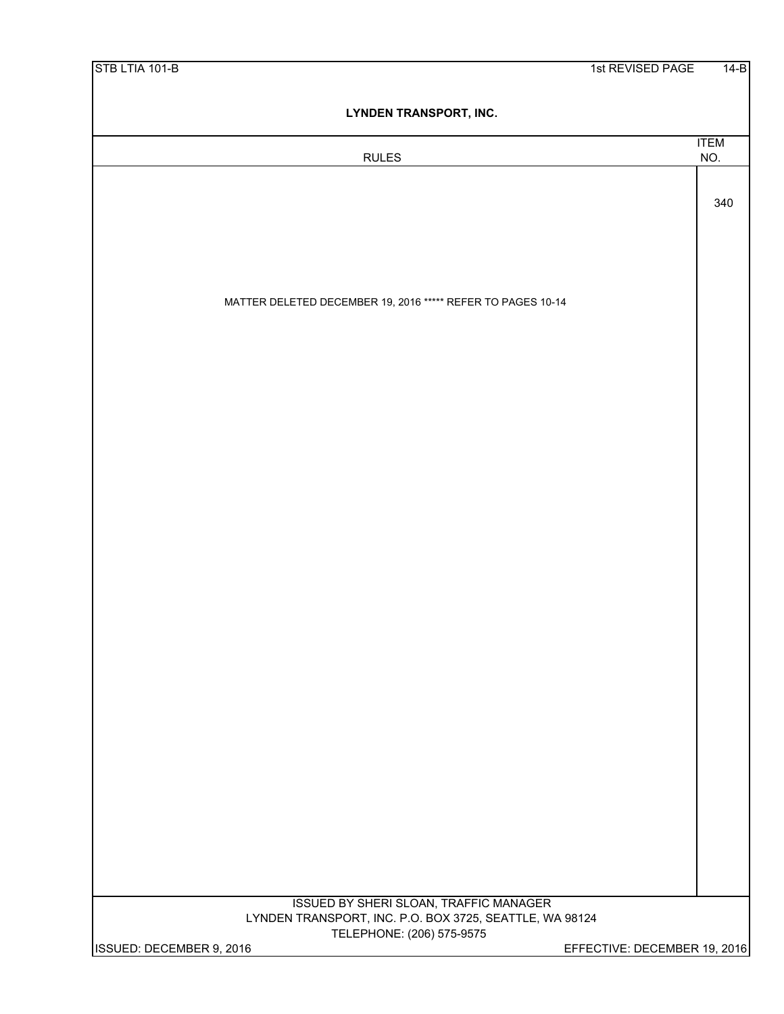| STB LTIA 101-B           |                                                             | 1st REVISED PAGE             | $14-B$ |
|--------------------------|-------------------------------------------------------------|------------------------------|--------|
|                          | <b>LYNDEN TRANSPORT, INC.</b>                               |                              |        |
|                          | <b>RULES</b>                                                | <b>ITEM</b><br>NO.           |        |
|                          |                                                             |                              |        |
|                          |                                                             | 340                          |        |
|                          |                                                             |                              |        |
|                          |                                                             |                              |        |
|                          |                                                             |                              |        |
|                          | MATTER DELETED DECEMBER 19, 2016 ***** REFER TO PAGES 10-14 |                              |        |
|                          |                                                             |                              |        |
|                          |                                                             |                              |        |
|                          |                                                             |                              |        |
|                          |                                                             |                              |        |
|                          |                                                             |                              |        |
|                          |                                                             |                              |        |
|                          |                                                             |                              |        |
|                          |                                                             |                              |        |
|                          |                                                             |                              |        |
|                          |                                                             |                              |        |
|                          |                                                             |                              |        |
|                          |                                                             |                              |        |
|                          |                                                             |                              |        |
|                          |                                                             |                              |        |
|                          |                                                             |                              |        |
|                          |                                                             |                              |        |
|                          |                                                             |                              |        |
|                          |                                                             |                              |        |
|                          |                                                             |                              |        |
|                          |                                                             |                              |        |
|                          |                                                             |                              |        |
|                          |                                                             |                              |        |
|                          |                                                             |                              |        |
|                          |                                                             |                              |        |
|                          | ISSUED BY SHERI SLOAN, TRAFFIC MANAGER                      |                              |        |
|                          | LYNDEN TRANSPORT, INC. P.O. BOX 3725, SEATTLE, WA 98124     |                              |        |
| ISSUED: DECEMBER 9, 2016 | TELEPHONE: (206) 575-9575                                   | EFFECTIVE: DECEMBER 19, 2016 |        |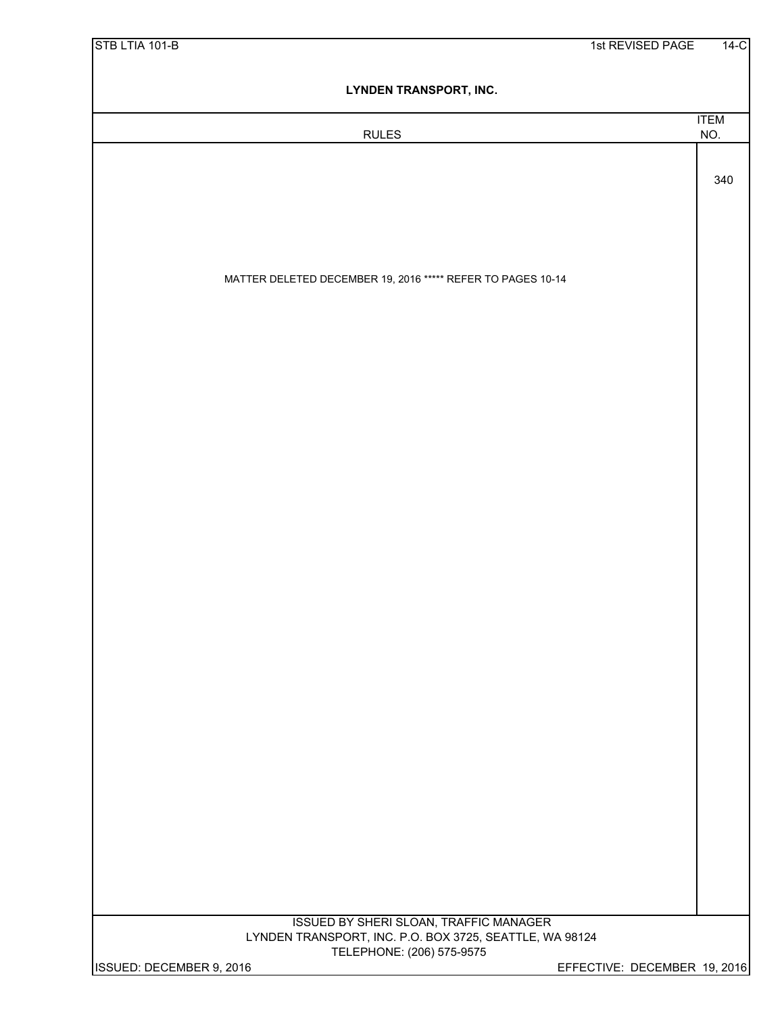| STB LTIA 101-B           |                                                                                      | 1st REVISED PAGE             | $14-C$             |
|--------------------------|--------------------------------------------------------------------------------------|------------------------------|--------------------|
|                          | <b>LYNDEN TRANSPORT, INC.</b>                                                        |                              |                    |
|                          | <b>RULES</b>                                                                         |                              | <b>ITEM</b><br>NO. |
|                          |                                                                                      |                              |                    |
|                          |                                                                                      |                              | 340                |
|                          |                                                                                      |                              |                    |
|                          |                                                                                      |                              |                    |
|                          | MATTER DELETED DECEMBER 19, 2016 ***** REFER TO PAGES 10-14                          |                              |                    |
|                          |                                                                                      |                              |                    |
|                          |                                                                                      |                              |                    |
|                          |                                                                                      |                              |                    |
|                          |                                                                                      |                              |                    |
|                          |                                                                                      |                              |                    |
|                          |                                                                                      |                              |                    |
|                          |                                                                                      |                              |                    |
|                          |                                                                                      |                              |                    |
|                          |                                                                                      |                              |                    |
|                          |                                                                                      |                              |                    |
|                          |                                                                                      |                              |                    |
|                          |                                                                                      |                              |                    |
|                          |                                                                                      |                              |                    |
|                          |                                                                                      |                              |                    |
|                          |                                                                                      |                              |                    |
|                          |                                                                                      |                              |                    |
|                          |                                                                                      |                              |                    |
|                          |                                                                                      |                              |                    |
|                          |                                                                                      |                              |                    |
|                          |                                                                                      |                              |                    |
|                          | ISSUED BY SHERI SLOAN, TRAFFIC MANAGER                                               |                              |                    |
|                          | LYNDEN TRANSPORT, INC. P.O. BOX 3725, SEATTLE, WA 98124<br>TELEPHONE: (206) 575-9575 |                              |                    |
| ISSUED: DECEMBER 9, 2016 |                                                                                      | EFFECTIVE: DECEMBER 19, 2016 |                    |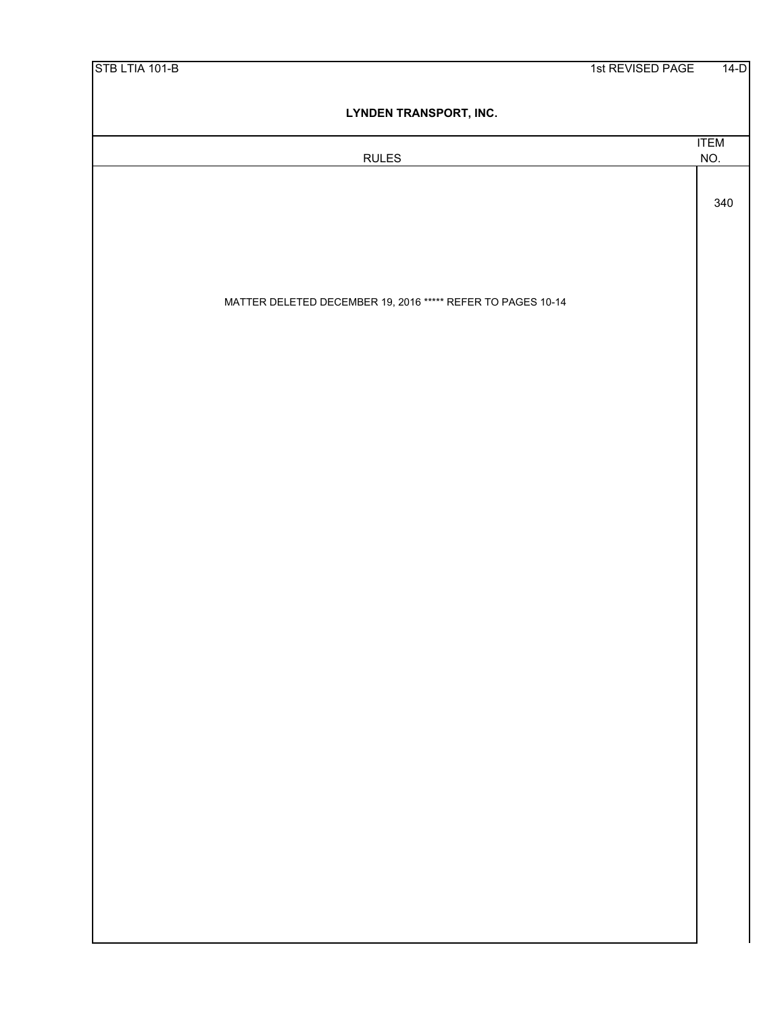| STB LTIA 101-B |                                                             | 1st REVISED PAGE | $14-D$             |
|----------------|-------------------------------------------------------------|------------------|--------------------|
|                | <b>LYNDEN TRANSPORT, INC.</b>                               |                  |                    |
|                | <b>RULES</b>                                                |                  | <b>ITEM</b><br>NO. |
|                |                                                             |                  |                    |
|                |                                                             |                  | 340                |
|                |                                                             |                  |                    |
|                |                                                             |                  |                    |
|                | MATTER DELETED DECEMBER 19, 2016 ***** REFER TO PAGES 10-14 |                  |                    |
|                |                                                             |                  |                    |
|                |                                                             |                  |                    |
|                |                                                             |                  |                    |
|                |                                                             |                  |                    |
|                |                                                             |                  |                    |
|                |                                                             |                  |                    |
|                |                                                             |                  |                    |
|                |                                                             |                  |                    |
|                |                                                             |                  |                    |
|                |                                                             |                  |                    |
|                |                                                             |                  |                    |
|                |                                                             |                  |                    |
|                |                                                             |                  |                    |
|                |                                                             |                  |                    |
|                |                                                             |                  |                    |
|                |                                                             |                  |                    |
|                |                                                             |                  |                    |
|                |                                                             |                  |                    |
|                |                                                             |                  |                    |
|                |                                                             |                  |                    |
|                |                                                             |                  |                    |
|                |                                                             |                  |                    |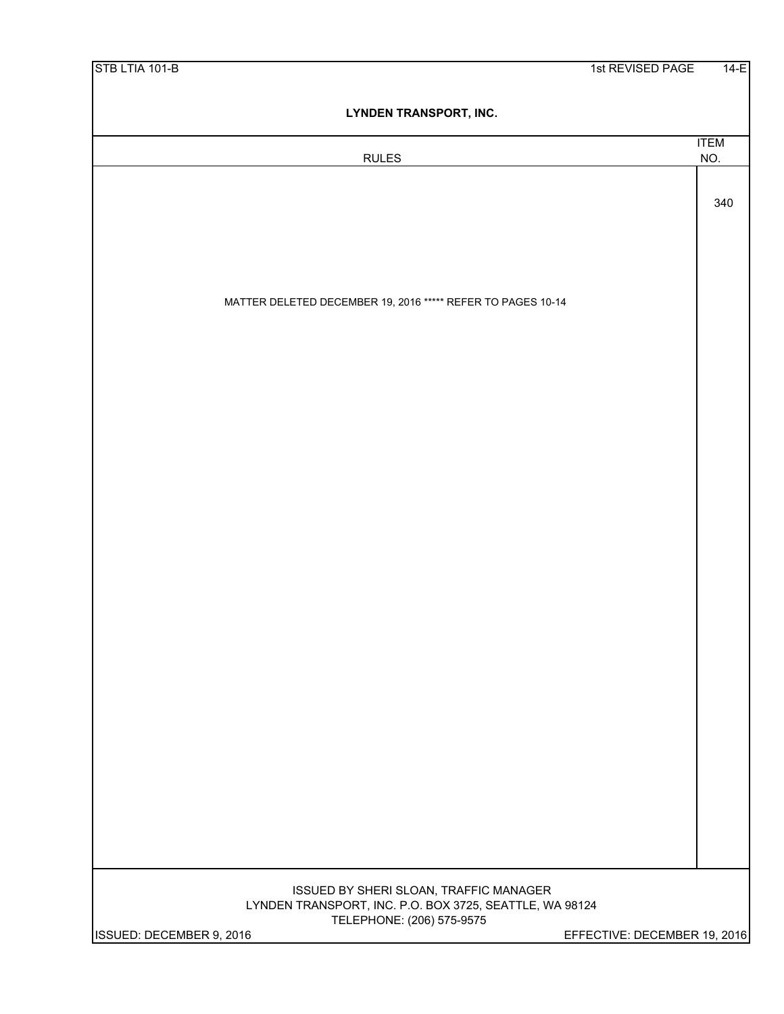| STB LTIA 101-B                                                                       | $14-E$<br>1st REVISED PAGE   |
|--------------------------------------------------------------------------------------|------------------------------|
| LYNDEN TRANSPORT, INC.                                                               |                              |
|                                                                                      | <b>ITEM</b>                  |
| <b>RULES</b>                                                                         | NO.                          |
|                                                                                      |                              |
|                                                                                      | 340                          |
|                                                                                      |                              |
|                                                                                      |                              |
| MATTER DELETED DECEMBER 19, 2016 ***** REFER TO PAGES 10-14                          |                              |
|                                                                                      |                              |
|                                                                                      |                              |
|                                                                                      |                              |
|                                                                                      |                              |
|                                                                                      |                              |
|                                                                                      |                              |
|                                                                                      |                              |
|                                                                                      |                              |
|                                                                                      |                              |
|                                                                                      |                              |
|                                                                                      |                              |
|                                                                                      |                              |
|                                                                                      |                              |
|                                                                                      |                              |
|                                                                                      |                              |
|                                                                                      |                              |
|                                                                                      |                              |
|                                                                                      |                              |
|                                                                                      |                              |
|                                                                                      |                              |
|                                                                                      |                              |
|                                                                                      |                              |
|                                                                                      |                              |
| ISSUED BY SHERI SLOAN, TRAFFIC MANAGER                                               |                              |
| LYNDEN TRANSPORT, INC. P.O. BOX 3725, SEATTLE, WA 98124<br>TELEPHONE: (206) 575-9575 |                              |
| ISSUED: DECEMBER 9, 2016                                                             | EFFECTIVE: DECEMBER 19, 2016 |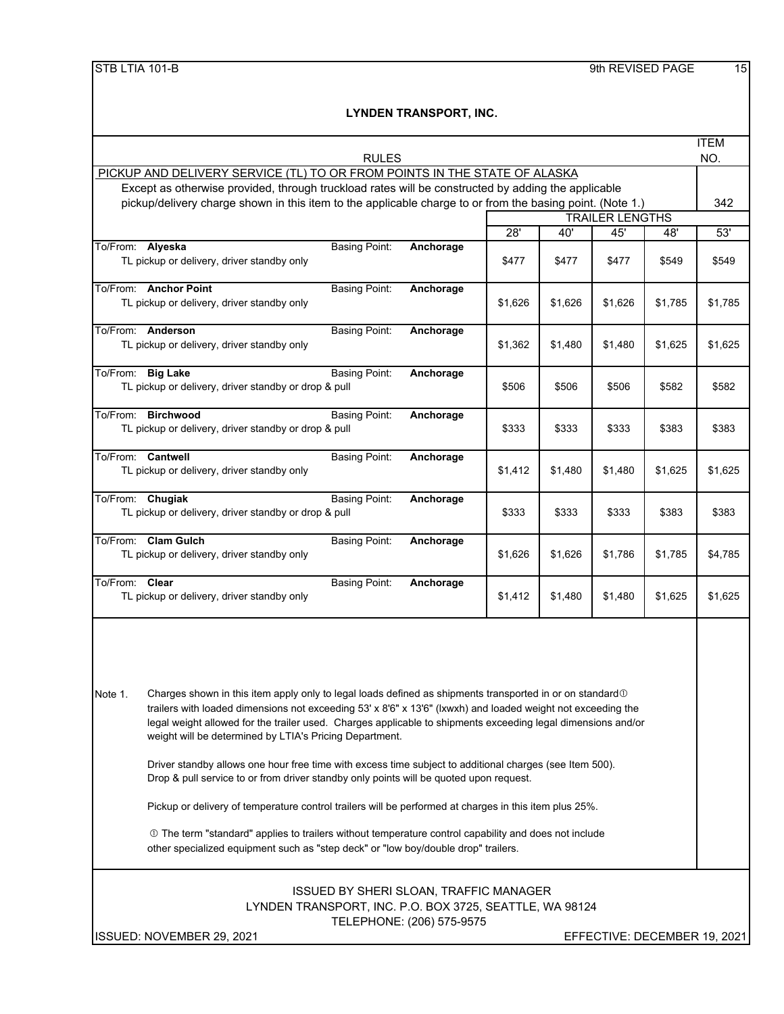| <b>RULES</b>                                                                                                                                                                                                                                                                                                                                                                                                                                                                                                                                                                                                                                                                                                                                                                                                                                                                                                                            |         |         |                        |         | <b>ITEM</b><br>NO.           |
|-----------------------------------------------------------------------------------------------------------------------------------------------------------------------------------------------------------------------------------------------------------------------------------------------------------------------------------------------------------------------------------------------------------------------------------------------------------------------------------------------------------------------------------------------------------------------------------------------------------------------------------------------------------------------------------------------------------------------------------------------------------------------------------------------------------------------------------------------------------------------------------------------------------------------------------------|---------|---------|------------------------|---------|------------------------------|
| PICKUP AND DELIVERY SERVICE (TL) TO OR FROM POINTS IN THE STATE OF ALASKA                                                                                                                                                                                                                                                                                                                                                                                                                                                                                                                                                                                                                                                                                                                                                                                                                                                               |         |         |                        |         |                              |
| Except as otherwise provided, through truckload rates will be constructed by adding the applicable                                                                                                                                                                                                                                                                                                                                                                                                                                                                                                                                                                                                                                                                                                                                                                                                                                      |         |         |                        |         |                              |
| pickup/delivery charge shown in this item to the applicable charge to or from the basing point. (Note 1.)                                                                                                                                                                                                                                                                                                                                                                                                                                                                                                                                                                                                                                                                                                                                                                                                                               |         |         | <b>TRAILER LENGTHS</b> |         | 342                          |
|                                                                                                                                                                                                                                                                                                                                                                                                                                                                                                                                                                                                                                                                                                                                                                                                                                                                                                                                         | 28'     | 40'     | 45'                    | 48'     | 53'                          |
| To/From: Alyeska<br><b>Basing Point:</b><br>Anchorage                                                                                                                                                                                                                                                                                                                                                                                                                                                                                                                                                                                                                                                                                                                                                                                                                                                                                   |         |         |                        |         |                              |
| TL pickup or delivery, driver standby only                                                                                                                                                                                                                                                                                                                                                                                                                                                                                                                                                                                                                                                                                                                                                                                                                                                                                              | \$477   | \$477   | \$477                  | \$549   | \$549                        |
| To/From: Anchor Point<br><b>Basing Point:</b><br>Anchorage<br>TL pickup or delivery, driver standby only                                                                                                                                                                                                                                                                                                                                                                                                                                                                                                                                                                                                                                                                                                                                                                                                                                | \$1,626 | \$1,626 | \$1,626                | \$1,785 | \$1,785                      |
| To/From: Anderson<br><b>Basing Point:</b><br>Anchorage<br>TL pickup or delivery, driver standby only                                                                                                                                                                                                                                                                                                                                                                                                                                                                                                                                                                                                                                                                                                                                                                                                                                    | \$1,362 | \$1,480 | \$1,480                | \$1,625 | \$1,625                      |
| To/From: Big Lake<br><b>Basing Point:</b><br>Anchorage<br>TL pickup or delivery, driver standby or drop & pull                                                                                                                                                                                                                                                                                                                                                                                                                                                                                                                                                                                                                                                                                                                                                                                                                          | \$506   | \$506   | \$506                  | \$582   | \$582                        |
| To/From: Birchwood<br><b>Basing Point:</b><br>Anchorage<br>TL pickup or delivery, driver standby or drop & pull                                                                                                                                                                                                                                                                                                                                                                                                                                                                                                                                                                                                                                                                                                                                                                                                                         | \$333   | \$333   | \$333                  | \$383   | \$383                        |
| To/From: Cantwell<br><b>Basing Point:</b><br>Anchorage<br>TL pickup or delivery, driver standby only                                                                                                                                                                                                                                                                                                                                                                                                                                                                                                                                                                                                                                                                                                                                                                                                                                    | \$1,412 | \$1,480 | \$1,480                | \$1,625 | \$1,625                      |
| To/From: Chugiak<br><b>Basing Point:</b><br>Anchorage<br>TL pickup or delivery, driver standby or drop & pull                                                                                                                                                                                                                                                                                                                                                                                                                                                                                                                                                                                                                                                                                                                                                                                                                           | \$333   | \$333   | \$333                  | \$383   | \$383                        |
| To/From: Clam Gulch<br><b>Basing Point:</b><br>Anchorage<br>TL pickup or delivery, driver standby only                                                                                                                                                                                                                                                                                                                                                                                                                                                                                                                                                                                                                                                                                                                                                                                                                                  | \$1,626 | \$1,626 | \$1,786                | \$1,785 | \$4,785                      |
| To/From: Clear<br><b>Basing Point:</b><br>Anchorage<br>TL pickup or delivery, driver standby only                                                                                                                                                                                                                                                                                                                                                                                                                                                                                                                                                                                                                                                                                                                                                                                                                                       | \$1,412 | \$1,480 | \$1,480                | \$1,625 | \$1,625                      |
| Note 1.<br>Charges shown in this item apply only to legal loads defined as shipments transported in or on standard $\mathbb O$<br>trailers with loaded dimensions not exceeding 53' x 8'6" x 13'6" (Ixwxh) and loaded weight not exceeding the<br>legal weight allowed for the trailer used. Charges applicable to shipments exceeding legal dimensions and/or<br>weight will be determined by LTIA's Pricing Department.<br>Driver standby allows one hour free time with excess time subject to additional charges (see Item 500).<br>Drop & pull service to or from driver standby only points will be quoted upon request.<br>Pickup or delivery of temperature control trailers will be performed at charges in this item plus 25%.<br>① The term "standard" applies to trailers without temperature control capability and does not include<br>other specialized equipment such as "step deck" or "low boy/double drop" trailers. |         |         |                        |         |                              |
| <b>ISSUED BY SHERI SLOAN, TRAFFIC MANAGER</b><br>LYNDEN TRANSPORT, INC. P.O. BOX 3725, SEATTLE, WA 98124<br>TELEPHONE: (206) 575-9575<br>ISSUED: NOVEMBER 29, 2021                                                                                                                                                                                                                                                                                                                                                                                                                                                                                                                                                                                                                                                                                                                                                                      |         |         |                        |         | EFFECTIVE: DECEMBER 19, 2021 |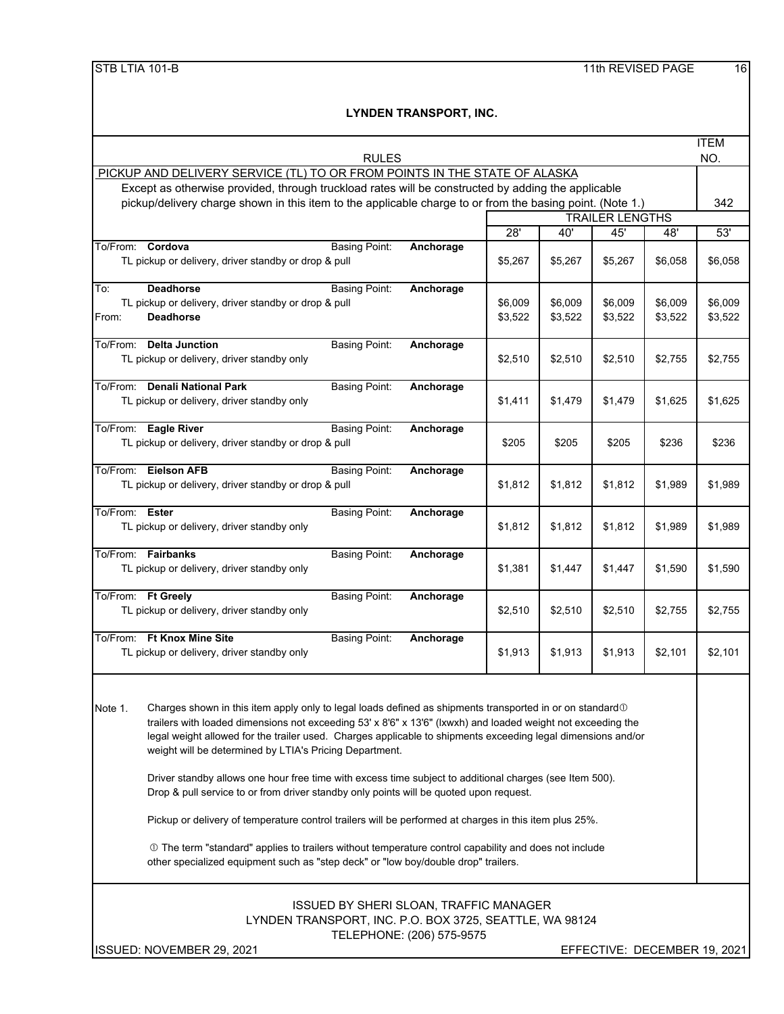| <b>RULES</b>                                                                                                                                                                                                                                                                                                                                                                                                                                                                                                                                                                                                                                                                                                                                                                                                                                                                                                                             |                                                                                                    |                    |                        |                    | <b>ITEM</b><br>NO. |
|------------------------------------------------------------------------------------------------------------------------------------------------------------------------------------------------------------------------------------------------------------------------------------------------------------------------------------------------------------------------------------------------------------------------------------------------------------------------------------------------------------------------------------------------------------------------------------------------------------------------------------------------------------------------------------------------------------------------------------------------------------------------------------------------------------------------------------------------------------------------------------------------------------------------------------------|----------------------------------------------------------------------------------------------------|--------------------|------------------------|--------------------|--------------------|
| PICKUP AND DELIVERY SERVICE (TL) TO OR FROM POINTS IN THE STATE OF ALASKA                                                                                                                                                                                                                                                                                                                                                                                                                                                                                                                                                                                                                                                                                                                                                                                                                                                                |                                                                                                    |                    |                        |                    |                    |
|                                                                                                                                                                                                                                                                                                                                                                                                                                                                                                                                                                                                                                                                                                                                                                                                                                                                                                                                          | Except as otherwise provided, through truckload rates will be constructed by adding the applicable |                    |                        |                    |                    |
| pickup/delivery charge shown in this item to the applicable charge to or from the basing point. (Note 1.)                                                                                                                                                                                                                                                                                                                                                                                                                                                                                                                                                                                                                                                                                                                                                                                                                                |                                                                                                    |                    |                        |                    | 342                |
|                                                                                                                                                                                                                                                                                                                                                                                                                                                                                                                                                                                                                                                                                                                                                                                                                                                                                                                                          |                                                                                                    |                    | <b>TRAILER LENGTHS</b> |                    |                    |
|                                                                                                                                                                                                                                                                                                                                                                                                                                                                                                                                                                                                                                                                                                                                                                                                                                                                                                                                          | 28'                                                                                                | 40'                | 45'                    | 48'                | 53'                |
| To/From: Cordova<br><b>Basing Point:</b><br>Anchorage<br>TL pickup or delivery, driver standby or drop & pull                                                                                                                                                                                                                                                                                                                                                                                                                                                                                                                                                                                                                                                                                                                                                                                                                            | \$5,267                                                                                            | \$5,267            | \$5,267                | \$6,058            | \$6,058            |
| <b>Deadhorse</b><br><b>Basing Point:</b><br>To:<br>Anchorage<br>TL pickup or delivery, driver standby or drop & pull<br>From:<br><b>Deadhorse</b>                                                                                                                                                                                                                                                                                                                                                                                                                                                                                                                                                                                                                                                                                                                                                                                        | \$6,009<br>\$3,522                                                                                 | \$6,009<br>\$3,522 | \$6,009<br>\$3,522     | \$6,009<br>\$3,522 | \$6,009<br>\$3,522 |
| To/From: Delta Junction<br><b>Basing Point:</b><br>Anchorage<br>TL pickup or delivery, driver standby only                                                                                                                                                                                                                                                                                                                                                                                                                                                                                                                                                                                                                                                                                                                                                                                                                               | \$2,510                                                                                            | \$2,510            | \$2,510                | \$2,755            | \$2,755            |
| To/From: Denali National Park<br><b>Basing Point:</b><br>Anchorage<br>TL pickup or delivery, driver standby only                                                                                                                                                                                                                                                                                                                                                                                                                                                                                                                                                                                                                                                                                                                                                                                                                         | \$1,411                                                                                            | \$1,479            | \$1,479                | \$1.625            | \$1,625            |
| To/From: Eagle River<br><b>Basing Point:</b><br>Anchorage<br>TL pickup or delivery, driver standby or drop & pull                                                                                                                                                                                                                                                                                                                                                                                                                                                                                                                                                                                                                                                                                                                                                                                                                        | \$205                                                                                              | \$205              | \$205                  | \$236              | \$236              |
| To/From: Eielson AFB<br><b>Basing Point:</b><br>Anchorage<br>TL pickup or delivery, driver standby or drop & pull                                                                                                                                                                                                                                                                                                                                                                                                                                                                                                                                                                                                                                                                                                                                                                                                                        | \$1,812                                                                                            | \$1,812            | \$1,812                | \$1,989            | \$1,989            |
| To/From: Ester<br><b>Basing Point:</b><br>Anchorage<br>TL pickup or delivery, driver standby only                                                                                                                                                                                                                                                                                                                                                                                                                                                                                                                                                                                                                                                                                                                                                                                                                                        | \$1,812                                                                                            | \$1,812            | \$1,812                | \$1,989            | \$1,989            |
| To/From: Fairbanks<br><b>Basing Point:</b><br>Anchorage<br>TL pickup or delivery, driver standby only                                                                                                                                                                                                                                                                                                                                                                                                                                                                                                                                                                                                                                                                                                                                                                                                                                    | \$1,381                                                                                            | \$1,447            | \$1,447                | \$1,590            | \$1,590            |
| To/From: Ft Greely<br><b>Basing Point:</b><br>Anchorage<br>TL pickup or delivery, driver standby only                                                                                                                                                                                                                                                                                                                                                                                                                                                                                                                                                                                                                                                                                                                                                                                                                                    | \$2,510                                                                                            | \$2,510            | \$2,510                | \$2,755            | \$2,755            |
| To/From: Ft Knox Mine Site<br><b>Basing Point:</b><br>Anchorage<br>TL pickup or delivery, driver standby only                                                                                                                                                                                                                                                                                                                                                                                                                                                                                                                                                                                                                                                                                                                                                                                                                            | \$1,913                                                                                            | \$1,913            | \$1,913                | \$2,101            | \$2,101            |
| Charges shown in this item apply only to legal loads defined as shipments transported in or on standard $\mathbb O$<br>Note 1.<br>trailers with loaded dimensions not exceeding 53' x 8'6" x 13'6" (Ixwxh) and loaded weight not exceeding the<br>legal weight allowed for the trailer used. Charges applicable to shipments exceeding legal dimensions and/or<br>weight will be determined by LTIA's Pricing Department.<br>Driver standby allows one hour free time with excess time subject to additional charges (see Item 500).<br>Drop & pull service to or from driver standby only points will be quoted upon request.<br>Pickup or delivery of temperature control trailers will be performed at charges in this item plus 25%.<br>10 The term "standard" applies to trailers without temperature control capability and does not include<br>other specialized equipment such as "step deck" or "low boy/double drop" trailers. |                                                                                                    |                    |                        |                    |                    |
| <b>ISSUED BY SHERI SLOAN, TRAFFIC MANAGER</b><br>LYNDEN TRANSPORT, INC. P.O. BOX 3725, SEATTLE, WA 98124<br>TELEPHONE: (206) 575-9575<br>ISSUED: NOVEMBER 29, 2021<br>EFFECTIVE: DECEMBER 19, 2021                                                                                                                                                                                                                                                                                                                                                                                                                                                                                                                                                                                                                                                                                                                                       |                                                                                                    |                    |                        |                    |                    |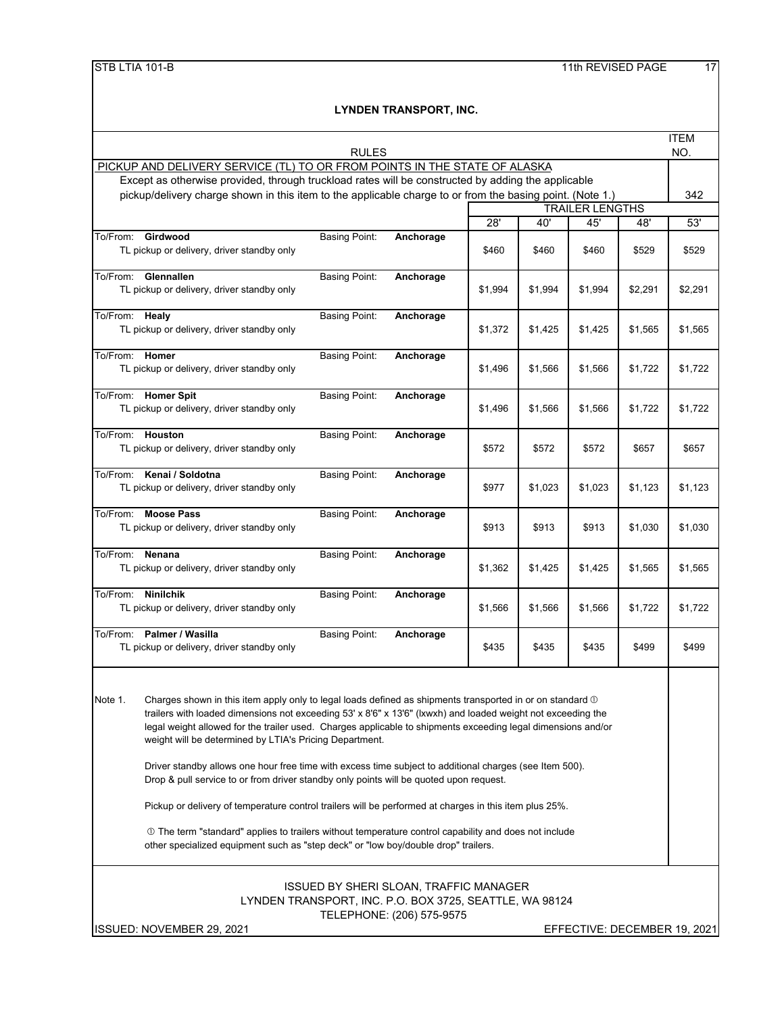|                                                                                                           | <b>RULES</b>                                                                                                                                                                                                                                                                                                                                                                                                                                                                                                                                                                                                                                                                                                                                                                                                                                                                                                                  |                           |         |         |                        |         | <b>ITEM</b> |
|-----------------------------------------------------------------------------------------------------------|-------------------------------------------------------------------------------------------------------------------------------------------------------------------------------------------------------------------------------------------------------------------------------------------------------------------------------------------------------------------------------------------------------------------------------------------------------------------------------------------------------------------------------------------------------------------------------------------------------------------------------------------------------------------------------------------------------------------------------------------------------------------------------------------------------------------------------------------------------------------------------------------------------------------------------|---------------------------|---------|---------|------------------------|---------|-------------|
| PICKUP AND DELIVERY SERVICE (TL) TO OR FROM POINTS IN THE STATE OF ALASKA                                 |                                                                                                                                                                                                                                                                                                                                                                                                                                                                                                                                                                                                                                                                                                                                                                                                                                                                                                                               |                           |         |         |                        |         | NO.         |
| Except as otherwise provided, through truckload rates will be constructed by adding the applicable        |                                                                                                                                                                                                                                                                                                                                                                                                                                                                                                                                                                                                                                                                                                                                                                                                                                                                                                                               |                           |         |         |                        |         |             |
| pickup/delivery charge shown in this item to the applicable charge to or from the basing point. (Note 1.) |                                                                                                                                                                                                                                                                                                                                                                                                                                                                                                                                                                                                                                                                                                                                                                                                                                                                                                                               |                           |         |         |                        |         | 342         |
|                                                                                                           |                                                                                                                                                                                                                                                                                                                                                                                                                                                                                                                                                                                                                                                                                                                                                                                                                                                                                                                               |                           |         |         | <b>TRAILER LENGTHS</b> |         |             |
|                                                                                                           |                                                                                                                                                                                                                                                                                                                                                                                                                                                                                                                                                                                                                                                                                                                                                                                                                                                                                                                               |                           | 28'     | 40'     | 45'                    | 48'     | 53'         |
| To/From:<br>Girdwood<br>TL pickup or delivery, driver standby only                                        | <b>Basing Point:</b>                                                                                                                                                                                                                                                                                                                                                                                                                                                                                                                                                                                                                                                                                                                                                                                                                                                                                                          | Anchorage                 | \$460   | \$460   | \$460                  | \$529   | \$529       |
| To/From: Glennallen<br>TL pickup or delivery, driver standby only                                         | <b>Basing Point:</b>                                                                                                                                                                                                                                                                                                                                                                                                                                                                                                                                                                                                                                                                                                                                                                                                                                                                                                          | Anchorage                 | \$1,994 | \$1,994 | \$1,994                | \$2,291 | \$2,291     |
| To/From: Healy<br>TL pickup or delivery, driver standby only                                              | <b>Basing Point:</b>                                                                                                                                                                                                                                                                                                                                                                                                                                                                                                                                                                                                                                                                                                                                                                                                                                                                                                          | Anchorage                 | \$1,372 | \$1,425 | \$1,425                | \$1,565 | \$1,565     |
| Homer<br>To/From:<br>TL pickup or delivery, driver standby only                                           | <b>Basing Point:</b>                                                                                                                                                                                                                                                                                                                                                                                                                                                                                                                                                                                                                                                                                                                                                                                                                                                                                                          | Anchorage                 | \$1,496 | \$1,566 | \$1,566                | \$1,722 | \$1,722     |
| To/From: Homer Spit<br>TL pickup or delivery, driver standby only                                         | <b>Basing Point:</b>                                                                                                                                                                                                                                                                                                                                                                                                                                                                                                                                                                                                                                                                                                                                                                                                                                                                                                          | Anchorage                 | \$1,496 | \$1,566 | \$1,566                | \$1,722 | \$1,722     |
| Houston<br>To/From:<br>TL pickup or delivery, driver standby only                                         | <b>Basing Point:</b>                                                                                                                                                                                                                                                                                                                                                                                                                                                                                                                                                                                                                                                                                                                                                                                                                                                                                                          | Anchorage                 | \$572   | \$572   | \$572                  | \$657   | \$657       |
| To/From: Kenai / Soldotna<br>TL pickup or delivery, driver standby only                                   | <b>Basing Point:</b>                                                                                                                                                                                                                                                                                                                                                                                                                                                                                                                                                                                                                                                                                                                                                                                                                                                                                                          | Anchorage                 | \$977   | \$1,023 | \$1,023                | \$1,123 | \$1,123     |
| To/From: Moose Pass<br>TL pickup or delivery, driver standby only                                         | <b>Basing Point:</b>                                                                                                                                                                                                                                                                                                                                                                                                                                                                                                                                                                                                                                                                                                                                                                                                                                                                                                          | Anchorage                 | \$913   | \$913   | \$913                  | \$1,030 | \$1,030     |
| Nenana<br>To/From:<br>TL pickup or delivery, driver standby only                                          | <b>Basing Point:</b>                                                                                                                                                                                                                                                                                                                                                                                                                                                                                                                                                                                                                                                                                                                                                                                                                                                                                                          | Anchorage                 | \$1,362 | \$1,425 | \$1,425                | \$1,565 | \$1,565     |
| To/From: Ninilchik<br>TL pickup or delivery, driver standby only                                          | <b>Basing Point:</b>                                                                                                                                                                                                                                                                                                                                                                                                                                                                                                                                                                                                                                                                                                                                                                                                                                                                                                          | Anchorage                 | \$1,566 | \$1,566 | \$1,566                | \$1,722 | \$1,722     |
| To/From: Palmer / Wasilla<br>TL pickup or delivery, driver standby only                                   | <b>Basing Point:</b>                                                                                                                                                                                                                                                                                                                                                                                                                                                                                                                                                                                                                                                                                                                                                                                                                                                                                                          | Anchorage                 | \$435   | \$435   | \$435                  | \$499   | \$499       |
| Note 1.                                                                                                   | Charges shown in this item apply only to legal loads defined as shipments transported in or on standard $\mathbb O$<br>trailers with loaded dimensions not exceeding 53' x 8'6" x 13'6" (Ixwxh) and loaded weight not exceeding the<br>legal weight allowed for the trailer used. Charges applicable to shipments exceeding legal dimensions and/or<br>weight will be determined by LTIA's Pricing Department.<br>Driver standby allows one hour free time with excess time subject to additional charges (see Item 500).<br>Drop & pull service to or from driver standby only points will be quoted upon request.<br>Pickup or delivery of temperature control trailers will be performed at charges in this item plus 25%.<br>10 The term "standard" applies to trailers without temperature control capability and does not include<br>other specialized equipment such as "step deck" or "low boy/double drop" trailers. |                           |         |         |                        |         |             |
|                                                                                                           | ISSUED BY SHERI SLOAN, TRAFFIC MANAGER<br>LYNDEN TRANSPORT, INC. P.O. BOX 3725, SEATTLE, WA 98124                                                                                                                                                                                                                                                                                                                                                                                                                                                                                                                                                                                                                                                                                                                                                                                                                             | TELEPHONE: (206) 575-9575 |         |         |                        |         |             |

ISSUED: NOVEMBER 29, 2021 **EFFECTIVE: DECEMBER 19, 2021**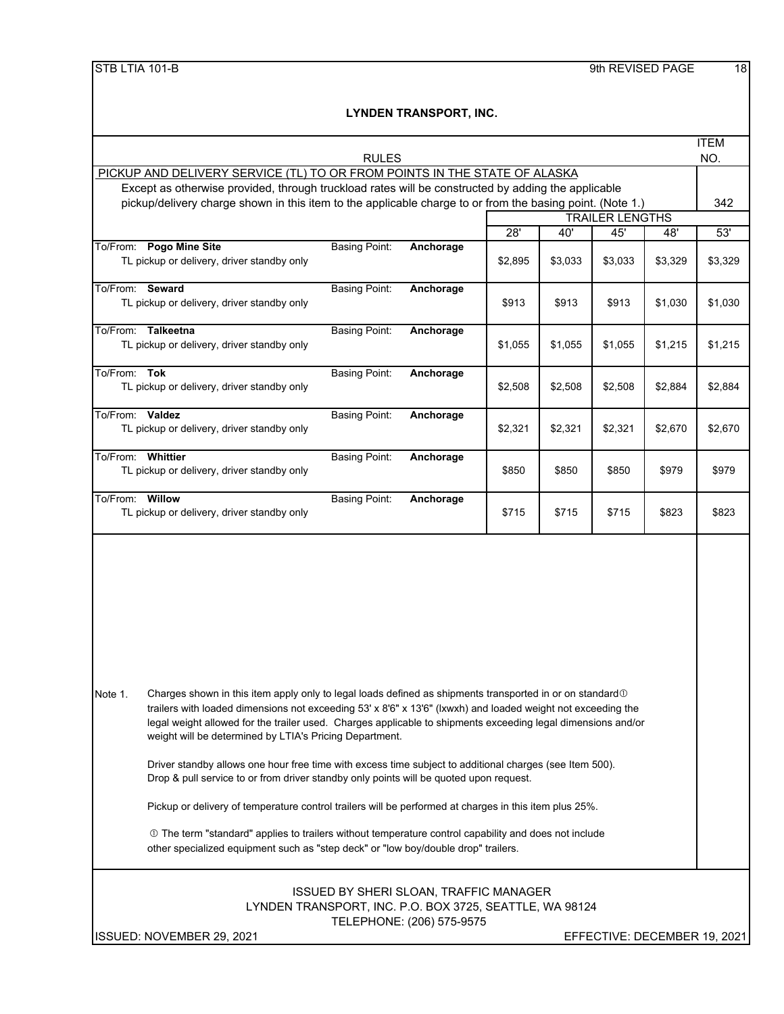|                                                                                                                                                                                                                                                                                                                                                                                                                                                                                                                                                                                                                                                                                                                                                                                                                                                                                                                                          | <b>RULES</b>         |                                                                            |         |         |                        |         | <b>ITEM</b><br>NO.           |
|------------------------------------------------------------------------------------------------------------------------------------------------------------------------------------------------------------------------------------------------------------------------------------------------------------------------------------------------------------------------------------------------------------------------------------------------------------------------------------------------------------------------------------------------------------------------------------------------------------------------------------------------------------------------------------------------------------------------------------------------------------------------------------------------------------------------------------------------------------------------------------------------------------------------------------------|----------------------|----------------------------------------------------------------------------|---------|---------|------------------------|---------|------------------------------|
| PICKUP AND DELIVERY SERVICE (TL) TO OR FROM POINTS IN THE STATE OF ALASKA                                                                                                                                                                                                                                                                                                                                                                                                                                                                                                                                                                                                                                                                                                                                                                                                                                                                |                      |                                                                            |         |         |                        |         |                              |
| Except as otherwise provided, through truckload rates will be constructed by adding the applicable                                                                                                                                                                                                                                                                                                                                                                                                                                                                                                                                                                                                                                                                                                                                                                                                                                       |                      |                                                                            |         |         |                        |         |                              |
| pickup/delivery charge shown in this item to the applicable charge to or from the basing point. (Note 1.)                                                                                                                                                                                                                                                                                                                                                                                                                                                                                                                                                                                                                                                                                                                                                                                                                                |                      |                                                                            |         |         |                        |         | 342                          |
|                                                                                                                                                                                                                                                                                                                                                                                                                                                                                                                                                                                                                                                                                                                                                                                                                                                                                                                                          |                      |                                                                            |         |         | <b>TRAILER LENGTHS</b> |         |                              |
|                                                                                                                                                                                                                                                                                                                                                                                                                                                                                                                                                                                                                                                                                                                                                                                                                                                                                                                                          |                      |                                                                            | 28'     | 40'     | 45'                    | 48'     | 53'                          |
| To/From: Pogo Mine Site<br>TL pickup or delivery, driver standby only                                                                                                                                                                                                                                                                                                                                                                                                                                                                                                                                                                                                                                                                                                                                                                                                                                                                    | <b>Basing Point:</b> | Anchorage                                                                  | \$2,895 | \$3,033 | \$3,033                | \$3,329 | \$3,329                      |
| To/From: Seward<br>TL pickup or delivery, driver standby only                                                                                                                                                                                                                                                                                                                                                                                                                                                                                                                                                                                                                                                                                                                                                                                                                                                                            | <b>Basing Point:</b> | Anchorage                                                                  | \$913   | \$913   | \$913                  | \$1,030 | \$1,030                      |
| To/From: Talkeetna<br>TL pickup or delivery, driver standby only                                                                                                                                                                                                                                                                                                                                                                                                                                                                                                                                                                                                                                                                                                                                                                                                                                                                         | <b>Basing Point:</b> | Anchorage                                                                  | \$1,055 | \$1,055 | \$1,055                | \$1,215 | \$1,215                      |
| To/From: Tok<br>TL pickup or delivery, driver standby only                                                                                                                                                                                                                                                                                                                                                                                                                                                                                                                                                                                                                                                                                                                                                                                                                                                                               | <b>Basing Point:</b> | Anchorage                                                                  | \$2,508 | \$2,508 | \$2,508                | \$2,884 | \$2,884                      |
| To/From: Valdez<br>TL pickup or delivery, driver standby only                                                                                                                                                                                                                                                                                                                                                                                                                                                                                                                                                                                                                                                                                                                                                                                                                                                                            | <b>Basing Point:</b> | Anchorage                                                                  | \$2,321 | \$2,321 | \$2,321                | \$2,670 | \$2,670                      |
| To/From: Whittier<br>TL pickup or delivery, driver standby only                                                                                                                                                                                                                                                                                                                                                                                                                                                                                                                                                                                                                                                                                                                                                                                                                                                                          | <b>Basing Point:</b> | Anchorage                                                                  | \$850   | \$850   | \$850                  | \$979   | \$979                        |
| To/From: Willow<br>TL pickup or delivery, driver standby only                                                                                                                                                                                                                                                                                                                                                                                                                                                                                                                                                                                                                                                                                                                                                                                                                                                                            | <b>Basing Point:</b> | Anchorage                                                                  | \$715   | \$715   | \$715                  | \$823   | \$823                        |
| Charges shown in this item apply only to legal loads defined as shipments transported in or on standard $\mathbb O$<br>Note 1.<br>trailers with loaded dimensions not exceeding 53' x 8'6" x 13'6" (Ixwxh) and loaded weight not exceeding the<br>legal weight allowed for the trailer used. Charges applicable to shipments exceeding legal dimensions and/or<br>weight will be determined by LTIA's Pricing Department.<br>Driver standby allows one hour free time with excess time subject to additional charges (see Item 500).<br>Drop & pull service to or from driver standby only points will be quoted upon request.<br>Pickup or delivery of temperature control trailers will be performed at charges in this item plus 25%.<br>10 The term "standard" applies to trailers without temperature control capability and does not include<br>other specialized equipment such as "step deck" or "low boy/double drop" trailers. |                      |                                                                            |         |         |                        |         |                              |
| LYNDEN TRANSPORT, INC. P.O. BOX 3725, SEATTLE, WA 98124                                                                                                                                                                                                                                                                                                                                                                                                                                                                                                                                                                                                                                                                                                                                                                                                                                                                                  |                      | <b>ISSUED BY SHERI SLOAN, TRAFFIC MANAGER</b><br>TELEPHONE: (206) 575-9575 |         |         |                        |         |                              |
| ISSUED: NOVEMBER 29, 2021                                                                                                                                                                                                                                                                                                                                                                                                                                                                                                                                                                                                                                                                                                                                                                                                                                                                                                                |                      |                                                                            |         |         |                        |         | EFFECTIVE: DECEMBER 19, 2021 |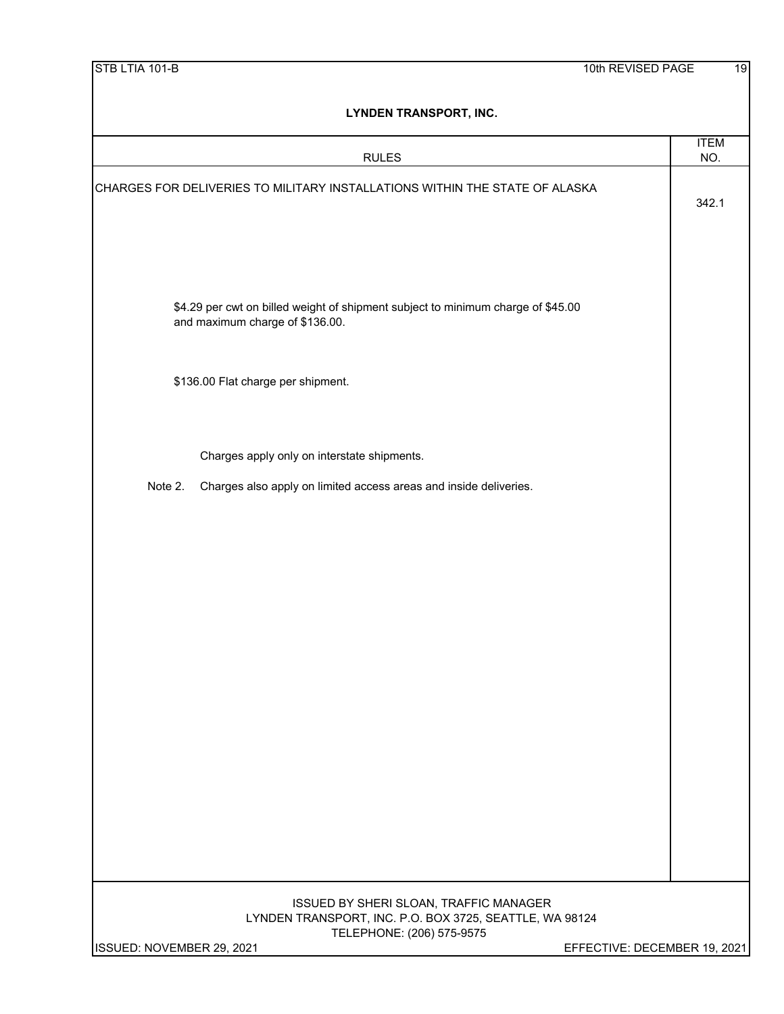| LYNDEN TRANSPORT, INC.                                                                                                                                                                      |                    |
|---------------------------------------------------------------------------------------------------------------------------------------------------------------------------------------------|--------------------|
| <b>RULES</b>                                                                                                                                                                                | <b>ITEM</b><br>NO. |
| CHARGES FOR DELIVERIES TO MILITARY INSTALLATIONS WITHIN THE STATE OF ALASKA                                                                                                                 | 342.1              |
| \$4.29 per cwt on billed weight of shipment subject to minimum charge of \$45.00<br>and maximum charge of \$136.00.                                                                         |                    |
| \$136.00 Flat charge per shipment.                                                                                                                                                          |                    |
| Charges apply only on interstate shipments.                                                                                                                                                 |                    |
| Charges also apply on limited access areas and inside deliveries.<br>Note 2.                                                                                                                |                    |
|                                                                                                                                                                                             |                    |
|                                                                                                                                                                                             |                    |
| ISSUED BY SHERI SLOAN, TRAFFIC MANAGER<br>LYNDEN TRANSPORT, INC. P.O. BOX 3725, SEATTLE, WA 98124<br>TELEPHONE: (206) 575-9575<br>ISSUED: NOVEMBER 29, 2021<br>EFFECTIVE: DECEMBER 19, 2021 |                    |
|                                                                                                                                                                                             |                    |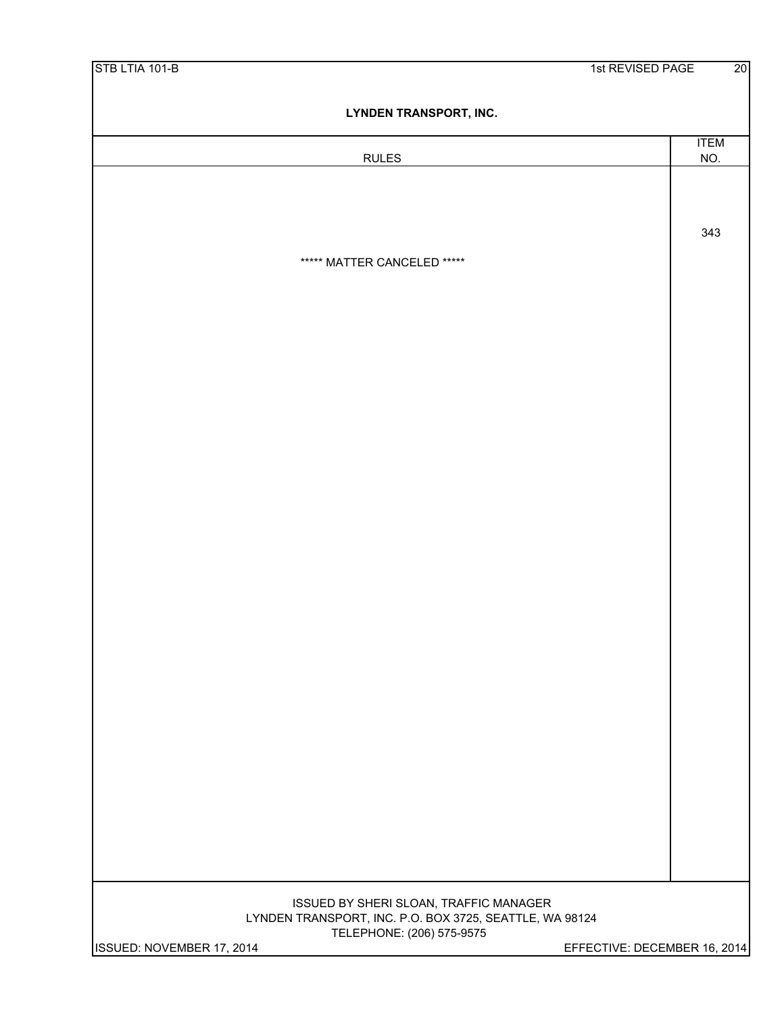| STB LTIA 101-B                                                                                    | 1st REVISED PAGE             | 20 |
|---------------------------------------------------------------------------------------------------|------------------------------|----|
| <b>LYNDEN TRANSPORT, INC.</b>                                                                     |                              |    |
| <b>RULES</b>                                                                                      | <b>ITEM</b><br>NO.           |    |
|                                                                                                   |                              |    |
|                                                                                                   |                              |    |
|                                                                                                   | 343                          |    |
| ***** MATTER CANCELED *****                                                                       |                              |    |
|                                                                                                   |                              |    |
|                                                                                                   |                              |    |
|                                                                                                   |                              |    |
|                                                                                                   |                              |    |
|                                                                                                   |                              |    |
|                                                                                                   |                              |    |
|                                                                                                   |                              |    |
|                                                                                                   |                              |    |
|                                                                                                   |                              |    |
|                                                                                                   |                              |    |
|                                                                                                   |                              |    |
|                                                                                                   |                              |    |
|                                                                                                   |                              |    |
|                                                                                                   |                              |    |
|                                                                                                   |                              |    |
|                                                                                                   |                              |    |
|                                                                                                   |                              |    |
|                                                                                                   |                              |    |
|                                                                                                   |                              |    |
|                                                                                                   |                              |    |
|                                                                                                   |                              |    |
| ISSUED BY SHERI SLOAN, TRAFFIC MANAGER<br>LYNDEN TRANSPORT, INC. P.O. BOX 3725, SEATTLE, WA 98124 |                              |    |
| TELEPHONE: (206) 575-9575<br>ISSUED: NOVEMBER 17, 2014                                            | EFFECTIVE: DECEMBER 16, 2014 |    |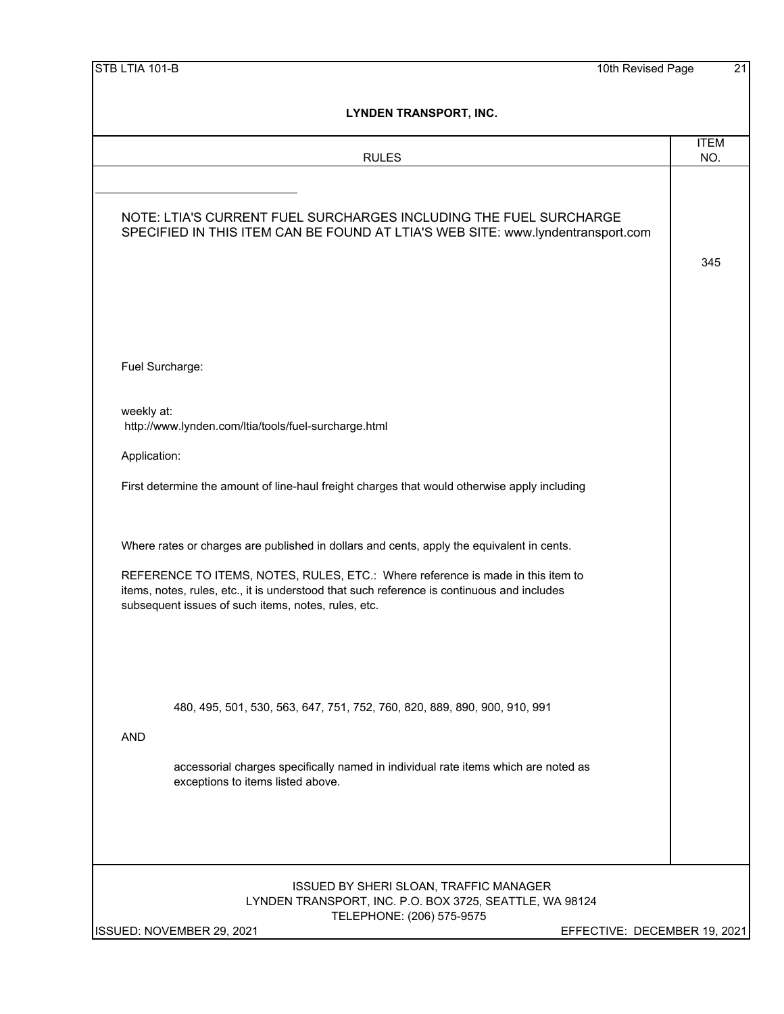| STB LTIA 101-B<br>10th Revised Page                                                                                                                                           | 21          |
|-------------------------------------------------------------------------------------------------------------------------------------------------------------------------------|-------------|
| <b>LYNDEN TRANSPORT, INC.</b>                                                                                                                                                 |             |
|                                                                                                                                                                               | <b>ITEM</b> |
| <b>RULES</b>                                                                                                                                                                  | NO.         |
|                                                                                                                                                                               |             |
| NOTE: LTIA'S CURRENT FUEL SURCHARGES INCLUDING THE FUEL SURCHARGE<br>SPECIFIED IN THIS ITEM CAN BE FOUND AT LTIA'S WEB SITE: www.lyndentransport.com                          |             |
|                                                                                                                                                                               | 345         |
|                                                                                                                                                                               |             |
|                                                                                                                                                                               |             |
|                                                                                                                                                                               |             |
|                                                                                                                                                                               |             |
| Fuel Surcharge:                                                                                                                                                               |             |
|                                                                                                                                                                               |             |
| weekly at:<br>http://www.lynden.com/ltia/tools/fuel-surcharge.html                                                                                                            |             |
|                                                                                                                                                                               |             |
| Application:                                                                                                                                                                  |             |
| First determine the amount of line-haul freight charges that would otherwise apply including                                                                                  |             |
|                                                                                                                                                                               |             |
| Where rates or charges are published in dollars and cents, apply the equivalent in cents.                                                                                     |             |
|                                                                                                                                                                               |             |
| REFERENCE TO ITEMS, NOTES, RULES, ETC.: Where reference is made in this item to<br>items, notes, rules, etc., it is understood that such reference is continuous and includes |             |
| subsequent issues of such items, notes, rules, etc.                                                                                                                           |             |
|                                                                                                                                                                               |             |
|                                                                                                                                                                               |             |
|                                                                                                                                                                               |             |
|                                                                                                                                                                               |             |
| 480, 495, 501, 530, 563, 647, 751, 752, 760, 820, 889, 890, 900, 910, 991                                                                                                     |             |
| <b>AND</b>                                                                                                                                                                    |             |
| accessorial charges specifically named in individual rate items which are noted as                                                                                            |             |
| exceptions to items listed above.                                                                                                                                             |             |
|                                                                                                                                                                               |             |
|                                                                                                                                                                               |             |
|                                                                                                                                                                               |             |
|                                                                                                                                                                               |             |
| ISSUED BY SHERI SLOAN, TRAFFIC MANAGER<br>LYNDEN TRANSPORT, INC. P.O. BOX 3725, SEATTLE, WA 98124                                                                             |             |
| TELEPHONE: (206) 575-9575<br>ISSUED: NOVEMBER 29, 2021<br>EFFECTIVE: DECEMBER 19, 2021                                                                                        |             |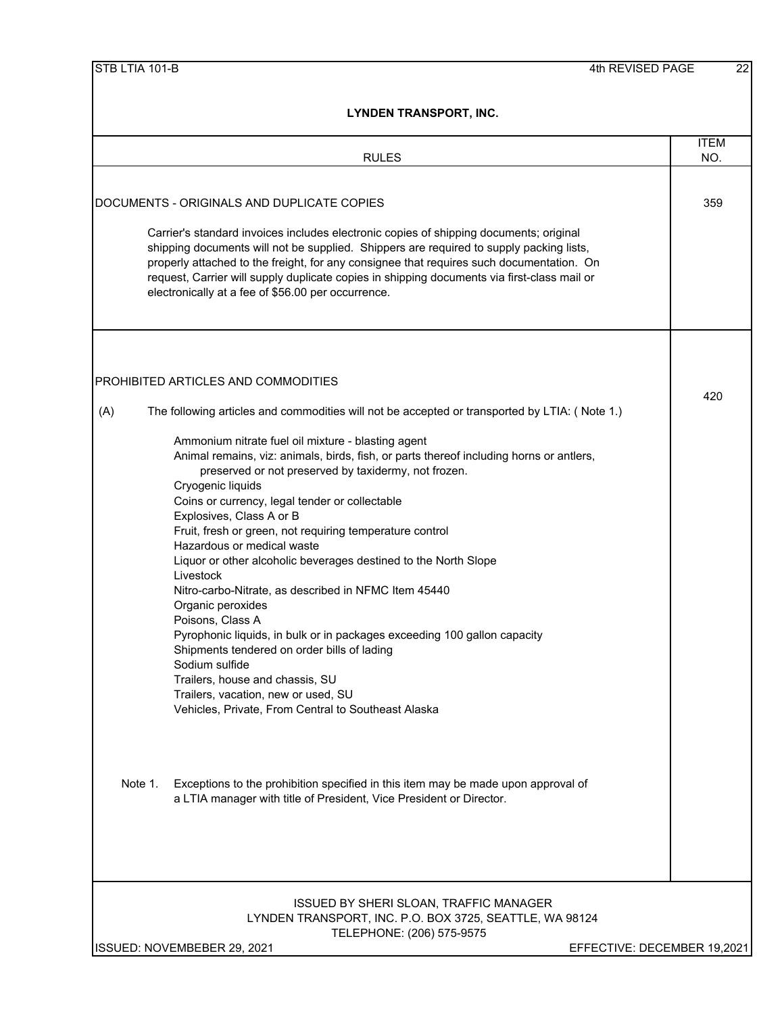| <b>RULES</b>                                                                                                                                                                                                                                                                                                                                                                                                                                                                                                                                                                                                                                                                                                                                                                                                                                                      | <b>ITEM</b><br>NO.          |
|-------------------------------------------------------------------------------------------------------------------------------------------------------------------------------------------------------------------------------------------------------------------------------------------------------------------------------------------------------------------------------------------------------------------------------------------------------------------------------------------------------------------------------------------------------------------------------------------------------------------------------------------------------------------------------------------------------------------------------------------------------------------------------------------------------------------------------------------------------------------|-----------------------------|
|                                                                                                                                                                                                                                                                                                                                                                                                                                                                                                                                                                                                                                                                                                                                                                                                                                                                   |                             |
| DOCUMENTS - ORIGINALS AND DUPLICATE COPIES                                                                                                                                                                                                                                                                                                                                                                                                                                                                                                                                                                                                                                                                                                                                                                                                                        | 359                         |
| Carrier's standard invoices includes electronic copies of shipping documents; original<br>shipping documents will not be supplied. Shippers are required to supply packing lists,<br>properly attached to the freight, for any consignee that requires such documentation. On<br>request, Carrier will supply duplicate copies in shipping documents via first-class mail or<br>electronically at a fee of \$56.00 per occurrence.                                                                                                                                                                                                                                                                                                                                                                                                                                |                             |
| PROHIBITED ARTICLES AND COMMODITIES                                                                                                                                                                                                                                                                                                                                                                                                                                                                                                                                                                                                                                                                                                                                                                                                                               |                             |
| The following articles and commodities will not be accepted or transported by LTIA: (Note 1.)<br>(A)                                                                                                                                                                                                                                                                                                                                                                                                                                                                                                                                                                                                                                                                                                                                                              | 420                         |
| Ammonium nitrate fuel oil mixture - blasting agent<br>Animal remains, viz: animals, birds, fish, or parts thereof including horns or antlers,<br>preserved or not preserved by taxidermy, not frozen.<br>Cryogenic liquids<br>Coins or currency, legal tender or collectable<br>Explosives, Class A or B<br>Fruit, fresh or green, not requiring temperature control<br>Hazardous or medical waste<br>Liquor or other alcoholic beverages destined to the North Slope<br>Livestock<br>Nitro-carbo-Nitrate, as described in NFMC Item 45440<br>Organic peroxides<br>Poisons, Class A<br>Pyrophonic liquids, in bulk or in packages exceeding 100 gallon capacity<br>Shipments tendered on order bills of lading<br>Sodium sulfide<br>Trailers, house and chassis, SU<br>Trailers, vacation, new or used, SU<br>Vehicles, Private, From Central to Southeast Alaska |                             |
| Note 1.<br>Exceptions to the prohibition specified in this item may be made upon approval of<br>a LTIA manager with title of President, Vice President or Director.                                                                                                                                                                                                                                                                                                                                                                                                                                                                                                                                                                                                                                                                                               |                             |
| ISSUED BY SHERI SLOAN, TRAFFIC MANAGER<br>LYNDEN TRANSPORT, INC. P.O. BOX 3725, SEATTLE, WA 98124<br>TELEPHONE: (206) 575-9575<br>ISSUED: NOVEMBEBER 29, 2021                                                                                                                                                                                                                                                                                                                                                                                                                                                                                                                                                                                                                                                                                                     | EFFECTIVE: DECEMBER 19,2021 |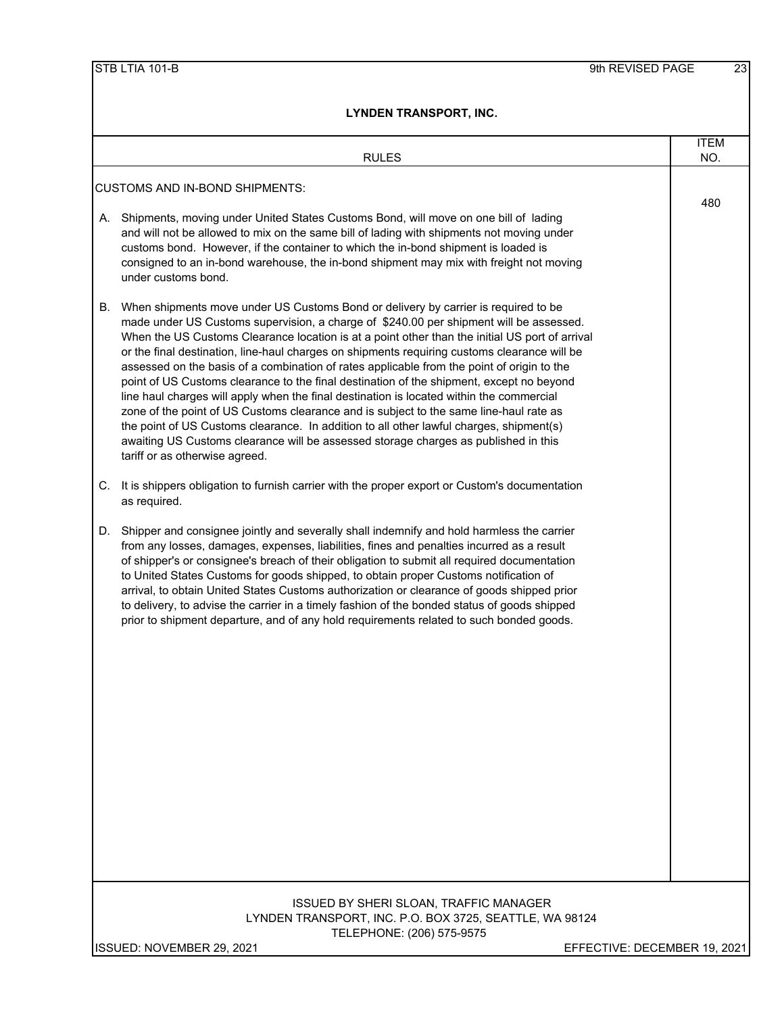| <b>RULES</b>                                                                                                                                                                                                                                                                                                                                                                                                                                                                                                                                                                                                                                                                                                                                                                                                                                                                                                                                                                             | <b>ITEM</b><br>NO.           |
|------------------------------------------------------------------------------------------------------------------------------------------------------------------------------------------------------------------------------------------------------------------------------------------------------------------------------------------------------------------------------------------------------------------------------------------------------------------------------------------------------------------------------------------------------------------------------------------------------------------------------------------------------------------------------------------------------------------------------------------------------------------------------------------------------------------------------------------------------------------------------------------------------------------------------------------------------------------------------------------|------------------------------|
|                                                                                                                                                                                                                                                                                                                                                                                                                                                                                                                                                                                                                                                                                                                                                                                                                                                                                                                                                                                          |                              |
| <b>CUSTOMS AND IN-BOND SHIPMENTS:</b>                                                                                                                                                                                                                                                                                                                                                                                                                                                                                                                                                                                                                                                                                                                                                                                                                                                                                                                                                    | 480                          |
| Shipments, moving under United States Customs Bond, will move on one bill of lading<br>А.<br>and will not be allowed to mix on the same bill of lading with shipments not moving under<br>customs bond. However, if the container to which the in-bond shipment is loaded is<br>consigned to an in-bond warehouse, the in-bond shipment may mix with freight not moving<br>under customs bond.                                                                                                                                                                                                                                                                                                                                                                                                                                                                                                                                                                                           |                              |
| When shipments move under US Customs Bond or delivery by carrier is required to be<br>В.<br>made under US Customs supervision, a charge of \$240.00 per shipment will be assessed.<br>When the US Customs Clearance location is at a point other than the initial US port of arrival<br>or the final destination, line-haul charges on shipments requiring customs clearance will be<br>assessed on the basis of a combination of rates applicable from the point of origin to the<br>point of US Customs clearance to the final destination of the shipment, except no beyond<br>line haul charges will apply when the final destination is located within the commercial<br>zone of the point of US Customs clearance and is subject to the same line-haul rate as<br>the point of US Customs clearance. In addition to all other lawful charges, shipment(s)<br>awaiting US Customs clearance will be assessed storage charges as published in this<br>tariff or as otherwise agreed. |                              |
| It is shippers obligation to furnish carrier with the proper export or Custom's documentation<br>C.<br>as required.                                                                                                                                                                                                                                                                                                                                                                                                                                                                                                                                                                                                                                                                                                                                                                                                                                                                      |                              |
| Shipper and consignee jointly and severally shall indemnify and hold harmless the carrier<br>D.<br>from any losses, damages, expenses, liabilities, fines and penalties incurred as a result<br>of shipper's or consignee's breach of their obligation to submit all required documentation<br>to United States Customs for goods shipped, to obtain proper Customs notification of<br>arrival, to obtain United States Customs authorization or clearance of goods shipped prior<br>to delivery, to advise the carrier in a timely fashion of the bonded status of goods shipped<br>prior to shipment departure, and of any hold requirements related to such bonded goods.                                                                                                                                                                                                                                                                                                             |                              |
| ISSUED BY SHERI SLOAN, TRAFFIC MANAGER<br>LYNDEN TRANSPORT, INC. P.O. BOX 3725, SEATTLE, WA 98124<br>TELEPHONE: (206) 575-9575                                                                                                                                                                                                                                                                                                                                                                                                                                                                                                                                                                                                                                                                                                                                                                                                                                                           |                              |
| ISSUED: NOVEMBER 29, 2021                                                                                                                                                                                                                                                                                                                                                                                                                                                                                                                                                                                                                                                                                                                                                                                                                                                                                                                                                                | EFFECTIVE: DECEMBER 19, 2021 |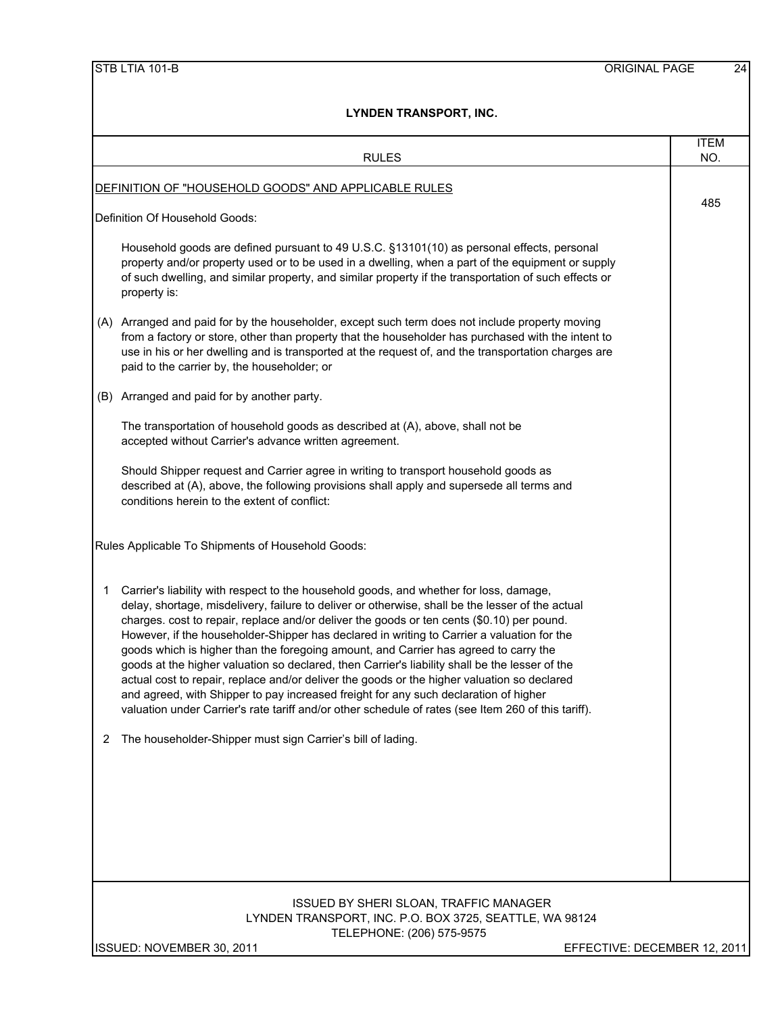|     | <b>RULES</b>                                                                                                                                                                                                                                                                                                                                                                                                                                                                                                                                                                                                                                                                                                                                                                                                                                                                   | <b>ITEM</b><br>NO. |  |  |  |  |
|-----|--------------------------------------------------------------------------------------------------------------------------------------------------------------------------------------------------------------------------------------------------------------------------------------------------------------------------------------------------------------------------------------------------------------------------------------------------------------------------------------------------------------------------------------------------------------------------------------------------------------------------------------------------------------------------------------------------------------------------------------------------------------------------------------------------------------------------------------------------------------------------------|--------------------|--|--|--|--|
|     | <u>DEFINITION OF "HOUSEHOLD GOODS" AND APPLICABLE RULES</u>                                                                                                                                                                                                                                                                                                                                                                                                                                                                                                                                                                                                                                                                                                                                                                                                                    | 485                |  |  |  |  |
|     | Definition Of Household Goods:                                                                                                                                                                                                                                                                                                                                                                                                                                                                                                                                                                                                                                                                                                                                                                                                                                                 |                    |  |  |  |  |
|     | Household goods are defined pursuant to 49 U.S.C. §13101(10) as personal effects, personal<br>property and/or property used or to be used in a dwelling, when a part of the equipment or supply<br>of such dwelling, and similar property, and similar property if the transportation of such effects or<br>property is:                                                                                                                                                                                                                                                                                                                                                                                                                                                                                                                                                       |                    |  |  |  |  |
|     | (A) Arranged and paid for by the householder, except such term does not include property moving<br>from a factory or store, other than property that the householder has purchased with the intent to<br>use in his or her dwelling and is transported at the request of, and the transportation charges are<br>paid to the carrier by, the householder; or                                                                                                                                                                                                                                                                                                                                                                                                                                                                                                                    |                    |  |  |  |  |
| (B) | Arranged and paid for by another party.                                                                                                                                                                                                                                                                                                                                                                                                                                                                                                                                                                                                                                                                                                                                                                                                                                        |                    |  |  |  |  |
|     | The transportation of household goods as described at (A), above, shall not be<br>accepted without Carrier's advance written agreement.                                                                                                                                                                                                                                                                                                                                                                                                                                                                                                                                                                                                                                                                                                                                        |                    |  |  |  |  |
|     | Should Shipper request and Carrier agree in writing to transport household goods as<br>described at (A), above, the following provisions shall apply and supersede all terms and<br>conditions herein to the extent of conflict:                                                                                                                                                                                                                                                                                                                                                                                                                                                                                                                                                                                                                                               |                    |  |  |  |  |
|     | Rules Applicable To Shipments of Household Goods:                                                                                                                                                                                                                                                                                                                                                                                                                                                                                                                                                                                                                                                                                                                                                                                                                              |                    |  |  |  |  |
| 1   | Carrier's liability with respect to the household goods, and whether for loss, damage,<br>delay, shortage, misdelivery, failure to deliver or otherwise, shall be the lesser of the actual<br>charges. cost to repair, replace and/or deliver the goods or ten cents (\$0.10) per pound.<br>However, if the householder-Shipper has declared in writing to Carrier a valuation for the<br>goods which is higher than the foregoing amount, and Carrier has agreed to carry the<br>goods at the higher valuation so declared, then Carrier's liability shall be the lesser of the<br>actual cost to repair, replace and/or deliver the goods or the higher valuation so declared<br>and agreed, with Shipper to pay increased freight for any such declaration of higher<br>valuation under Carrier's rate tariff and/or other schedule of rates (see Item 260 of this tariff). |                    |  |  |  |  |
| 2   | The householder-Shipper must sign Carrier's bill of lading.                                                                                                                                                                                                                                                                                                                                                                                                                                                                                                                                                                                                                                                                                                                                                                                                                    |                    |  |  |  |  |
|     | ISSUED BY SHERI SLOAN, TRAFFIC MANAGER<br>LYNDEN TRANSPORT, INC. P.O. BOX 3725, SEATTLE, WA 98124<br>TELEPHONE: (206) 575-9575                                                                                                                                                                                                                                                                                                                                                                                                                                                                                                                                                                                                                                                                                                                                                 |                    |  |  |  |  |

ISSUED: NOVEMBER 30, 2011 **EXECTIVE: DECEMBER 12, 2011**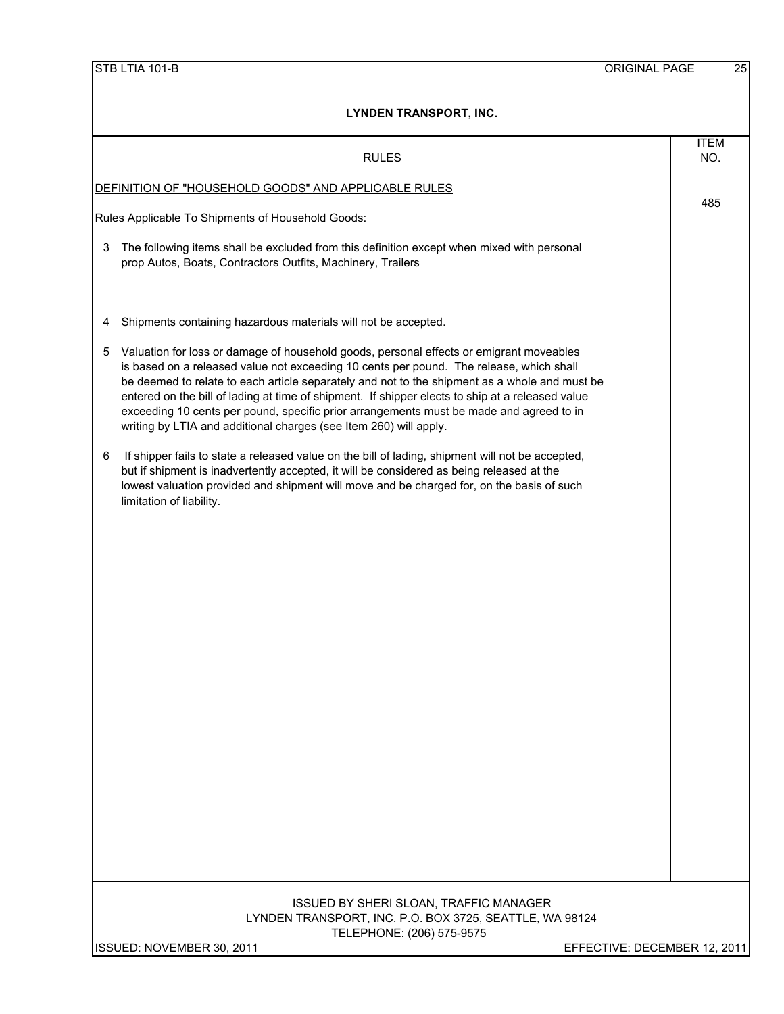|   | <b>RULES</b>                                                                                                                                                                                                                                                                                                                                                                                                                                                                                                                                            | <b>ITEM</b><br>NO. |  |  |  |  |
|---|---------------------------------------------------------------------------------------------------------------------------------------------------------------------------------------------------------------------------------------------------------------------------------------------------------------------------------------------------------------------------------------------------------------------------------------------------------------------------------------------------------------------------------------------------------|--------------------|--|--|--|--|
|   | DEFINITION OF "HOUSEHOLD GOODS" AND APPLICABLE RULES                                                                                                                                                                                                                                                                                                                                                                                                                                                                                                    | 485                |  |  |  |  |
|   | Rules Applicable To Shipments of Household Goods:                                                                                                                                                                                                                                                                                                                                                                                                                                                                                                       |                    |  |  |  |  |
| 3 | The following items shall be excluded from this definition except when mixed with personal<br>prop Autos, Boats, Contractors Outfits, Machinery, Trailers                                                                                                                                                                                                                                                                                                                                                                                               |                    |  |  |  |  |
| 4 | Shipments containing hazardous materials will not be accepted.                                                                                                                                                                                                                                                                                                                                                                                                                                                                                          |                    |  |  |  |  |
| 5 | Valuation for loss or damage of household goods, personal effects or emigrant moveables<br>is based on a released value not exceeding 10 cents per pound. The release, which shall<br>be deemed to relate to each article separately and not to the shipment as a whole and must be<br>entered on the bill of lading at time of shipment. If shipper elects to ship at a released value<br>exceeding 10 cents per pound, specific prior arrangements must be made and agreed to in<br>writing by LTIA and additional charges (see Item 260) will apply. |                    |  |  |  |  |
| 6 | If shipper fails to state a released value on the bill of lading, shipment will not be accepted,<br>but if shipment is inadvertently accepted, it will be considered as being released at the<br>lowest valuation provided and shipment will move and be charged for, on the basis of such<br>limitation of liability.                                                                                                                                                                                                                                  |                    |  |  |  |  |
|   | ISSUED BY SHERI SLOAN, TRAFFIC MANAGER                                                                                                                                                                                                                                                                                                                                                                                                                                                                                                                  |                    |  |  |  |  |
|   | LYNDEN TRANSPORT, INC. P.O. BOX 3725, SEATTLE, WA 98124<br>TELEPHONE: (206) 575-9575                                                                                                                                                                                                                                                                                                                                                                                                                                                                    |                    |  |  |  |  |
|   | ISSUED: NOVEMBER 30, 2011<br>EFFECTIVE: DECEMBER 12, 2011                                                                                                                                                                                                                                                                                                                                                                                                                                                                                               |                    |  |  |  |  |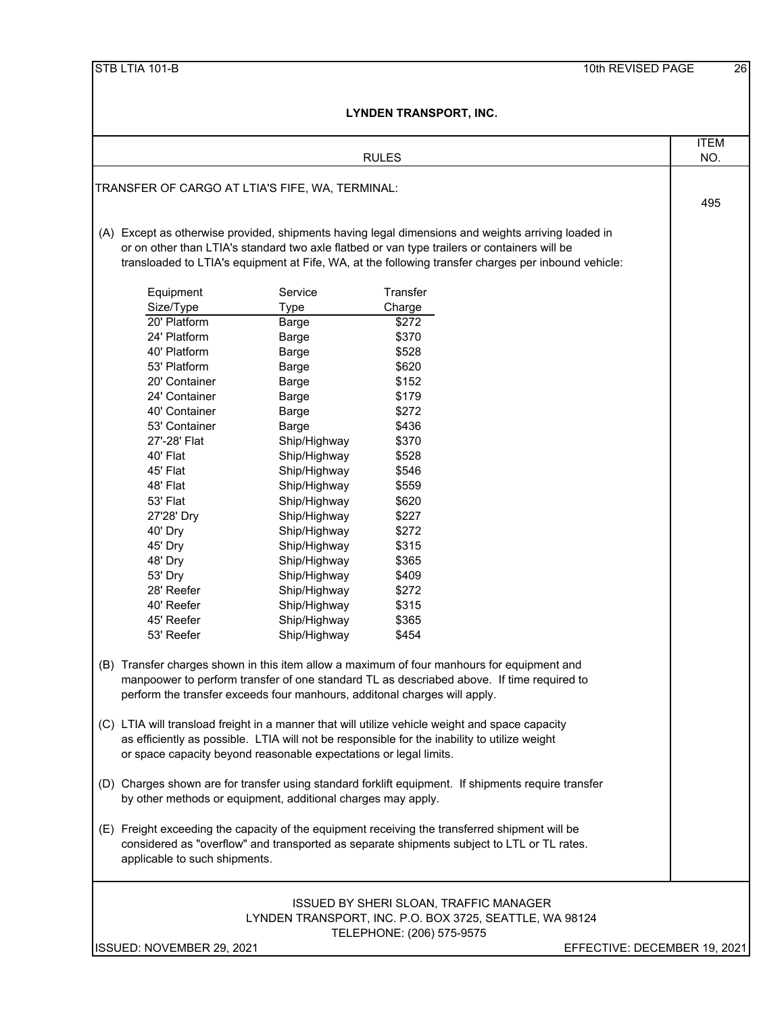|                                                                                                                                                                                                                               |                              | LINUEN IRANJFURI, INU.                                                                                                                                                                              |                              |  |  |  |
|-------------------------------------------------------------------------------------------------------------------------------------------------------------------------------------------------------------------------------|------------------------------|-----------------------------------------------------------------------------------------------------------------------------------------------------------------------------------------------------|------------------------------|--|--|--|
|                                                                                                                                                                                                                               |                              | <b>RULES</b>                                                                                                                                                                                        | <b>ITEM</b><br>NO.           |  |  |  |
|                                                                                                                                                                                                                               |                              |                                                                                                                                                                                                     |                              |  |  |  |
| TRANSFER OF CARGO AT LTIA'S FIFE, WA, TERMINAL:                                                                                                                                                                               |                              |                                                                                                                                                                                                     | 495                          |  |  |  |
|                                                                                                                                                                                                                               |                              |                                                                                                                                                                                                     |                              |  |  |  |
|                                                                                                                                                                                                                               |                              | (A) Except as otherwise provided, shipments having legal dimensions and weights arriving loaded in                                                                                                  |                              |  |  |  |
|                                                                                                                                                                                                                               |                              | or on other than LTIA's standard two axle flatbed or van type trailers or containers will be<br>transloaded to LTIA's equipment at Fife, WA, at the following transfer charges per inbound vehicle: |                              |  |  |  |
|                                                                                                                                                                                                                               |                              |                                                                                                                                                                                                     |                              |  |  |  |
| Equipment                                                                                                                                                                                                                     | Service                      | Transfer                                                                                                                                                                                            |                              |  |  |  |
| Size/Type                                                                                                                                                                                                                     | <b>Type</b>                  | Charge                                                                                                                                                                                              |                              |  |  |  |
| 20' Platform                                                                                                                                                                                                                  | Barge                        | \$272                                                                                                                                                                                               |                              |  |  |  |
| 24' Platform                                                                                                                                                                                                                  | Barge                        | \$370                                                                                                                                                                                               |                              |  |  |  |
| 40' Platform                                                                                                                                                                                                                  | Barge                        | \$528                                                                                                                                                                                               |                              |  |  |  |
| 53' Platform                                                                                                                                                                                                                  | Barge                        | \$620                                                                                                                                                                                               |                              |  |  |  |
| 20' Container                                                                                                                                                                                                                 | Barge                        | \$152                                                                                                                                                                                               |                              |  |  |  |
| 24' Container<br>40' Container                                                                                                                                                                                                | Barge                        | \$179<br>\$272                                                                                                                                                                                      |                              |  |  |  |
| 53' Container                                                                                                                                                                                                                 | Barge<br>Barge               | \$436                                                                                                                                                                                               |                              |  |  |  |
| 27'-28' Flat                                                                                                                                                                                                                  | Ship/Highway                 | \$370                                                                                                                                                                                               |                              |  |  |  |
| 40' Flat                                                                                                                                                                                                                      | Ship/Highway                 | \$528                                                                                                                                                                                               |                              |  |  |  |
| 45' Flat                                                                                                                                                                                                                      | Ship/Highway                 | \$546                                                                                                                                                                                               |                              |  |  |  |
| 48' Flat                                                                                                                                                                                                                      | Ship/Highway                 | \$559                                                                                                                                                                                               |                              |  |  |  |
| 53' Flat                                                                                                                                                                                                                      | Ship/Highway                 | \$620                                                                                                                                                                                               |                              |  |  |  |
| 27'28' Dry                                                                                                                                                                                                                    | Ship/Highway                 | \$227                                                                                                                                                                                               |                              |  |  |  |
| 40' Dry                                                                                                                                                                                                                       | Ship/Highway                 | \$272                                                                                                                                                                                               |                              |  |  |  |
| 45' Dry                                                                                                                                                                                                                       | Ship/Highway                 | \$315                                                                                                                                                                                               |                              |  |  |  |
| 48' Dry                                                                                                                                                                                                                       | Ship/Highway                 | \$365                                                                                                                                                                                               |                              |  |  |  |
| 53' Dry                                                                                                                                                                                                                       | Ship/Highway                 | \$409                                                                                                                                                                                               |                              |  |  |  |
| 28' Reefer                                                                                                                                                                                                                    | Ship/Highway                 | \$272                                                                                                                                                                                               |                              |  |  |  |
| 40' Reefer                                                                                                                                                                                                                    | Ship/Highway                 | \$315                                                                                                                                                                                               |                              |  |  |  |
| 45' Reefer<br>53' Reefer                                                                                                                                                                                                      | Ship/Highway<br>Ship/Highway | \$365<br>\$454                                                                                                                                                                                      |                              |  |  |  |
|                                                                                                                                                                                                                               |                              |                                                                                                                                                                                                     |                              |  |  |  |
|                                                                                                                                                                                                                               |                              | (B) Transfer charges shown in this item allow a maximum of four manhours for equipment and<br>manpoower to perform transfer of one standard TL as descriabed above. If time required to             |                              |  |  |  |
|                                                                                                                                                                                                                               |                              | perform the transfer exceeds four manhours, additonal charges will apply.                                                                                                                           |                              |  |  |  |
|                                                                                                                                                                                                                               |                              | (C) LTIA will transload freight in a manner that will utilize vehicle weight and space capacity                                                                                                     |                              |  |  |  |
|                                                                                                                                                                                                                               |                              | as efficiently as possible. LTIA will not be responsible for the inability to utilize weight                                                                                                        |                              |  |  |  |
| or space capacity beyond reasonable expectations or legal limits.                                                                                                                                                             |                              |                                                                                                                                                                                                     |                              |  |  |  |
|                                                                                                                                                                                                                               |                              | (D) Charges shown are for transfer using standard forklift equipment. If shipments require transfer                                                                                                 |                              |  |  |  |
| by other methods or equipment, additional charges may apply.                                                                                                                                                                  |                              |                                                                                                                                                                                                     |                              |  |  |  |
| (E) Freight exceeding the capacity of the equipment receiving the transferred shipment will be<br>considered as "overflow" and transported as separate shipments subject to LTL or TL rates.<br>applicable to such shipments. |                              |                                                                                                                                                                                                     |                              |  |  |  |
|                                                                                                                                                                                                                               |                              |                                                                                                                                                                                                     |                              |  |  |  |
|                                                                                                                                                                                                                               |                              | <b>ISSUED BY SHERI SLOAN, TRAFFIC MANAGER</b>                                                                                                                                                       |                              |  |  |  |
|                                                                                                                                                                                                                               |                              | LYNDEN TRANSPORT, INC. P.O. BOX 3725, SEATTLE, WA 98124                                                                                                                                             |                              |  |  |  |
| ISSUED: NOVEMBER 29, 2021                                                                                                                                                                                                     |                              | TELEPHONE: (206) 575-9575                                                                                                                                                                           |                              |  |  |  |
|                                                                                                                                                                                                                               |                              |                                                                                                                                                                                                     | EFFECTIVE: DECEMBER 19, 2021 |  |  |  |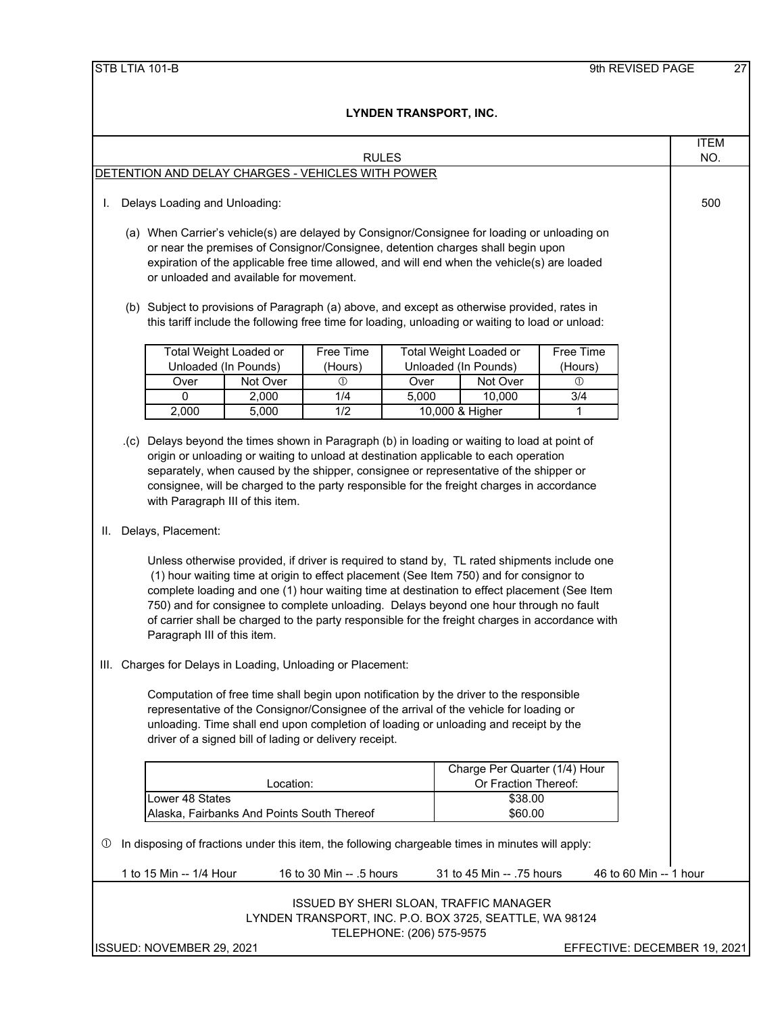|  | STB LTIA 101-B |
|--|----------------|
|  |                |

|                                                                   |                                                                                                                                                                                                                                                                                                                                                                                                                                                                                                                                                                                                                                                                                                                                                                                                                                                                                                                                                                                                                                                                                                                                                                                                                                                                                                                 |                         |                                            |                                                        |       |                                                                                              |                  |                        | <b>ITEM</b> |
|-------------------------------------------------------------------|-----------------------------------------------------------------------------------------------------------------------------------------------------------------------------------------------------------------------------------------------------------------------------------------------------------------------------------------------------------------------------------------------------------------------------------------------------------------------------------------------------------------------------------------------------------------------------------------------------------------------------------------------------------------------------------------------------------------------------------------------------------------------------------------------------------------------------------------------------------------------------------------------------------------------------------------------------------------------------------------------------------------------------------------------------------------------------------------------------------------------------------------------------------------------------------------------------------------------------------------------------------------------------------------------------------------|-------------------------|--------------------------------------------|--------------------------------------------------------|-------|----------------------------------------------------------------------------------------------|------------------|------------------------|-------------|
| <b>RULES</b><br>DETENTION AND DELAY CHARGES - VEHICLES WITH POWER |                                                                                                                                                                                                                                                                                                                                                                                                                                                                                                                                                                                                                                                                                                                                                                                                                                                                                                                                                                                                                                                                                                                                                                                                                                                                                                                 |                         |                                            |                                                        | NO.   |                                                                                              |                  |                        |             |
|                                                                   |                                                                                                                                                                                                                                                                                                                                                                                                                                                                                                                                                                                                                                                                                                                                                                                                                                                                                                                                                                                                                                                                                                                                                                                                                                                                                                                 |                         |                                            |                                                        |       |                                                                                              |                  |                        |             |
| I.                                                                | Delays Loading and Unloading:                                                                                                                                                                                                                                                                                                                                                                                                                                                                                                                                                                                                                                                                                                                                                                                                                                                                                                                                                                                                                                                                                                                                                                                                                                                                                   |                         |                                            |                                                        |       |                                                                                              | 500              |                        |             |
|                                                                   |                                                                                                                                                                                                                                                                                                                                                                                                                                                                                                                                                                                                                                                                                                                                                                                                                                                                                                                                                                                                                                                                                                                                                                                                                                                                                                                 |                         |                                            |                                                        |       | (a) When Carrier's vehicle(s) are delayed by Consignor/Consignee for loading or unloading on |                  |                        |             |
|                                                                   |                                                                                                                                                                                                                                                                                                                                                                                                                                                                                                                                                                                                                                                                                                                                                                                                                                                                                                                                                                                                                                                                                                                                                                                                                                                                                                                 |                         |                                            |                                                        |       | or near the premises of Consignor/Consignee, detention charges shall begin upon              |                  |                        |             |
|                                                                   |                                                                                                                                                                                                                                                                                                                                                                                                                                                                                                                                                                                                                                                                                                                                                                                                                                                                                                                                                                                                                                                                                                                                                                                                                                                                                                                 |                         |                                            |                                                        |       | expiration of the applicable free time allowed, and will end when the vehicle(s) are loaded  |                  |                        |             |
|                                                                   |                                                                                                                                                                                                                                                                                                                                                                                                                                                                                                                                                                                                                                                                                                                                                                                                                                                                                                                                                                                                                                                                                                                                                                                                                                                                                                                 |                         | or unloaded and available for movement.    |                                                        |       |                                                                                              |                  |                        |             |
|                                                                   | (b) Subject to provisions of Paragraph (a) above, and except as otherwise provided, rates in<br>this tariff include the following free time for loading, unloading or waiting to load or unload:                                                                                                                                                                                                                                                                                                                                                                                                                                                                                                                                                                                                                                                                                                                                                                                                                                                                                                                                                                                                                                                                                                                |                         |                                            |                                                        |       |                                                                                              |                  |                        |             |
|                                                                   |                                                                                                                                                                                                                                                                                                                                                                                                                                                                                                                                                                                                                                                                                                                                                                                                                                                                                                                                                                                                                                                                                                                                                                                                                                                                                                                 |                         | <b>Total Weight Loaded or</b>              | <b>Free Time</b>                                       |       | Total Weight Loaded or                                                                       | <b>Free Time</b> |                        |             |
|                                                                   |                                                                                                                                                                                                                                                                                                                                                                                                                                                                                                                                                                                                                                                                                                                                                                                                                                                                                                                                                                                                                                                                                                                                                                                                                                                                                                                 | Unloaded (In Pounds)    |                                            | (Hours)                                                |       | Unloaded (In Pounds)                                                                         | (Hours)          |                        |             |
|                                                                   |                                                                                                                                                                                                                                                                                                                                                                                                                                                                                                                                                                                                                                                                                                                                                                                                                                                                                                                                                                                                                                                                                                                                                                                                                                                                                                                 | Over                    | Not Over                                   | $\circled{0}$                                          | Over  | Not Over                                                                                     | $^{\circ}$       |                        |             |
|                                                                   |                                                                                                                                                                                                                                                                                                                                                                                                                                                                                                                                                                                                                                                                                                                                                                                                                                                                                                                                                                                                                                                                                                                                                                                                                                                                                                                 | 0                       | 2,000                                      | 1/4                                                    | 5,000 | 10,000                                                                                       | 3/4              |                        |             |
|                                                                   |                                                                                                                                                                                                                                                                                                                                                                                                                                                                                                                                                                                                                                                                                                                                                                                                                                                                                                                                                                                                                                                                                                                                                                                                                                                                                                                 | 2,000                   | 5,000                                      | 1/2                                                    |       | 10,000 & Higher                                                                              | 1                |                        |             |
|                                                                   | .(c) Delays beyond the times shown in Paragraph (b) in loading or waiting to load at point of<br>origin or unloading or waiting to unload at destination applicable to each operation<br>separately, when caused by the shipper, consignee or representative of the shipper or<br>consignee, will be charged to the party responsible for the freight charges in accordance<br>with Paragraph III of this item.<br>Delays, Placement:<br>II. .<br>Unless otherwise provided, if driver is required to stand by, TL rated shipments include one<br>(1) hour waiting time at origin to effect placement (See Item 750) and for consignor to<br>complete loading and one (1) hour waiting time at destination to effect placement (See Item<br>750) and for consignee to complete unloading. Delays beyond one hour through no fault<br>of carrier shall be charged to the party responsible for the freight charges in accordance with<br>Paragraph III of this item.<br>III. Charges for Delays in Loading, Unloading or Placement:<br>Computation of free time shall begin upon notification by the driver to the responsible<br>representative of the Consignor/Consignee of the arrival of the vehicle for loading or<br>unloading. Time shall end upon completion of loading or unloading and receipt by the |                         |                                            |                                                        |       |                                                                                              |                  |                        |             |
|                                                                   |                                                                                                                                                                                                                                                                                                                                                                                                                                                                                                                                                                                                                                                                                                                                                                                                                                                                                                                                                                                                                                                                                                                                                                                                                                                                                                                 |                         |                                            | driver of a signed bill of lading or delivery receipt. |       | Charge Per Quarter (1/4) Hour                                                                |                  |                        |             |
|                                                                   |                                                                                                                                                                                                                                                                                                                                                                                                                                                                                                                                                                                                                                                                                                                                                                                                                                                                                                                                                                                                                                                                                                                                                                                                                                                                                                                 |                         | Location:                                  |                                                        |       | Or Fraction Thereof:                                                                         |                  |                        |             |
|                                                                   |                                                                                                                                                                                                                                                                                                                                                                                                                                                                                                                                                                                                                                                                                                                                                                                                                                                                                                                                                                                                                                                                                                                                                                                                                                                                                                                 | Lower 48 States         |                                            |                                                        |       | \$38.00                                                                                      |                  |                        |             |
|                                                                   |                                                                                                                                                                                                                                                                                                                                                                                                                                                                                                                                                                                                                                                                                                                                                                                                                                                                                                                                                                                                                                                                                                                                                                                                                                                                                                                 |                         | Alaska, Fairbanks And Points South Thereof |                                                        |       | \$60.00                                                                                      |                  |                        |             |
| W                                                                 | In disposing of fractions under this item, the following chargeable times in minutes will apply:                                                                                                                                                                                                                                                                                                                                                                                                                                                                                                                                                                                                                                                                                                                                                                                                                                                                                                                                                                                                                                                                                                                                                                                                                |                         |                                            |                                                        |       |                                                                                              |                  |                        |             |
|                                                                   |                                                                                                                                                                                                                                                                                                                                                                                                                                                                                                                                                                                                                                                                                                                                                                                                                                                                                                                                                                                                                                                                                                                                                                                                                                                                                                                 | 1 to 15 Min -- 1/4 Hour |                                            | 16 to 30 Min -- .5 hours                               |       | 31 to 45 Min -- .75 hours                                                                    |                  | 46 to 60 Min -- 1 hour |             |
|                                                                   | ISSUED BY SHERI SLOAN, TRAFFIC MANAGER<br>LYNDEN TRANSPORT, INC. P.O. BOX 3725, SEATTLE, WA 98124<br>TELEPHONE: (206) 575-9575<br>ISSUED: NOVEMBER 29, 2021<br>EFFECTIVE: DECEMBER 19, 2021                                                                                                                                                                                                                                                                                                                                                                                                                                                                                                                                                                                                                                                                                                                                                                                                                                                                                                                                                                                                                                                                                                                     |                         |                                            |                                                        |       |                                                                                              |                  |                        |             |
|                                                                   |                                                                                                                                                                                                                                                                                                                                                                                                                                                                                                                                                                                                                                                                                                                                                                                                                                                                                                                                                                                                                                                                                                                                                                                                                                                                                                                 |                         |                                            |                                                        |       |                                                                                              |                  |                        |             |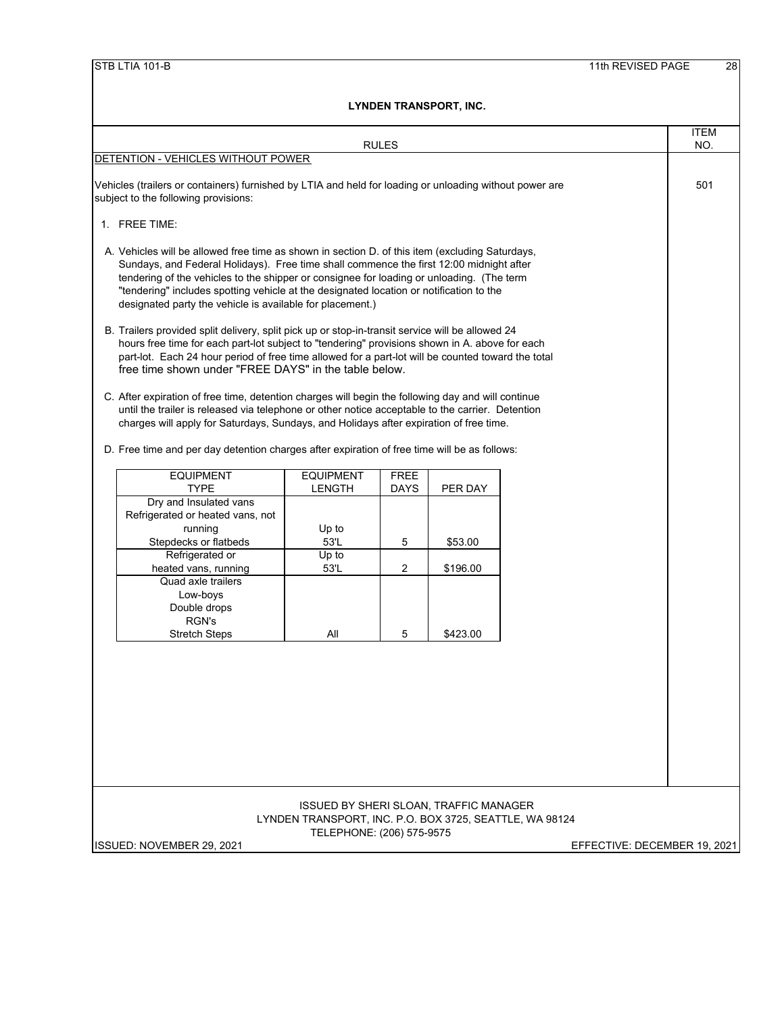|                                                                                                                                                                                                                                                                                                                                                                                                                                                 |                                                                      |                  | <b>RULES</b> |          |  | <b>ITEM</b><br>NO. |  |
|-------------------------------------------------------------------------------------------------------------------------------------------------------------------------------------------------------------------------------------------------------------------------------------------------------------------------------------------------------------------------------------------------------------------------------------------------|----------------------------------------------------------------------|------------------|--------------|----------|--|--------------------|--|
| DETENTION - VEHICLES WITHOUT POWER                                                                                                                                                                                                                                                                                                                                                                                                              |                                                                      |                  |              |          |  |                    |  |
| Vehicles (trailers or containers) furnished by LTIA and held for loading or unloading without power are<br>subject to the following provisions:                                                                                                                                                                                                                                                                                                 |                                                                      |                  |              |          |  | 501                |  |
|                                                                                                                                                                                                                                                                                                                                                                                                                                                 | 1. FREE TIME:                                                        |                  |              |          |  |                    |  |
| A. Vehicles will be allowed free time as shown in section D. of this item (excluding Saturdays,<br>Sundays, and Federal Holidays). Free time shall commence the first 12:00 midnight after<br>tendering of the vehicles to the shipper or consignee for loading or unloading. (The term<br>"tendering" includes spotting vehicle at the designated location or notification to the<br>designated party the vehicle is available for placement.) |                                                                      |                  |              |          |  |                    |  |
| B. Trailers provided split delivery, split pick up or stop-in-transit service will be allowed 24<br>hours free time for each part-lot subject to "tendering" provisions shown in A. above for each<br>part-lot. Each 24 hour period of free time allowed for a part-lot will be counted toward the total<br>free time shown under "FREE DAYS" in the table below.                                                                               |                                                                      |                  |              |          |  |                    |  |
| C. After expiration of free time, detention charges will begin the following day and will continue<br>until the trailer is released via telephone or other notice acceptable to the carrier. Detention<br>charges will apply for Saturdays, Sundays, and Holidays after expiration of free time.<br>D. Free time and per day detention charges after expiration of free time will be as follows:                                                |                                                                      |                  |              |          |  |                    |  |
|                                                                                                                                                                                                                                                                                                                                                                                                                                                 | <b>EQUIPMENT</b>                                                     | <b>EQUIPMENT</b> | <b>FREE</b>  |          |  |                    |  |
|                                                                                                                                                                                                                                                                                                                                                                                                                                                 | <b>TYPE</b><br>Dry and Insulated vans                                | <b>LENGTH</b>    | DAYS         | PER DAY  |  |                    |  |
|                                                                                                                                                                                                                                                                                                                                                                                                                                                 | Refrigerated or heated vans, not<br>running<br>Stepdecks or flatbeds | Up to<br>53'L    | 5            | \$53.00  |  |                    |  |
|                                                                                                                                                                                                                                                                                                                                                                                                                                                 | Refrigerated or<br>heated vans, running                              | Up to<br>53'L    | 2            | \$196.00 |  |                    |  |
|                                                                                                                                                                                                                                                                                                                                                                                                                                                 | Quad axle trailers<br>Low-boys<br>Double drops<br>RGN's              |                  |              |          |  |                    |  |
|                                                                                                                                                                                                                                                                                                                                                                                                                                                 | <b>Stretch Steps</b>                                                 | All              | 5            | \$423.00 |  |                    |  |
|                                                                                                                                                                                                                                                                                                                                                                                                                                                 |                                                                      |                  |              |          |  |                    |  |
| ISSUED BY SHERI SLOAN, TRAFFIC MANAGER<br>LYNDEN TRANSPORT, INC. P.O. BOX 3725, SEATTLE, WA 98124                                                                                                                                                                                                                                                                                                                                               |                                                                      |                  |              |          |  |                    |  |
| TELEPHONE: (206) 575-9575<br>ISSUED: NOVEMBER 29, 2021<br>EFFECTIVE: DECEMBER 19, 2021                                                                                                                                                                                                                                                                                                                                                          |                                                                      |                  |              |          |  |                    |  |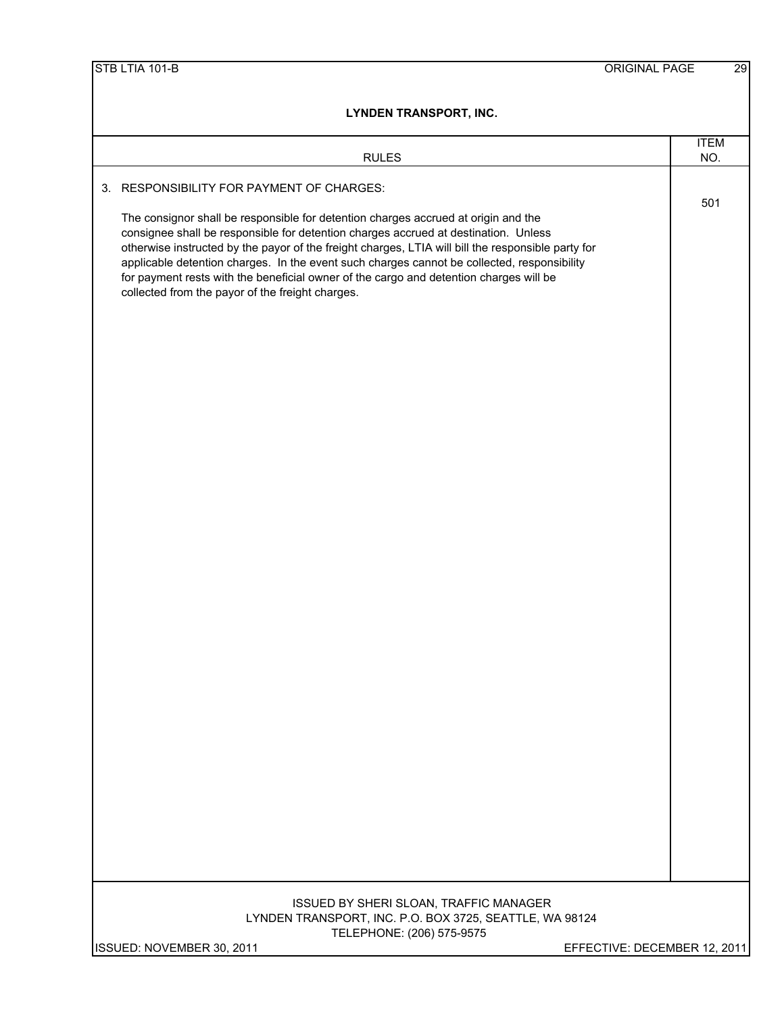| LYNDEN TRANSPORT, INC.                                                                                                                                                                                                                                                                                                                                                                                                                                                                                                       |                              |  |  |  |  |
|------------------------------------------------------------------------------------------------------------------------------------------------------------------------------------------------------------------------------------------------------------------------------------------------------------------------------------------------------------------------------------------------------------------------------------------------------------------------------------------------------------------------------|------------------------------|--|--|--|--|
|                                                                                                                                                                                                                                                                                                                                                                                                                                                                                                                              | <b>ITEM</b>                  |  |  |  |  |
| <b>RULES</b>                                                                                                                                                                                                                                                                                                                                                                                                                                                                                                                 | NO.                          |  |  |  |  |
| 3. RESPONSIBILITY FOR PAYMENT OF CHARGES:                                                                                                                                                                                                                                                                                                                                                                                                                                                                                    | 501                          |  |  |  |  |
| The consignor shall be responsible for detention charges accrued at origin and the<br>consignee shall be responsible for detention charges accrued at destination. Unless<br>otherwise instructed by the payor of the freight charges, LTIA will bill the responsible party for<br>applicable detention charges. In the event such charges cannot be collected, responsibility<br>for payment rests with the beneficial owner of the cargo and detention charges will be<br>collected from the payor of the freight charges. |                              |  |  |  |  |
|                                                                                                                                                                                                                                                                                                                                                                                                                                                                                                                              |                              |  |  |  |  |
|                                                                                                                                                                                                                                                                                                                                                                                                                                                                                                                              |                              |  |  |  |  |
|                                                                                                                                                                                                                                                                                                                                                                                                                                                                                                                              |                              |  |  |  |  |
|                                                                                                                                                                                                                                                                                                                                                                                                                                                                                                                              |                              |  |  |  |  |
|                                                                                                                                                                                                                                                                                                                                                                                                                                                                                                                              |                              |  |  |  |  |
|                                                                                                                                                                                                                                                                                                                                                                                                                                                                                                                              |                              |  |  |  |  |
|                                                                                                                                                                                                                                                                                                                                                                                                                                                                                                                              |                              |  |  |  |  |
|                                                                                                                                                                                                                                                                                                                                                                                                                                                                                                                              |                              |  |  |  |  |
|                                                                                                                                                                                                                                                                                                                                                                                                                                                                                                                              |                              |  |  |  |  |
|                                                                                                                                                                                                                                                                                                                                                                                                                                                                                                                              |                              |  |  |  |  |
| ISSUED BY SHERI SLOAN, TRAFFIC MANAGER<br>LYNDEN TRANSPORT, INC. P.O. BOX 3725, SEATTLE, WA 98124<br>TELEPHONE: (206) 575-9575                                                                                                                                                                                                                                                                                                                                                                                               |                              |  |  |  |  |
| ISSUED: NOVEMBER 30, 2011                                                                                                                                                                                                                                                                                                                                                                                                                                                                                                    | EFFECTIVE: DECEMBER 12, 2011 |  |  |  |  |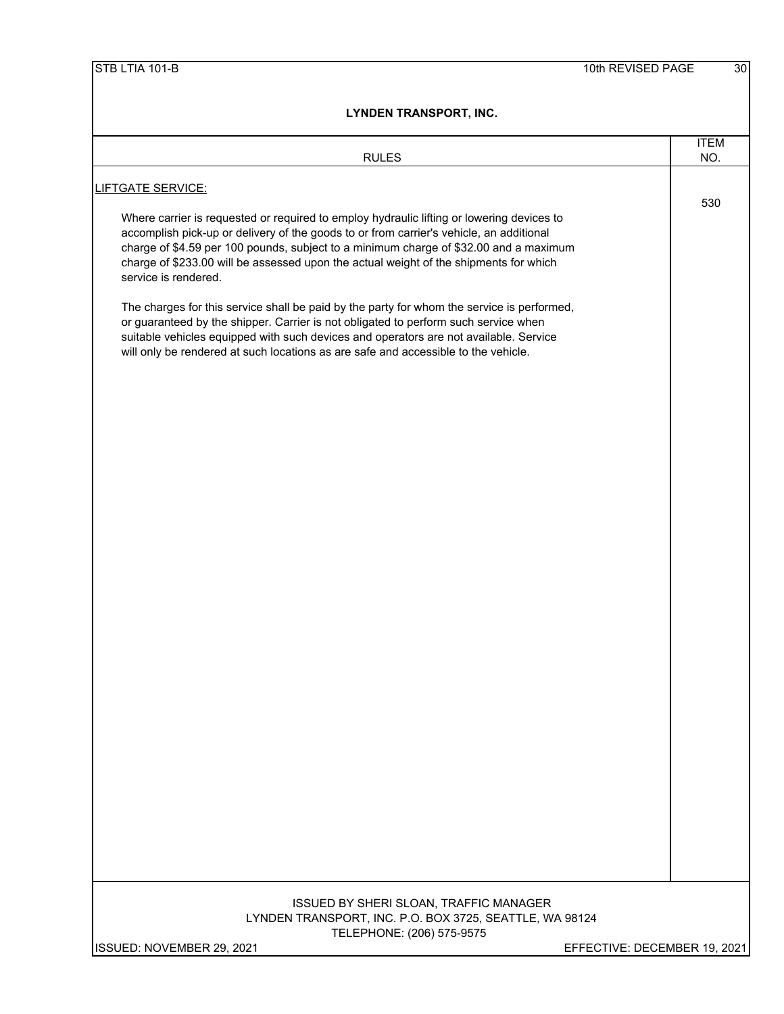| <b>RULES</b>                                                                                                                                                                                                                                                                                                                                                                                   | <b>ITEM</b><br>NO. |
|------------------------------------------------------------------------------------------------------------------------------------------------------------------------------------------------------------------------------------------------------------------------------------------------------------------------------------------------------------------------------------------------|--------------------|
| <b>LIFTGATE SERVICE:</b>                                                                                                                                                                                                                                                                                                                                                                       |                    |
| Where carrier is requested or required to employ hydraulic lifting or lowering devices to<br>accomplish pick-up or delivery of the goods to or from carrier's vehicle, an additional<br>charge of \$4.59 per 100 pounds, subject to a minimum charge of \$32.00 and a maximum<br>charge of \$233.00 will be assessed upon the actual weight of the shipments for which<br>service is rendered. | 530                |
| The charges for this service shall be paid by the party for whom the service is performed,<br>or guaranteed by the shipper. Carrier is not obligated to perform such service when<br>suitable vehicles equipped with such devices and operators are not available. Service<br>will only be rendered at such locations as are safe and accessible to the vehicle.                               |                    |
|                                                                                                                                                                                                                                                                                                                                                                                                |                    |
|                                                                                                                                                                                                                                                                                                                                                                                                |                    |
|                                                                                                                                                                                                                                                                                                                                                                                                |                    |
|                                                                                                                                                                                                                                                                                                                                                                                                |                    |
|                                                                                                                                                                                                                                                                                                                                                                                                |                    |
|                                                                                                                                                                                                                                                                                                                                                                                                |                    |
| ISSUED BY SHERI SLOAN, TRAFFIC MANAGER<br>LYNDEN TRANSPORT, INC. P.O. BOX 3725, SEATTLE, WA 98124                                                                                                                                                                                                                                                                                              |                    |
| TELEPHONE: (206) 575-9575<br>ISSUED: NOVEMBER 29, 2021<br>EFFECTIVE: DECEMBER 19, 2021                                                                                                                                                                                                                                                                                                         |                    |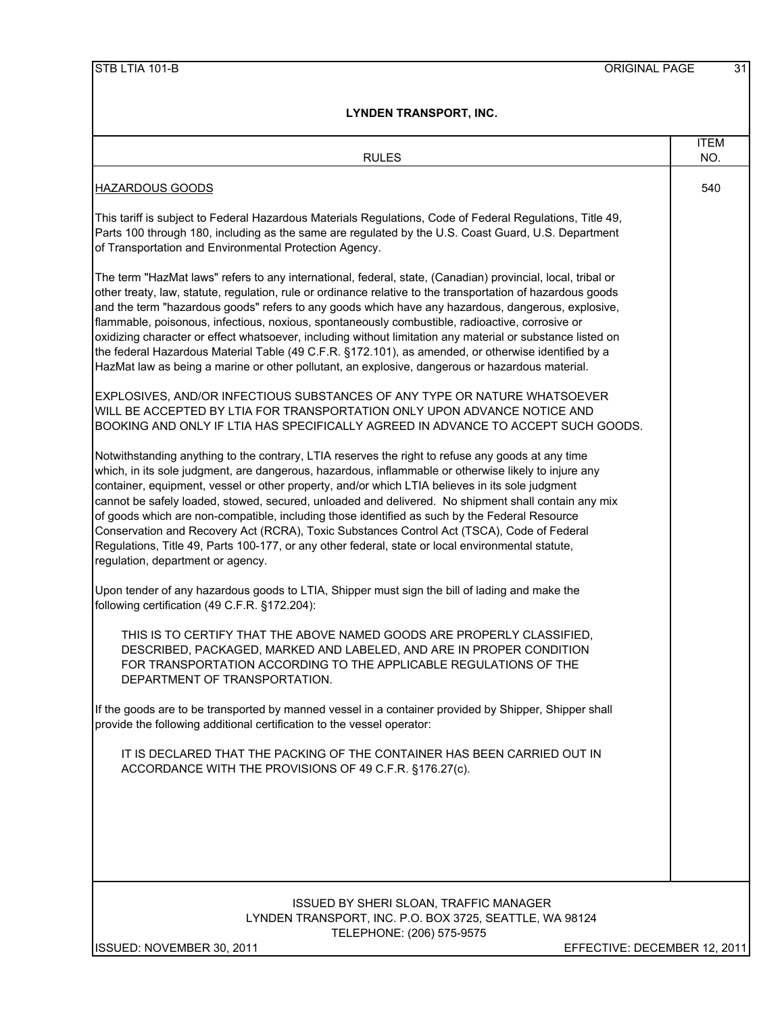| <b>RULES</b>                                                                                                                                                                                                                                                                                                                                                                                                                                                                                                                                                                                                                                                                                                                                                 | <b>ITEM</b><br>NO. |
|--------------------------------------------------------------------------------------------------------------------------------------------------------------------------------------------------------------------------------------------------------------------------------------------------------------------------------------------------------------------------------------------------------------------------------------------------------------------------------------------------------------------------------------------------------------------------------------------------------------------------------------------------------------------------------------------------------------------------------------------------------------|--------------------|
| <b>HAZARDOUS GOODS</b>                                                                                                                                                                                                                                                                                                                                                                                                                                                                                                                                                                                                                                                                                                                                       | 540                |
| This tariff is subject to Federal Hazardous Materials Regulations, Code of Federal Regulations, Title 49,<br>Parts 100 through 180, including as the same are regulated by the U.S. Coast Guard, U.S. Department<br>of Transportation and Environmental Protection Agency.                                                                                                                                                                                                                                                                                                                                                                                                                                                                                   |                    |
| The term "HazMat laws" refers to any international, federal, state, (Canadian) provincial, local, tribal or<br>other treaty, law, statute, regulation, rule or ordinance relative to the transportation of hazardous goods<br>and the term "hazardous goods" refers to any goods which have any hazardous, dangerous, explosive,<br>flammable, poisonous, infectious, noxious, spontaneously combustible, radioactive, corrosive or<br>oxidizing character or effect whatsoever, including without limitation any material or substance listed on<br>the federal Hazardous Material Table (49 C.F.R. §172.101), as amended, or otherwise identified by a<br>HazMat law as being a marine or other pollutant, an explosive, dangerous or hazardous material.  |                    |
| EXPLOSIVES, AND/OR INFECTIOUS SUBSTANCES OF ANY TYPE OR NATURE WHATSOEVER<br>WILL BE ACCEPTED BY LTIA FOR TRANSPORTATION ONLY UPON ADVANCE NOTICE AND<br>BOOKING AND ONLY IF LTIA HAS SPECIFICALLY AGREED IN ADVANCE TO ACCEPT SUCH GOODS.                                                                                                                                                                                                                                                                                                                                                                                                                                                                                                                   |                    |
| Notwithstanding anything to the contrary, LTIA reserves the right to refuse any goods at any time<br>which, in its sole judgment, are dangerous, hazardous, inflammable or otherwise likely to injure any<br>container, equipment, vessel or other property, and/or which LTIA believes in its sole judgment<br>cannot be safely loaded, stowed, secured, unloaded and delivered. No shipment shall contain any mix<br>of goods which are non-compatible, including those identified as such by the Federal Resource<br>Conservation and Recovery Act (RCRA), Toxic Substances Control Act (TSCA), Code of Federal<br>Regulations, Title 49, Parts 100-177, or any other federal, state or local environmental statute,<br>regulation, department or agency. |                    |
| Upon tender of any hazardous goods to LTIA, Shipper must sign the bill of lading and make the<br>following certification (49 C.F.R. §172.204):                                                                                                                                                                                                                                                                                                                                                                                                                                                                                                                                                                                                               |                    |
| THIS IS TO CERTIFY THAT THE ABOVE NAMED GOODS ARE PROPERLY CLASSIFIED,<br>DESCRIBED, PACKAGED, MARKED AND LABELED, AND ARE IN PROPER CONDITION<br>FOR TRANSPORTATION ACCORDING TO THE APPLICABLE REGULATIONS OF THE<br>DEPARTMENT OF TRANSPORTATION.                                                                                                                                                                                                                                                                                                                                                                                                                                                                                                         |                    |
| If the goods are to be transported by manned vessel in a container provided by Shipper, Shipper shall<br>provide the following additional certification to the vessel operator:                                                                                                                                                                                                                                                                                                                                                                                                                                                                                                                                                                              |                    |
| IT IS DECLARED THAT THE PACKING OF THE CONTAINER HAS BEEN CARRIED OUT IN<br>ACCORDANCE WITH THE PROVISIONS OF 49 C.F.R. §176.27(c).                                                                                                                                                                                                                                                                                                                                                                                                                                                                                                                                                                                                                          |                    |
|                                                                                                                                                                                                                                                                                                                                                                                                                                                                                                                                                                                                                                                                                                                                                              |                    |
|                                                                                                                                                                                                                                                                                                                                                                                                                                                                                                                                                                                                                                                                                                                                                              |                    |
| ISSUED BY SHERI SLOAN, TRAFFIC MANAGER<br>LYNDEN TRANSPORT, INC. P.O. BOX 3725, SEATTLE, WA 98124<br>TELEPHONE: (206) 575-9575                                                                                                                                                                                                                                                                                                                                                                                                                                                                                                                                                                                                                               |                    |

ISSUED: NOVEMBER 30, 2011 **EXECTIVE: DECEMBER 12, 2011**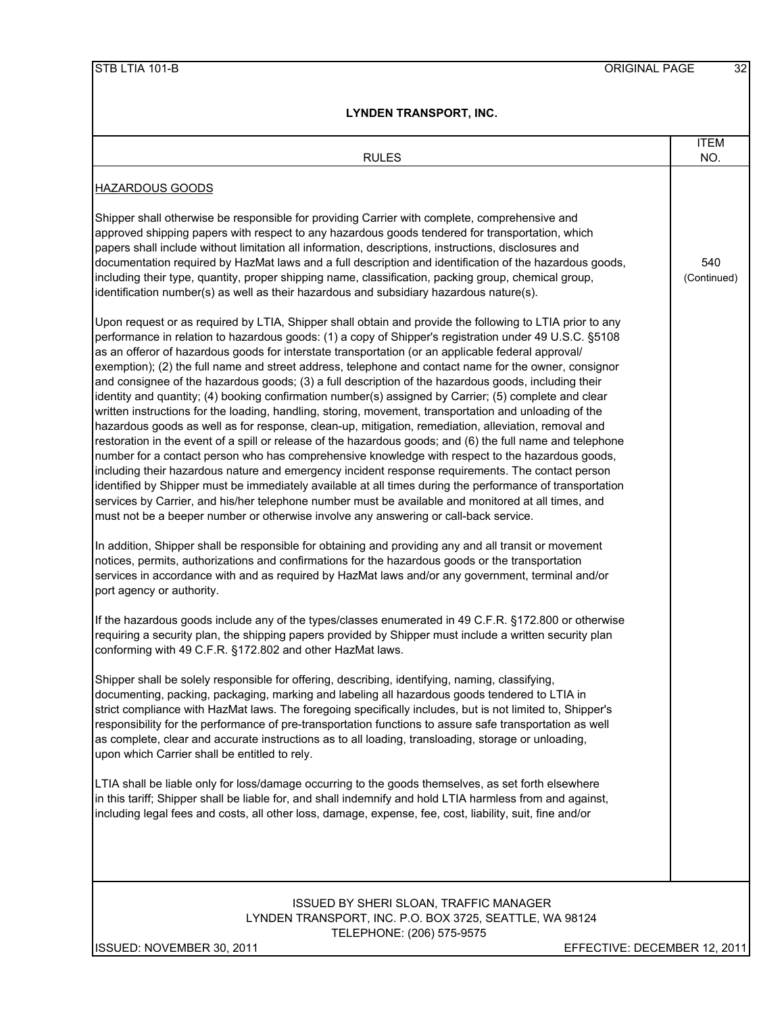| LINUEN IKANSPUKI, INU.                                                                                                                                                                                                                                                                                                                                                                                                                                                                                                                                                                                                                                                                                                                                                                                                                                                                                                                                                                                                                                                                                                                                                                                                                                                                                                                                                                                                                                                                                  |                    |
|---------------------------------------------------------------------------------------------------------------------------------------------------------------------------------------------------------------------------------------------------------------------------------------------------------------------------------------------------------------------------------------------------------------------------------------------------------------------------------------------------------------------------------------------------------------------------------------------------------------------------------------------------------------------------------------------------------------------------------------------------------------------------------------------------------------------------------------------------------------------------------------------------------------------------------------------------------------------------------------------------------------------------------------------------------------------------------------------------------------------------------------------------------------------------------------------------------------------------------------------------------------------------------------------------------------------------------------------------------------------------------------------------------------------------------------------------------------------------------------------------------|--------------------|
| <b>RULES</b>                                                                                                                                                                                                                                                                                                                                                                                                                                                                                                                                                                                                                                                                                                                                                                                                                                                                                                                                                                                                                                                                                                                                                                                                                                                                                                                                                                                                                                                                                            | <b>ITEM</b><br>NO. |
| <b>HAZARDOUS GOODS</b>                                                                                                                                                                                                                                                                                                                                                                                                                                                                                                                                                                                                                                                                                                                                                                                                                                                                                                                                                                                                                                                                                                                                                                                                                                                                                                                                                                                                                                                                                  |                    |
| Shipper shall otherwise be responsible for providing Carrier with complete, comprehensive and<br>approved shipping papers with respect to any hazardous goods tendered for transportation, which<br>papers shall include without limitation all information, descriptions, instructions, disclosures and<br>documentation required by HazMat laws and a full description and identification of the hazardous goods,<br>including their type, quantity, proper shipping name, classification, packing group, chemical group,<br>identification number(s) as well as their hazardous and subsidiary hazardous nature(s).                                                                                                                                                                                                                                                                                                                                                                                                                                                                                                                                                                                                                                                                                                                                                                                                                                                                                  | 540<br>(Continued) |
| Upon request or as required by LTIA, Shipper shall obtain and provide the following to LTIA prior to any<br>performance in relation to hazardous goods: (1) a copy of Shipper's registration under 49 U.S.C. §5108<br>as an offeror of hazardous goods for interstate transportation (or an applicable federal approval/<br>exemption); (2) the full name and street address, telephone and contact name for the owner, consignor<br>and consignee of the hazardous goods; (3) a full description of the hazardous goods, including their<br>identity and quantity; (4) booking confirmation number(s) assigned by Carrier; (5) complete and clear<br>written instructions for the loading, handling, storing, movement, transportation and unloading of the<br>hazardous goods as well as for response, clean-up, mitigation, remediation, alleviation, removal and<br>restoration in the event of a spill or release of the hazardous goods; and (6) the full name and telephone<br>number for a contact person who has comprehensive knowledge with respect to the hazardous goods,<br>including their hazardous nature and emergency incident response requirements. The contact person<br>identified by Shipper must be immediately available at all times during the performance of transportation<br>services by Carrier, and his/her telephone number must be available and monitored at all times, and<br>must not be a beeper number or otherwise involve any answering or call-back service. |                    |
| In addition, Shipper shall be responsible for obtaining and providing any and all transit or movement<br>notices, permits, authorizations and confirmations for the hazardous goods or the transportation<br>services in accordance with and as required by HazMat laws and/or any government, terminal and/or<br>port agency or authority.                                                                                                                                                                                                                                                                                                                                                                                                                                                                                                                                                                                                                                                                                                                                                                                                                                                                                                                                                                                                                                                                                                                                                             |                    |
| If the hazardous goods include any of the types/classes enumerated in 49 C.F.R. §172.800 or otherwise<br>requiring a security plan, the shipping papers provided by Shipper must include a written security plan<br>conforming with 49 C.F.R. §172.802 and other HazMat laws.                                                                                                                                                                                                                                                                                                                                                                                                                                                                                                                                                                                                                                                                                                                                                                                                                                                                                                                                                                                                                                                                                                                                                                                                                           |                    |
| Shipper shall be solely responsible for offering, describing, identifying, naming, classifying,<br>documenting, packing, packaging, marking and labeling all hazardous goods tendered to LTIA in<br>strict compliance with HazMat laws. The foregoing specifically includes, but is not limited to, Shipper's<br>responsibility for the performance of pre-transportation functions to assure safe transportation as well<br>as complete, clear and accurate instructions as to all loading, transloading, storage or unloading,<br>upon which Carrier shall be entitled to rely.                                                                                                                                                                                                                                                                                                                                                                                                                                                                                                                                                                                                                                                                                                                                                                                                                                                                                                                       |                    |
| LTIA shall be liable only for loss/damage occurring to the goods themselves, as set forth elsewhere<br>in this tariff; Shipper shall be liable for, and shall indemnify and hold LTIA harmless from and against,<br>including legal fees and costs, all other loss, damage, expense, fee, cost, liability, suit, fine and/or                                                                                                                                                                                                                                                                                                                                                                                                                                                                                                                                                                                                                                                                                                                                                                                                                                                                                                                                                                                                                                                                                                                                                                            |                    |
| <b>ISSUED BY SHERI SLOAN, TRAFFIC MANAGER</b><br>LYNDEN TRANSPORT, INC. P.O. BOX 3725, SEATTLE, WA 98124<br>TELEPHONE: (206) 575-9575                                                                                                                                                                                                                                                                                                                                                                                                                                                                                                                                                                                                                                                                                                                                                                                                                                                                                                                                                                                                                                                                                                                                                                                                                                                                                                                                                                   |                    |

ISSUED: NOVEMBER 30, 2011 **EFFECTIVE: DECEMBER 12, 2011**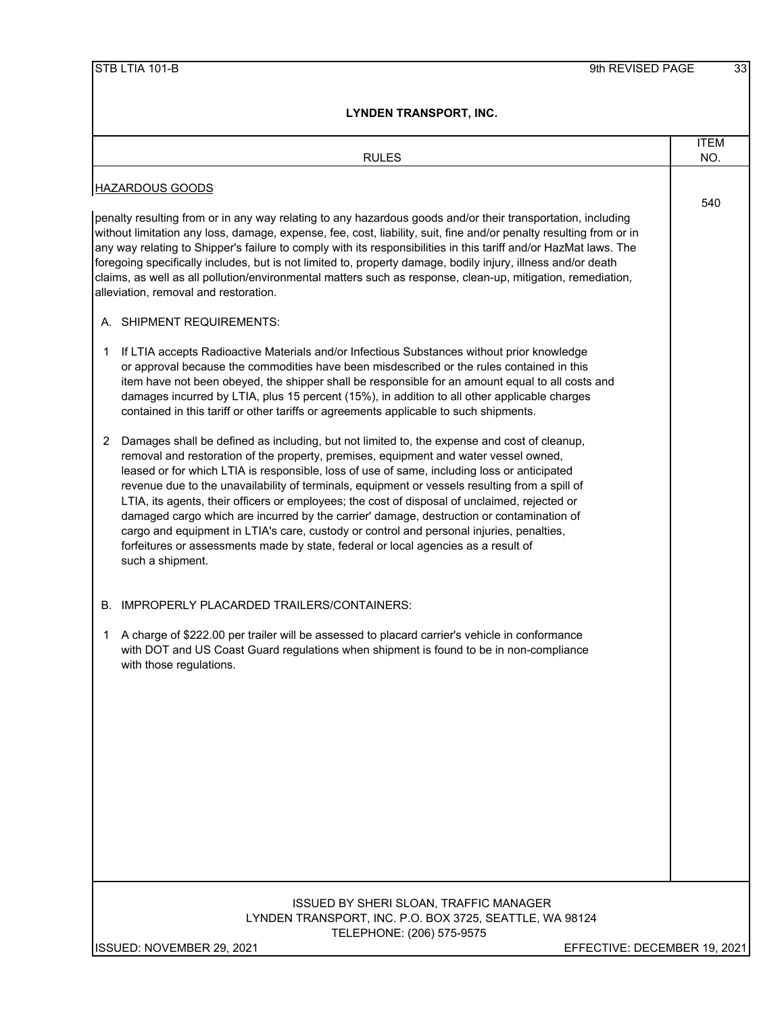|             | <b>RULES</b>                                                                                                                                                                                                                                                                                                                                                                                                                                                                                                                                                                                                                                                                                                                                                                            | <b>ITEM</b><br>NO. |
|-------------|-----------------------------------------------------------------------------------------------------------------------------------------------------------------------------------------------------------------------------------------------------------------------------------------------------------------------------------------------------------------------------------------------------------------------------------------------------------------------------------------------------------------------------------------------------------------------------------------------------------------------------------------------------------------------------------------------------------------------------------------------------------------------------------------|--------------------|
|             |                                                                                                                                                                                                                                                                                                                                                                                                                                                                                                                                                                                                                                                                                                                                                                                         |                    |
|             | <b>HAZARDOUS GOODS</b>                                                                                                                                                                                                                                                                                                                                                                                                                                                                                                                                                                                                                                                                                                                                                                  | 540                |
|             | penalty resulting from or in any way relating to any hazardous goods and/or their transportation, including<br>without limitation any loss, damage, expense, fee, cost, liability, suit, fine and/or penalty resulting from or in<br>any way relating to Shipper's failure to comply with its responsibilities in this tariff and/or HazMat laws. The<br>foregoing specifically includes, but is not limited to, property damage, bodily injury, illness and/or death<br>claims, as well as all pollution/environmental matters such as response, clean-up, mitigation, remediation,<br>alleviation, removal and restoration.                                                                                                                                                           |                    |
|             | A. SHIPMENT REQUIREMENTS:                                                                                                                                                                                                                                                                                                                                                                                                                                                                                                                                                                                                                                                                                                                                                               |                    |
| $\mathbf 1$ | If LTIA accepts Radioactive Materials and/or Infectious Substances without prior knowledge<br>or approval because the commodities have been misdescribed or the rules contained in this<br>item have not been obeyed, the shipper shall be responsible for an amount equal to all costs and<br>damages incurred by LTIA, plus 15 percent (15%), in addition to all other applicable charges<br>contained in this tariff or other tariffs or agreements applicable to such shipments.                                                                                                                                                                                                                                                                                                    |                    |
| 2           | Damages shall be defined as including, but not limited to, the expense and cost of cleanup,<br>removal and restoration of the property, premises, equipment and water vessel owned,<br>leased or for which LTIA is responsible, loss of use of same, including loss or anticipated<br>revenue due to the unavailability of terminals, equipment or vessels resulting from a spill of<br>LTIA, its agents, their officers or employees; the cost of disposal of unclaimed, rejected or<br>damaged cargo which are incurred by the carrier' damage, destruction or contamination of<br>cargo and equipment in LTIA's care, custody or control and personal injuries, penalties,<br>forfeitures or assessments made by state, federal or local agencies as a result of<br>such a shipment. |                    |
|             | B. IMPROPERLY PLACARDED TRAILERS/CONTAINERS:                                                                                                                                                                                                                                                                                                                                                                                                                                                                                                                                                                                                                                                                                                                                            |                    |
| 1           | A charge of \$222.00 per trailer will be assessed to placard carrier's vehicle in conformance<br>with DOT and US Coast Guard regulations when shipment is found to be in non-compliance<br>with those regulations.                                                                                                                                                                                                                                                                                                                                                                                                                                                                                                                                                                      |                    |
|             |                                                                                                                                                                                                                                                                                                                                                                                                                                                                                                                                                                                                                                                                                                                                                                                         |                    |
|             | ISSUED BY SHERI SLOAN, TRAFFIC MANAGER<br>LYNDEN TRANSPORT, INC. P.O. BOX 3725, SEATTLE, WA 98124<br>TELEPHONE: (206) 575-9575                                                                                                                                                                                                                                                                                                                                                                                                                                                                                                                                                                                                                                                          |                    |
|             | ISSUED: NOVEMBER 29, 2021<br>EFFECTIVE: DECEMBER 19, 2021                                                                                                                                                                                                                                                                                                                                                                                                                                                                                                                                                                                                                                                                                                                               |                    |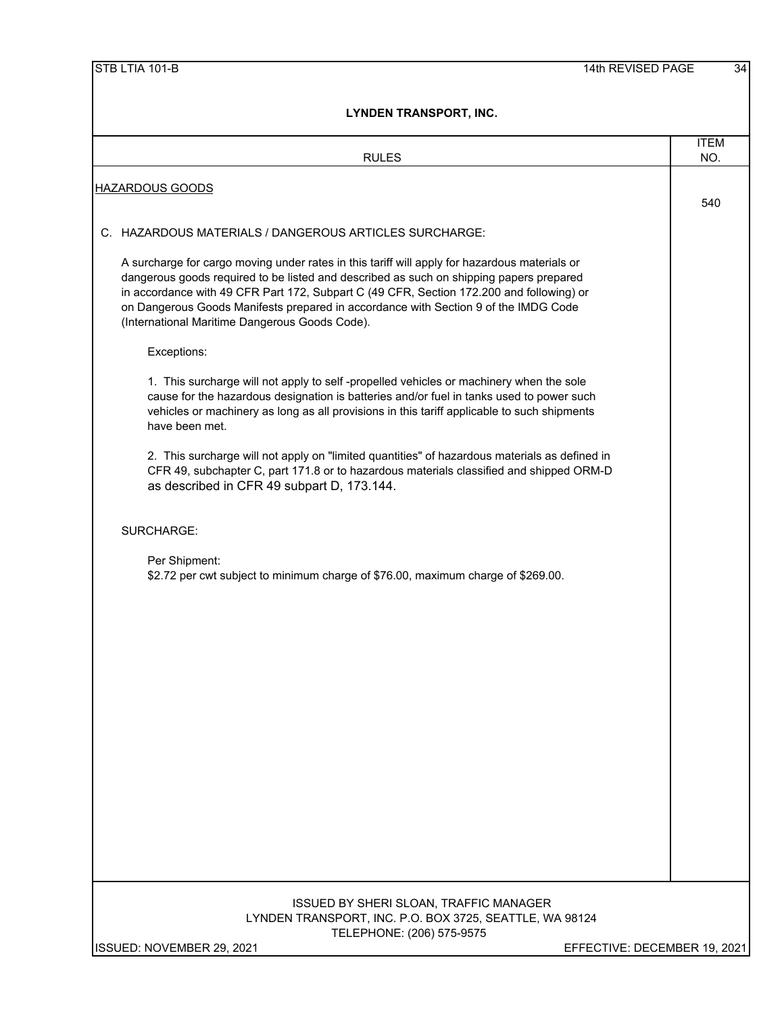| LYNDEN IRANSPORI, INC.                                                                                                                                                                                                                                                                                                                                                                                                        |             |  |  |  |  |
|-------------------------------------------------------------------------------------------------------------------------------------------------------------------------------------------------------------------------------------------------------------------------------------------------------------------------------------------------------------------------------------------------------------------------------|-------------|--|--|--|--|
|                                                                                                                                                                                                                                                                                                                                                                                                                               | <b>ITEM</b> |  |  |  |  |
| <b>RULES</b>                                                                                                                                                                                                                                                                                                                                                                                                                  | NO.         |  |  |  |  |
| <b>HAZARDOUS GOODS</b>                                                                                                                                                                                                                                                                                                                                                                                                        | 540         |  |  |  |  |
| C. HAZARDOUS MATERIALS / DANGEROUS ARTICLES SURCHARGE:                                                                                                                                                                                                                                                                                                                                                                        |             |  |  |  |  |
| A surcharge for cargo moving under rates in this tariff will apply for hazardous materials or<br>dangerous goods required to be listed and described as such on shipping papers prepared<br>in accordance with 49 CFR Part 172, Subpart C (49 CFR, Section 172.200 and following) or<br>on Dangerous Goods Manifests prepared in accordance with Section 9 of the IMDG Code<br>(International Maritime Dangerous Goods Code). |             |  |  |  |  |
| Exceptions:                                                                                                                                                                                                                                                                                                                                                                                                                   |             |  |  |  |  |
| 1. This surcharge will not apply to self-propelled vehicles or machinery when the sole<br>cause for the hazardous designation is batteries and/or fuel in tanks used to power such<br>vehicles or machinery as long as all provisions in this tariff applicable to such shipments<br>have been met.                                                                                                                           |             |  |  |  |  |
| 2. This surcharge will not apply on "limited quantities" of hazardous materials as defined in<br>CFR 49, subchapter C, part 171.8 or to hazardous materials classified and shipped ORM-D<br>as described in CFR 49 subpart D, 173.144.                                                                                                                                                                                        |             |  |  |  |  |
| SURCHARGE:                                                                                                                                                                                                                                                                                                                                                                                                                    |             |  |  |  |  |
| Per Shipment:<br>\$2.72 per cwt subject to minimum charge of \$76.00, maximum charge of \$269.00.                                                                                                                                                                                                                                                                                                                             |             |  |  |  |  |
|                                                                                                                                                                                                                                                                                                                                                                                                                               |             |  |  |  |  |
| ISSUED BY SHERI SLOAN, TRAFFIC MANAGER<br>LYNDEN TRANSPORT, INC. P.O. BOX 3725, SEATTLE, WA 98124<br>TELEPHONE: (206) 575-9575<br>ISSUED: NOVEMBER 29, 2021<br>EFFECTIVE: DECEMBER 19, 2021                                                                                                                                                                                                                                   |             |  |  |  |  |
|                                                                                                                                                                                                                                                                                                                                                                                                                               |             |  |  |  |  |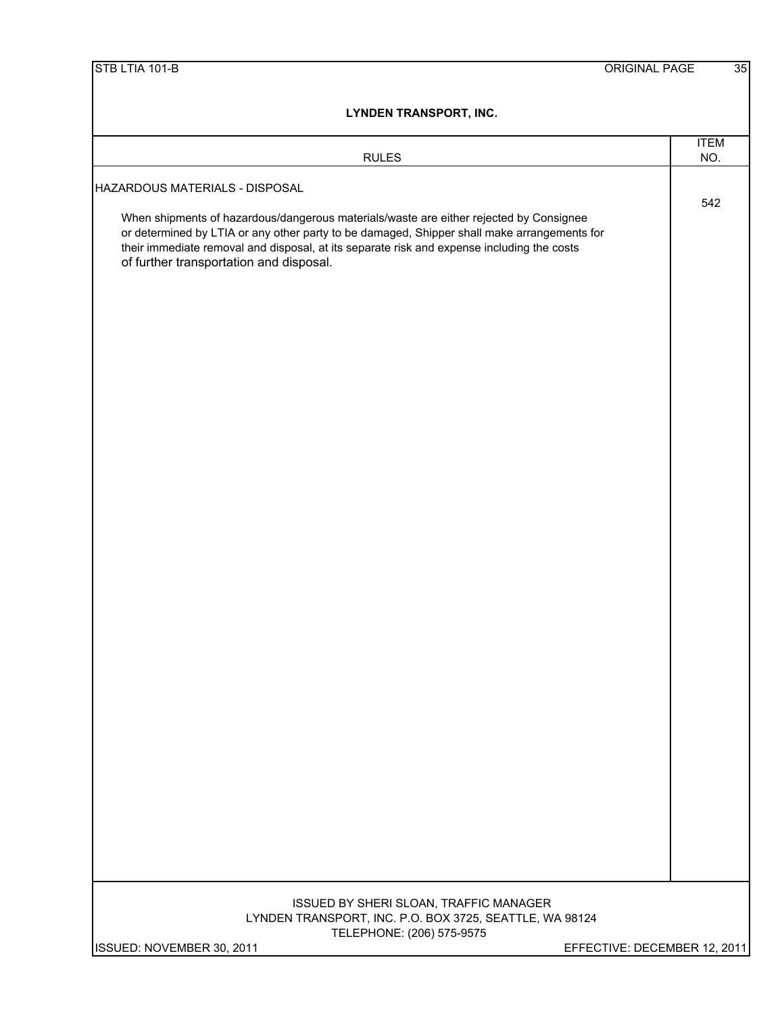| STB LTIA 101-B                                                                                                                                                                                                                                                                                                                 | <b>ORIGINAL PAGE</b>         | $\overline{35}$ |
|--------------------------------------------------------------------------------------------------------------------------------------------------------------------------------------------------------------------------------------------------------------------------------------------------------------------------------|------------------------------|-----------------|
| <b>LYNDEN TRANSPORT, INC.</b>                                                                                                                                                                                                                                                                                                  |                              |                 |
| <b>RULES</b>                                                                                                                                                                                                                                                                                                                   | <b>ITEM</b><br>NO.           |                 |
| HAZARDOUS MATERIALS - DISPOSAL                                                                                                                                                                                                                                                                                                 |                              |                 |
| When shipments of hazardous/dangerous materials/waste are either rejected by Consignee<br>or determined by LTIA or any other party to be damaged, Shipper shall make arrangements for<br>their immediate removal and disposal, at its separate risk and expense including the costs<br>of further transportation and disposal. | 542                          |                 |
|                                                                                                                                                                                                                                                                                                                                |                              |                 |
|                                                                                                                                                                                                                                                                                                                                |                              |                 |
|                                                                                                                                                                                                                                                                                                                                |                              |                 |
|                                                                                                                                                                                                                                                                                                                                |                              |                 |
|                                                                                                                                                                                                                                                                                                                                |                              |                 |
|                                                                                                                                                                                                                                                                                                                                |                              |                 |
|                                                                                                                                                                                                                                                                                                                                |                              |                 |
| ISSUED BY SHERI SLOAN, TRAFFIC MANAGER<br>LYNDEN TRANSPORT, INC. P.O. BOX 3725, SEATTLE, WA 98124<br>TELEPHONE: (206) 575-9575<br>ISSUED: NOVEMBER 30, 2011                                                                                                                                                                    | EFFECTIVE: DECEMBER 12, 2011 |                 |
|                                                                                                                                                                                                                                                                                                                                |                              |                 |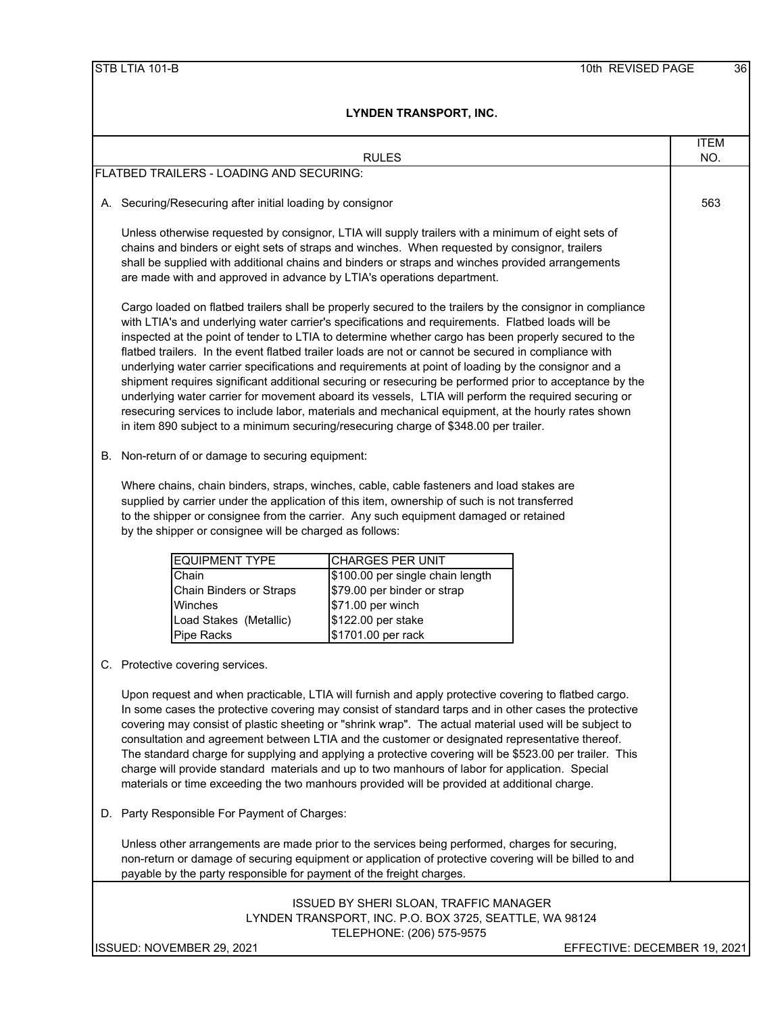|                                                                                     | <b>RULES</b>                                                                                                                                                                                                                                                                                                                                                                                                                                                                                                                                                                                                                                                                                                                                                                                                                                                                                                                                            | <b>ITEM</b><br>NO.           |
|-------------------------------------------------------------------------------------|---------------------------------------------------------------------------------------------------------------------------------------------------------------------------------------------------------------------------------------------------------------------------------------------------------------------------------------------------------------------------------------------------------------------------------------------------------------------------------------------------------------------------------------------------------------------------------------------------------------------------------------------------------------------------------------------------------------------------------------------------------------------------------------------------------------------------------------------------------------------------------------------------------------------------------------------------------|------------------------------|
| FLATBED TRAILERS - LOADING AND SECURING:                                            |                                                                                                                                                                                                                                                                                                                                                                                                                                                                                                                                                                                                                                                                                                                                                                                                                                                                                                                                                         |                              |
|                                                                                     |                                                                                                                                                                                                                                                                                                                                                                                                                                                                                                                                                                                                                                                                                                                                                                                                                                                                                                                                                         |                              |
| A. Securing/Resecuring after initial loading by consignor                           |                                                                                                                                                                                                                                                                                                                                                                                                                                                                                                                                                                                                                                                                                                                                                                                                                                                                                                                                                         | 563                          |
|                                                                                     | Unless otherwise requested by consignor, LTIA will supply trailers with a minimum of eight sets of<br>chains and binders or eight sets of straps and winches. When requested by consignor, trailers<br>shall be supplied with additional chains and binders or straps and winches provided arrangements<br>are made with and approved in advance by LTIA's operations department.                                                                                                                                                                                                                                                                                                                                                                                                                                                                                                                                                                       |                              |
|                                                                                     | Cargo loaded on flatbed trailers shall be properly secured to the trailers by the consignor in compliance<br>with LTIA's and underlying water carrier's specifications and requirements. Flatbed loads will be<br>inspected at the point of tender to LTIA to determine whether cargo has been properly secured to the<br>flatbed trailers. In the event flatbed trailer loads are not or cannot be secured in compliance with<br>underlying water carrier specifications and requirements at point of loading by the consignor and a<br>shipment requires significant additional securing or resecuring be performed prior to acceptance by the<br>underlying water carrier for movement aboard its vessels, LTIA will perform the required securing or<br>resecuring services to include labor, materials and mechanical equipment, at the hourly rates shown<br>in item 890 subject to a minimum securing/resecuring charge of \$348.00 per trailer. |                              |
| B. Non-return of or damage to securing equipment:                                   |                                                                                                                                                                                                                                                                                                                                                                                                                                                                                                                                                                                                                                                                                                                                                                                                                                                                                                                                                         |                              |
| by the shipper or consignee will be charged as follows:                             | Where chains, chain binders, straps, winches, cable, cable fasteners and load stakes are<br>supplied by carrier under the application of this item, ownership of such is not transferred<br>to the shipper or consignee from the carrier. Any such equipment damaged or retained                                                                                                                                                                                                                                                                                                                                                                                                                                                                                                                                                                                                                                                                        |                              |
| <b>EQUIPMENT TYPE</b>                                                               | <b>CHARGES PER UNIT</b>                                                                                                                                                                                                                                                                                                                                                                                                                                                                                                                                                                                                                                                                                                                                                                                                                                                                                                                                 |                              |
| Chain<br>Chain Binders or Straps<br>Winches<br>Load Stakes (Metallic)<br>Pipe Racks | \$100.00 per single chain length<br>\$79.00 per binder or strap<br>\$71.00 per winch<br>\$122.00 per stake<br>\$1701.00 per rack                                                                                                                                                                                                                                                                                                                                                                                                                                                                                                                                                                                                                                                                                                                                                                                                                        |                              |
| C. Protective covering services.                                                    |                                                                                                                                                                                                                                                                                                                                                                                                                                                                                                                                                                                                                                                                                                                                                                                                                                                                                                                                                         |                              |
|                                                                                     | Upon request and when practicable, LTIA will furnish and apply protective covering to flatbed cargo.<br>In some cases the protective covering may consist of standard tarps and in other cases the protective<br>covering may consist of plastic sheeting or "shrink wrap". The actual material used will be subject to<br>consultation and agreement between LTIA and the customer or designated representative thereof.<br>The standard charge for supplying and applying a protective covering will be \$523.00 per trailer. This<br>charge will provide standard materials and up to two manhours of labor for application. Special<br>materials or time exceeding the two manhours provided will be provided at additional charge.                                                                                                                                                                                                                 |                              |
| D. Party Responsible For Payment of Charges:                                        |                                                                                                                                                                                                                                                                                                                                                                                                                                                                                                                                                                                                                                                                                                                                                                                                                                                                                                                                                         |                              |
|                                                                                     | Unless other arrangements are made prior to the services being performed, charges for securing,<br>non-return or damage of securing equipment or application of protective covering will be billed to and<br>payable by the party responsible for payment of the freight charges.                                                                                                                                                                                                                                                                                                                                                                                                                                                                                                                                                                                                                                                                       |                              |
|                                                                                     | ISSUED BY SHERI SLOAN, TRAFFIC MANAGER<br>LYNDEN TRANSPORT, INC. P.O. BOX 3725, SEATTLE, WA 98124<br>TELEPHONE: (206) 575-9575                                                                                                                                                                                                                                                                                                                                                                                                                                                                                                                                                                                                                                                                                                                                                                                                                          |                              |
| ISSUED: NOVEMBER 29, 2021                                                           |                                                                                                                                                                                                                                                                                                                                                                                                                                                                                                                                                                                                                                                                                                                                                                                                                                                                                                                                                         | EFFECTIVE: DECEMBER 19, 2021 |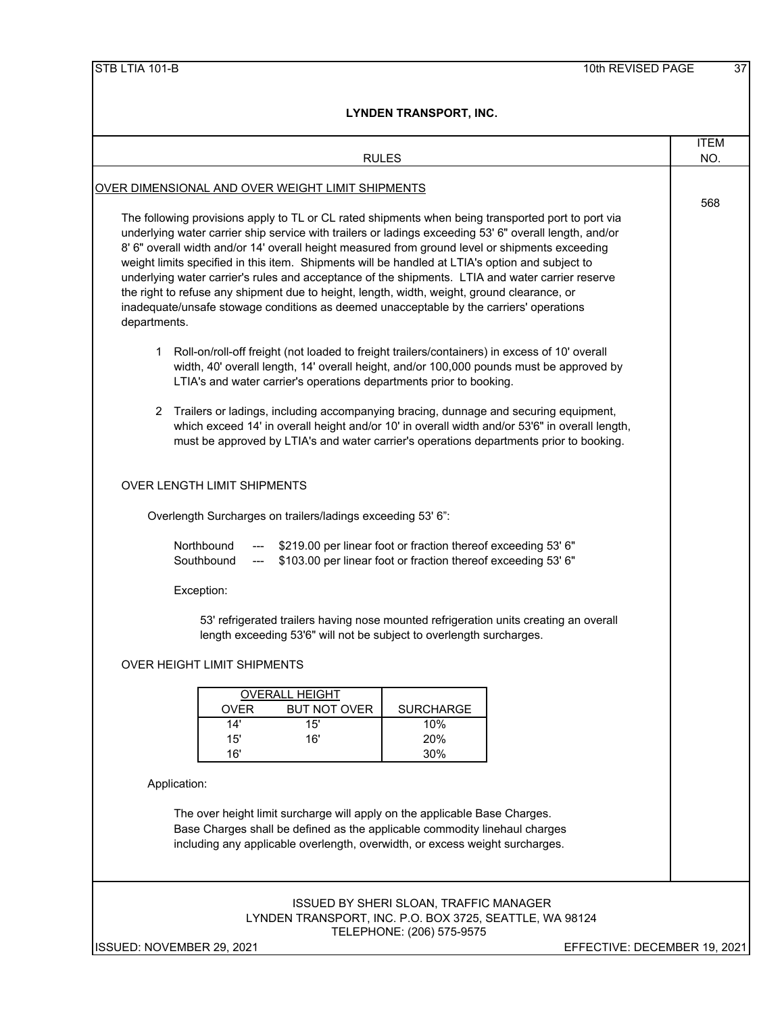|                                                                                                                                                                                                                                                                                                                                                                                                                                                                                                                                                                                                                                                                                                                                  | <b>ITEM</b> |
|----------------------------------------------------------------------------------------------------------------------------------------------------------------------------------------------------------------------------------------------------------------------------------------------------------------------------------------------------------------------------------------------------------------------------------------------------------------------------------------------------------------------------------------------------------------------------------------------------------------------------------------------------------------------------------------------------------------------------------|-------------|
| <b>RULES</b>                                                                                                                                                                                                                                                                                                                                                                                                                                                                                                                                                                                                                                                                                                                     | NO.         |
| <u>OVER DIMENSIONAL AND OVER WEIGHT LIMIT SHIPMENTS</u>                                                                                                                                                                                                                                                                                                                                                                                                                                                                                                                                                                                                                                                                          | 568         |
| The following provisions apply to TL or CL rated shipments when being transported port to port via<br>underlying water carrier ship service with trailers or ladings exceeding 53' 6" overall length, and/or<br>8' 6" overall width and/or 14' overall height measured from ground level or shipments exceeding<br>weight limits specified in this item. Shipments will be handled at LTIA's option and subject to<br>underlying water carrier's rules and acceptance of the shipments. LTIA and water carrier reserve<br>the right to refuse any shipment due to height, length, width, weight, ground clearance, or<br>inadequate/unsafe stowage conditions as deemed unacceptable by the carriers' operations<br>departments. |             |
| Roll-on/roll-off freight (not loaded to freight trailers/containers) in excess of 10' overall<br>1.<br>width, 40' overall length, 14' overall height, and/or 100,000 pounds must be approved by<br>LTIA's and water carrier's operations departments prior to booking.                                                                                                                                                                                                                                                                                                                                                                                                                                                           |             |
| 2 Trailers or ladings, including accompanying bracing, dunnage and securing equipment,<br>which exceed 14' in overall height and/or 10' in overall width and/or 53'6" in overall length,<br>must be approved by LTIA's and water carrier's operations departments prior to booking.                                                                                                                                                                                                                                                                                                                                                                                                                                              |             |
| <b>OVER LENGTH LIMIT SHIPMENTS</b>                                                                                                                                                                                                                                                                                                                                                                                                                                                                                                                                                                                                                                                                                               |             |
| Overlength Surcharges on trailers/ladings exceeding 53' 6":                                                                                                                                                                                                                                                                                                                                                                                                                                                                                                                                                                                                                                                                      |             |
| Northbound<br>\$219.00 per linear foot or fraction thereof exceeding 53' 6"<br>\$103.00 per linear foot or fraction thereof exceeding 53' 6"<br>Southbound                                                                                                                                                                                                                                                                                                                                                                                                                                                                                                                                                                       |             |
| Exception:                                                                                                                                                                                                                                                                                                                                                                                                                                                                                                                                                                                                                                                                                                                       |             |
| 53' refrigerated trailers having nose mounted refrigeration units creating an overall<br>length exceeding 53'6" will not be subject to overlength surcharges.                                                                                                                                                                                                                                                                                                                                                                                                                                                                                                                                                                    |             |
| <b>OVER HEIGHT LIMIT SHIPMENTS</b>                                                                                                                                                                                                                                                                                                                                                                                                                                                                                                                                                                                                                                                                                               |             |
| <b>OVERALL HEIGHT</b><br><b>SURCHARGE</b><br><b>OVER</b><br><b>BUT NOT OVER</b><br>14'<br>15'<br>10%<br>15'<br>16'<br>20%<br>16'<br>30%                                                                                                                                                                                                                                                                                                                                                                                                                                                                                                                                                                                          |             |
| Application:                                                                                                                                                                                                                                                                                                                                                                                                                                                                                                                                                                                                                                                                                                                     |             |
| The over height limit surcharge will apply on the applicable Base Charges.<br>Base Charges shall be defined as the applicable commodity linehaul charges<br>including any applicable overlength, overwidth, or excess weight surcharges.                                                                                                                                                                                                                                                                                                                                                                                                                                                                                         |             |
| <b>ISSUED BY SHERI SLOAN, TRAFFIC MANAGER</b><br>LYNDEN TRANSPORT, INC. P.O. BOX 3725, SEATTLE, WA 98124<br>TELEPHONE: (206) 575-9575<br>ISSUED: NOVEMBER 29, 2021<br>EFFECTIVE: DECEMBER 19, 2021                                                                                                                                                                                                                                                                                                                                                                                                                                                                                                                               |             |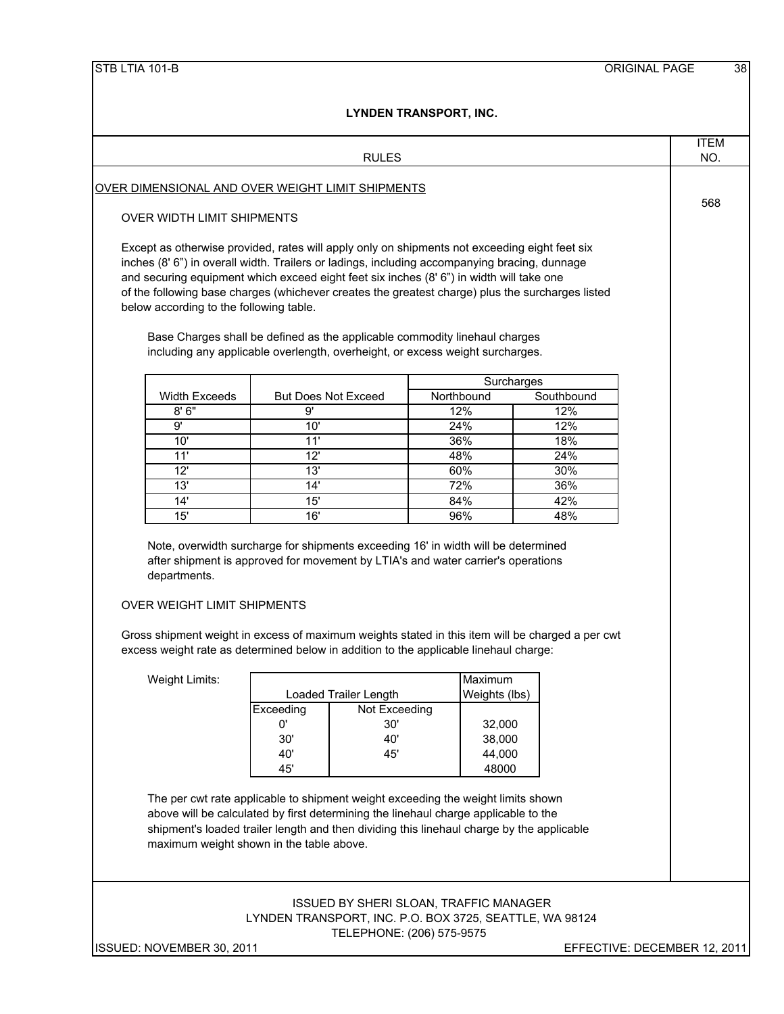|                                                                                                                                                                                                                                 |                                                                                                                                                                                     |               |                 |            | <b>ITEM</b> |
|---------------------------------------------------------------------------------------------------------------------------------------------------------------------------------------------------------------------------------|-------------------------------------------------------------------------------------------------------------------------------------------------------------------------------------|---------------|-----------------|------------|-------------|
|                                                                                                                                                                                                                                 |                                                                                                                                                                                     | <b>RULES</b>  |                 |            | NO.         |
|                                                                                                                                                                                                                                 |                                                                                                                                                                                     |               |                 |            |             |
| OVER DIMENSIONAL AND OVER WEIGHT LIMIT SHIPMENTS                                                                                                                                                                                |                                                                                                                                                                                     |               |                 |            | 568         |
| OVER WIDTH LIMIT SHIPMENTS                                                                                                                                                                                                      |                                                                                                                                                                                     |               |                 |            |             |
|                                                                                                                                                                                                                                 |                                                                                                                                                                                     |               |                 |            |             |
| Except as otherwise provided, rates will apply only on shipments not exceeding eight feet six                                                                                                                                   |                                                                                                                                                                                     |               |                 |            |             |
| inches (8' 6") in overall width. Trailers or ladings, including accompanying bracing, dunnage                                                                                                                                   |                                                                                                                                                                                     |               |                 |            |             |
| and securing equipment which exceed eight feet six inches (8' 6") in width will take one<br>of the following base charges (whichever creates the greatest charge) plus the surcharges listed                                    |                                                                                                                                                                                     |               |                 |            |             |
| below according to the following table.                                                                                                                                                                                         |                                                                                                                                                                                     |               |                 |            |             |
|                                                                                                                                                                                                                                 |                                                                                                                                                                                     |               |                 |            |             |
|                                                                                                                                                                                                                                 | Base Charges shall be defined as the applicable commodity linehaul charges                                                                                                          |               |                 |            |             |
|                                                                                                                                                                                                                                 | including any applicable overlength, overheight, or excess weight surcharges.                                                                                                       |               |                 |            |             |
|                                                                                                                                                                                                                                 |                                                                                                                                                                                     |               |                 | Surcharges |             |
| <b>Width Exceeds</b>                                                                                                                                                                                                            | <b>But Does Not Exceed</b>                                                                                                                                                          |               | Northbound      | Southbound |             |
| 8'6''                                                                                                                                                                                                                           | 9'                                                                                                                                                                                  |               | 12%             | 12%        |             |
|                                                                                                                                                                                                                                 | 10'                                                                                                                                                                                 |               | 24%             | 12%        |             |
| 9'                                                                                                                                                                                                                              |                                                                                                                                                                                     |               | 36%             | 18%        |             |
| 10'                                                                                                                                                                                                                             | 11'                                                                                                                                                                                 |               |                 |            |             |
| 11'                                                                                                                                                                                                                             | 12'                                                                                                                                                                                 |               | 48%             | 24%        |             |
| 12'                                                                                                                                                                                                                             | 13'                                                                                                                                                                                 |               | 60%             | 30%        |             |
| 13'                                                                                                                                                                                                                             | 14'                                                                                                                                                                                 |               | 72%             | 36%        |             |
| 14'<br>15'<br>departments.                                                                                                                                                                                                      | 15'<br>16'<br>Note, overwidth surcharge for shipments exceeding 16' in width will be determined<br>after shipment is approved for movement by LTIA's and water carrier's operations |               | 84%<br>96%      | 42%<br>48% |             |
| <b>OVER WEIGHT LIMIT SHIPMENTS</b><br>Gross shipment weight in excess of maximum weights stated in this item will be charged a per cwt<br>excess weight rate as determined below in addition to the applicable linehaul charge: |                                                                                                                                                                                     |               |                 |            |             |
|                                                                                                                                                                                                                                 |                                                                                                                                                                                     |               |                 |            |             |
| Weight Limits:                                                                                                                                                                                                                  |                                                                                                                                                                                     |               | Maximum         |            |             |
|                                                                                                                                                                                                                                 | <b>Loaded Trailer Length</b><br>Exceeding                                                                                                                                           | Not Exceeding | Weights (lbs)   |            |             |
|                                                                                                                                                                                                                                 | 0'                                                                                                                                                                                  | 30'           | 32,000          |            |             |
|                                                                                                                                                                                                                                 | 30'                                                                                                                                                                                 | 40'           | 38,000          |            |             |
|                                                                                                                                                                                                                                 | 40'<br>45'                                                                                                                                                                          | 45'           | 44,000<br>48000 |            |             |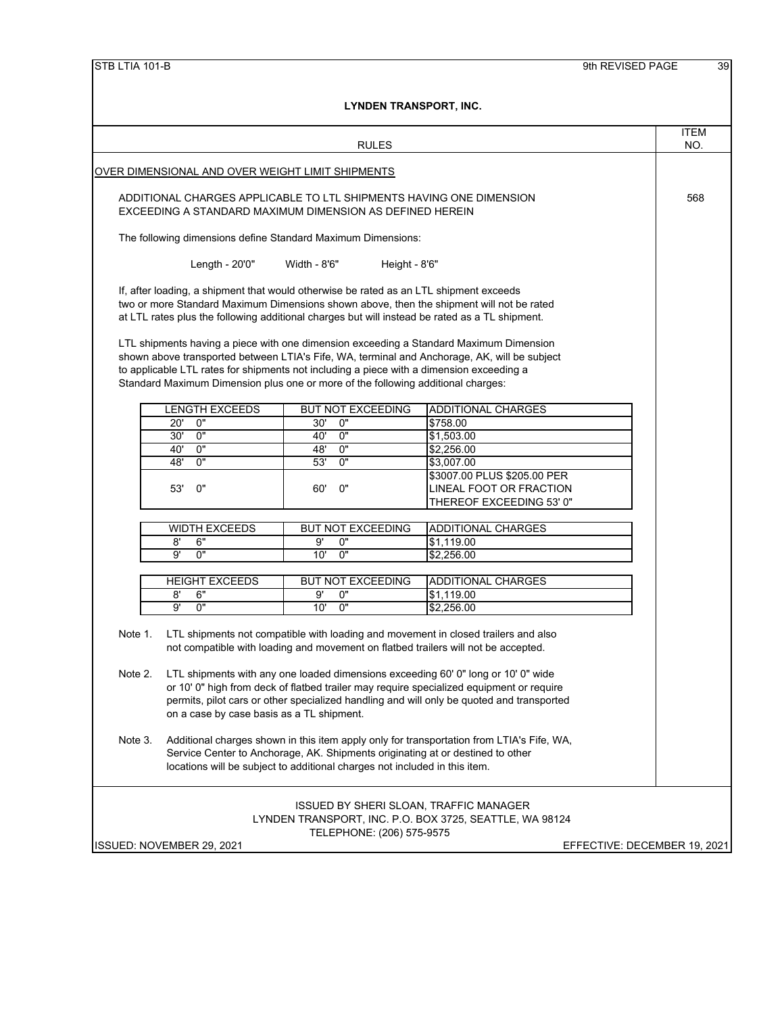|                                                                                                                                 |                                                              | LYNDEN IRANSPORT, INC.                                                                                                                                                                                                                                                               |                                                                                                                                                                                       |                              |                    |  |  |  |  |
|---------------------------------------------------------------------------------------------------------------------------------|--------------------------------------------------------------|--------------------------------------------------------------------------------------------------------------------------------------------------------------------------------------------------------------------------------------------------------------------------------------|---------------------------------------------------------------------------------------------------------------------------------------------------------------------------------------|------------------------------|--------------------|--|--|--|--|
|                                                                                                                                 |                                                              | <b>RULES</b>                                                                                                                                                                                                                                                                         |                                                                                                                                                                                       |                              | <b>ITEM</b><br>NO. |  |  |  |  |
|                                                                                                                                 | OVER DIMENSIONAL AND OVER WEIGHT LIMIT SHIPMENTS             |                                                                                                                                                                                                                                                                                      |                                                                                                                                                                                       |                              |                    |  |  |  |  |
|                                                                                                                                 |                                                              |                                                                                                                                                                                                                                                                                      |                                                                                                                                                                                       |                              |                    |  |  |  |  |
| ADDITIONAL CHARGES APPLICABLE TO LTL SHIPMENTS HAVING ONE DIMENSION<br>EXCEEDING A STANDARD MAXIMUM DIMENSION AS DEFINED HEREIN |                                                              |                                                                                                                                                                                                                                                                                      |                                                                                                                                                                                       |                              |                    |  |  |  |  |
|                                                                                                                                 | The following dimensions define Standard Maximum Dimensions: |                                                                                                                                                                                                                                                                                      |                                                                                                                                                                                       |                              |                    |  |  |  |  |
|                                                                                                                                 | Width - 8'6"<br>Length - 20'0"<br>Height - 8'6"              |                                                                                                                                                                                                                                                                                      |                                                                                                                                                                                       |                              |                    |  |  |  |  |
|                                                                                                                                 |                                                              | If, after loading, a shipment that would otherwise be rated as an LTL shipment exceeds<br>two or more Standard Maximum Dimensions shown above, then the shipment will not be rated<br>at LTL rates plus the following additional charges but will instead be rated as a TL shipment. |                                                                                                                                                                                       |                              |                    |  |  |  |  |
|                                                                                                                                 |                                                              | LTL shipments having a piece with one dimension exceeding a Standard Maximum Dimension<br>to applicable LTL rates for shipments not including a piece with a dimension exceeding a<br>Standard Maximum Dimension plus one or more of the following additional charges:               | shown above transported between LTIA's Fife, WA, terminal and Anchorage, AK, will be subject                                                                                          |                              |                    |  |  |  |  |
|                                                                                                                                 | <b>LENGTH EXCEEDS</b>                                        | <b>BUT NOT EXCEEDING</b>                                                                                                                                                                                                                                                             | <b>ADDITIONAL CHARGES</b>                                                                                                                                                             |                              |                    |  |  |  |  |
|                                                                                                                                 | 0"<br>20'                                                    | 0"<br>30'                                                                                                                                                                                                                                                                            | \$758.00                                                                                                                                                                              |                              |                    |  |  |  |  |
|                                                                                                                                 | 30'<br>0"                                                    | 40'<br>0"                                                                                                                                                                                                                                                                            | \$1,503.00                                                                                                                                                                            |                              |                    |  |  |  |  |
|                                                                                                                                 | 0"<br>40'                                                    | 0"<br>48'                                                                                                                                                                                                                                                                            | \$2,256.00                                                                                                                                                                            |                              |                    |  |  |  |  |
|                                                                                                                                 | 0"<br>48'                                                    | $\overline{0}$<br>53'                                                                                                                                                                                                                                                                | \$3,007.00                                                                                                                                                                            |                              |                    |  |  |  |  |
|                                                                                                                                 | 0"<br>53'                                                    | 0"<br>60'                                                                                                                                                                                                                                                                            | \$3007.00 PLUS \$205.00 PER<br>LINEAL FOOT OR FRACTION<br>THEREOF EXCEEDING 53' 0"                                                                                                    |                              |                    |  |  |  |  |
|                                                                                                                                 |                                                              |                                                                                                                                                                                                                                                                                      |                                                                                                                                                                                       |                              |                    |  |  |  |  |
|                                                                                                                                 | <b>WIDTH EXCEEDS</b>                                         | BUT NOT EXCEEDING                                                                                                                                                                                                                                                                    | <b>ADDITIONAL CHARGES</b>                                                                                                                                                             |                              |                    |  |  |  |  |
|                                                                                                                                 | 8'<br>6"<br>9'<br>0"                                         | 9'<br>0"<br>10'<br>0"                                                                                                                                                                                                                                                                | \$1,119.00                                                                                                                                                                            |                              |                    |  |  |  |  |
|                                                                                                                                 |                                                              |                                                                                                                                                                                                                                                                                      | \$2,256.00                                                                                                                                                                            |                              |                    |  |  |  |  |
|                                                                                                                                 | <b>HEIGHT EXCEEDS</b>                                        | <b>BUT NOT EXCEEDING</b>                                                                                                                                                                                                                                                             | <b>ADDITIONAL CHARGES</b>                                                                                                                                                             |                              |                    |  |  |  |  |
|                                                                                                                                 | 6"<br>8'                                                     | 0"<br>9'                                                                                                                                                                                                                                                                             | \$1,119.00                                                                                                                                                                            |                              |                    |  |  |  |  |
|                                                                                                                                 | 0"<br>9'                                                     | 10'<br>0"                                                                                                                                                                                                                                                                            | \$2,256.00                                                                                                                                                                            |                              |                    |  |  |  |  |
| Note 1.                                                                                                                         |                                                              | LTL shipments not compatible with loading and movement in closed trailers and also<br>not compatible with loading and movement on flatbed trailers will not be accepted.                                                                                                             |                                                                                                                                                                                       |                              |                    |  |  |  |  |
| Note 2.                                                                                                                         | on a case by case basis as a TL shipment.                    | LTL shipments with any one loaded dimensions exceeding 60' 0" long or 10' 0" wide                                                                                                                                                                                                    | or 10' 0" high from deck of flatbed trailer may require specialized equipment or require<br>permits, pilot cars or other specialized handling and will only be quoted and transported |                              |                    |  |  |  |  |
| Note 3.                                                                                                                         |                                                              | Service Center to Anchorage, AK. Shipments originating at or destined to other<br>locations will be subject to additional charges not included in this item.                                                                                                                         | Additional charges shown in this item apply only for transportation from LTIA's Fife, WA,                                                                                             |                              |                    |  |  |  |  |
|                                                                                                                                 |                                                              | ISSUED BY SHERI SLOAN, TRAFFIC MANAGER<br>TELEPHONE: (206) 575-9575                                                                                                                                                                                                                  | LYNDEN TRANSPORT, INC. P.O. BOX 3725, SEATTLE, WA 98124                                                                                                                               |                              |                    |  |  |  |  |
|                                                                                                                                 | ISSUED: NOVEMBER 29, 2021                                    |                                                                                                                                                                                                                                                                                      |                                                                                                                                                                                       | EFFECTIVE: DECEMBER 19, 2021 |                    |  |  |  |  |
|                                                                                                                                 |                                                              |                                                                                                                                                                                                                                                                                      |                                                                                                                                                                                       |                              |                    |  |  |  |  |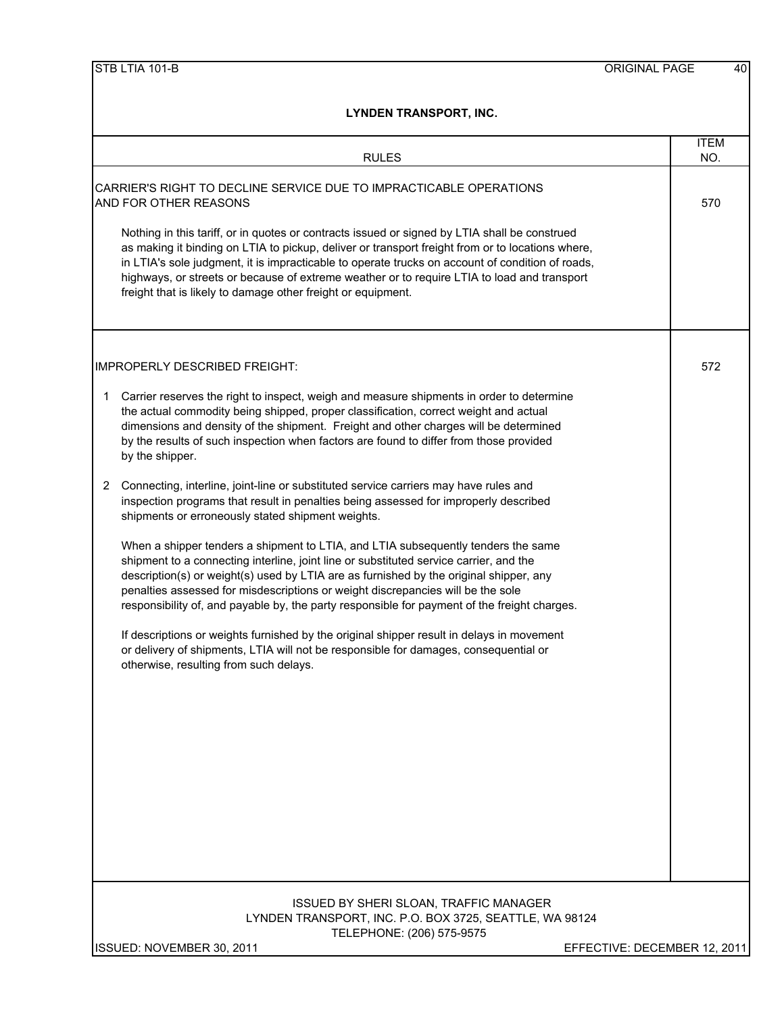| TIVLEN TRANJEVRI, INV.                                                                                                                                                                                                                                                                                                                                                                                                                                               |                    |
|----------------------------------------------------------------------------------------------------------------------------------------------------------------------------------------------------------------------------------------------------------------------------------------------------------------------------------------------------------------------------------------------------------------------------------------------------------------------|--------------------|
| <b>RULES</b>                                                                                                                                                                                                                                                                                                                                                                                                                                                         | <b>ITEM</b><br>NO. |
| CARRIER'S RIGHT TO DECLINE SERVICE DUE TO IMPRACTICABLE OPERATIONS<br>AND FOR OTHER REASONS                                                                                                                                                                                                                                                                                                                                                                          | 570                |
| Nothing in this tariff, or in quotes or contracts issued or signed by LTIA shall be construed<br>as making it binding on LTIA to pickup, deliver or transport freight from or to locations where,<br>in LTIA's sole judgment, it is impracticable to operate trucks on account of condition of roads,<br>highways, or streets or because of extreme weather or to require LTIA to load and transport<br>freight that is likely to damage other freight or equipment. |                    |
| <b>IMPROPERLY DESCRIBED FREIGHT:</b>                                                                                                                                                                                                                                                                                                                                                                                                                                 | 572                |
| Carrier reserves the right to inspect, weigh and measure shipments in order to determine<br>1<br>the actual commodity being shipped, proper classification, correct weight and actual<br>dimensions and density of the shipment. Freight and other charges will be determined<br>by the results of such inspection when factors are found to differ from those provided<br>by the shipper.                                                                           |                    |
| Connecting, interline, joint-line or substituted service carriers may have rules and<br>2<br>inspection programs that result in penalties being assessed for improperly described<br>shipments or erroneously stated shipment weights.                                                                                                                                                                                                                               |                    |
| When a shipper tenders a shipment to LTIA, and LTIA subsequently tenders the same<br>shipment to a connecting interline, joint line or substituted service carrier, and the<br>description(s) or weight(s) used by LTIA are as furnished by the original shipper, any<br>penalties assessed for misdescriptions or weight discrepancies will be the sole<br>responsibility of, and payable by, the party responsible for payment of the freight charges.             |                    |
| If descriptions or weights furnished by the original shipper result in delays in movement<br>or delivery of shipments, LTIA will not be responsible for damages, consequential or<br>otherwise, resulting from such delays.                                                                                                                                                                                                                                          |                    |
|                                                                                                                                                                                                                                                                                                                                                                                                                                                                      |                    |
|                                                                                                                                                                                                                                                                                                                                                                                                                                                                      |                    |
|                                                                                                                                                                                                                                                                                                                                                                                                                                                                      |                    |
| <b>ISSUED BY SHERI SLOAN, TRAFFIC MANAGER</b><br>LYNDEN TRANSPORT, INC. P.O. BOX 3725, SEATTLE, WA 98124<br>TELEPHONE: (206) 575-9575                                                                                                                                                                                                                                                                                                                                |                    |
| ISSUED: NOVEMBER 30, 2011<br>EFFECTIVE: DECEMBER 12, 2011                                                                                                                                                                                                                                                                                                                                                                                                            |                    |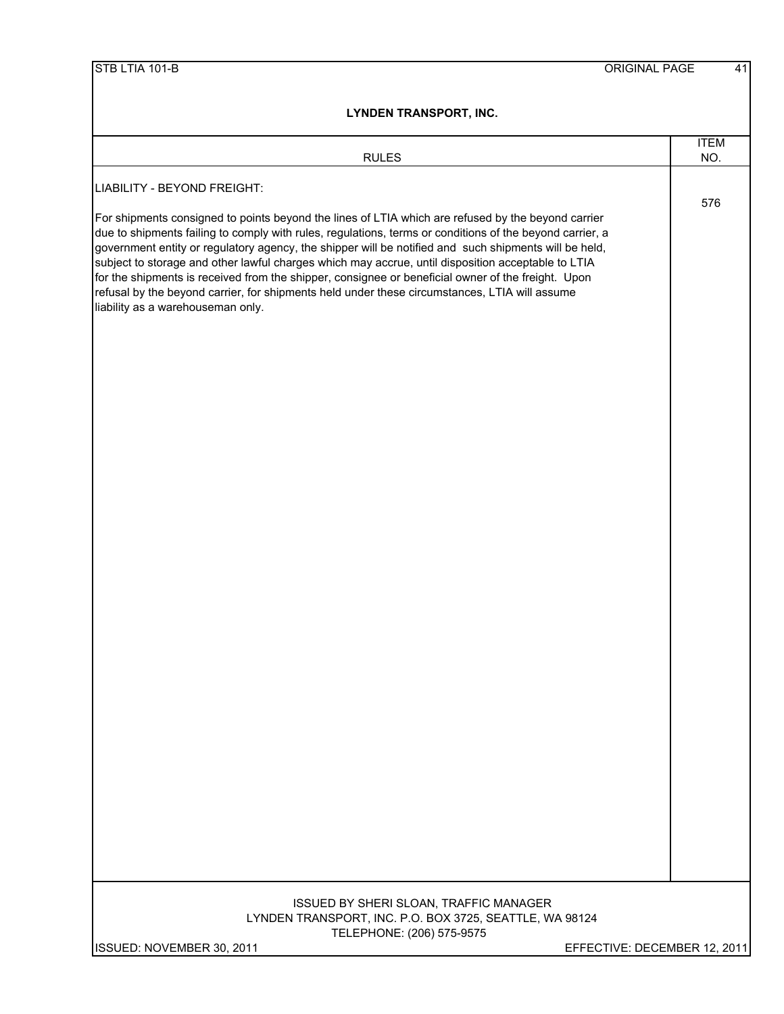| <b>RULES</b>                                                                                                                                                                                                                                                                                                                                                                                                                                                                                                                                                                                                                                                              | <b>ITEM</b><br>NO. |
|---------------------------------------------------------------------------------------------------------------------------------------------------------------------------------------------------------------------------------------------------------------------------------------------------------------------------------------------------------------------------------------------------------------------------------------------------------------------------------------------------------------------------------------------------------------------------------------------------------------------------------------------------------------------------|--------------------|
| LIABILITY - BEYOND FREIGHT:                                                                                                                                                                                                                                                                                                                                                                                                                                                                                                                                                                                                                                               |                    |
| For shipments consigned to points beyond the lines of LTIA which are refused by the beyond carrier<br>due to shipments failing to comply with rules, regulations, terms or conditions of the beyond carrier, a<br>government entity or regulatory agency, the shipper will be notified and such shipments will be held,<br>subject to storage and other lawful charges which may accrue, until disposition acceptable to LTIA<br>for the shipments is received from the shipper, consignee or beneficial owner of the freight. Upon<br>refusal by the beyond carrier, for shipments held under these circumstances, LTIA will assume<br>liability as a warehouseman only. | 576                |
|                                                                                                                                                                                                                                                                                                                                                                                                                                                                                                                                                                                                                                                                           |                    |
|                                                                                                                                                                                                                                                                                                                                                                                                                                                                                                                                                                                                                                                                           |                    |
|                                                                                                                                                                                                                                                                                                                                                                                                                                                                                                                                                                                                                                                                           |                    |
|                                                                                                                                                                                                                                                                                                                                                                                                                                                                                                                                                                                                                                                                           |                    |
|                                                                                                                                                                                                                                                                                                                                                                                                                                                                                                                                                                                                                                                                           |                    |
|                                                                                                                                                                                                                                                                                                                                                                                                                                                                                                                                                                                                                                                                           |                    |
|                                                                                                                                                                                                                                                                                                                                                                                                                                                                                                                                                                                                                                                                           |                    |
|                                                                                                                                                                                                                                                                                                                                                                                                                                                                                                                                                                                                                                                                           |                    |
|                                                                                                                                                                                                                                                                                                                                                                                                                                                                                                                                                                                                                                                                           |                    |
|                                                                                                                                                                                                                                                                                                                                                                                                                                                                                                                                                                                                                                                                           |                    |
|                                                                                                                                                                                                                                                                                                                                                                                                                                                                                                                                                                                                                                                                           |                    |
|                                                                                                                                                                                                                                                                                                                                                                                                                                                                                                                                                                                                                                                                           |                    |
|                                                                                                                                                                                                                                                                                                                                                                                                                                                                                                                                                                                                                                                                           |                    |
|                                                                                                                                                                                                                                                                                                                                                                                                                                                                                                                                                                                                                                                                           |                    |
|                                                                                                                                                                                                                                                                                                                                                                                                                                                                                                                                                                                                                                                                           |                    |
|                                                                                                                                                                                                                                                                                                                                                                                                                                                                                                                                                                                                                                                                           |                    |
|                                                                                                                                                                                                                                                                                                                                                                                                                                                                                                                                                                                                                                                                           |                    |
|                                                                                                                                                                                                                                                                                                                                                                                                                                                                                                                                                                                                                                                                           |                    |
| ISSUED BY SHERI SLOAN, TRAFFIC MANAGER<br>LYNDEN TRANSPORT, INC. P.O. BOX 3725, SEATTLE, WA 98124                                                                                                                                                                                                                                                                                                                                                                                                                                                                                                                                                                         |                    |
| TELEPHONE: (206) 575-9575<br>ISSUED: NOVEMBER 30, 2011<br>EFFECTIVE: DECEMBER 12, 2011                                                                                                                                                                                                                                                                                                                                                                                                                                                                                                                                                                                    |                    |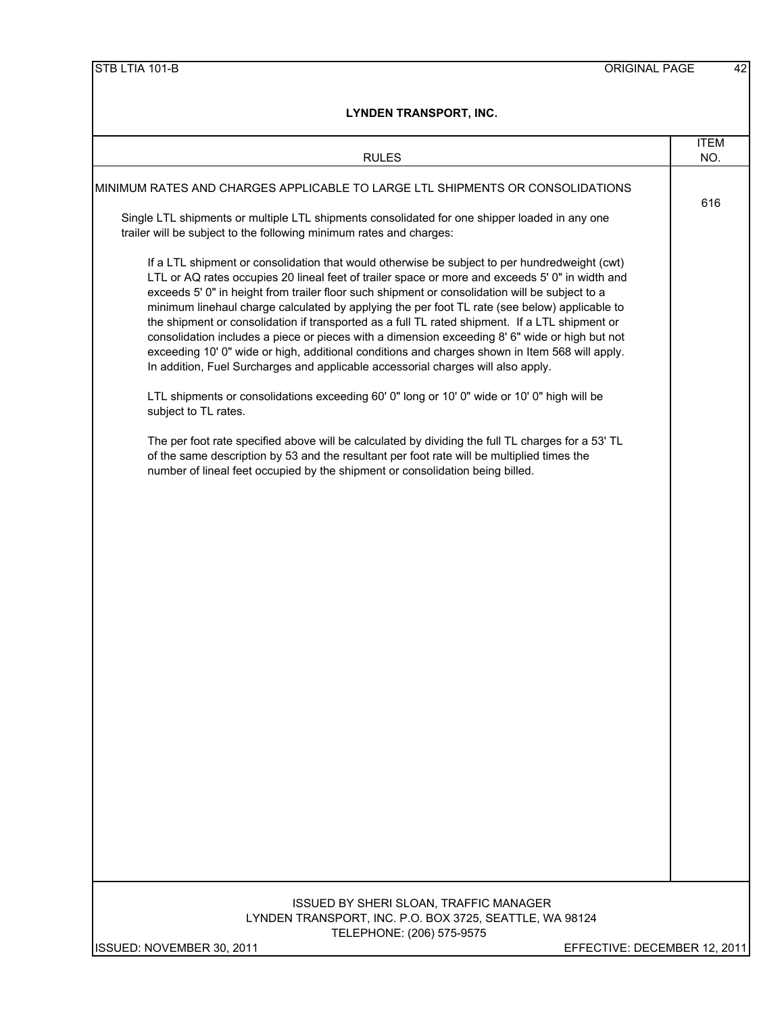| <b>RULES</b>                                                                                                                                                                                                                                                                                                                                                                                                                                                                                                                                                                                                                                                                                                                                                                                  | <b>ITEM</b><br>NO. |
|-----------------------------------------------------------------------------------------------------------------------------------------------------------------------------------------------------------------------------------------------------------------------------------------------------------------------------------------------------------------------------------------------------------------------------------------------------------------------------------------------------------------------------------------------------------------------------------------------------------------------------------------------------------------------------------------------------------------------------------------------------------------------------------------------|--------------------|
| MINIMUM RATES AND CHARGES APPLICABLE TO LARGE LTL SHIPMENTS OR CONSOLIDATIONS                                                                                                                                                                                                                                                                                                                                                                                                                                                                                                                                                                                                                                                                                                                 |                    |
| Single LTL shipments or multiple LTL shipments consolidated for one shipper loaded in any one<br>trailer will be subject to the following minimum rates and charges:                                                                                                                                                                                                                                                                                                                                                                                                                                                                                                                                                                                                                          | 616                |
| If a LTL shipment or consolidation that would otherwise be subject to per hundredweight (cwt)<br>LTL or AQ rates occupies 20 lineal feet of trailer space or more and exceeds 5' 0" in width and<br>exceeds 5' 0" in height from trailer floor such shipment or consolidation will be subject to a<br>minimum linehaul charge calculated by applying the per foot TL rate (see below) applicable to<br>the shipment or consolidation if transported as a full TL rated shipment. If a LTL shipment or<br>consolidation includes a piece or pieces with a dimension exceeding 8' 6" wide or high but not<br>exceeding 10' 0" wide or high, additional conditions and charges shown in Item 568 will apply.<br>In addition, Fuel Surcharges and applicable accessorial charges will also apply. |                    |
| LTL shipments or consolidations exceeding 60' 0" long or 10' 0" wide or 10' 0" high will be<br>subject to TL rates.                                                                                                                                                                                                                                                                                                                                                                                                                                                                                                                                                                                                                                                                           |                    |
| The per foot rate specified above will be calculated by dividing the full TL charges for a 53' TL<br>of the same description by 53 and the resultant per foot rate will be multiplied times the<br>number of lineal feet occupied by the shipment or consolidation being billed.                                                                                                                                                                                                                                                                                                                                                                                                                                                                                                              |                    |
|                                                                                                                                                                                                                                                                                                                                                                                                                                                                                                                                                                                                                                                                                                                                                                                               |                    |
|                                                                                                                                                                                                                                                                                                                                                                                                                                                                                                                                                                                                                                                                                                                                                                                               |                    |
|                                                                                                                                                                                                                                                                                                                                                                                                                                                                                                                                                                                                                                                                                                                                                                                               |                    |
|                                                                                                                                                                                                                                                                                                                                                                                                                                                                                                                                                                                                                                                                                                                                                                                               |                    |
|                                                                                                                                                                                                                                                                                                                                                                                                                                                                                                                                                                                                                                                                                                                                                                                               |                    |
|                                                                                                                                                                                                                                                                                                                                                                                                                                                                                                                                                                                                                                                                                                                                                                                               |                    |
|                                                                                                                                                                                                                                                                                                                                                                                                                                                                                                                                                                                                                                                                                                                                                                                               |                    |
|                                                                                                                                                                                                                                                                                                                                                                                                                                                                                                                                                                                                                                                                                                                                                                                               |                    |
|                                                                                                                                                                                                                                                                                                                                                                                                                                                                                                                                                                                                                                                                                                                                                                                               |                    |
| ISSUED BY SHERI SLOAN, TRAFFIC MANAGER<br>LYNDEN TRANSPORT, INC. P.O. BOX 3725, SEATTLE, WA 98124<br>TELEPHONE: (206) 575-9575                                                                                                                                                                                                                                                                                                                                                                                                                                                                                                                                                                                                                                                                |                    |
| ISSUED: NOVEMBER 30, 2011<br>EFFECTIVE: DECEMBER 12, 2011                                                                                                                                                                                                                                                                                                                                                                                                                                                                                                                                                                                                                                                                                                                                     |                    |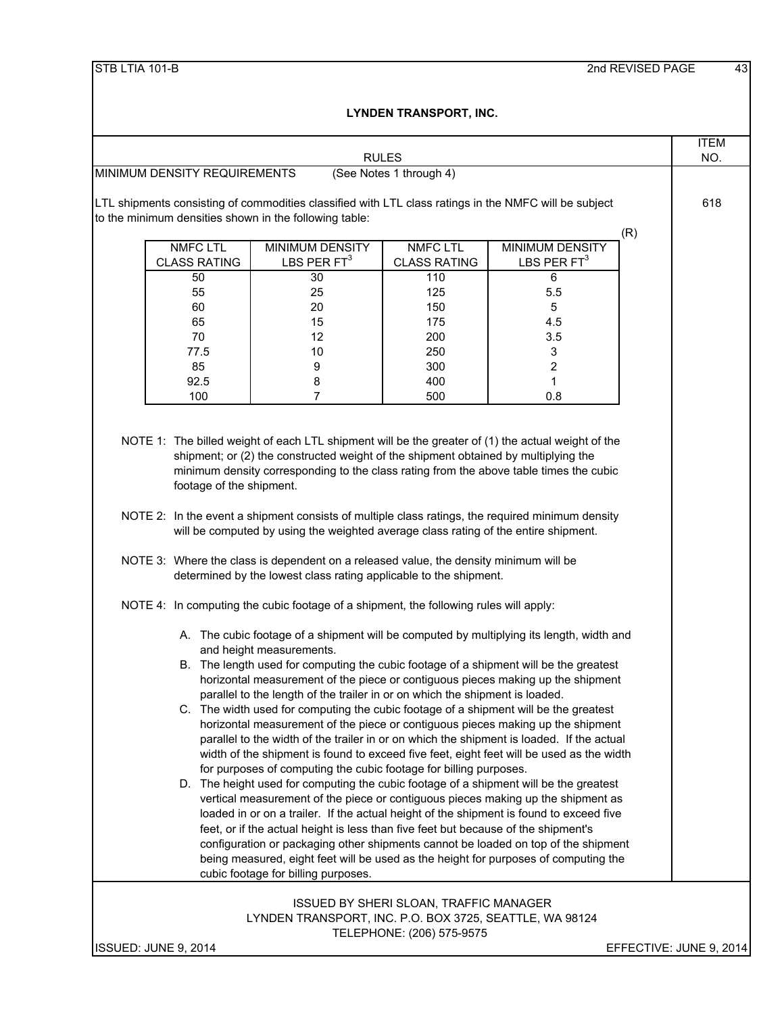|                                                                                                                                                                 |                                                                                                                                                                                                                                                                                   | <b>RULES</b>                                  |                         |                         | <b>ITEM</b><br>NO. |
|-----------------------------------------------------------------------------------------------------------------------------------------------------------------|-----------------------------------------------------------------------------------------------------------------------------------------------------------------------------------------------------------------------------------------------------------------------------------|-----------------------------------------------|-------------------------|-------------------------|--------------------|
| MINIMUM DENSITY REQUIREMENTS                                                                                                                                    |                                                                                                                                                                                                                                                                                   | (See Notes 1 through 4)                       |                         |                         |                    |
| LTL shipments consisting of commodities classified with LTL class ratings in the NMFC will be subject<br>to the minimum densities shown in the following table: |                                                                                                                                                                                                                                                                                   |                                               |                         |                         | 618                |
| <b>NMFC LTL</b>                                                                                                                                                 | <b>MINIMUM DENSITY</b>                                                                                                                                                                                                                                                            | <b>NMFC LTL</b>                               | <b>MINIMUM DENSITY</b>  | (R)                     |                    |
| <b>CLASS RATING</b>                                                                                                                                             | LBS PER $FT3$                                                                                                                                                                                                                                                                     | <b>CLASS RATING</b>                           | LBS PER $FT3$           |                         |                    |
| 50                                                                                                                                                              | 30                                                                                                                                                                                                                                                                                | 110                                           | 6                       |                         |                    |
| 55                                                                                                                                                              | 25                                                                                                                                                                                                                                                                                | 125                                           | 5.5                     |                         |                    |
| 60                                                                                                                                                              | 20                                                                                                                                                                                                                                                                                | 150                                           | 5                       |                         |                    |
| 65                                                                                                                                                              | 15                                                                                                                                                                                                                                                                                | 175                                           | 4.5                     |                         |                    |
| 70                                                                                                                                                              | 12                                                                                                                                                                                                                                                                                | 200                                           | 3.5                     |                         |                    |
| 77.5                                                                                                                                                            | 10                                                                                                                                                                                                                                                                                | 250                                           | 3                       |                         |                    |
| 85                                                                                                                                                              | 9                                                                                                                                                                                                                                                                                 | 300                                           | $\overline{\mathbf{c}}$ |                         |                    |
| 92.5                                                                                                                                                            | 8                                                                                                                                                                                                                                                                                 | 400                                           | 1                       |                         |                    |
| 100                                                                                                                                                             | 7                                                                                                                                                                                                                                                                                 | 500                                           | 0.8                     |                         |                    |
| footage of the shipment.                                                                                                                                        | minimum density corresponding to the class rating from the above table times the cubic<br>NOTE 2: In the event a shipment consists of multiple class ratings, the required minimum density<br>will be computed by using the weighted average class rating of the entire shipment. |                                               |                         |                         |                    |
| NOTE 4: In computing the cubic footage of a shipment, the following rules will apply:                                                                           | NOTE 3: Where the class is dependent on a released value, the density minimum will be<br>determined by the lowest class rating applicable to the shipment.                                                                                                                        |                                               |                         |                         |                    |
|                                                                                                                                                                 | A. The cubic footage of a shipment will be computed by multiplying its length, width and<br>and height measurements.                                                                                                                                                              |                                               |                         |                         |                    |
|                                                                                                                                                                 | B. The length used for computing the cubic footage of a shipment will be the greatest<br>horizontal measurement of the piece or contiguous pieces making up the shipment<br>parallel to the length of the trailer in or on which the shipment is loaded.                          |                                               |                         |                         |                    |
|                                                                                                                                                                 | C. The width used for computing the cubic footage of a shipment will be the greatest                                                                                                                                                                                              |                                               |                         |                         |                    |
|                                                                                                                                                                 | horizontal measurement of the piece or contiguous pieces making up the shipment                                                                                                                                                                                                   |                                               |                         |                         |                    |
|                                                                                                                                                                 | parallel to the width of the trailer in or on which the shipment is loaded. If the actual                                                                                                                                                                                         |                                               |                         |                         |                    |
|                                                                                                                                                                 | width of the shipment is found to exceed five feet, eight feet will be used as the width                                                                                                                                                                                          |                                               |                         |                         |                    |
|                                                                                                                                                                 | for purposes of computing the cubic footage for billing purposes.                                                                                                                                                                                                                 |                                               |                         |                         |                    |
|                                                                                                                                                                 | D. The height used for computing the cubic footage of a shipment will be the greatest                                                                                                                                                                                             |                                               |                         |                         |                    |
|                                                                                                                                                                 | vertical measurement of the piece or contiguous pieces making up the shipment as                                                                                                                                                                                                  |                                               |                         |                         |                    |
|                                                                                                                                                                 | loaded in or on a trailer. If the actual height of the shipment is found to exceed five<br>feet, or if the actual height is less than five feet but because of the shipment's                                                                                                     |                                               |                         |                         |                    |
|                                                                                                                                                                 | configuration or packaging other shipments cannot be loaded on top of the shipment                                                                                                                                                                                                |                                               |                         |                         |                    |
|                                                                                                                                                                 | being measured, eight feet will be used as the height for purposes of computing the                                                                                                                                                                                               |                                               |                         |                         |                    |
|                                                                                                                                                                 | cubic footage for billing purposes.                                                                                                                                                                                                                                               |                                               |                         |                         |                    |
|                                                                                                                                                                 |                                                                                                                                                                                                                                                                                   |                                               |                         |                         |                    |
|                                                                                                                                                                 |                                                                                                                                                                                                                                                                                   | <b>ISSUED BY SHERI SLOAN, TRAFFIC MANAGER</b> |                         |                         |                    |
|                                                                                                                                                                 | LYNDEN TRANSPORT, INC. P.O. BOX 3725, SEATTLE, WA 98124                                                                                                                                                                                                                           |                                               |                         |                         |                    |
|                                                                                                                                                                 |                                                                                                                                                                                                                                                                                   | TELEPHONE: (206) 575-9575                     |                         |                         |                    |
| ISSUED: JUNE 9, 2014                                                                                                                                            |                                                                                                                                                                                                                                                                                   |                                               |                         | EFFECTIVE: JUNE 9, 2014 |                    |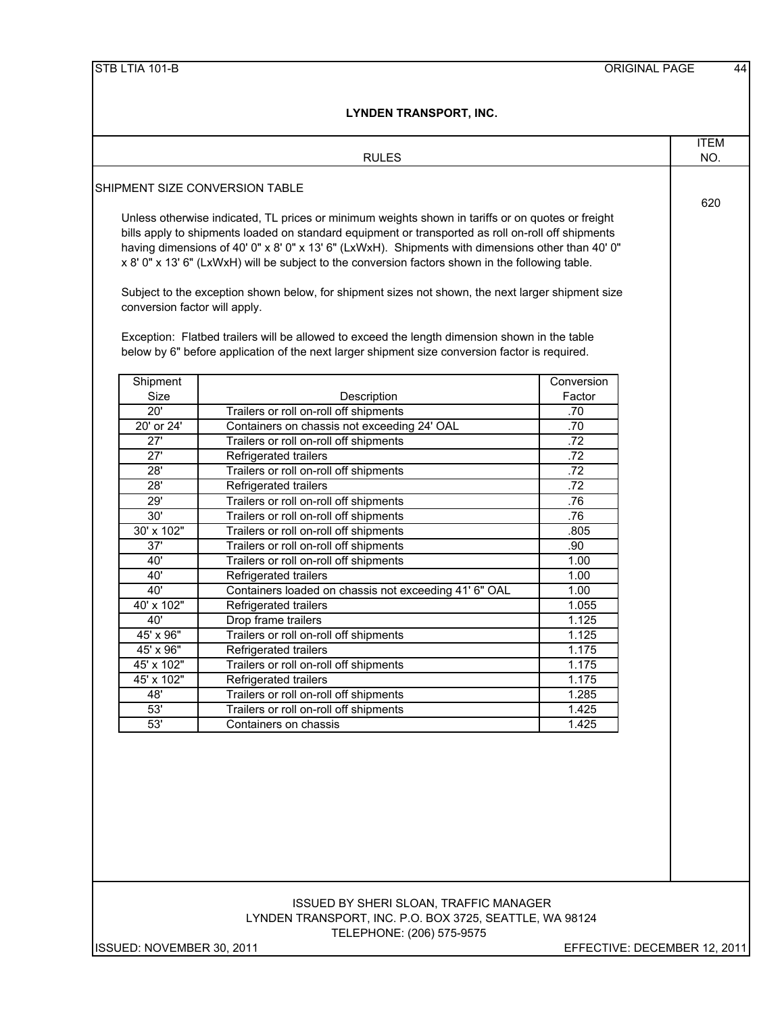| SHIPMENT SIZE CONVERSION TABLE<br>conversion factor will apply.<br>Shipment<br>Size<br>20'<br>20' or 24'<br>27'<br>$\overline{27}$<br>28' | Unless otherwise indicated, TL prices or minimum weights shown in tariffs or on quotes or freight<br>bills apply to shipments loaded on standard equipment or transported as roll on-roll off shipments<br>having dimensions of 40' 0" x 8' 0" x 13' 6" (LxWxH). Shipments with dimensions other than 40' 0"<br>x 8' 0" x 13' 6" (LxWxH) will be subject to the conversion factors shown in the following table.<br>Subject to the exception shown below, for shipment sizes not shown, the next larger shipment size<br>Exception: Flatbed trailers will be allowed to exceed the length dimension shown in the table<br>below by 6" before application of the next larger shipment size conversion factor is required.<br>Description<br>Trailers or roll on-roll off shipments<br>Containers on chassis not exceeding 24' OAL<br>Trailers or roll on-roll off shipments | Conversion<br>Factor<br>.70 | 620 |
|-------------------------------------------------------------------------------------------------------------------------------------------|----------------------------------------------------------------------------------------------------------------------------------------------------------------------------------------------------------------------------------------------------------------------------------------------------------------------------------------------------------------------------------------------------------------------------------------------------------------------------------------------------------------------------------------------------------------------------------------------------------------------------------------------------------------------------------------------------------------------------------------------------------------------------------------------------------------------------------------------------------------------------|-----------------------------|-----|
|                                                                                                                                           |                                                                                                                                                                                                                                                                                                                                                                                                                                                                                                                                                                                                                                                                                                                                                                                                                                                                            |                             |     |
|                                                                                                                                           |                                                                                                                                                                                                                                                                                                                                                                                                                                                                                                                                                                                                                                                                                                                                                                                                                                                                            |                             |     |
|                                                                                                                                           |                                                                                                                                                                                                                                                                                                                                                                                                                                                                                                                                                                                                                                                                                                                                                                                                                                                                            |                             |     |
|                                                                                                                                           |                                                                                                                                                                                                                                                                                                                                                                                                                                                                                                                                                                                                                                                                                                                                                                                                                                                                            |                             |     |
|                                                                                                                                           |                                                                                                                                                                                                                                                                                                                                                                                                                                                                                                                                                                                                                                                                                                                                                                                                                                                                            |                             |     |
|                                                                                                                                           |                                                                                                                                                                                                                                                                                                                                                                                                                                                                                                                                                                                                                                                                                                                                                                                                                                                                            |                             |     |
|                                                                                                                                           |                                                                                                                                                                                                                                                                                                                                                                                                                                                                                                                                                                                                                                                                                                                                                                                                                                                                            |                             |     |
|                                                                                                                                           |                                                                                                                                                                                                                                                                                                                                                                                                                                                                                                                                                                                                                                                                                                                                                                                                                                                                            |                             |     |
|                                                                                                                                           |                                                                                                                                                                                                                                                                                                                                                                                                                                                                                                                                                                                                                                                                                                                                                                                                                                                                            |                             |     |
|                                                                                                                                           |                                                                                                                                                                                                                                                                                                                                                                                                                                                                                                                                                                                                                                                                                                                                                                                                                                                                            |                             |     |
|                                                                                                                                           |                                                                                                                                                                                                                                                                                                                                                                                                                                                                                                                                                                                                                                                                                                                                                                                                                                                                            |                             |     |
|                                                                                                                                           |                                                                                                                                                                                                                                                                                                                                                                                                                                                                                                                                                                                                                                                                                                                                                                                                                                                                            |                             |     |
|                                                                                                                                           |                                                                                                                                                                                                                                                                                                                                                                                                                                                                                                                                                                                                                                                                                                                                                                                                                                                                            |                             |     |
|                                                                                                                                           |                                                                                                                                                                                                                                                                                                                                                                                                                                                                                                                                                                                                                                                                                                                                                                                                                                                                            |                             |     |
|                                                                                                                                           |                                                                                                                                                                                                                                                                                                                                                                                                                                                                                                                                                                                                                                                                                                                                                                                                                                                                            |                             |     |
|                                                                                                                                           |                                                                                                                                                                                                                                                                                                                                                                                                                                                                                                                                                                                                                                                                                                                                                                                                                                                                            |                             |     |
|                                                                                                                                           |                                                                                                                                                                                                                                                                                                                                                                                                                                                                                                                                                                                                                                                                                                                                                                                                                                                                            | .70<br>.72                  |     |
|                                                                                                                                           | Refrigerated trailers                                                                                                                                                                                                                                                                                                                                                                                                                                                                                                                                                                                                                                                                                                                                                                                                                                                      | .72                         |     |
|                                                                                                                                           | Trailers or roll on-roll off shipments                                                                                                                                                                                                                                                                                                                                                                                                                                                                                                                                                                                                                                                                                                                                                                                                                                     | .72                         |     |
| 28'                                                                                                                                       | Refrigerated trailers                                                                                                                                                                                                                                                                                                                                                                                                                                                                                                                                                                                                                                                                                                                                                                                                                                                      | .72                         |     |
| 29'                                                                                                                                       | Trailers or roll on-roll off shipments                                                                                                                                                                                                                                                                                                                                                                                                                                                                                                                                                                                                                                                                                                                                                                                                                                     | .76                         |     |
| 30'                                                                                                                                       | Trailers or roll on-roll off shipments                                                                                                                                                                                                                                                                                                                                                                                                                                                                                                                                                                                                                                                                                                                                                                                                                                     | .76                         |     |
| 30' x 102"                                                                                                                                | Trailers or roll on-roll off shipments                                                                                                                                                                                                                                                                                                                                                                                                                                                                                                                                                                                                                                                                                                                                                                                                                                     | .805                        |     |
| 37'                                                                                                                                       | Trailers or roll on-roll off shipments                                                                                                                                                                                                                                                                                                                                                                                                                                                                                                                                                                                                                                                                                                                                                                                                                                     | .90                         |     |
| 40'                                                                                                                                       | Trailers or roll on-roll off shipments                                                                                                                                                                                                                                                                                                                                                                                                                                                                                                                                                                                                                                                                                                                                                                                                                                     | 1.00                        |     |
| 40'                                                                                                                                       | Refrigerated trailers                                                                                                                                                                                                                                                                                                                                                                                                                                                                                                                                                                                                                                                                                                                                                                                                                                                      | 1.00                        |     |
| 40'                                                                                                                                       | Containers loaded on chassis not exceeding 41' 6" OAL                                                                                                                                                                                                                                                                                                                                                                                                                                                                                                                                                                                                                                                                                                                                                                                                                      | 1.00                        |     |
| 40' x 102"                                                                                                                                | Refrigerated trailers                                                                                                                                                                                                                                                                                                                                                                                                                                                                                                                                                                                                                                                                                                                                                                                                                                                      | 1.055                       |     |
| 40'                                                                                                                                       | Drop frame trailers                                                                                                                                                                                                                                                                                                                                                                                                                                                                                                                                                                                                                                                                                                                                                                                                                                                        | 1.125                       |     |
| 45' x 96"                                                                                                                                 | Trailers or roll on-roll off shipments                                                                                                                                                                                                                                                                                                                                                                                                                                                                                                                                                                                                                                                                                                                                                                                                                                     | 1.125                       |     |
| 45' x 96"                                                                                                                                 | Refrigerated trailers                                                                                                                                                                                                                                                                                                                                                                                                                                                                                                                                                                                                                                                                                                                                                                                                                                                      | 1.175                       |     |
| $45' \times 102"$                                                                                                                         | Trailers or roll on-roll off shipments                                                                                                                                                                                                                                                                                                                                                                                                                                                                                                                                                                                                                                                                                                                                                                                                                                     | 1.175                       |     |
| 45' x 102"<br>48'                                                                                                                         | Refrigerated trailers<br>Trailers or roll on-roll off shipments                                                                                                                                                                                                                                                                                                                                                                                                                                                                                                                                                                                                                                                                                                                                                                                                            | 1.175<br>1.285              |     |
|                                                                                                                                           |                                                                                                                                                                                                                                                                                                                                                                                                                                                                                                                                                                                                                                                                                                                                                                                                                                                                            | 1.425                       |     |
|                                                                                                                                           |                                                                                                                                                                                                                                                                                                                                                                                                                                                                                                                                                                                                                                                                                                                                                                                                                                                                            |                             |     |
| 53'<br>53'                                                                                                                                | Trailers or roll on-roll off shipments<br>Containers on chassis                                                                                                                                                                                                                                                                                                                                                                                                                                                                                                                                                                                                                                                                                                                                                                                                            | 1.425                       |     |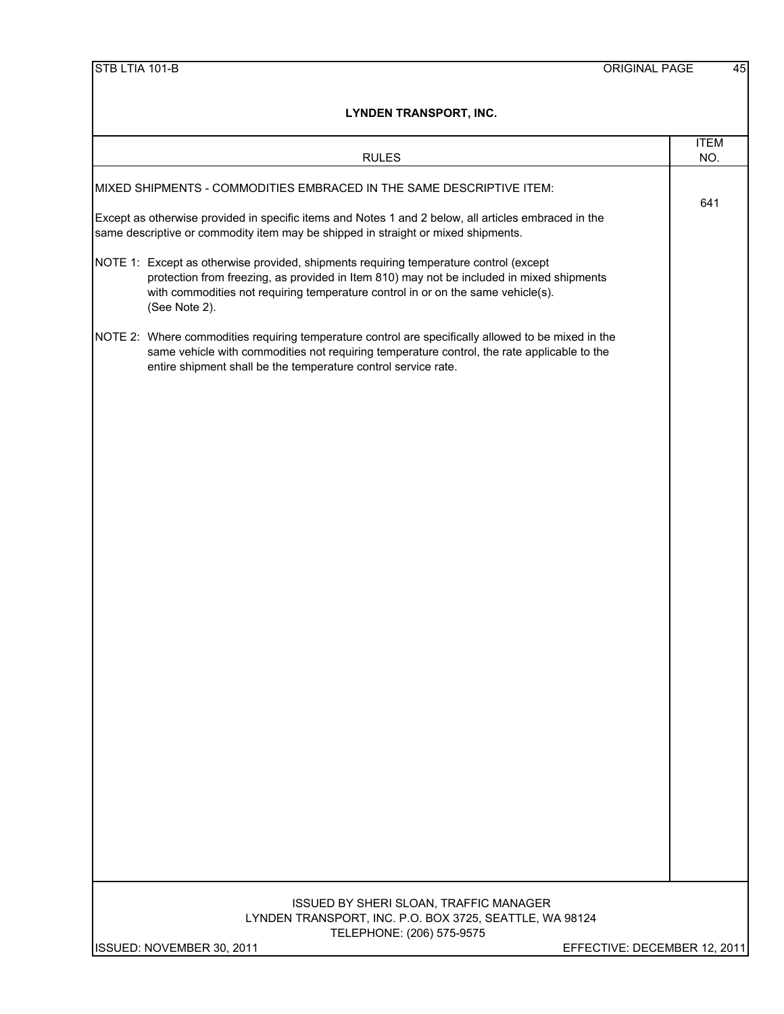|                           | LYNDEN I KANSPORT, ING.                                                                                                                                                                                                                                                |                              |
|---------------------------|------------------------------------------------------------------------------------------------------------------------------------------------------------------------------------------------------------------------------------------------------------------------|------------------------------|
|                           | <b>RULES</b>                                                                                                                                                                                                                                                           | <b>ITEM</b><br>NO.           |
|                           | MIXED SHIPMENTS - COMMODITIES EMBRACED IN THE SAME DESCRIPTIVE ITEM:                                                                                                                                                                                                   |                              |
|                           | Except as otherwise provided in specific items and Notes 1 and 2 below, all articles embraced in the<br>same descriptive or commodity item may be shipped in straight or mixed shipments.                                                                              | 641                          |
| (See Note 2).             | NOTE 1: Except as otherwise provided, shipments requiring temperature control (except<br>protection from freezing, as provided in Item 810) may not be included in mixed shipments<br>with commodities not requiring temperature control in or on the same vehicle(s). |                              |
|                           | NOTE 2: Where commodities requiring temperature control are specifically allowed to be mixed in the<br>same vehicle with commodities not requiring temperature control, the rate applicable to the<br>entire shipment shall be the temperature control service rate.   |                              |
|                           |                                                                                                                                                                                                                                                                        |                              |
|                           |                                                                                                                                                                                                                                                                        |                              |
|                           |                                                                                                                                                                                                                                                                        |                              |
|                           |                                                                                                                                                                                                                                                                        |                              |
|                           |                                                                                                                                                                                                                                                                        |                              |
|                           |                                                                                                                                                                                                                                                                        |                              |
|                           |                                                                                                                                                                                                                                                                        |                              |
|                           |                                                                                                                                                                                                                                                                        |                              |
|                           | ISSUED BY SHERI SLOAN, TRAFFIC MANAGER<br>LYNDEN TRANSPORT, INC. P.O. BOX 3725, SEATTLE, WA 98124<br>TELEPHONE: (206) 575-9575                                                                                                                                         |                              |
| ISSUED: NOVEMBER 30, 2011 |                                                                                                                                                                                                                                                                        | EFFECTIVE: DECEMBER 12, 2011 |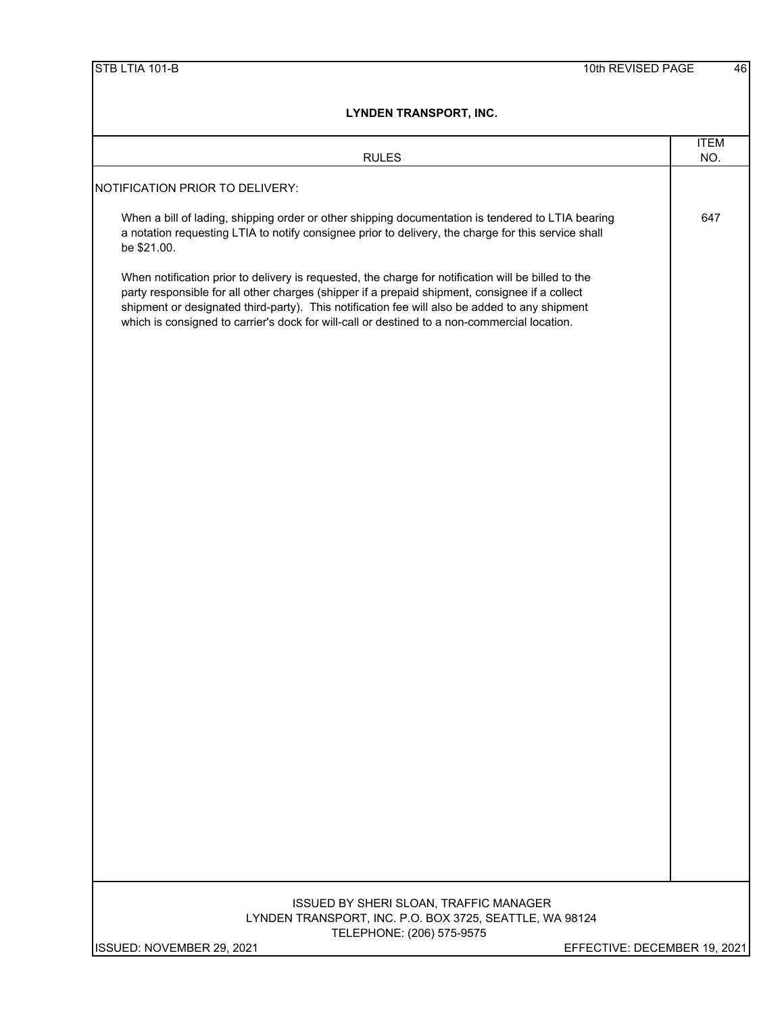| <b>RULES</b>                                                                                                                                                                                                                                                                                                                                                                                           | <b>ITEM</b><br>NO. |
|--------------------------------------------------------------------------------------------------------------------------------------------------------------------------------------------------------------------------------------------------------------------------------------------------------------------------------------------------------------------------------------------------------|--------------------|
|                                                                                                                                                                                                                                                                                                                                                                                                        |                    |
| NOTIFICATION PRIOR TO DELIVERY:                                                                                                                                                                                                                                                                                                                                                                        |                    |
| When a bill of lading, shipping order or other shipping documentation is tendered to LTIA bearing<br>a notation requesting LTIA to notify consignee prior to delivery, the charge for this service shall<br>be \$21.00.                                                                                                                                                                                | 647                |
| When notification prior to delivery is requested, the charge for notification will be billed to the<br>party responsible for all other charges (shipper if a prepaid shipment, consignee if a collect<br>shipment or designated third-party). This notification fee will also be added to any shipment<br>which is consigned to carrier's dock for will-call or destined to a non-commercial location. |                    |
|                                                                                                                                                                                                                                                                                                                                                                                                        |                    |
|                                                                                                                                                                                                                                                                                                                                                                                                        |                    |
|                                                                                                                                                                                                                                                                                                                                                                                                        |                    |
|                                                                                                                                                                                                                                                                                                                                                                                                        |                    |
|                                                                                                                                                                                                                                                                                                                                                                                                        |                    |
|                                                                                                                                                                                                                                                                                                                                                                                                        |                    |
|                                                                                                                                                                                                                                                                                                                                                                                                        |                    |
|                                                                                                                                                                                                                                                                                                                                                                                                        |                    |
|                                                                                                                                                                                                                                                                                                                                                                                                        |                    |
|                                                                                                                                                                                                                                                                                                                                                                                                        |                    |
|                                                                                                                                                                                                                                                                                                                                                                                                        |                    |
|                                                                                                                                                                                                                                                                                                                                                                                                        |                    |
|                                                                                                                                                                                                                                                                                                                                                                                                        |                    |
|                                                                                                                                                                                                                                                                                                                                                                                                        |                    |
|                                                                                                                                                                                                                                                                                                                                                                                                        |                    |
|                                                                                                                                                                                                                                                                                                                                                                                                        |                    |
| ISSUED BY SHERI SLOAN, TRAFFIC MANAGER<br>LYNDEN TRANSPORT, INC. P.O. BOX 3725, SEATTLE, WA 98124<br>TELEPHONE: (206) 575-9575                                                                                                                                                                                                                                                                         |                    |
| ISSUED: NOVEMBER 29, 2021<br>EFFECTIVE: DECEMBER 19, 2021                                                                                                                                                                                                                                                                                                                                              |                    |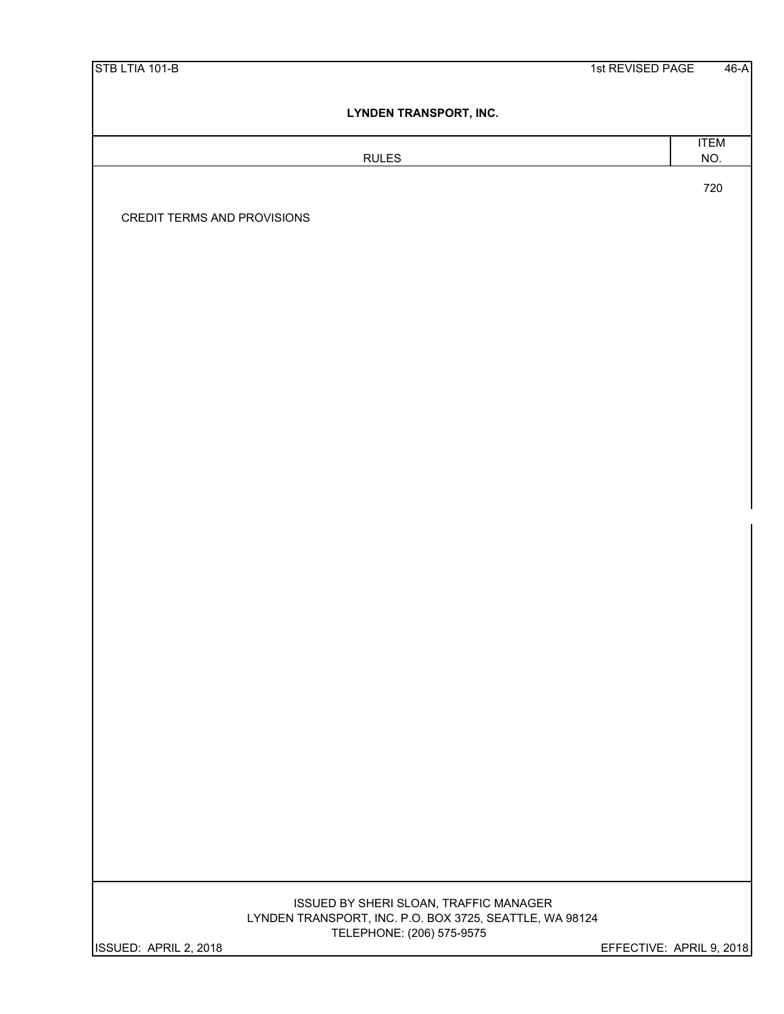| STB LTIA 101-B |  |
|----------------|--|
|----------------|--|

# RULES NO.

ITEM

720

CREDIT TERMS AND PROVISIONS

# TELEPHONE: (206) 575-9575 LYNDEN TRANSPORT, INC. P.O. BOX 3725, SEATTLE, WA 98124 ISSUED BY SHERI SLOAN, TRAFFIC MANAGER

ISSUED: APRIL 2, 2018 EFFECTIVE: APRIL 9, 2018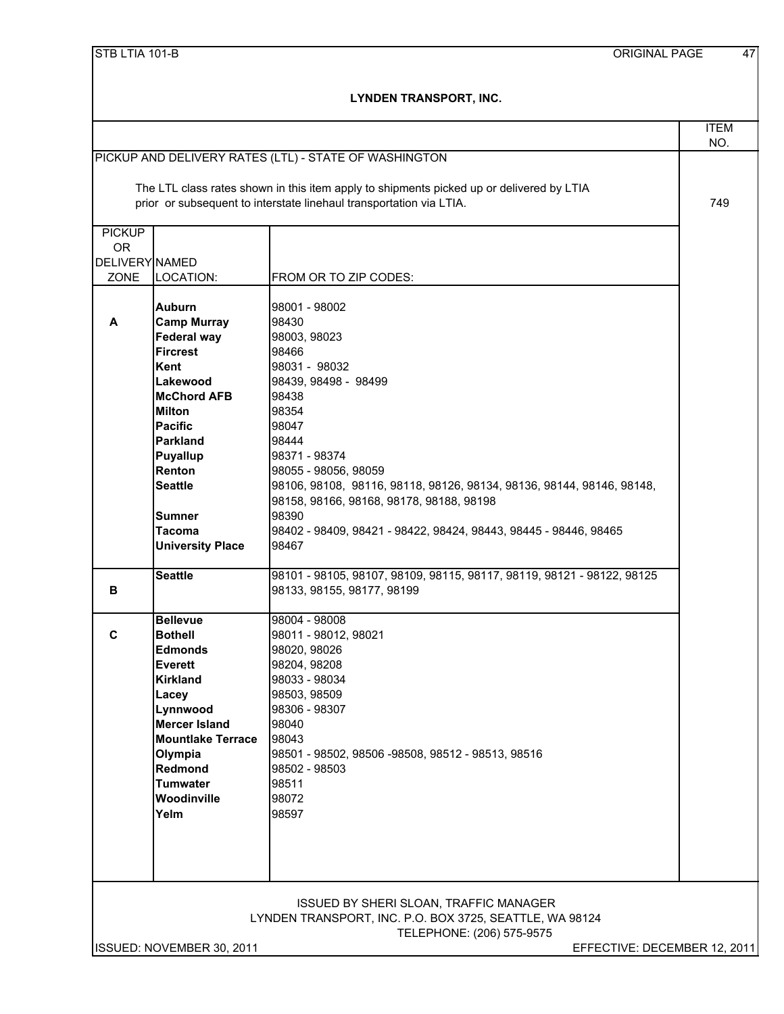|                            |                                       |                                                                                                                                                                                                                          | <b>ITEM</b> |
|----------------------------|---------------------------------------|--------------------------------------------------------------------------------------------------------------------------------------------------------------------------------------------------------------------------|-------------|
|                            |                                       |                                                                                                                                                                                                                          | NO.         |
|                            |                                       | PICKUP AND DELIVERY RATES (LTL) - STATE OF WASHINGTON<br>The LTL class rates shown in this item apply to shipments picked up or delivered by LTIA<br>prior or subsequent to interstate linehaul transportation via LTIA. | 749         |
|                            |                                       |                                                                                                                                                                                                                          |             |
| <b>PICKUP</b><br><b>OR</b> |                                       |                                                                                                                                                                                                                          |             |
| DELIVERY NAMED             |                                       |                                                                                                                                                                                                                          |             |
| ZONE                       | LOCATION:                             | FROM OR TO ZIP CODES:                                                                                                                                                                                                    |             |
| A                          | <b>Auburn</b><br><b>Camp Murray</b>   | 98001 - 98002<br>98430                                                                                                                                                                                                   |             |
|                            | <b>Federal way</b><br><b>Fircrest</b> | 98003, 98023<br>98466                                                                                                                                                                                                    |             |
|                            | Kent                                  | 98031 - 98032                                                                                                                                                                                                            |             |
|                            | Lakewood                              | 98439, 98498 - 98499                                                                                                                                                                                                     |             |
|                            | <b>McChord AFB</b>                    | 98438                                                                                                                                                                                                                    |             |
|                            | <b>Milton</b>                         | 98354                                                                                                                                                                                                                    |             |
|                            | Pacific                               | 98047                                                                                                                                                                                                                    |             |
|                            | <b>Parkland</b>                       | 98444                                                                                                                                                                                                                    |             |
|                            | <b>Puyallup</b>                       | 98371 - 98374                                                                                                                                                                                                            |             |
|                            | Renton                                | 98055 - 98056, 98059                                                                                                                                                                                                     |             |
|                            | <b>Seattle</b>                        | 98106, 98108, 98116, 98118, 98126, 98134, 98136, 98144, 98146, 98148,                                                                                                                                                    |             |
|                            |                                       | 98158, 98166, 98168, 98178, 98188, 98198                                                                                                                                                                                 |             |
|                            | Sumner<br><b>Tacoma</b>               | 98390<br>98402 - 98409, 98421 - 98422, 98424, 98443, 98445 - 98446, 98465                                                                                                                                                |             |
|                            | <b>University Place</b>               | 98467                                                                                                                                                                                                                    |             |
|                            |                                       |                                                                                                                                                                                                                          |             |
| В                          | <b>Seattle</b>                        | 98101 - 98105, 98107, 98109, 98115, 98117, 98119, 98121 - 98122, 98125<br>98133, 98155, 98177, 98199                                                                                                                     |             |
|                            |                                       |                                                                                                                                                                                                                          |             |
|                            | <b>Bellevue</b>                       | 98004 - 98008                                                                                                                                                                                                            |             |
| C                          | <b>Bothell</b>                        | 98011 - 98012, 98021                                                                                                                                                                                                     |             |
|                            | <b>Edmonds</b>                        | 98020, 98026                                                                                                                                                                                                             |             |
|                            | <b>Everett</b>                        | 98204, 98208                                                                                                                                                                                                             |             |
|                            | Kirkland                              | 98033 - 98034                                                                                                                                                                                                            |             |
|                            | Lacey                                 | 98503, 98509                                                                                                                                                                                                             |             |
|                            | Lynnwood<br><b>Mercer Island</b>      | 98306 - 98307<br>98040                                                                                                                                                                                                   |             |
|                            | <b>Mountlake Terrace</b>              | 98043                                                                                                                                                                                                                    |             |
|                            | Olympia                               | 98501 - 98502, 98506 -98508, 98512 - 98513, 98516                                                                                                                                                                        |             |
|                            | Redmond                               | 98502 - 98503                                                                                                                                                                                                            |             |
|                            | <b>Tumwater</b>                       | 98511                                                                                                                                                                                                                    |             |
|                            | Woodinville                           | 98072                                                                                                                                                                                                                    |             |
|                            | Yelm                                  | 98597                                                                                                                                                                                                                    |             |
|                            |                                       |                                                                                                                                                                                                                          |             |
|                            |                                       |                                                                                                                                                                                                                          |             |
|                            |                                       |                                                                                                                                                                                                                          |             |
|                            |                                       |                                                                                                                                                                                                                          |             |
|                            |                                       | <b>ISSUED BY SHERI SLOAN, TRAFFIC MANAGER</b>                                                                                                                                                                            |             |
|                            |                                       | LYNDEN TRANSPORT, INC. P.O. BOX 3725, SEATTLE, WA 98124                                                                                                                                                                  |             |
|                            |                                       | TELEPHONE: (206) 575-9575                                                                                                                                                                                                |             |
|                            | ISSUED: NOVEMBER 30, 2011             | EFFECTIVE: DECEMBER 12, 2011                                                                                                                                                                                             |             |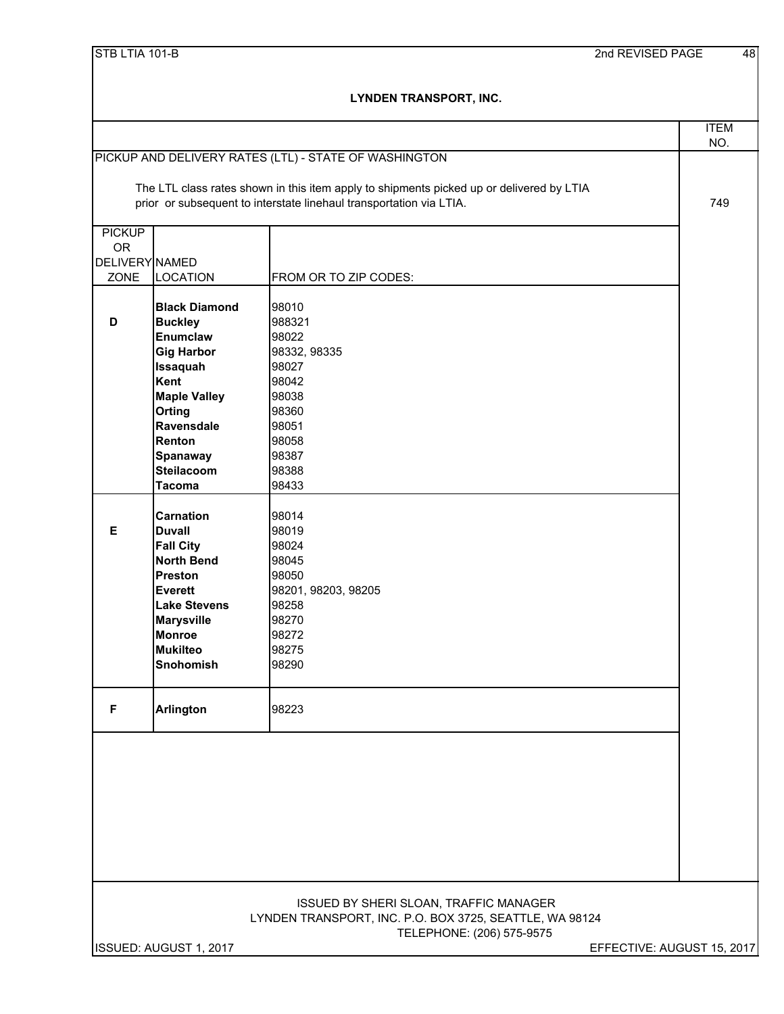| STB LTIA 101-B |
|----------------|
|----------------|

|                |                                     |                                                                                          | <b>ITEM</b>                |
|----------------|-------------------------------------|------------------------------------------------------------------------------------------|----------------------------|
|                |                                     |                                                                                          | NO.                        |
|                |                                     | PICKUP AND DELIVERY RATES (LTL) - STATE OF WASHINGTON                                    |                            |
|                |                                     | The LTL class rates shown in this item apply to shipments picked up or delivered by LTIA |                            |
|                |                                     | prior or subsequent to interstate linehaul transportation via LTIA.                      | 749                        |
|                |                                     |                                                                                          |                            |
| <b>PICKUP</b>  |                                     |                                                                                          |                            |
| <b>OR</b>      |                                     |                                                                                          |                            |
| DELIVERY NAMED |                                     |                                                                                          |                            |
| ZONE           | <b>LOCATION</b>                     | FROM OR TO ZIP CODES:                                                                    |                            |
|                |                                     |                                                                                          |                            |
| D              | <b>Black Diamond</b>                | 98010<br>988321                                                                          |                            |
|                | <b>Buckley</b><br><b>Enumclaw</b>   | 98022                                                                                    |                            |
|                | <b>Gig Harbor</b>                   | 98332, 98335                                                                             |                            |
|                | <b>Issaquah</b>                     | 98027                                                                                    |                            |
|                | Kent                                | 98042                                                                                    |                            |
|                | <b>Maple Valley</b>                 | 98038                                                                                    |                            |
|                | <b>Orting</b>                       | 98360                                                                                    |                            |
|                | Ravensdale                          | 98051                                                                                    |                            |
|                | Renton                              | 98058                                                                                    |                            |
|                | <b>Spanaway</b>                     | 98387                                                                                    |                            |
|                | <b>Steilacoom</b>                   | 98388                                                                                    |                            |
|                | <b>Tacoma</b>                       | 98433                                                                                    |                            |
|                |                                     |                                                                                          |                            |
|                | <b>Carnation</b>                    | 98014                                                                                    |                            |
| Е              | <b>Duvall</b>                       | 98019                                                                                    |                            |
|                | <b>Fall City</b>                    | 98024                                                                                    |                            |
|                | <b>North Bend</b><br><b>Preston</b> | 98045<br>98050                                                                           |                            |
|                | Everett                             | 98201, 98203, 98205                                                                      |                            |
|                | <b>Lake Stevens</b>                 | 98258                                                                                    |                            |
|                | <b>Marysville</b>                   | 98270                                                                                    |                            |
|                | <b>Monroe</b>                       | 98272                                                                                    |                            |
|                | <b>Mukilteo</b>                     | 98275                                                                                    |                            |
|                | <b>Snohomish</b>                    | 98290                                                                                    |                            |
|                |                                     |                                                                                          |                            |
|                |                                     |                                                                                          |                            |
| F              | <b>Arlington</b>                    | 98223                                                                                    |                            |
|                |                                     |                                                                                          |                            |
|                |                                     |                                                                                          |                            |
|                |                                     |                                                                                          |                            |
|                |                                     |                                                                                          |                            |
|                |                                     |                                                                                          |                            |
|                |                                     |                                                                                          |                            |
|                |                                     |                                                                                          |                            |
|                |                                     |                                                                                          |                            |
|                |                                     |                                                                                          |                            |
|                |                                     |                                                                                          |                            |
|                |                                     | ISSUED BY SHERI SLOAN, TRAFFIC MANAGER                                                   |                            |
|                |                                     | LYNDEN TRANSPORT, INC. P.O. BOX 3725, SEATTLE, WA 98124                                  |                            |
|                |                                     | TELEPHONE: (206) 575-9575                                                                |                            |
|                | ISSUED: AUGUST 1, 2017              |                                                                                          | EFFECTIVE: AUGUST 15, 2017 |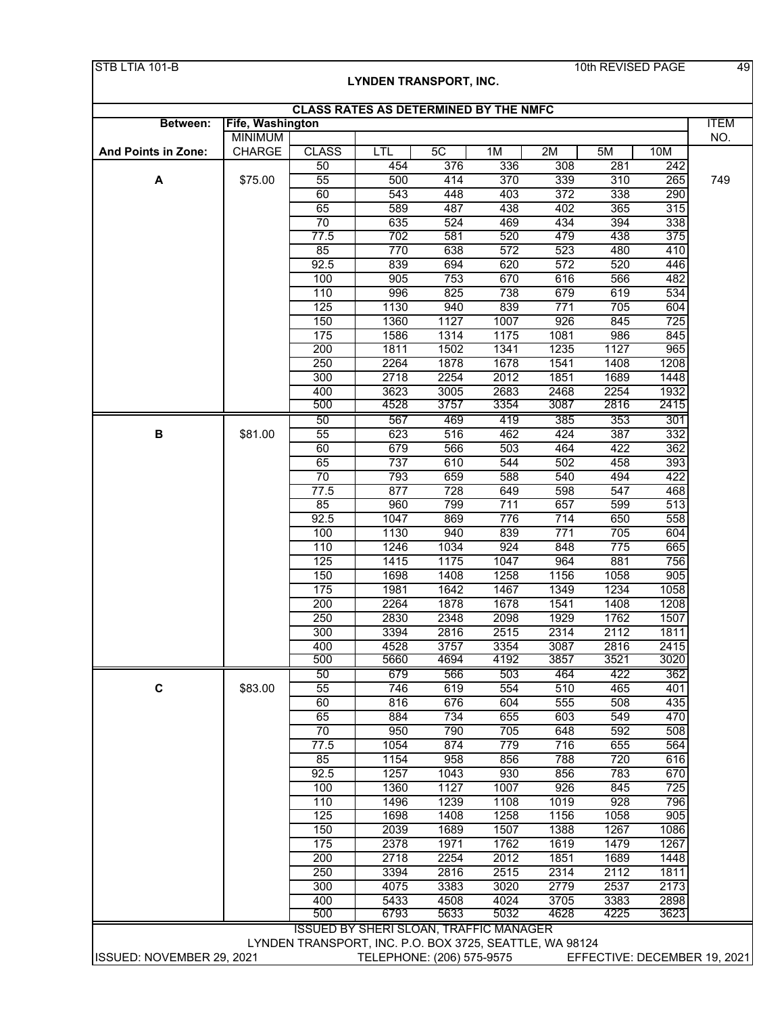|                     |                                 | <b>CLASS RATES AS DETERMINED BY THE NMFC</b> |              |              |              |             |             |            |
|---------------------|---------------------------------|----------------------------------------------|--------------|--------------|--------------|-------------|-------------|------------|
| Between:            | Fife, Washington                |                                              |              |              |              |             |             |            |
| And Points in Zone: | <b>MINIMUM</b><br><b>CHARGE</b> | <b>CLASS</b>                                 | LTL          | 5C           | 1M           | 2M          | 5M          | 10M        |
|                     |                                 | 50                                           | 454          | 376          | 336          | 308         | 281         | 242        |
| A                   | \$75.00                         | $\overline{55}$                              | 500          | 414          | 370          | 339         | 310         | 265        |
|                     |                                 | 60                                           | 543          | 448          | 403          | 372         | 338         | 290        |
|                     |                                 | 65                                           | 589          | 487          | 438          | 402         | 365         | 315        |
|                     |                                 | $\overline{70}$                              | 635          | 524          | 469          | 434         | 394         | 338        |
|                     |                                 | 77.5                                         | 702          | 581          | 520          | 479         | 438         | 375        |
|                     |                                 | 85                                           | 770          | 638          | 572          | 523         | 480         | 410        |
|                     |                                 | 92.5                                         | 839          | 694          | 620          | 572         | 520         | 446        |
|                     |                                 | 100                                          | 905          | 753          | 670          | 616         | 566         | 482        |
|                     |                                 | 110                                          | 996          | 825          | 738          | 679         | 619         | 534        |
|                     |                                 | 125                                          | 1130<br>1360 | 940<br>1127  | 839<br>1007  | 771<br>926  | 705         | 604<br>725 |
|                     |                                 | 150<br>175                                   | 1586         | 1314         | 1175         | 1081        | 845<br>986  | 845        |
|                     |                                 | 200                                          | 1811         | 1502         | 1341         | 1235        | 1127        | 965        |
|                     |                                 | 250                                          | 2264         | 1878         | 1678         | 1541        | 1408        | 1208       |
|                     |                                 | 300                                          | 2718         | 2254         | 2012         | 1851        | 1689        | 1448       |
|                     |                                 | 400                                          | 3623         | 3005         | 2683         | 2468        | 2254        | 1932       |
|                     |                                 | 500                                          | 4528         | 3757         | 3354         | 3087        | 2816        | 2415       |
|                     |                                 | 50                                           | 567          | 469          | 419          | 385         | 353         | 301        |
| B                   | \$81.00                         | 55                                           | 623          | 516          | 462          | 424         | 387         | 332        |
|                     |                                 | 60                                           | 679          | 566          | 503          | 464         | 422         | 362        |
|                     |                                 | 65                                           | 737          | 610          | 544          | 502         | 458         | 393        |
|                     |                                 | 70                                           | 793          | 659          | 588          | 540         | 494         | 422        |
|                     |                                 | $\overline{77.5}$                            | 877          | 728          | 649          | 598         | 547         | 468        |
|                     |                                 | 85                                           | 960          | 799          | 711          | 657         | 599         | 513        |
|                     |                                 | 92.5                                         | 1047         | 869          | 776          | 714         | 650         | 558        |
|                     |                                 | 100                                          | 1130         | 940          | 839          | 771         | 705         | 604        |
|                     |                                 | 110                                          | 1246         | 1034         | 924          | 848         | 775         | 665        |
|                     |                                 | 125<br>150                                   | 1415<br>1698 | 1175<br>1408 | 1047<br>1258 | 964<br>1156 | 881<br>1058 | 756<br>905 |
|                     |                                 | 175                                          | 1981         | 1642         | 1467         | 1349        | 1234        | 1058       |
|                     |                                 | 200                                          | 2264         | 1878         | 1678         | 1541        | 1408        | 1208       |
|                     |                                 | 250                                          | 2830         | 2348         | 2098         | 1929        | 1762        | 1507       |
|                     |                                 | 300                                          | 3394         | 2816         | 2515         | 2314        | 2112        | 1811       |
|                     |                                 | 400                                          | 4528         | 3757         | 3354         | 3087        | 2816        | 2415       |
|                     |                                 | 500                                          | 5660         | 4694         | 4192         | 3857        | 3521        | 3020       |
|                     |                                 | 50                                           | 679          | 566          | 503          | 464         | 422         | 362        |
| $\mathbf c$         | \$83.00                         | 55                                           | 746          | 619          | 554          | 510         | 465         | 401        |
|                     |                                 | 60                                           | 816          | 676          | 604          | 555         | 508         | 435        |
|                     |                                 | 65                                           | 884          | 734          | 655          | 603         | 549         | 470        |
|                     |                                 | 70                                           | 950          | 790          | 705          | 648         | 592         | 508        |
|                     |                                 | 77.5                                         | 1054         | 874          | 779          | 716         | 655         | 564        |
|                     |                                 | 85                                           | 1154         | 958          | 856          | 788         | 720         | 616        |
|                     |                                 | 92.5<br>100                                  | 1257<br>1360 | 1043<br>1127 | 930<br>1007  | 856<br>926  | 783<br>845  | 670<br>725 |
|                     |                                 | 110                                          | 1496         | 1239         | 1108         | 1019        | 928         | 796        |
|                     |                                 | 125                                          | 1698         | 1408         | 1258         | 1156        | 1058        | 905        |
|                     |                                 | 150                                          | 2039         | 1689         | 1507         | 1388        | 1267        | 1086       |
|                     |                                 | 175                                          | 2378         | 1971         | 1762         | 1619        | 1479        | 1267       |
|                     |                                 | 200                                          | 2718         | 2254         | 2012         | 1851        | 1689        | 1448       |
|                     |                                 | 250                                          | 3394         | 2816         | 2515         | 2314        | 2112        | 1811       |
|                     |                                 | 300                                          | 4075         | 3383         | 3020         | 2779        | 2537        | 2173       |
|                     |                                 | 400                                          | 5433         | 4508         | 4024         | 3705        | 3383        | 2898       |
|                     |                                 | 500                                          | 6793         | 5633         | 5032         | 4628        | 4225        | 3623       |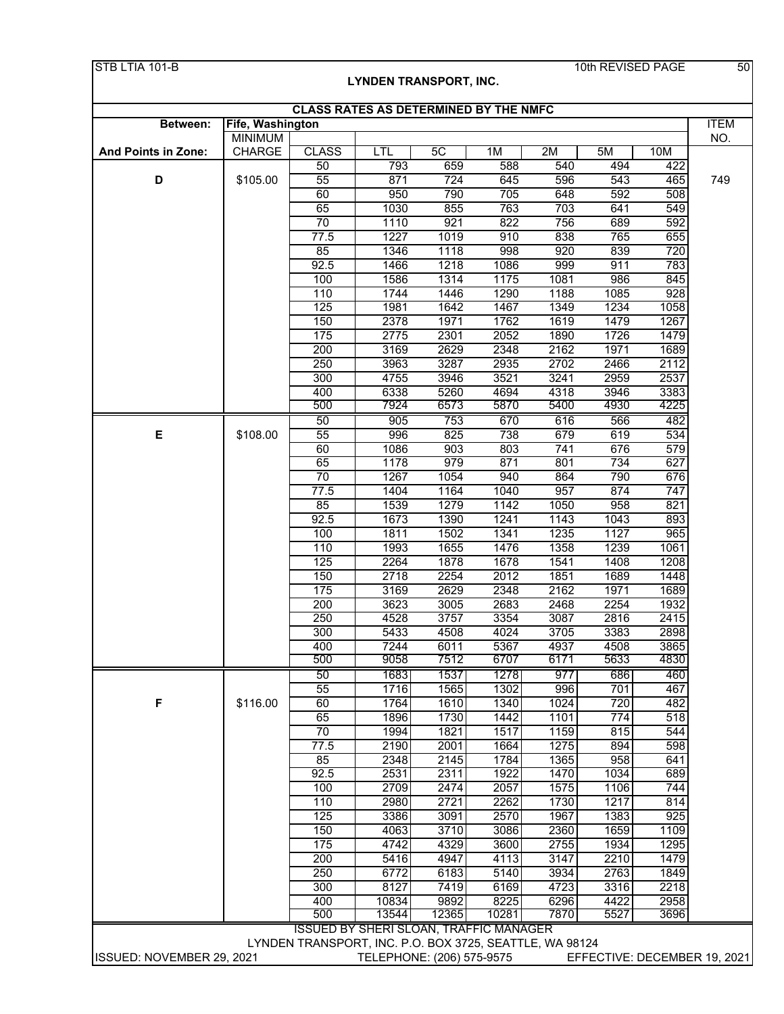|                     |                                    |                   | <b>CLASS RATES AS DETERMINED BY THE NMFC</b> |              |                  |              |              |             |
|---------------------|------------------------------------|-------------------|----------------------------------------------|--------------|------------------|--------------|--------------|-------------|
| Between:            | Fife, Washington<br><b>MINIMUM</b> |                   |                                              |              |                  |              |              |             |
| And Points in Zone: | <b>CHARGE</b>                      | <b>CLASS</b>      | LTL                                          | 5C           | 1M               | 2M           | 5M           | 10M         |
|                     |                                    | 50                | 793                                          | 659          | 588              | 540          | 494          | 422         |
| D                   | \$105.00                           | 55                | 871                                          | 724          | 645              | 596          | 543          | 465         |
|                     |                                    | 60                | 950                                          | 790          | 705              | 648          | 592          | 508         |
|                     |                                    | 65                | 1030                                         | 855          | 763              | 703          | 641          | 549         |
|                     |                                    | $\overline{70}$   | 1110                                         | 921          | 822              | 756          | 689          | 592         |
|                     |                                    | $\overline{77.5}$ | 1227                                         | 1019         | 910              | 838          | 765          | 655         |
|                     |                                    | 85                | 1346                                         | 1118         | 998              | 920          | 839          | 720         |
|                     |                                    | 92.5              | 1466                                         | 1218         | 1086             | 999          | 911          | 783         |
|                     |                                    | 100               | 1586                                         | 1314         | 1175             | 1081         | 986          | 845         |
|                     |                                    | 110<br>125        | 1744<br>1981                                 | 1446<br>1642 | 1290<br>1467     | 1188<br>1349 | 1085<br>1234 | 928<br>1058 |
|                     |                                    | 150               | 2378                                         | 1971         | 1762             | 1619         | 1479         | 1267        |
|                     |                                    | 175               | 2775                                         | 2301         | 2052             | 1890         | 1726         | 1479        |
|                     |                                    | 200               | 3169                                         | 2629         | 2348             | 2162         | 1971         | 1689        |
|                     |                                    | 250               | 3963                                         | 3287         | 2935             | 2702         | 2466         | 2112        |
|                     |                                    | 300               | 4755                                         | 3946         | 3521             | 3241         | 2959         | 2537        |
|                     |                                    | 400               | 6338                                         | 5260         | 4694             | 4318         | 3946         | 3383        |
|                     |                                    | 500               | 7924                                         | 6573         | 5870             | 5400         | 4930         | 4225        |
|                     |                                    | 50                | 905                                          | 753          | 670              | 616          | 566          | 482         |
| E                   | \$108.00                           | 55                | 996                                          | 825          | 738              | 679          | 619          | 534         |
|                     |                                    | 60                | 1086                                         | 903          | 803              | 741          | 676          | 579         |
|                     |                                    | 65                | 1178                                         | 979          | 871              | 801          | 734          | 627         |
|                     |                                    | 70                | 1267                                         | 1054         | 940              | 864          | 790          | 676         |
|                     |                                    | $\overline{77.5}$ | 1404                                         | 1164         | 1040             | 957          | 874          | 747         |
|                     |                                    | 85                | 1539                                         | 1279         | 1142             | 1050         | 958          | 821         |
|                     |                                    | 92.5<br>100       | 1673<br>1811                                 | 1390<br>1502 | 1241<br>1341     | 1143<br>1235 | 1043<br>1127 | 893<br>965  |
|                     |                                    | 110               | 1993                                         | 1655         | 1476             | 1358         | 1239         | 1061        |
|                     |                                    | 125               | 2264                                         | 1878         | 1678             | 1541         | 1408         | 1208        |
|                     |                                    | 150               | 2718                                         | 2254         | 2012             | 1851         | 1689         | 1448        |
|                     |                                    | 175               | 3169                                         | 2629         | 2348             | 2162         | 1971         | 1689        |
|                     |                                    | 200               | 3623                                         | 3005         | 2683             | 2468         | 2254         | 1932        |
|                     |                                    | 250               | 4528                                         | 3757         | 3354             | 3087         | 2816         | 2415        |
|                     |                                    | 300               | 5433                                         | 4508         | 4024             | 3705         | 3383         | 2898        |
|                     |                                    | 400               | 7244                                         | 6011         | 5367             | 4937         | 4508         | 3865        |
|                     |                                    | 500               | 9058                                         | 7512         | 6707             | 6171         | 5633         | 4830        |
|                     |                                    | 50                | 1683                                         | 1537         | 1278             | 977          | 686          | 460         |
|                     |                                    | 55                | 1716                                         | 1565         | 1302             | 996          | 701          | 467         |
| F                   | \$116.00                           | 60                | 1764                                         | 1610         | 1340             | 1024         | 720          | 482         |
|                     |                                    | 65<br>70          | 1896                                         | 1730         | 1442             | 1101         | 774          | 518         |
|                     |                                    | $\overline{77.5}$ | 1994<br>2190                                 | 1821<br>2001 | 1517<br>1664     | 1159<br>1275 | 815<br>894   | 544<br>598  |
|                     |                                    | 85                | 2348                                         | 2145         | 1784             | 1365         | 958          | 641         |
|                     |                                    | 92.5              | 2531                                         | 2311         | 1922             | 1470         | 1034         | 689         |
|                     |                                    | 100               | 2709                                         | 2474         | 2057             | 1575         | 1106         | 744         |
|                     |                                    | 110               | 2980                                         | 2721         | 2262             | 1730         | 1217         | 814         |
|                     |                                    | 125               | 3386                                         | 3091         | 2570             | 1967         | 1383         | 925         |
|                     |                                    | 150               | 4063                                         | 3710         | 3086             | 2360         | 1659         | 1109        |
|                     |                                    | 175               | 4742                                         | 4329         | 3600             | 2755         | 1934         | 1295        |
|                     |                                    | 200               | 5416                                         | 4947         | 4113             | 3147         | 2210         | 1479        |
|                     |                                    | 250               | 6772                                         | 6183         | $\frac{1}{5140}$ | 3934         | 2763         | 1849        |
|                     |                                    | 300               | 8127                                         | 7419         | 6169             | 4723         | 3316         | 2218        |
|                     |                                    | 400               | 10834                                        | 9892         | 8225             | 6296         | 4422         | 2958        |
|                     |                                    | 500               | 13544                                        | 12365        | 10281            | 7870         | 5527         | 3696        |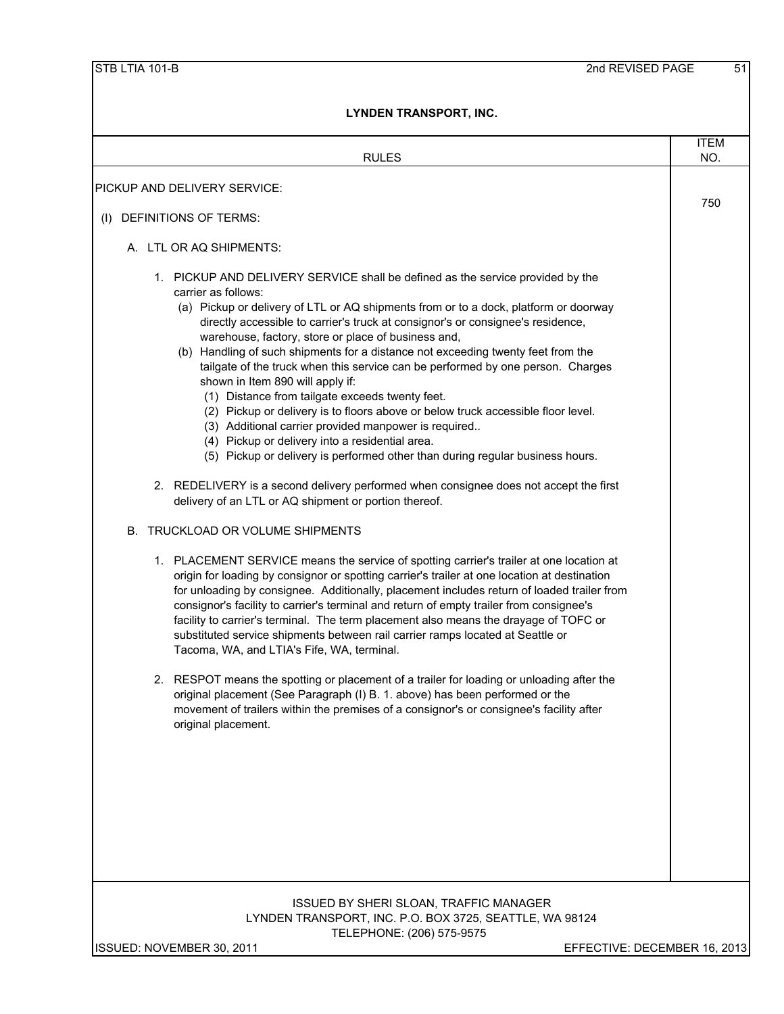| <b>RULES</b>                                                                                                                                                                                                                                                                                                                                                                                                                                                                                                                                                                                                                                                                                                                                                                                                                                                                                                                                                                                                                                                                                                                                                                                                                                                                                                                                                                                                                                                                                                                                                                                                                                                                                                                                                                                                                                                                                                                                                                           | <b>ITEM</b><br>NO. |
|----------------------------------------------------------------------------------------------------------------------------------------------------------------------------------------------------------------------------------------------------------------------------------------------------------------------------------------------------------------------------------------------------------------------------------------------------------------------------------------------------------------------------------------------------------------------------------------------------------------------------------------------------------------------------------------------------------------------------------------------------------------------------------------------------------------------------------------------------------------------------------------------------------------------------------------------------------------------------------------------------------------------------------------------------------------------------------------------------------------------------------------------------------------------------------------------------------------------------------------------------------------------------------------------------------------------------------------------------------------------------------------------------------------------------------------------------------------------------------------------------------------------------------------------------------------------------------------------------------------------------------------------------------------------------------------------------------------------------------------------------------------------------------------------------------------------------------------------------------------------------------------------------------------------------------------------------------------------------------------|--------------------|
|                                                                                                                                                                                                                                                                                                                                                                                                                                                                                                                                                                                                                                                                                                                                                                                                                                                                                                                                                                                                                                                                                                                                                                                                                                                                                                                                                                                                                                                                                                                                                                                                                                                                                                                                                                                                                                                                                                                                                                                        |                    |
| PICKUP AND DELIVERY SERVICE:                                                                                                                                                                                                                                                                                                                                                                                                                                                                                                                                                                                                                                                                                                                                                                                                                                                                                                                                                                                                                                                                                                                                                                                                                                                                                                                                                                                                                                                                                                                                                                                                                                                                                                                                                                                                                                                                                                                                                           | 750                |
| (I) DEFINITIONS OF TERMS:                                                                                                                                                                                                                                                                                                                                                                                                                                                                                                                                                                                                                                                                                                                                                                                                                                                                                                                                                                                                                                                                                                                                                                                                                                                                                                                                                                                                                                                                                                                                                                                                                                                                                                                                                                                                                                                                                                                                                              |                    |
| A. LTL OR AQ SHIPMENTS:                                                                                                                                                                                                                                                                                                                                                                                                                                                                                                                                                                                                                                                                                                                                                                                                                                                                                                                                                                                                                                                                                                                                                                                                                                                                                                                                                                                                                                                                                                                                                                                                                                                                                                                                                                                                                                                                                                                                                                |                    |
| 1. PICKUP AND DELIVERY SERVICE shall be defined as the service provided by the<br>carrier as follows:<br>(a) Pickup or delivery of LTL or AQ shipments from or to a dock, platform or doorway<br>directly accessible to carrier's truck at consignor's or consignee's residence,<br>warehouse, factory, store or place of business and,<br>(b) Handling of such shipments for a distance not exceeding twenty feet from the<br>tailgate of the truck when this service can be performed by one person. Charges<br>shown in Item 890 will apply if:<br>(1) Distance from tailgate exceeds twenty feet.<br>(2) Pickup or delivery is to floors above or below truck accessible floor level.<br>(3) Additional carrier provided manpower is required<br>(4) Pickup or delivery into a residential area.<br>(5) Pickup or delivery is performed other than during regular business hours.<br>2. REDELIVERY is a second delivery performed when consignee does not accept the first<br>delivery of an LTL or AQ shipment or portion thereof.<br>B. TRUCKLOAD OR VOLUME SHIPMENTS<br>1. PLACEMENT SERVICE means the service of spotting carrier's trailer at one location at<br>origin for loading by consignor or spotting carrier's trailer at one location at destination<br>for unloading by consignee. Additionally, placement includes return of loaded trailer from<br>consignor's facility to carrier's terminal and return of empty trailer from consignee's<br>facility to carrier's terminal. The term placement also means the drayage of TOFC or<br>substituted service shipments between rail carrier ramps located at Seattle or<br>Tacoma, WA, and LTIA's Fife, WA, terminal.<br>2. RESPOT means the spotting or placement of a trailer for loading or unloading after the<br>original placement (See Paragraph (I) B. 1. above) has been performed or the<br>movement of trailers within the premises of a consignor's or consignee's facility after<br>original placement. |                    |
| <b>ISSUED BY SHERI SLOAN, TRAFFIC MANAGER</b><br>LYNDEN TRANSPORT, INC. P.O. BOX 3725, SEATTLE, WA 98124<br>TELEPHONE: (206) 575-9575                                                                                                                                                                                                                                                                                                                                                                                                                                                                                                                                                                                                                                                                                                                                                                                                                                                                                                                                                                                                                                                                                                                                                                                                                                                                                                                                                                                                                                                                                                                                                                                                                                                                                                                                                                                                                                                  |                    |
| EFFECTIVE: DECEMBER 16, 2013<br>ISSUED: NOVEMBER 30, 2011                                                                                                                                                                                                                                                                                                                                                                                                                                                                                                                                                                                                                                                                                                                                                                                                                                                                                                                                                                                                                                                                                                                                                                                                                                                                                                                                                                                                                                                                                                                                                                                                                                                                                                                                                                                                                                                                                                                              |                    |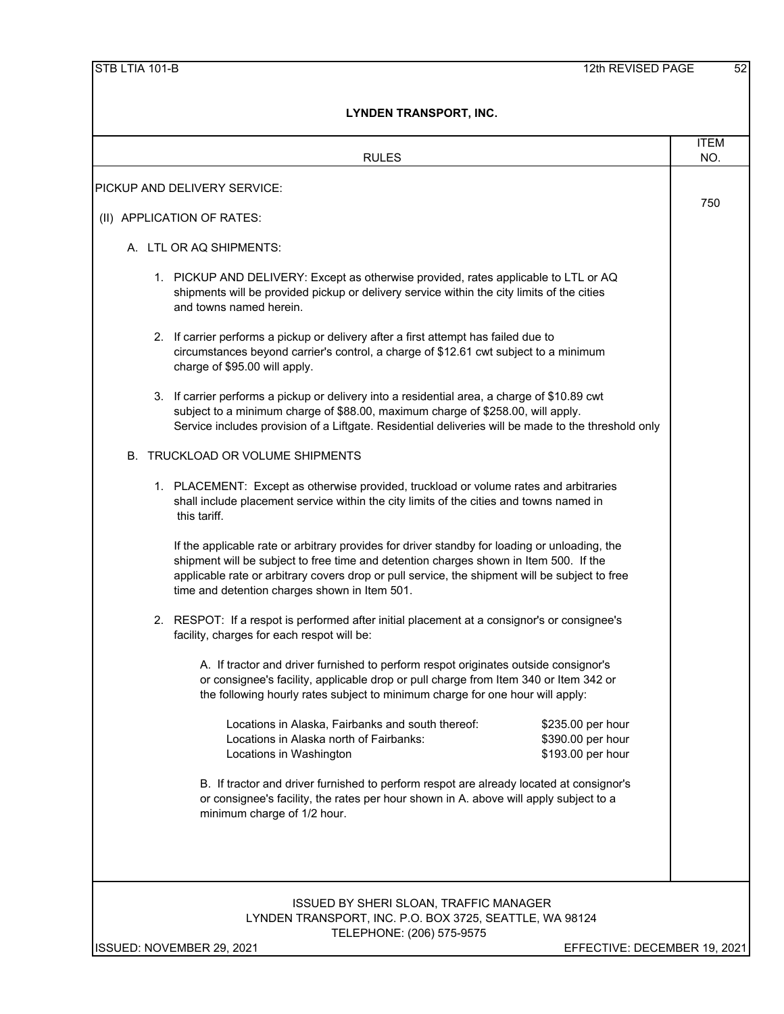| <b>RULES</b>                                                                                                                                                                                                                                                                                                                              | <b>ITEM</b><br>NO.           |
|-------------------------------------------------------------------------------------------------------------------------------------------------------------------------------------------------------------------------------------------------------------------------------------------------------------------------------------------|------------------------------|
| PICKUP AND DELIVERY SERVICE:                                                                                                                                                                                                                                                                                                              |                              |
|                                                                                                                                                                                                                                                                                                                                           | 750                          |
| (II) APPLICATION OF RATES:                                                                                                                                                                                                                                                                                                                |                              |
| A. LTL OR AQ SHIPMENTS:                                                                                                                                                                                                                                                                                                                   |                              |
| 1. PICKUP AND DELIVERY: Except as otherwise provided, rates applicable to LTL or AQ<br>shipments will be provided pickup or delivery service within the city limits of the cities<br>and towns named herein.                                                                                                                              |                              |
| 2. If carrier performs a pickup or delivery after a first attempt has failed due to<br>circumstances beyond carrier's control, a charge of \$12.61 cwt subject to a minimum<br>charge of \$95.00 will apply.                                                                                                                              |                              |
| 3. If carrier performs a pickup or delivery into a residential area, a charge of \$10.89 cwt<br>subject to a minimum charge of \$88.00, maximum charge of \$258.00, will apply.<br>Service includes provision of a Liftgate. Residential deliveries will be made to the threshold only                                                    |                              |
| B. TRUCKLOAD OR VOLUME SHIPMENTS                                                                                                                                                                                                                                                                                                          |                              |
| 1. PLACEMENT: Except as otherwise provided, truckload or volume rates and arbitraries<br>shall include placement service within the city limits of the cities and towns named in<br>this tariff.                                                                                                                                          |                              |
| If the applicable rate or arbitrary provides for driver standby for loading or unloading, the<br>shipment will be subject to free time and detention charges shown in Item 500. If the<br>applicable rate or arbitrary covers drop or pull service, the shipment will be subject to free<br>time and detention charges shown in Item 501. |                              |
| 2. RESPOT: If a respot is performed after initial placement at a consignor's or consignee's<br>facility, charges for each respot will be:                                                                                                                                                                                                 |                              |
| A. If tractor and driver furnished to perform respot originates outside consignor's<br>or consignee's facility, applicable drop or pull charge from Item 340 or Item 342 or<br>the following hourly rates subject to minimum charge for one hour will apply:                                                                              |                              |
| Locations in Alaska, Fairbanks and south thereof:<br>\$235.00 per hour<br>Locations in Alaska north of Fairbanks:<br>\$390.00 per hour<br>\$193.00 per hour<br>Locations in Washington                                                                                                                                                    |                              |
| B. If tractor and driver furnished to perform respot are already located at consignor's<br>or consignee's facility, the rates per hour shown in A. above will apply subject to a<br>minimum charge of 1/2 hour.                                                                                                                           |                              |
| <b>ISSUED BY SHERI SLOAN, TRAFFIC MANAGER</b><br>LYNDEN TRANSPORT, INC. P.O. BOX 3725, SEATTLE, WA 98124                                                                                                                                                                                                                                  |                              |
| TELEPHONE: (206) 575-9575<br>ISSUED: NOVEMBER 29, 2021                                                                                                                                                                                                                                                                                    | EFFECTIVE: DECEMBER 19, 2021 |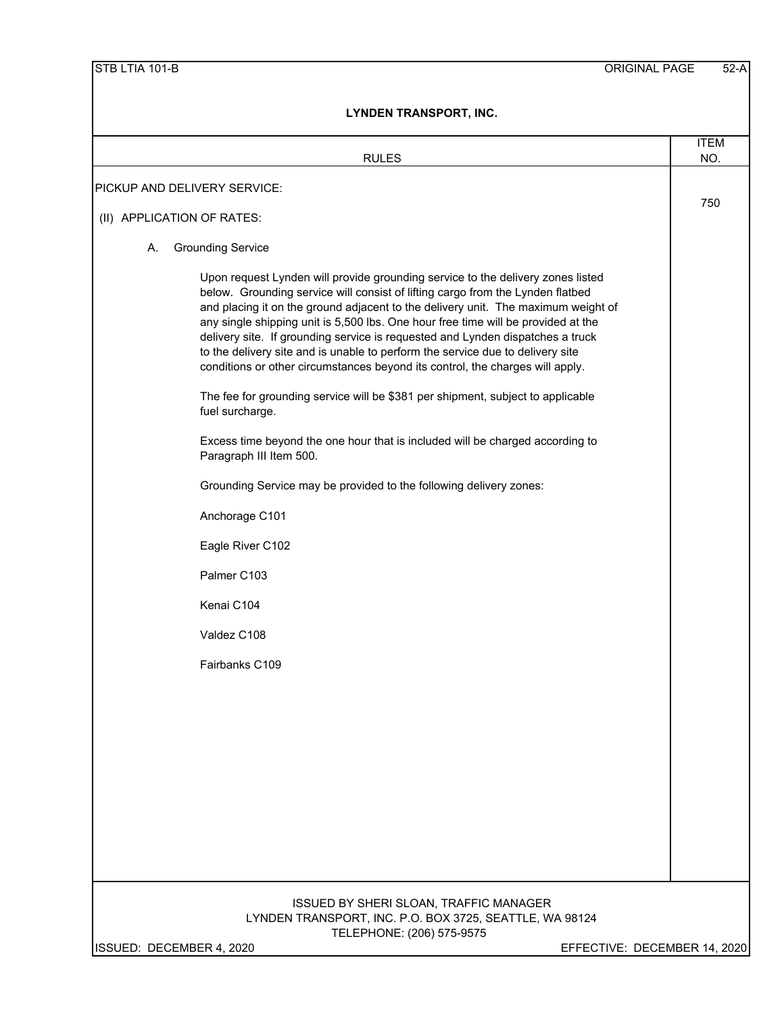| <b>RULES</b>                                                                                                                                                                                                                                                                                                                                                                                                                                                                                                                                                                                     | <b>ITEM</b><br>NO. |
|--------------------------------------------------------------------------------------------------------------------------------------------------------------------------------------------------------------------------------------------------------------------------------------------------------------------------------------------------------------------------------------------------------------------------------------------------------------------------------------------------------------------------------------------------------------------------------------------------|--------------------|
| PICKUP AND DELIVERY SERVICE:                                                                                                                                                                                                                                                                                                                                                                                                                                                                                                                                                                     |                    |
|                                                                                                                                                                                                                                                                                                                                                                                                                                                                                                                                                                                                  | 750                |
| (II) APPLICATION OF RATES:                                                                                                                                                                                                                                                                                                                                                                                                                                                                                                                                                                       |                    |
| <b>Grounding Service</b><br>А.                                                                                                                                                                                                                                                                                                                                                                                                                                                                                                                                                                   |                    |
| Upon request Lynden will provide grounding service to the delivery zones listed<br>below. Grounding service will consist of lifting cargo from the Lynden flatbed<br>and placing it on the ground adjacent to the delivery unit. The maximum weight of<br>any single shipping unit is 5,500 lbs. One hour free time will be provided at the<br>delivery site. If grounding service is requested and Lynden dispatches a truck<br>to the delivery site and is unable to perform the service due to delivery site<br>conditions or other circumstances beyond its control, the charges will apply. |                    |
| The fee for grounding service will be \$381 per shipment, subject to applicable<br>fuel surcharge.                                                                                                                                                                                                                                                                                                                                                                                                                                                                                               |                    |
| Excess time beyond the one hour that is included will be charged according to<br>Paragraph III Item 500.                                                                                                                                                                                                                                                                                                                                                                                                                                                                                         |                    |
| Grounding Service may be provided to the following delivery zones:                                                                                                                                                                                                                                                                                                                                                                                                                                                                                                                               |                    |
| Anchorage C101                                                                                                                                                                                                                                                                                                                                                                                                                                                                                                                                                                                   |                    |
| Eagle River C102                                                                                                                                                                                                                                                                                                                                                                                                                                                                                                                                                                                 |                    |
| Palmer C103                                                                                                                                                                                                                                                                                                                                                                                                                                                                                                                                                                                      |                    |
| Kenai C104                                                                                                                                                                                                                                                                                                                                                                                                                                                                                                                                                                                       |                    |
| Valdez C108                                                                                                                                                                                                                                                                                                                                                                                                                                                                                                                                                                                      |                    |
| Fairbanks C109                                                                                                                                                                                                                                                                                                                                                                                                                                                                                                                                                                                   |                    |
|                                                                                                                                                                                                                                                                                                                                                                                                                                                                                                                                                                                                  |                    |
|                                                                                                                                                                                                                                                                                                                                                                                                                                                                                                                                                                                                  |                    |
|                                                                                                                                                                                                                                                                                                                                                                                                                                                                                                                                                                                                  |                    |
|                                                                                                                                                                                                                                                                                                                                                                                                                                                                                                                                                                                                  |                    |
|                                                                                                                                                                                                                                                                                                                                                                                                                                                                                                                                                                                                  |                    |
|                                                                                                                                                                                                                                                                                                                                                                                                                                                                                                                                                                                                  |                    |
| ISSUED BY SHERI SLOAN, TRAFFIC MANAGER<br>LYNDEN TRANSPORT, INC. P.O. BOX 3725, SEATTLE, WA 98124<br>TELEPHONE: (206) 575-9575                                                                                                                                                                                                                                                                                                                                                                                                                                                                   |                    |
| ISSUED: DECEMBER 4, 2020<br>EFFECTIVE: DECEMBER 14, 2020                                                                                                                                                                                                                                                                                                                                                                                                                                                                                                                                         |                    |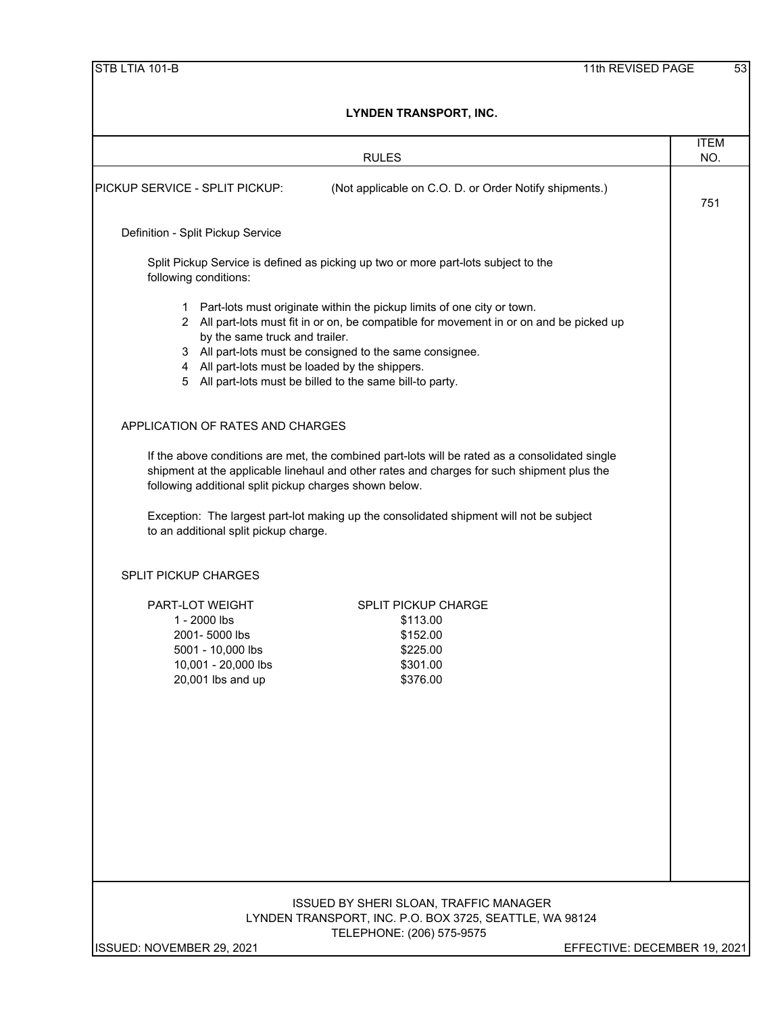|                                   |                                                                                | <b>RULES</b>                                                                                                                                                                                                                                                                                                                                      | <b>ITEM</b><br>NO.           |  |
|-----------------------------------|--------------------------------------------------------------------------------|---------------------------------------------------------------------------------------------------------------------------------------------------------------------------------------------------------------------------------------------------------------------------------------------------------------------------------------------------|------------------------------|--|
| PICKUP SERVICE - SPLIT PICKUP:    |                                                                                | (Not applicable on C.O. D. or Order Notify shipments.)                                                                                                                                                                                                                                                                                            | 751                          |  |
| Definition - Split Pickup Service |                                                                                |                                                                                                                                                                                                                                                                                                                                                   |                              |  |
| following conditions:             |                                                                                | Split Pickup Service is defined as picking up two or more part-lots subject to the                                                                                                                                                                                                                                                                |                              |  |
| 5                                 | by the same truck and trailer.                                                 | 1 Part-lots must originate within the pickup limits of one city or town.<br>2 All part-lots must fit in or on, be compatible for movement in or on and be picked up<br>3 All part-lots must be consigned to the same consignee.<br>4 All part-lots must be loaded by the shippers.<br>All part-lots must be billed to the same bill-to party.     |                              |  |
|                                   | APPLICATION OF RATES AND CHARGES                                               |                                                                                                                                                                                                                                                                                                                                                   |                              |  |
|                                   |                                                                                | If the above conditions are met, the combined part-lots will be rated as a consolidated single<br>shipment at the applicable linehaul and other rates and charges for such shipment plus the<br>following additional split pickup charges shown below.<br>Exception: The largest part-lot making up the consolidated shipment will not be subject |                              |  |
|                                   | to an additional split pickup charge.                                          |                                                                                                                                                                                                                                                                                                                                                   |                              |  |
| <b>SPLIT PICKUP CHARGES</b>       |                                                                                |                                                                                                                                                                                                                                                                                                                                                   |                              |  |
| PART-LOT WEIGHT<br>1 - 2000 lbs   | 2001-5000 lbs<br>5001 - 10,000 lbs<br>10,001 - 20,000 lbs<br>20,001 lbs and up | <b>SPLIT PICKUP CHARGE</b><br>\$113.00<br>\$152.00<br>\$225.00<br>\$301.00<br>\$376.00                                                                                                                                                                                                                                                            |                              |  |
|                                   |                                                                                | ISSUED BY SHERI SLOAN, TRAFFIC MANAGER                                                                                                                                                                                                                                                                                                            |                              |  |
| ISSUED: NOVEMBER 29, 2021         |                                                                                | LYNDEN TRANSPORT, INC. P.O. BOX 3725, SEATTLE, WA 98124<br>TELEPHONE: (206) 575-9575                                                                                                                                                                                                                                                              | EFFECTIVE: DECEMBER 19, 2021 |  |
|                                   |                                                                                |                                                                                                                                                                                                                                                                                                                                                   |                              |  |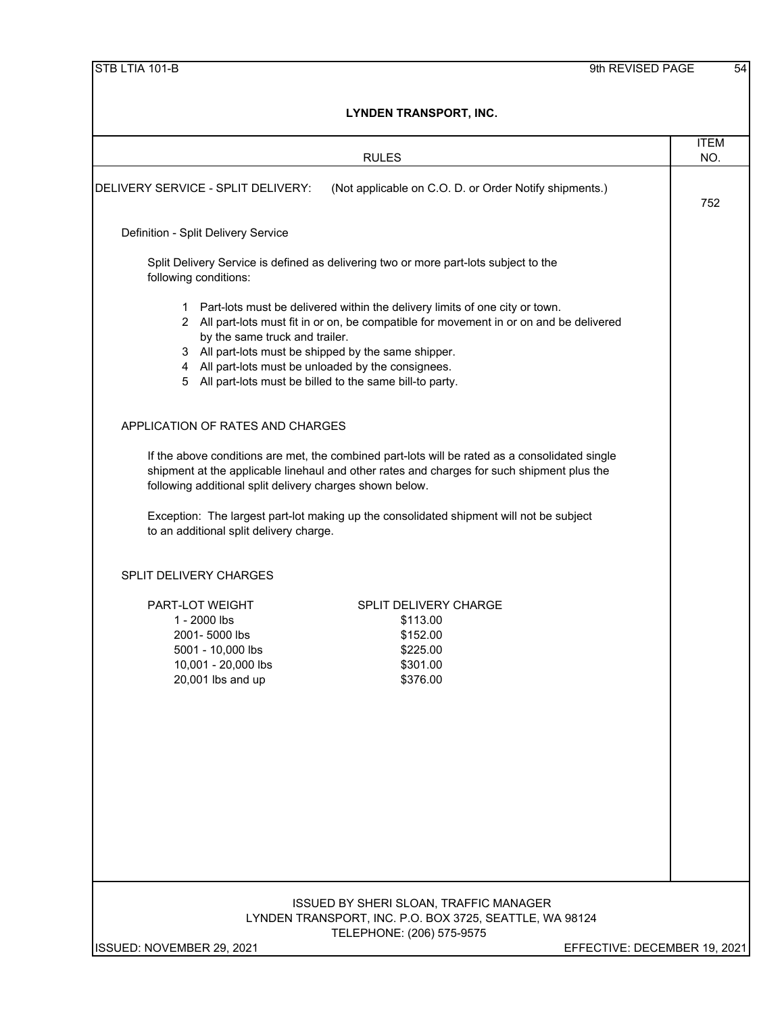| שווה ונטוסיוס ושיות ווד                                                                                                                                                                                                                                                                                                                                                                        |                              |
|------------------------------------------------------------------------------------------------------------------------------------------------------------------------------------------------------------------------------------------------------------------------------------------------------------------------------------------------------------------------------------------------|------------------------------|
| <b>RULES</b>                                                                                                                                                                                                                                                                                                                                                                                   | <b>ITEM</b><br>NO.           |
| DELIVERY SERVICE - SPLIT DELIVERY:<br>(Not applicable on C.O. D. or Order Notify shipments.)                                                                                                                                                                                                                                                                                                   | 752                          |
| Definition - Split Delivery Service                                                                                                                                                                                                                                                                                                                                                            |                              |
| Split Delivery Service is defined as delivering two or more part-lots subject to the<br>following conditions:                                                                                                                                                                                                                                                                                  |                              |
| 1 Part-lots must be delivered within the delivery limits of one city or town.<br>2 All part-lots must fit in or on, be compatible for movement in or on and be delivered<br>by the same truck and trailer.<br>3 All part-lots must be shipped by the same shipper.<br>4 All part-lots must be unloaded by the consignees.<br>5 All part-lots must be billed to the same bill-to party.         |                              |
| APPLICATION OF RATES AND CHARGES                                                                                                                                                                                                                                                                                                                                                               |                              |
| If the above conditions are met, the combined part-lots will be rated as a consolidated single<br>shipment at the applicable linehaul and other rates and charges for such shipment plus the<br>following additional split delivery charges shown below.<br>Exception: The largest part-lot making up the consolidated shipment will not be subject<br>to an additional split delivery charge. |                              |
| SPLIT DELIVERY CHARGES                                                                                                                                                                                                                                                                                                                                                                         |                              |
| PART-LOT WEIGHT<br><b>SPLIT DELIVERY CHARGE</b><br>1 - 2000 lbs<br>\$113.00<br>2001-5000 lbs<br>\$152.00<br>5001 - 10,000 lbs<br>\$225.00<br>10,001 - 20,000 lbs<br>\$301.00<br>20,001 lbs and up<br>\$376.00                                                                                                                                                                                  |                              |
| ISSUED BY SHERI SLOAN, TRAFFIC MANAGER<br>LYNDEN TRANSPORT, INC. P.O. BOX 3725, SEATTLE, WA 98124<br>TELEPHONE: (206) 575-9575                                                                                                                                                                                                                                                                 |                              |
| ISSUED: NOVEMBER 29, 2021                                                                                                                                                                                                                                                                                                                                                                      | EFFECTIVE: DECEMBER 19, 2021 |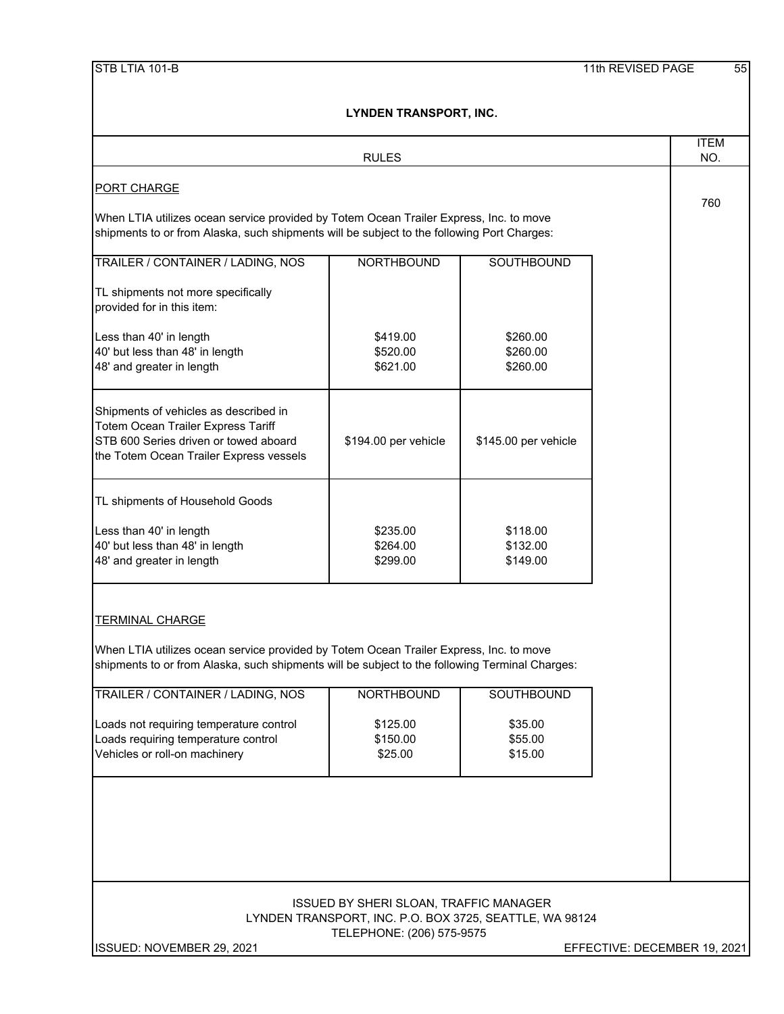|                                                                                                                                                                                      | LYNDEN I KANSPORT, INC.                       |                                                         |                              |  |  |  |
|--------------------------------------------------------------------------------------------------------------------------------------------------------------------------------------|-----------------------------------------------|---------------------------------------------------------|------------------------------|--|--|--|
|                                                                                                                                                                                      | <b>RULES</b>                                  |                                                         | <b>ITEM</b><br>NO.           |  |  |  |
| <b>PORT CHARGE</b>                                                                                                                                                                   |                                               |                                                         |                              |  |  |  |
| When LTIA utilizes ocean service provided by Totem Ocean Trailer Express, Inc. to move<br>shipments to or from Alaska, such shipments will be subject to the following Port Charges: |                                               |                                                         |                              |  |  |  |
| TRAILER / CONTAINER / LADING, NOS                                                                                                                                                    | <b>NORTHBOUND</b>                             | SOUTHBOUND                                              |                              |  |  |  |
| TL shipments not more specifically<br>provided for in this item:                                                                                                                     |                                               |                                                         |                              |  |  |  |
| Less than 40' in length<br>40' but less than 48' in length<br>48' and greater in length                                                                                              | \$419.00<br>\$520.00<br>\$621.00              | \$260.00<br>\$260.00<br>\$260.00                        |                              |  |  |  |
| Shipments of vehicles as described in<br>Totem Ocean Trailer Express Tariff<br>STB 600 Series driven or towed aboard<br>the Totem Ocean Trailer Express vessels                      | \$194.00 per vehicle                          | \$145.00 per vehicle                                    |                              |  |  |  |
| TL shipments of Household Goods                                                                                                                                                      |                                               |                                                         |                              |  |  |  |
| Less than 40' in length<br>40' but less than 48' in length<br>48' and greater in length                                                                                              | \$235.00<br>\$264.00<br>\$299.00              | \$118.00<br>\$132.00<br>\$149.00                        |                              |  |  |  |
| <b>TERMINAL CHARGE</b><br>When LTIA utilizes ocean service provided by Totem Ocean Trailer Express, Inc. to move                                                                     |                                               |                                                         |                              |  |  |  |
| shipments to or from Alaska, such shipments will be subject to the following Terminal Charges:                                                                                       |                                               |                                                         |                              |  |  |  |
| TRAILER / CONTAINER / LADING, NOS                                                                                                                                                    | <b>NORTHBOUND</b>                             | SOUTHBOUND                                              |                              |  |  |  |
| Loads not requiring temperature control<br>Loads requiring temperature control<br>Vehicles or roll-on machinery                                                                      | \$125.00<br>\$150.00<br>\$25.00               | \$35.00<br>\$55.00<br>\$15.00                           |                              |  |  |  |
|                                                                                                                                                                                      | <b>ISSUED BY SHERI SLOAN, TRAFFIC MANAGER</b> | LYNDEN TRANSPORT, INC. P.O. BOX 3725, SEATTLE, WA 98124 |                              |  |  |  |
|                                                                                                                                                                                      | TELEPHONE: (206) 575-9575                     |                                                         |                              |  |  |  |
| ISSUED: NOVEMBER 29, 2021                                                                                                                                                            |                                               |                                                         | EFFECTIVE: DECEMBER 19, 2021 |  |  |  |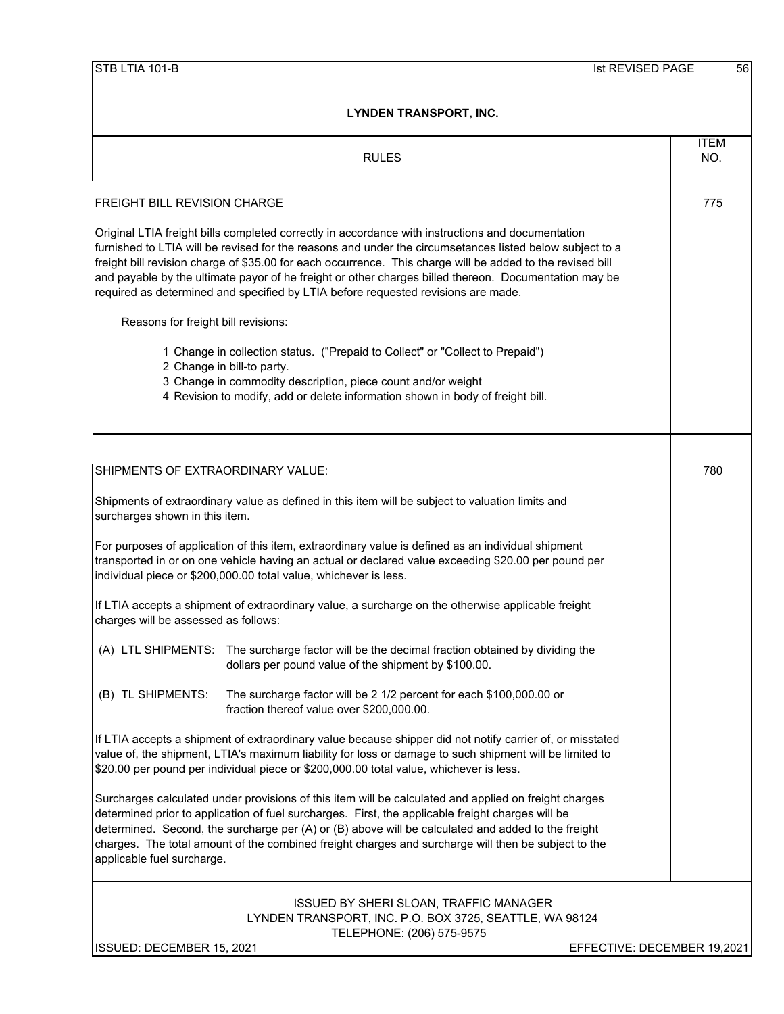|                                      | <b>RULES</b>                                                                                                                                                                                                                                                                                                                                                                                                                                                                                                              | <b>ITEM</b><br>NO. |
|--------------------------------------|---------------------------------------------------------------------------------------------------------------------------------------------------------------------------------------------------------------------------------------------------------------------------------------------------------------------------------------------------------------------------------------------------------------------------------------------------------------------------------------------------------------------------|--------------------|
|                                      |                                                                                                                                                                                                                                                                                                                                                                                                                                                                                                                           |                    |
| <b>FREIGHT BILL REVISION CHARGE</b>  |                                                                                                                                                                                                                                                                                                                                                                                                                                                                                                                           | 775                |
|                                      | Original LTIA freight bills completed correctly in accordance with instructions and documentation<br>furnished to LTIA will be revised for the reasons and under the circumsetances listed below subject to a<br>freight bill revision charge of \$35.00 for each occurrence. This charge will be added to the revised bill<br>and payable by the ultimate payor of he freight or other charges billed thereon. Documentation may be<br>required as determined and specified by LTIA before requested revisions are made. |                    |
| Reasons for freight bill revisions:  |                                                                                                                                                                                                                                                                                                                                                                                                                                                                                                                           |                    |
|                                      | 1 Change in collection status. ("Prepaid to Collect" or "Collect to Prepaid")<br>2 Change in bill-to party.<br>3 Change in commodity description, piece count and/or weight<br>4 Revision to modify, add or delete information shown in body of freight bill.                                                                                                                                                                                                                                                             |                    |
| SHIPMENTS OF EXTRAORDINARY VALUE:    |                                                                                                                                                                                                                                                                                                                                                                                                                                                                                                                           | 780                |
| surcharges shown in this item.       | Shipments of extraordinary value as defined in this item will be subject to valuation limits and                                                                                                                                                                                                                                                                                                                                                                                                                          |                    |
|                                      | For purposes of application of this item, extraordinary value is defined as an individual shipment<br>transported in or on one vehicle having an actual or declared value exceeding \$20.00 per pound per<br>individual piece or \$200,000.00 total value, whichever is less.                                                                                                                                                                                                                                             |                    |
| charges will be assessed as follows: | If LTIA accepts a shipment of extraordinary value, a surcharge on the otherwise applicable freight                                                                                                                                                                                                                                                                                                                                                                                                                        |                    |
|                                      | (A) LTL SHIPMENTS: The surcharge factor will be the decimal fraction obtained by dividing the<br>dollars per pound value of the shipment by \$100.00.                                                                                                                                                                                                                                                                                                                                                                     |                    |
|                                      | (B) TL SHIPMENTS: The surcharge factor will be 2 1/2 percent for each \$100,000.00 or<br>fraction thereof value over \$200,000.00.                                                                                                                                                                                                                                                                                                                                                                                        |                    |
|                                      | If LTIA accepts a shipment of extraordinary value because shipper did not notify carrier of, or misstated<br>value of, the shipment, LTIA's maximum liability for loss or damage to such shipment will be limited to<br>\$20.00 per pound per individual piece or \$200,000.00 total value, whichever is less.                                                                                                                                                                                                            |                    |
| applicable fuel surcharge.           | Surcharges calculated under provisions of this item will be calculated and applied on freight charges<br>determined prior to application of fuel surcharges. First, the applicable freight charges will be<br>determined. Second, the surcharge per (A) or (B) above will be calculated and added to the freight<br>charges. The total amount of the combined freight charges and surcharge will then be subject to the                                                                                                   |                    |
|                                      | ISSUED BY SHERI SLOAN, TRAFFIC MANAGER<br>LYNDEN TRANSPORT, INC. P.O. BOX 3725, SEATTLE, WA 98124<br>TELEPHONE: (206) 575-9575                                                                                                                                                                                                                                                                                                                                                                                            |                    |

ISSUED: DECEMBER 15, 2021 **EFFECTIVE: DECEMBER 19,2021**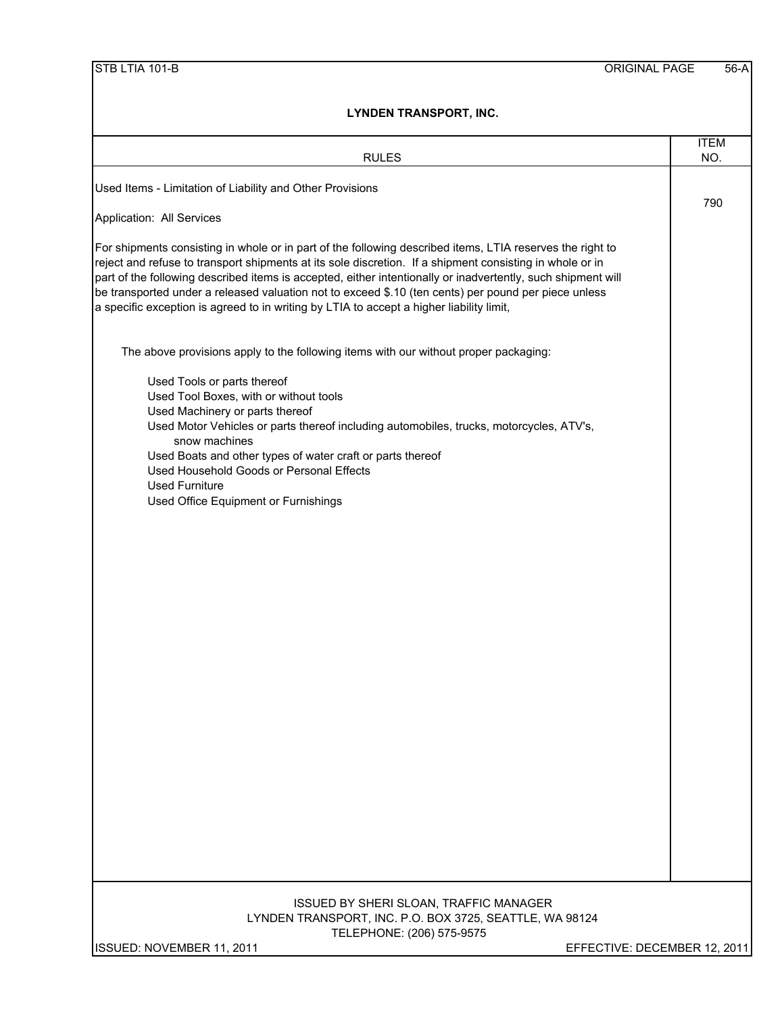| <b>RULES</b>                                                                                                                                                                                                                                                                                                                                                                                                                                                                                                                              | <b>ITEM</b><br>NO. |
|-------------------------------------------------------------------------------------------------------------------------------------------------------------------------------------------------------------------------------------------------------------------------------------------------------------------------------------------------------------------------------------------------------------------------------------------------------------------------------------------------------------------------------------------|--------------------|
| Used Items - Limitation of Liability and Other Provisions                                                                                                                                                                                                                                                                                                                                                                                                                                                                                 |                    |
| Application: All Services                                                                                                                                                                                                                                                                                                                                                                                                                                                                                                                 | 790                |
| For shipments consisting in whole or in part of the following described items, LTIA reserves the right to<br>reject and refuse to transport shipments at its sole discretion. If a shipment consisting in whole or in<br>part of the following described items is accepted, either intentionally or inadvertently, such shipment will<br>be transported under a released valuation not to exceed \$.10 (ten cents) per pound per piece unless<br>a specific exception is agreed to in writing by LTIA to accept a higher liability limit, |                    |
| The above provisions apply to the following items with our without proper packaging:                                                                                                                                                                                                                                                                                                                                                                                                                                                      |                    |
| Used Tools or parts thereof<br>Used Tool Boxes, with or without tools<br>Used Machinery or parts thereof<br>Used Motor Vehicles or parts thereof including automobiles, trucks, motorcycles, ATV's,<br>snow machines<br>Used Boats and other types of water craft or parts thereof<br>Used Household Goods or Personal Effects<br><b>Used Furniture</b><br>Used Office Equipment or Furnishings                                                                                                                                           |                    |
| ISSUED BY SHERI SLOAN, TRAFFIC MANAGER                                                                                                                                                                                                                                                                                                                                                                                                                                                                                                    |                    |
| LYNDEN TRANSPORT, INC. P.O. BOX 3725, SEATTLE, WA 98124<br>TELEPHONE: (206) 575-9575<br>ISSUED: NOVEMBER 11, 2011<br>EFFECTIVE: DECEMBER 12, 2011                                                                                                                                                                                                                                                                                                                                                                                         |                    |
|                                                                                                                                                                                                                                                                                                                                                                                                                                                                                                                                           |                    |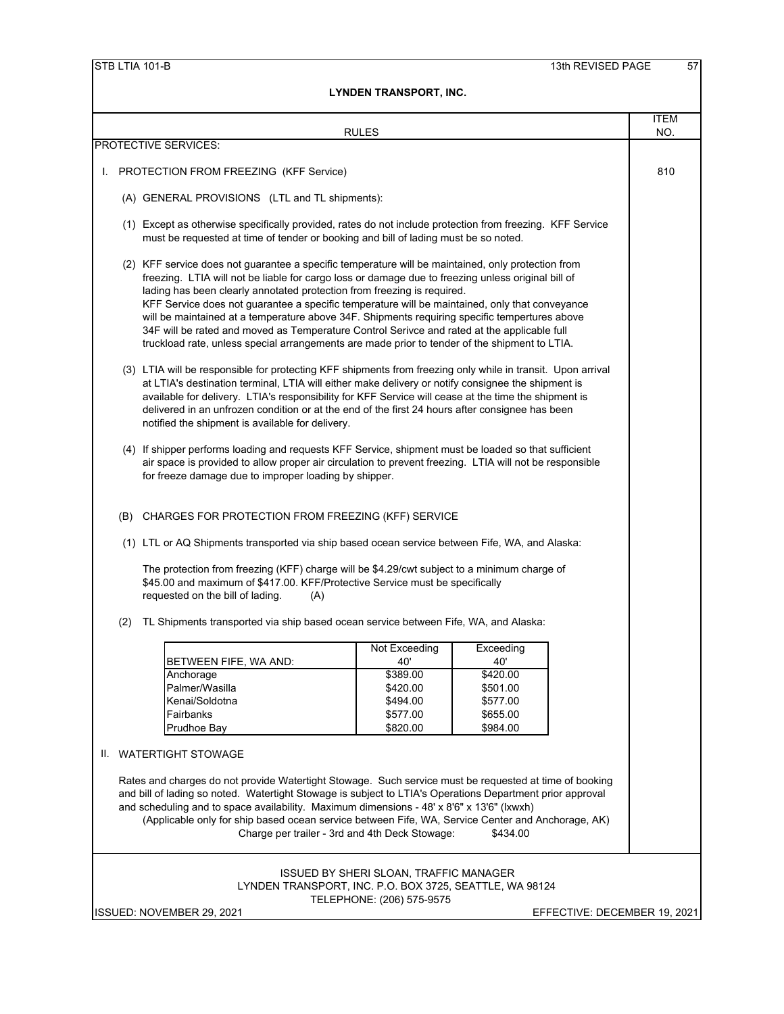|                                                                                                                                                                                                                                                                          |                                                                                                                                                                                                  |                                                                                                                                                                                                                                                                                                                                                                                                                                                                                                                                                                                                                                                                                        | <b>RULES</b>                           |                      |  | <b>ITEM</b><br>NO. |
|--------------------------------------------------------------------------------------------------------------------------------------------------------------------------------------------------------------------------------------------------------------------------|--------------------------------------------------------------------------------------------------------------------------------------------------------------------------------------------------|----------------------------------------------------------------------------------------------------------------------------------------------------------------------------------------------------------------------------------------------------------------------------------------------------------------------------------------------------------------------------------------------------------------------------------------------------------------------------------------------------------------------------------------------------------------------------------------------------------------------------------------------------------------------------------------|----------------------------------------|----------------------|--|--------------------|
|                                                                                                                                                                                                                                                                          |                                                                                                                                                                                                  | PROTECTIVE SERVICES:                                                                                                                                                                                                                                                                                                                                                                                                                                                                                                                                                                                                                                                                   |                                        |                      |  |                    |
| L.                                                                                                                                                                                                                                                                       |                                                                                                                                                                                                  | PROTECTION FROM FREEZING (KFF Service)                                                                                                                                                                                                                                                                                                                                                                                                                                                                                                                                                                                                                                                 |                                        |                      |  | 810                |
|                                                                                                                                                                                                                                                                          |                                                                                                                                                                                                  | (A) GENERAL PROVISIONS (LTL and TL shipments):                                                                                                                                                                                                                                                                                                                                                                                                                                                                                                                                                                                                                                         |                                        |                      |  |                    |
|                                                                                                                                                                                                                                                                          | (1) Except as otherwise specifically provided, rates do not include protection from freezing. KFF Service<br>must be requested at time of tender or booking and bill of lading must be so noted. |                                                                                                                                                                                                                                                                                                                                                                                                                                                                                                                                                                                                                                                                                        |                                        |                      |  |                    |
|                                                                                                                                                                                                                                                                          |                                                                                                                                                                                                  | (2) KFF service does not guarantee a specific temperature will be maintained, only protection from<br>freezing. LTIA will not be liable for cargo loss or damage due to freezing unless original bill of<br>lading has been clearly annotated protection from freezing is required.<br>KFF Service does not guarantee a specific temperature will be maintained, only that conveyance<br>will be maintained at a temperature above 34F. Shipments requiring specific tempertures above<br>34F will be rated and moved as Temperature Control Serivce and rated at the applicable full<br>truckload rate, unless special arrangements are made prior to tender of the shipment to LTIA. |                                        |                      |  |                    |
|                                                                                                                                                                                                                                                                          |                                                                                                                                                                                                  | (3) LTIA will be responsible for protecting KFF shipments from freezing only while in transit. Upon arrival<br>at LTIA's destination terminal, LTIA will either make delivery or notify consignee the shipment is<br>available for delivery. LTIA's responsibility for KFF Service will cease at the time the shipment is<br>delivered in an unfrozen condition or at the end of the first 24 hours after consignee has been<br>notified the shipment is available for delivery.                                                                                                                                                                                                       |                                        |                      |  |                    |
| (4) If shipper performs loading and requests KFF Service, shipment must be loaded so that sufficient<br>air space is provided to allow proper air circulation to prevent freezing. LTIA will not be responsible<br>for freeze damage due to improper loading by shipper. |                                                                                                                                                                                                  |                                                                                                                                                                                                                                                                                                                                                                                                                                                                                                                                                                                                                                                                                        |                                        |                      |  |                    |
|                                                                                                                                                                                                                                                                          |                                                                                                                                                                                                  | (B) CHARGES FOR PROTECTION FROM FREEZING (KFF) SERVICE                                                                                                                                                                                                                                                                                                                                                                                                                                                                                                                                                                                                                                 |                                        |                      |  |                    |
|                                                                                                                                                                                                                                                                          |                                                                                                                                                                                                  | (1) LTL or AQ Shipments transported via ship based ocean service between Fife, WA, and Alaska:                                                                                                                                                                                                                                                                                                                                                                                                                                                                                                                                                                                         |                                        |                      |  |                    |
|                                                                                                                                                                                                                                                                          |                                                                                                                                                                                                  | The protection from freezing (KFF) charge will be \$4.29/cwt subject to a minimum charge of<br>\$45.00 and maximum of \$417.00. KFF/Protective Service must be specifically<br>requested on the bill of lading.<br>(A)                                                                                                                                                                                                                                                                                                                                                                                                                                                                 |                                        |                      |  |                    |
|                                                                                                                                                                                                                                                                          | (2)                                                                                                                                                                                              | TL Shipments transported via ship based ocean service between Fife, WA, and Alaska:                                                                                                                                                                                                                                                                                                                                                                                                                                                                                                                                                                                                    |                                        |                      |  |                    |
|                                                                                                                                                                                                                                                                          |                                                                                                                                                                                                  |                                                                                                                                                                                                                                                                                                                                                                                                                                                                                                                                                                                                                                                                                        | Not Exceeding                          | Exceeding            |  |                    |
|                                                                                                                                                                                                                                                                          |                                                                                                                                                                                                  | BETWEEN FIFE, WA AND:                                                                                                                                                                                                                                                                                                                                                                                                                                                                                                                                                                                                                                                                  | 40'                                    | 40'                  |  |                    |
|                                                                                                                                                                                                                                                                          |                                                                                                                                                                                                  | Anchorage<br>Palmer/Wasilla                                                                                                                                                                                                                                                                                                                                                                                                                                                                                                                                                                                                                                                            | \$389.00<br>\$420.00                   | \$420.00<br>\$501.00 |  |                    |
|                                                                                                                                                                                                                                                                          |                                                                                                                                                                                                  | Kenai/Soldotna                                                                                                                                                                                                                                                                                                                                                                                                                                                                                                                                                                                                                                                                         | \$494.00                               | \$577.00             |  |                    |
|                                                                                                                                                                                                                                                                          |                                                                                                                                                                                                  | Fairbanks                                                                                                                                                                                                                                                                                                                                                                                                                                                                                                                                                                                                                                                                              | \$577.00                               | \$655.00             |  |                    |
|                                                                                                                                                                                                                                                                          |                                                                                                                                                                                                  | Prudhoe Bay                                                                                                                                                                                                                                                                                                                                                                                                                                                                                                                                                                                                                                                                            | \$820.00                               | \$984.00             |  |                    |
|                                                                                                                                                                                                                                                                          |                                                                                                                                                                                                  | II. WATERTIGHT STOWAGE                                                                                                                                                                                                                                                                                                                                                                                                                                                                                                                                                                                                                                                                 |                                        |                      |  |                    |
|                                                                                                                                                                                                                                                                          |                                                                                                                                                                                                  | Rates and charges do not provide Watertight Stowage. Such service must be requested at time of booking<br>and bill of lading so noted. Watertight Stowage is subject to LTIA's Operations Department prior approval<br>and scheduling and to space availability. Maximum dimensions - 48' x 8'6" x 13'6" (Ixwxh)<br>(Applicable only for ship based ocean service between Fife, WA, Service Center and Anchorage, AK)<br>Charge per trailer - 3rd and 4th Deck Stowage:                                                                                                                                                                                                                |                                        | \$434.00             |  |                    |
|                                                                                                                                                                                                                                                                          |                                                                                                                                                                                                  | LYNDEN TRANSPORT, INC. P.O. BOX 3725, SEATTLE, WA 98124                                                                                                                                                                                                                                                                                                                                                                                                                                                                                                                                                                                                                                | ISSUED BY SHERI SLOAN, TRAFFIC MANAGER |                      |  |                    |
|                                                                                                                                                                                                                                                                          |                                                                                                                                                                                                  |                                                                                                                                                                                                                                                                                                                                                                                                                                                                                                                                                                                                                                                                                        | TELEPHONE: (206) 575-9575              |                      |  |                    |

ISSUED: NOVEMBER 29, 2021 EFFECTIVE: DECEMBER 19, 2021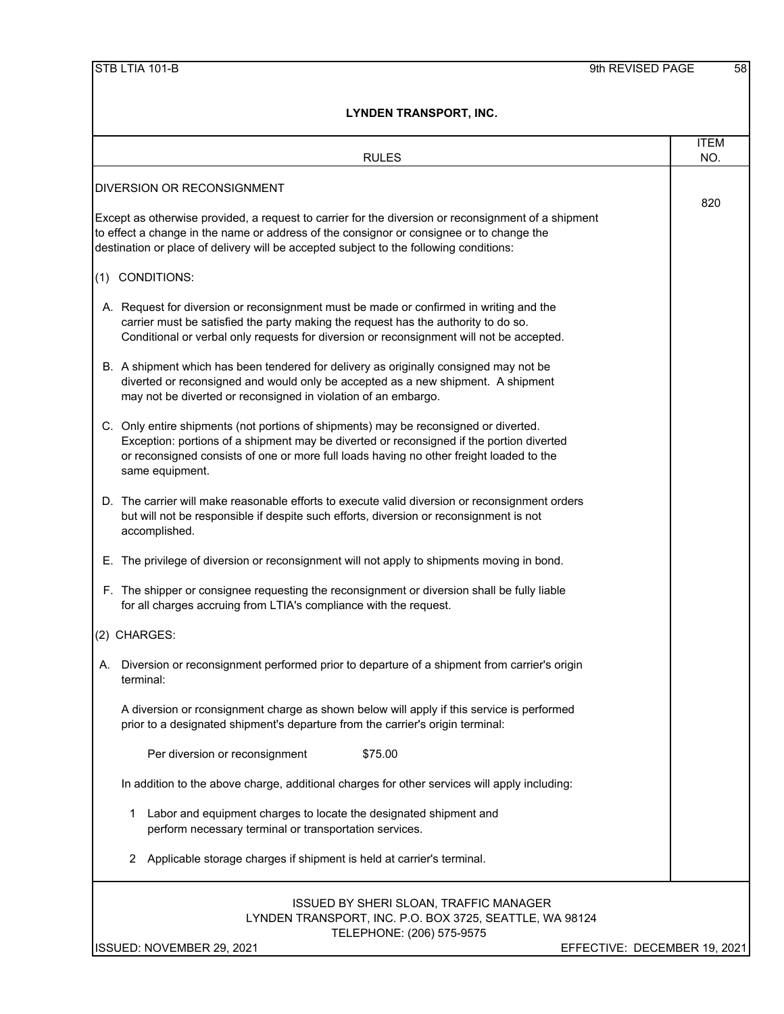| <b>RULES</b>                                                                                                                                                                                                                                                                                   | <b>ITEM</b><br>NO.           |
|------------------------------------------------------------------------------------------------------------------------------------------------------------------------------------------------------------------------------------------------------------------------------------------------|------------------------------|
| <b>DIVERSION OR RECONSIGNMENT</b>                                                                                                                                                                                                                                                              |                              |
| Except as otherwise provided, a request to carrier for the diversion or reconsignment of a shipment<br>to effect a change in the name or address of the consignor or consignee or to change the<br>destination or place of delivery will be accepted subject to the following conditions:      | 820                          |
| (1) CONDITIONS:                                                                                                                                                                                                                                                                                |                              |
| A. Request for diversion or reconsignment must be made or confirmed in writing and the<br>carrier must be satisfied the party making the request has the authority to do so.<br>Conditional or verbal only requests for diversion or reconsignment will not be accepted.                       |                              |
| B. A shipment which has been tendered for delivery as originally consigned may not be<br>diverted or reconsigned and would only be accepted as a new shipment. A shipment<br>may not be diverted or reconsigned in violation of an embargo.                                                    |                              |
| C. Only entire shipments (not portions of shipments) may be reconsigned or diverted.<br>Exception: portions of a shipment may be diverted or reconsigned if the portion diverted<br>or reconsigned consists of one or more full loads having no other freight loaded to the<br>same equipment. |                              |
| D. The carrier will make reasonable efforts to execute valid diversion or reconsignment orders<br>but will not be responsible if despite such efforts, diversion or reconsignment is not<br>accomplished.                                                                                      |                              |
| E. The privilege of diversion or reconsignment will not apply to shipments moving in bond.                                                                                                                                                                                                     |                              |
| F. The shipper or consignee requesting the reconsignment or diversion shall be fully liable<br>for all charges accruing from LTIA's compliance with the request.                                                                                                                               |                              |
| (2) CHARGES:                                                                                                                                                                                                                                                                                   |                              |
| Diversion or reconsignment performed prior to departure of a shipment from carrier's origin<br>А.<br>terminal:                                                                                                                                                                                 |                              |
| A diversion or rconsignment charge as shown below will apply if this service is performed<br>prior to a designated shipment's departure from the carrier's origin terminal:                                                                                                                    |                              |
| Per diversion or reconsignment<br>\$75.00                                                                                                                                                                                                                                                      |                              |
| In addition to the above charge, additional charges for other services will apply including:                                                                                                                                                                                                   |                              |
| Labor and equipment charges to locate the designated shipment and<br>1<br>perform necessary terminal or transportation services.                                                                                                                                                               |                              |
| 2<br>Applicable storage charges if shipment is held at carrier's terminal.                                                                                                                                                                                                                     |                              |
| ISSUED BY SHERI SLOAN, TRAFFIC MANAGER<br>LYNDEN TRANSPORT, INC. P.O. BOX 3725, SEATTLE, WA 98124<br>TELEPHONE: (206) 575-9575<br>ISSUED: NOVEMBER 29, 2021                                                                                                                                    | EFFECTIVE: DECEMBER 19, 2021 |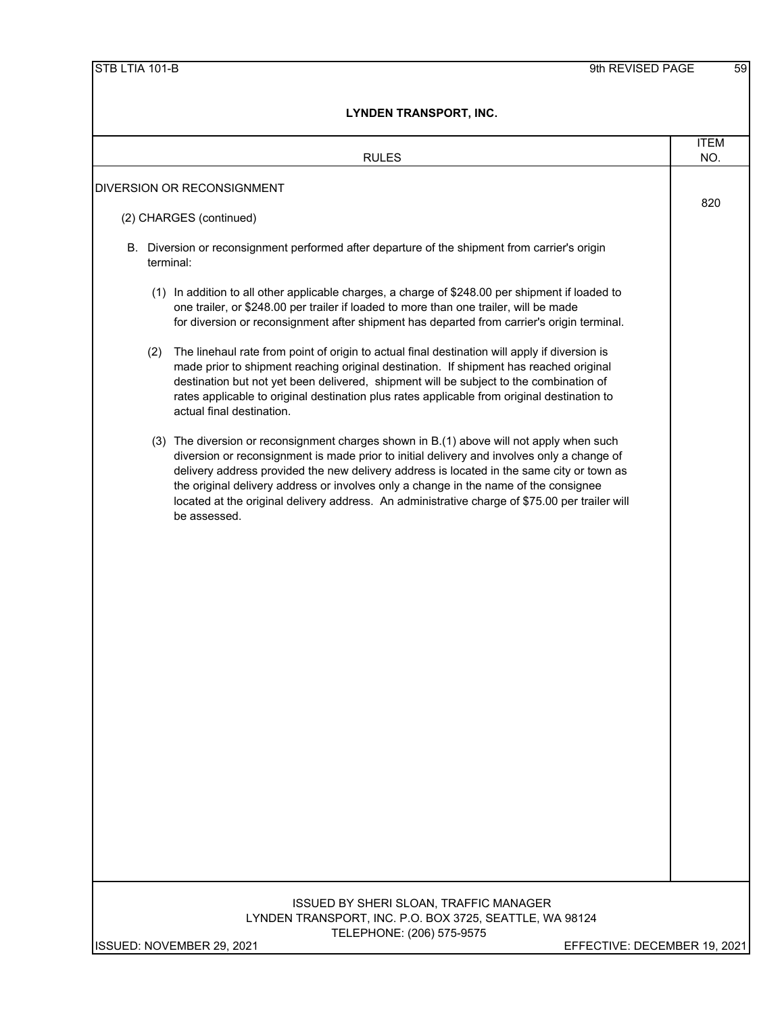| <b>RULES</b>                                                                                                                                                                                                                                                                                                                                                                                                                                                                                  | <b>ITEM</b><br>NO. |
|-----------------------------------------------------------------------------------------------------------------------------------------------------------------------------------------------------------------------------------------------------------------------------------------------------------------------------------------------------------------------------------------------------------------------------------------------------------------------------------------------|--------------------|
| DIVERSION OR RECONSIGNMENT                                                                                                                                                                                                                                                                                                                                                                                                                                                                    |                    |
| (2) CHARGES (continued)                                                                                                                                                                                                                                                                                                                                                                                                                                                                       | 820                |
| B. Diversion or reconsignment performed after departure of the shipment from carrier's origin<br>terminal:                                                                                                                                                                                                                                                                                                                                                                                    |                    |
| (1) In addition to all other applicable charges, a charge of \$248.00 per shipment if loaded to<br>one trailer, or \$248.00 per trailer if loaded to more than one trailer, will be made<br>for diversion or reconsignment after shipment has departed from carrier's origin terminal.                                                                                                                                                                                                        |                    |
| The linehaul rate from point of origin to actual final destination will apply if diversion is<br>(2)<br>made prior to shipment reaching original destination. If shipment has reached original<br>destination but not yet been delivered, shipment will be subject to the combination of<br>rates applicable to original destination plus rates applicable from original destination to<br>actual final destination.                                                                          |                    |
| (3) The diversion or reconsignment charges shown in B.(1) above will not apply when such<br>diversion or reconsignment is made prior to initial delivery and involves only a change of<br>delivery address provided the new delivery address is located in the same city or town as<br>the original delivery address or involves only a change in the name of the consignee<br>located at the original delivery address. An administrative charge of \$75.00 per trailer will<br>be assessed. |                    |
|                                                                                                                                                                                                                                                                                                                                                                                                                                                                                               |                    |
| ISSUED BY SHERI SLOAN, TRAFFIC MANAGER<br>LYNDEN TRANSPORT, INC. P.O. BOX 3725, SEATTLE, WA 98124<br>TELEPHONE: (206) 575-9575<br>ISSUED: NOVEMBER 29, 2021<br>EFFECTIVE: DECEMBER 19, 2021                                                                                                                                                                                                                                                                                                   |                    |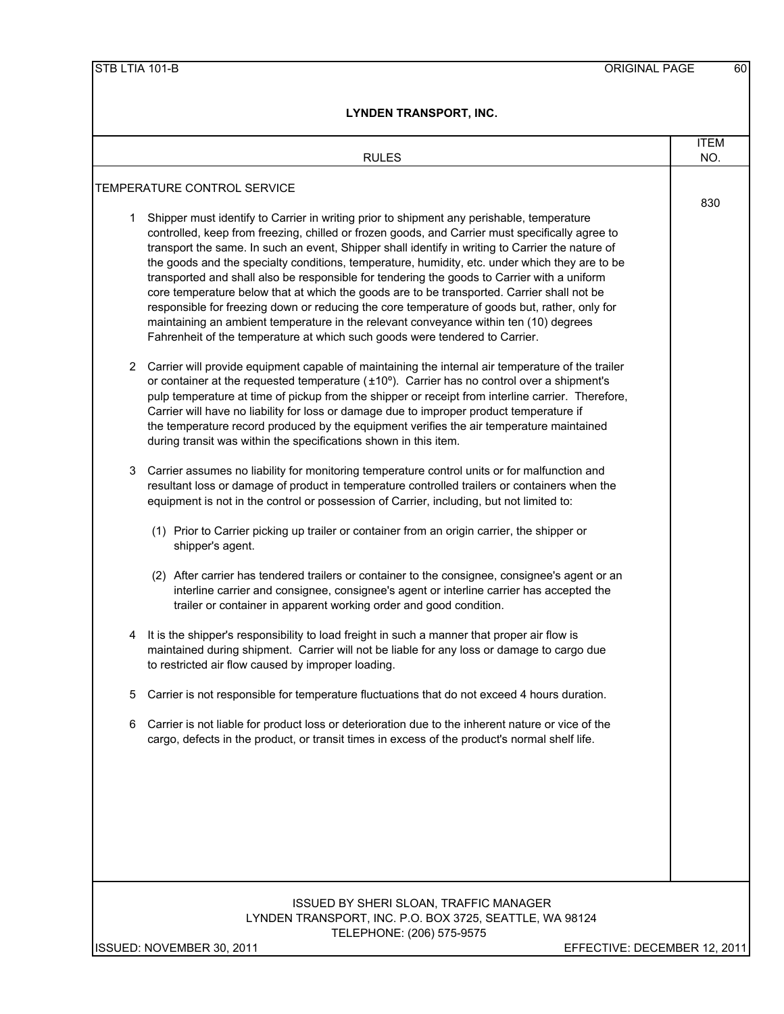| <b>RULES</b>                                                                                                                                                                                                                                                                                                                                                                                                                                                                                                                                                                                                                                                                                                                                                                                                                                                                  | <b>ITEM</b><br>NO.           |
|-------------------------------------------------------------------------------------------------------------------------------------------------------------------------------------------------------------------------------------------------------------------------------------------------------------------------------------------------------------------------------------------------------------------------------------------------------------------------------------------------------------------------------------------------------------------------------------------------------------------------------------------------------------------------------------------------------------------------------------------------------------------------------------------------------------------------------------------------------------------------------|------------------------------|
| TEMPERATURE CONTROL SERVICE                                                                                                                                                                                                                                                                                                                                                                                                                                                                                                                                                                                                                                                                                                                                                                                                                                                   |                              |
|                                                                                                                                                                                                                                                                                                                                                                                                                                                                                                                                                                                                                                                                                                                                                                                                                                                                               | 830                          |
| Shipper must identify to Carrier in writing prior to shipment any perishable, temperature<br>1<br>controlled, keep from freezing, chilled or frozen goods, and Carrier must specifically agree to<br>transport the same. In such an event, Shipper shall identify in writing to Carrier the nature of<br>the goods and the specialty conditions, temperature, humidity, etc. under which they are to be<br>transported and shall also be responsible for tendering the goods to Carrier with a uniform<br>core temperature below that at which the goods are to be transported. Carrier shall not be<br>responsible for freezing down or reducing the core temperature of goods but, rather, only for<br>maintaining an ambient temperature in the relevant conveyance within ten (10) degrees<br>Fahrenheit of the temperature at which such goods were tendered to Carrier. |                              |
| Carrier will provide equipment capable of maintaining the internal air temperature of the trailer<br>2.<br>or container at the requested temperature $(\pm 10^{\circ})$ . Carrier has no control over a shipment's<br>pulp temperature at time of pickup from the shipper or receipt from interline carrier. Therefore,<br>Carrier will have no liability for loss or damage due to improper product temperature if<br>the temperature record produced by the equipment verifies the air temperature maintained<br>during transit was within the specifications shown in this item.                                                                                                                                                                                                                                                                                           |                              |
| Carrier assumes no liability for monitoring temperature control units or for malfunction and<br>3<br>resultant loss or damage of product in temperature controlled trailers or containers when the<br>equipment is not in the control or possession of Carrier, including, but not limited to:<br>(1) Prior to Carrier picking up trailer or container from an origin carrier, the shipper or<br>shipper's agent.                                                                                                                                                                                                                                                                                                                                                                                                                                                             |                              |
| (2) After carrier has tendered trailers or container to the consignee, consignee's agent or an<br>interline carrier and consignee, consignee's agent or interline carrier has accepted the<br>trailer or container in apparent working order and good condition.                                                                                                                                                                                                                                                                                                                                                                                                                                                                                                                                                                                                              |                              |
| It is the shipper's responsibility to load freight in such a manner that proper air flow is<br>4<br>maintained during shipment. Carrier will not be liable for any loss or damage to cargo due<br>to restricted air flow caused by improper loading.                                                                                                                                                                                                                                                                                                                                                                                                                                                                                                                                                                                                                          |                              |
| Carrier is not responsible for temperature fluctuations that do not exceed 4 hours duration.<br>5                                                                                                                                                                                                                                                                                                                                                                                                                                                                                                                                                                                                                                                                                                                                                                             |                              |
| Carrier is not liable for product loss or deterioration due to the inherent nature or vice of the<br>6<br>cargo, defects in the product, or transit times in excess of the product's normal shelf life.                                                                                                                                                                                                                                                                                                                                                                                                                                                                                                                                                                                                                                                                       |                              |
|                                                                                                                                                                                                                                                                                                                                                                                                                                                                                                                                                                                                                                                                                                                                                                                                                                                                               |                              |
| ISSUED BY SHERI SLOAN, TRAFFIC MANAGER                                                                                                                                                                                                                                                                                                                                                                                                                                                                                                                                                                                                                                                                                                                                                                                                                                        |                              |
| LYNDEN TRANSPORT, INC. P.O. BOX 3725, SEATTLE, WA 98124<br>TELEPHONE: (206) 575-9575                                                                                                                                                                                                                                                                                                                                                                                                                                                                                                                                                                                                                                                                                                                                                                                          |                              |
| ISSUED: NOVEMBER 30, 2011                                                                                                                                                                                                                                                                                                                                                                                                                                                                                                                                                                                                                                                                                                                                                                                                                                                     | EFFECTIVE: DECEMBER 12, 2011 |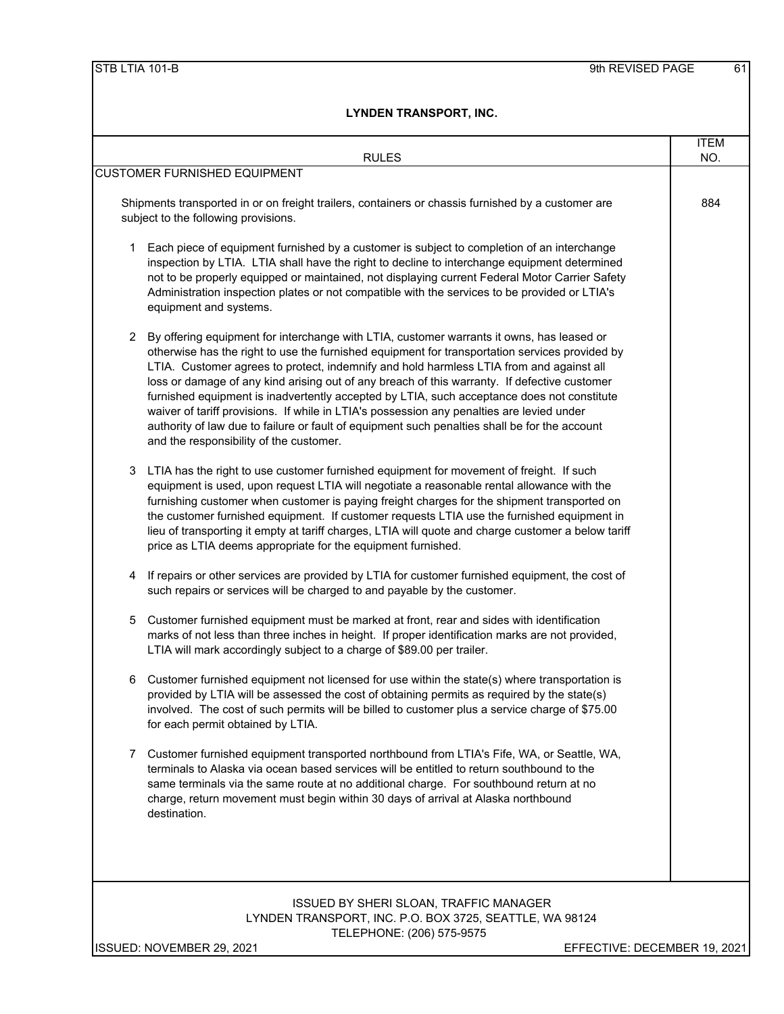|   | <b>RULES</b>                                                                                                                                                                                                                                                                                                                                                                                                                                                                                                                                                                                                                                                                                                                  | <b>ITEM</b><br>NO. |
|---|-------------------------------------------------------------------------------------------------------------------------------------------------------------------------------------------------------------------------------------------------------------------------------------------------------------------------------------------------------------------------------------------------------------------------------------------------------------------------------------------------------------------------------------------------------------------------------------------------------------------------------------------------------------------------------------------------------------------------------|--------------------|
|   | <b>CUSTOMER FURNISHED EQUIPMENT</b>                                                                                                                                                                                                                                                                                                                                                                                                                                                                                                                                                                                                                                                                                           |                    |
|   | Shipments transported in or on freight trailers, containers or chassis furnished by a customer are<br>subject to the following provisions.                                                                                                                                                                                                                                                                                                                                                                                                                                                                                                                                                                                    | 884                |
| 1 | Each piece of equipment furnished by a customer is subject to completion of an interchange<br>inspection by LTIA. LTIA shall have the right to decline to interchange equipment determined<br>not to be properly equipped or maintained, not displaying current Federal Motor Carrier Safety<br>Administration inspection plates or not compatible with the services to be provided or LTIA's<br>equipment and systems.                                                                                                                                                                                                                                                                                                       |                    |
| 2 | By offering equipment for interchange with LTIA, customer warrants it owns, has leased or<br>otherwise has the right to use the furnished equipment for transportation services provided by<br>LTIA. Customer agrees to protect, indemnify and hold harmless LTIA from and against all<br>loss or damage of any kind arising out of any breach of this warranty. If defective customer<br>furnished equipment is inadvertently accepted by LTIA, such acceptance does not constitute<br>waiver of tariff provisions. If while in LTIA's possession any penalties are levied under<br>authority of law due to failure or fault of equipment such penalties shall be for the account<br>and the responsibility of the customer. |                    |
| 3 | LTIA has the right to use customer furnished equipment for movement of freight. If such<br>equipment is used, upon request LTIA will negotiate a reasonable rental allowance with the<br>furnishing customer when customer is paying freight charges for the shipment transported on<br>the customer furnished equipment. If customer requests LTIA use the furnished equipment in<br>lieu of transporting it empty at tariff charges, LTIA will quote and charge customer a below tariff<br>price as LTIA deems appropriate for the equipment furnished.                                                                                                                                                                     |                    |
| 4 | If repairs or other services are provided by LTIA for customer furnished equipment, the cost of<br>such repairs or services will be charged to and payable by the customer.                                                                                                                                                                                                                                                                                                                                                                                                                                                                                                                                                   |                    |
| 5 | Customer furnished equipment must be marked at front, rear and sides with identification<br>marks of not less than three inches in height. If proper identification marks are not provided,<br>LTIA will mark accordingly subject to a charge of \$89.00 per trailer.                                                                                                                                                                                                                                                                                                                                                                                                                                                         |                    |
| 6 | Customer furnished equipment not licensed for use within the state(s) where transportation is<br>provided by LTIA will be assessed the cost of obtaining permits as required by the state(s)<br>involved. The cost of such permits will be billed to customer plus a service charge of \$75.00<br>for each permit obtained by LTIA.                                                                                                                                                                                                                                                                                                                                                                                           |                    |
| 7 | Customer furnished equipment transported northbound from LTIA's Fife, WA, or Seattle, WA,<br>terminals to Alaska via ocean based services will be entitled to return southbound to the<br>same terminals via the same route at no additional charge. For southbound return at no<br>charge, return movement must begin within 30 days of arrival at Alaska northbound<br>destination.                                                                                                                                                                                                                                                                                                                                         |                    |
|   |                                                                                                                                                                                                                                                                                                                                                                                                                                                                                                                                                                                                                                                                                                                               |                    |
|   | ISSUED BY SHERI SLOAN, TRAFFIC MANAGER<br>LYNDEN TRANSPORT, INC. P.O. BOX 3725, SEATTLE, WA 98124<br>TELEPHONE: (206) 575-9575                                                                                                                                                                                                                                                                                                                                                                                                                                                                                                                                                                                                |                    |

ISSUED: NOVEMBER 29, 2021 EFFECTIVE: DECEMBER 19, 2021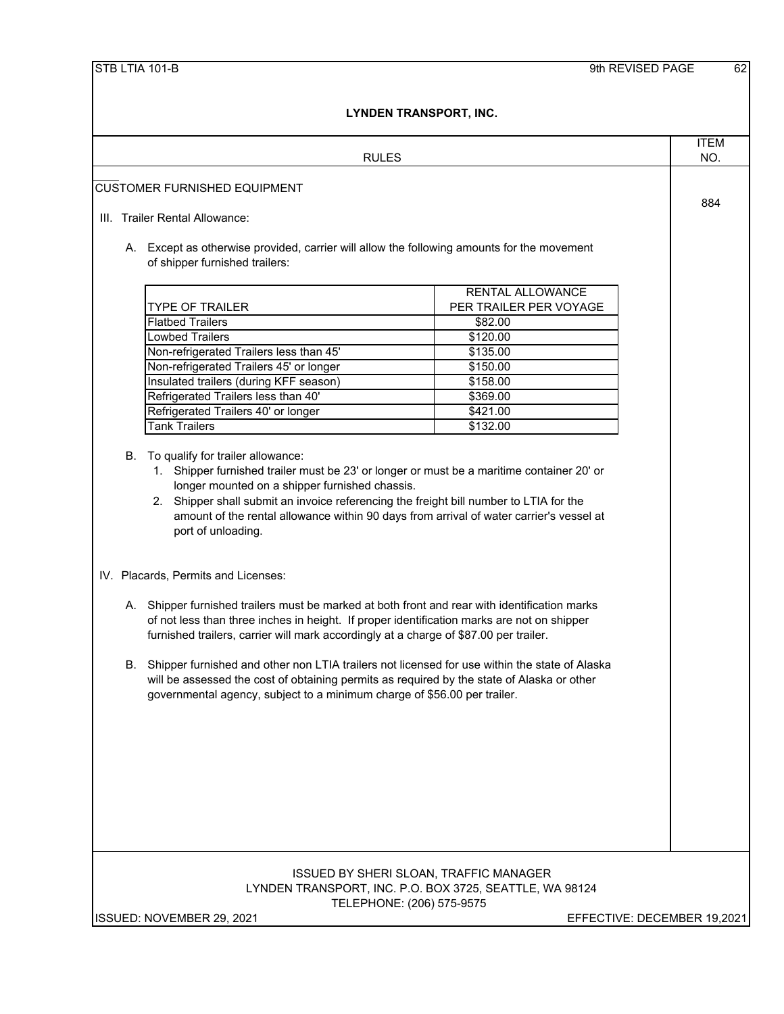|                                                                                       | <b>RULES</b>                                                                                  | <b>ITEM</b><br>NO. |
|---------------------------------------------------------------------------------------|-----------------------------------------------------------------------------------------------|--------------------|
|                                                                                       |                                                                                               |                    |
| <b>CUSTOMER FURNISHED EQUIPMENT</b>                                                   |                                                                                               |                    |
|                                                                                       |                                                                                               | 884                |
| III. Trailer Rental Allowance:                                                        |                                                                                               |                    |
|                                                                                       |                                                                                               |                    |
| of shipper furnished trailers:                                                        | A. Except as otherwise provided, carrier will allow the following amounts for the movement    |                    |
|                                                                                       |                                                                                               |                    |
|                                                                                       | <b>RENTAL ALLOWANCE</b>                                                                       |                    |
| <b>TYPE OF TRAILER</b>                                                                | PER TRAILER PER VOYAGE                                                                        |                    |
| <b>Flatbed Trailers</b>                                                               | \$82.00                                                                                       |                    |
| Lowbed Trailers                                                                       | \$120.00                                                                                      |                    |
| Non-refrigerated Trailers less than 45'                                               | \$135.00                                                                                      |                    |
| Non-refrigerated Trailers 45' or longer                                               | \$150.00                                                                                      |                    |
| Insulated trailers (during KFF season)                                                | \$158.00                                                                                      |                    |
| Refrigerated Trailers less than 40'                                                   | \$369.00                                                                                      |                    |
| Refrigerated Trailers 40' or longer                                                   | \$421.00                                                                                      |                    |
| <b>Tank Trailers</b>                                                                  | \$132.00                                                                                      |                    |
|                                                                                       |                                                                                               |                    |
| To qualify for trailer allowance:<br>В.                                               | 1. Shipper furnished trailer must be 23' or longer or must be a maritime container 20' or     |                    |
| longer mounted on a shipper furnished chassis.                                        |                                                                                               |                    |
|                                                                                       | 2. Shipper shall submit an invoice referencing the freight bill number to LTIA for the        |                    |
|                                                                                       |                                                                                               |                    |
|                                                                                       | amount of the rental allowance within 90 days from arrival of water carrier's vessel at       |                    |
| port of unloading.                                                                    |                                                                                               |                    |
|                                                                                       |                                                                                               |                    |
| IV. Placards, Permits and Licenses:                                                   |                                                                                               |                    |
|                                                                                       |                                                                                               |                    |
|                                                                                       | A. Shipper furnished trailers must be marked at both front and rear with identification marks |                    |
|                                                                                       | of not less than three inches in height. If proper identification marks are not on shipper    |                    |
| furnished trailers, carrier will mark accordingly at a charge of \$87.00 per trailer. |                                                                                               |                    |
|                                                                                       |                                                                                               |                    |
| В.                                                                                    | Shipper furnished and other non LTIA trailers not licensed for use within the state of Alaska |                    |
|                                                                                       | will be assessed the cost of obtaining permits as required by the state of Alaska or other    |                    |
| governmental agency, subject to a minimum charge of \$56.00 per trailer.              |                                                                                               |                    |
|                                                                                       |                                                                                               |                    |
|                                                                                       |                                                                                               |                    |
|                                                                                       |                                                                                               |                    |
|                                                                                       |                                                                                               |                    |
|                                                                                       |                                                                                               |                    |
|                                                                                       |                                                                                               |                    |
|                                                                                       |                                                                                               |                    |
|                                                                                       |                                                                                               |                    |
|                                                                                       |                                                                                               |                    |
|                                                                                       |                                                                                               |                    |
|                                                                                       |                                                                                               |                    |
|                                                                                       | ISSUED BY SHERI SLOAN, TRAFFIC MANAGER                                                        |                    |
|                                                                                       | LYNDEN TRANSPORT, INC. P.O. BOX 3725, SEATTLE, WA 98124                                       |                    |
| ISSUED: NOVEMBER 29, 2021                                                             | TELEPHONE: (206) 575-9575<br>EFFECTIVE: DECEMBER 19,2021                                      |                    |
|                                                                                       |                                                                                               |                    |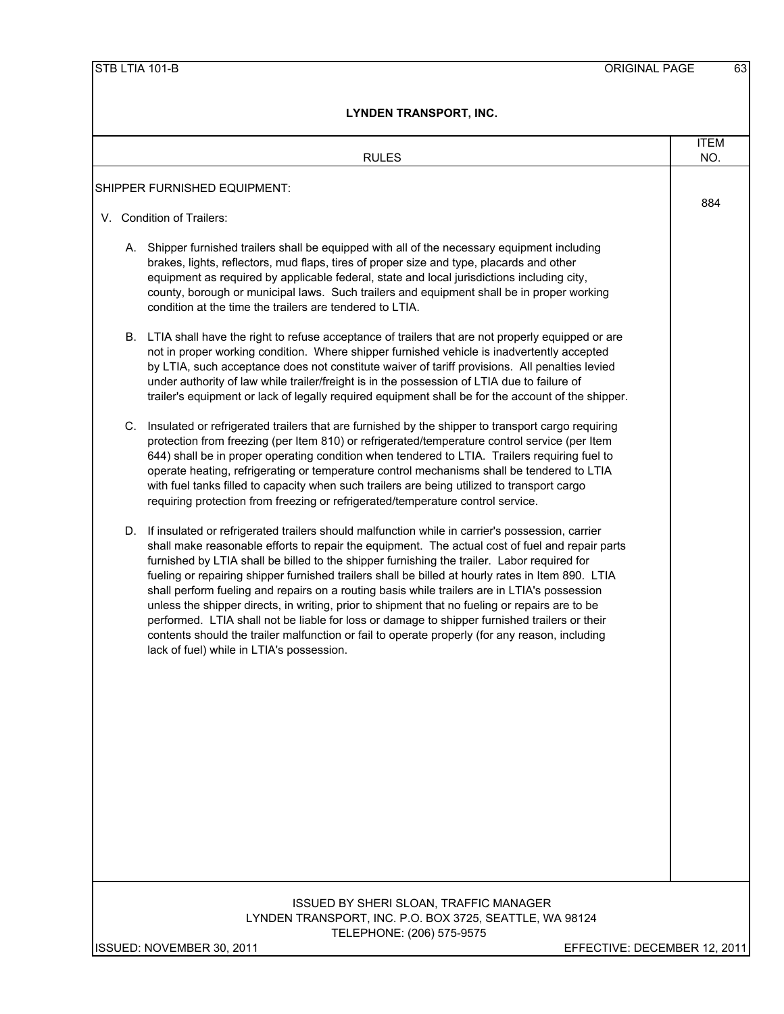| <b>RULES</b>                                                                                                                                                                                                                                                                                                                                                                                                                                                                                                                                                                                                                                                                                                                                                                                                                                                | <b>ITEM</b><br>NO. |
|-------------------------------------------------------------------------------------------------------------------------------------------------------------------------------------------------------------------------------------------------------------------------------------------------------------------------------------------------------------------------------------------------------------------------------------------------------------------------------------------------------------------------------------------------------------------------------------------------------------------------------------------------------------------------------------------------------------------------------------------------------------------------------------------------------------------------------------------------------------|--------------------|
| SHIPPER FURNISHED EQUIPMENT:                                                                                                                                                                                                                                                                                                                                                                                                                                                                                                                                                                                                                                                                                                                                                                                                                                |                    |
| V. Condition of Trailers:                                                                                                                                                                                                                                                                                                                                                                                                                                                                                                                                                                                                                                                                                                                                                                                                                                   | 884                |
| A. Shipper furnished trailers shall be equipped with all of the necessary equipment including<br>brakes, lights, reflectors, mud flaps, tires of proper size and type, placards and other<br>equipment as required by applicable federal, state and local jurisdictions including city,<br>county, borough or municipal laws. Such trailers and equipment shall be in proper working<br>condition at the time the trailers are tendered to LTIA.                                                                                                                                                                                                                                                                                                                                                                                                            |                    |
| B. LTIA shall have the right to refuse acceptance of trailers that are not properly equipped or are<br>not in proper working condition. Where shipper furnished vehicle is inadvertently accepted<br>by LTIA, such acceptance does not constitute waiver of tariff provisions. All penalties levied<br>under authority of law while trailer/freight is in the possession of LTIA due to failure of<br>trailer's equipment or lack of legally required equipment shall be for the account of the shipper.                                                                                                                                                                                                                                                                                                                                                    |                    |
| C. Insulated or refrigerated trailers that are furnished by the shipper to transport cargo requiring<br>protection from freezing (per Item 810) or refrigerated/temperature control service (per Item<br>644) shall be in proper operating condition when tendered to LTIA. Trailers requiring fuel to<br>operate heating, refrigerating or temperature control mechanisms shall be tendered to LTIA<br>with fuel tanks filled to capacity when such trailers are being utilized to transport cargo<br>requiring protection from freezing or refrigerated/temperature control service.                                                                                                                                                                                                                                                                      |                    |
| D. If insulated or refrigerated trailers should malfunction while in carrier's possession, carrier<br>shall make reasonable efforts to repair the equipment. The actual cost of fuel and repair parts<br>furnished by LTIA shall be billed to the shipper furnishing the trailer. Labor required for<br>fueling or repairing shipper furnished trailers shall be billed at hourly rates in Item 890. LTIA<br>shall perform fueling and repairs on a routing basis while trailers are in LTIA's possession<br>unless the shipper directs, in writing, prior to shipment that no fueling or repairs are to be<br>performed. LTIA shall not be liable for loss or damage to shipper furnished trailers or their<br>contents should the trailer malfunction or fail to operate properly (for any reason, including<br>lack of fuel) while in LTIA's possession. |                    |
|                                                                                                                                                                                                                                                                                                                                                                                                                                                                                                                                                                                                                                                                                                                                                                                                                                                             |                    |
| <b>ISSUED BY SHERI SLOAN, TRAFFIC MANAGER</b><br>LYNDEN TRANSPORT, INC. P.O. BOX 3725, SEATTLE, WA 98124<br>TELEPHONE: (206) 575-9575                                                                                                                                                                                                                                                                                                                                                                                                                                                                                                                                                                                                                                                                                                                       |                    |
| ISSUED: NOVEMBER 30, 2011<br>EFFECTIVE: DECEMBER 12, 2011                                                                                                                                                                                                                                                                                                                                                                                                                                                                                                                                                                                                                                                                                                                                                                                                   |                    |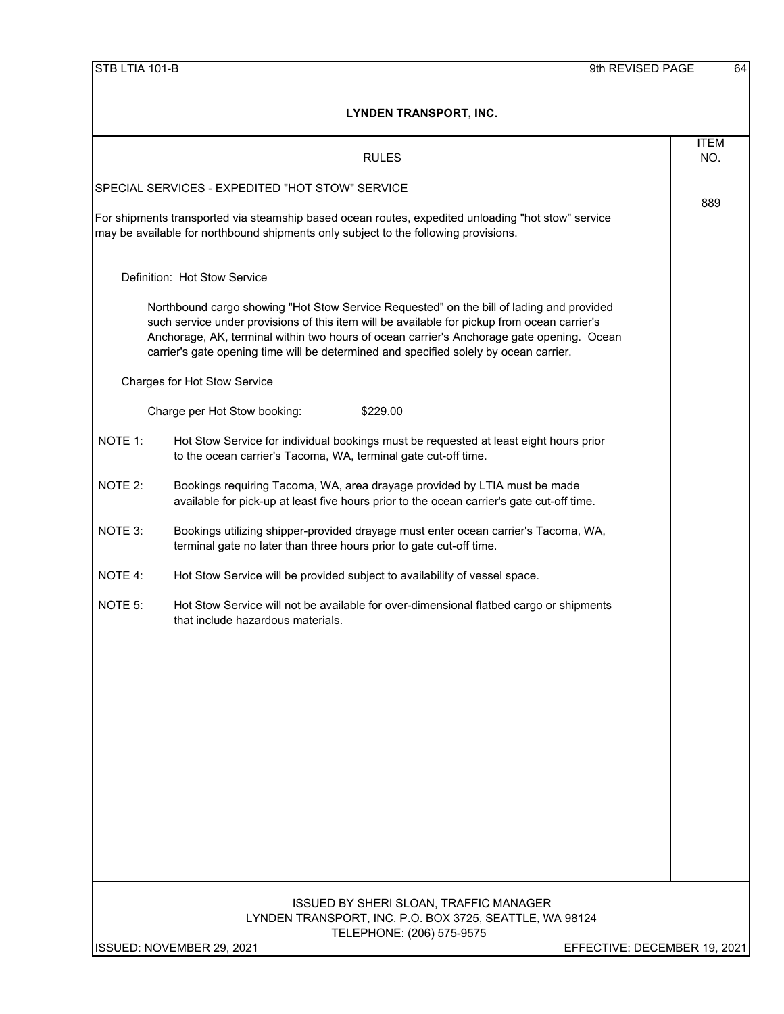|         | LINUEN IRANJFURI, INU.                                                                                                                                                                                                                                                                                                                                                         |                    |
|---------|--------------------------------------------------------------------------------------------------------------------------------------------------------------------------------------------------------------------------------------------------------------------------------------------------------------------------------------------------------------------------------|--------------------|
|         | <b>RULES</b>                                                                                                                                                                                                                                                                                                                                                                   | <b>ITEM</b><br>NO. |
|         | SPECIAL SERVICES - EXPEDITED "HOT STOW" SERVICE                                                                                                                                                                                                                                                                                                                                | 889                |
|         | For shipments transported via steamship based ocean routes, expedited unloading "hot stow" service<br>may be available for northbound shipments only subject to the following provisions.                                                                                                                                                                                      |                    |
|         | Definition: Hot Stow Service                                                                                                                                                                                                                                                                                                                                                   |                    |
|         | Northbound cargo showing "Hot Stow Service Requested" on the bill of lading and provided<br>such service under provisions of this item will be available for pickup from ocean carrier's<br>Anchorage, AK, terminal within two hours of ocean carrier's Anchorage gate opening. Ocean<br>carrier's gate opening time will be determined and specified solely by ocean carrier. |                    |
|         | <b>Charges for Hot Stow Service</b>                                                                                                                                                                                                                                                                                                                                            |                    |
|         | Charge per Hot Stow booking:<br>\$229.00                                                                                                                                                                                                                                                                                                                                       |                    |
| NOTE 1: | Hot Stow Service for individual bookings must be requested at least eight hours prior<br>to the ocean carrier's Tacoma, WA, terminal gate cut-off time.                                                                                                                                                                                                                        |                    |
| NOTE 2: | Bookings requiring Tacoma, WA, area drayage provided by LTIA must be made<br>available for pick-up at least five hours prior to the ocean carrier's gate cut-off time.                                                                                                                                                                                                         |                    |
| NOTE 3: | Bookings utilizing shipper-provided drayage must enter ocean carrier's Tacoma, WA,<br>terminal gate no later than three hours prior to gate cut-off time.                                                                                                                                                                                                                      |                    |
| NOTE 4: | Hot Stow Service will be provided subject to availability of vessel space.                                                                                                                                                                                                                                                                                                     |                    |
| NOTE 5: | Hot Stow Service will not be available for over-dimensional flatbed cargo or shipments<br>that include hazardous materials.                                                                                                                                                                                                                                                    |                    |
|         |                                                                                                                                                                                                                                                                                                                                                                                |                    |
|         |                                                                                                                                                                                                                                                                                                                                                                                |                    |
|         |                                                                                                                                                                                                                                                                                                                                                                                |                    |
|         |                                                                                                                                                                                                                                                                                                                                                                                |                    |
|         |                                                                                                                                                                                                                                                                                                                                                                                |                    |
|         |                                                                                                                                                                                                                                                                                                                                                                                |                    |
|         |                                                                                                                                                                                                                                                                                                                                                                                |                    |
|         | ISSUED BY SHERI SLOAN, TRAFFIC MANAGER<br>LYNDEN TRANSPORT, INC. P.O. BOX 3725, SEATTLE, WA 98124<br>TELEPHONE: (206) 575-9575                                                                                                                                                                                                                                                 |                    |
|         | ISSUED: NOVEMBER 29, 2021<br>EFFECTIVE: DECEMBER 19, 2021                                                                                                                                                                                                                                                                                                                      |                    |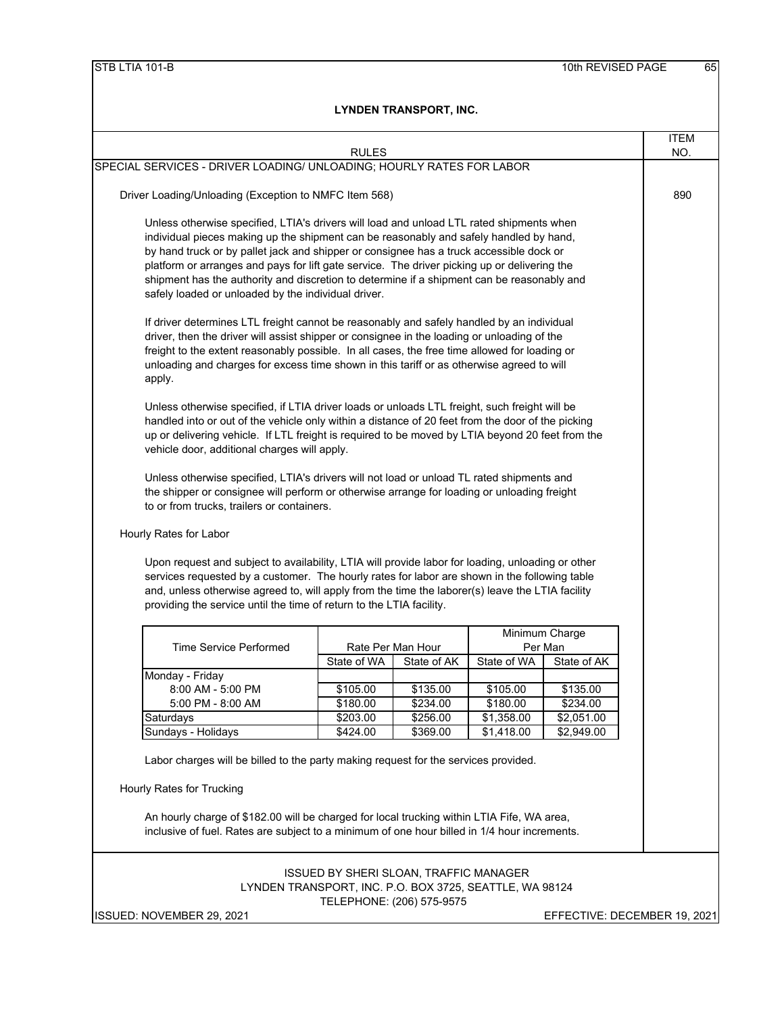| SPECIAL SERVICES - DRIVER LOADING/ UNLOADING; HOURLY RATES FOR LABOR<br>Driver Loading/Unloading (Exception to NMFC Item 568)                                                                                                                                                         | <b>RULES</b>         |                                                                                          |                          |                          | NO. |
|---------------------------------------------------------------------------------------------------------------------------------------------------------------------------------------------------------------------------------------------------------------------------------------|----------------------|------------------------------------------------------------------------------------------|--------------------------|--------------------------|-----|
|                                                                                                                                                                                                                                                                                       |                      |                                                                                          |                          |                          |     |
|                                                                                                                                                                                                                                                                                       |                      |                                                                                          |                          |                          | 890 |
|                                                                                                                                                                                                                                                                                       |                      |                                                                                          |                          |                          |     |
|                                                                                                                                                                                                                                                                                       |                      | Unless otherwise specified, LTIA's drivers will load and unload LTL rated shipments when |                          |                          |     |
| individual pieces making up the shipment can be reasonably and safely handled by hand,                                                                                                                                                                                                |                      |                                                                                          |                          |                          |     |
| by hand truck or by pallet jack and shipper or consignee has a truck accessible dock or<br>platform or arranges and pays for lift gate service. The driver picking up or delivering the<br>shipment has the authority and discretion to determine if a shipment can be reasonably and |                      |                                                                                          |                          |                          |     |
|                                                                                                                                                                                                                                                                                       |                      |                                                                                          |                          |                          |     |
| safely loaded or unloaded by the individual driver.                                                                                                                                                                                                                                   |                      |                                                                                          |                          |                          |     |
| If driver determines LTL freight cannot be reasonably and safely handled by an individual                                                                                                                                                                                             |                      |                                                                                          |                          |                          |     |
| driver, then the driver will assist shipper or consignee in the loading or unloading of the                                                                                                                                                                                           |                      |                                                                                          |                          |                          |     |
| freight to the extent reasonably possible. In all cases, the free time allowed for loading or                                                                                                                                                                                         |                      |                                                                                          |                          |                          |     |
| unloading and charges for excess time shown in this tariff or as otherwise agreed to will                                                                                                                                                                                             |                      |                                                                                          |                          |                          |     |
| apply.                                                                                                                                                                                                                                                                                |                      |                                                                                          |                          |                          |     |
| Unless otherwise specified, if LTIA driver loads or unloads LTL freight, such freight will be                                                                                                                                                                                         |                      |                                                                                          |                          |                          |     |
| handled into or out of the vehicle only within a distance of 20 feet from the door of the picking                                                                                                                                                                                     |                      |                                                                                          |                          |                          |     |
|                                                                                                                                                                                                                                                                                       |                      |                                                                                          |                          |                          |     |
| up or delivering vehicle. If LTL freight is required to be moved by LTIA beyond 20 feet from the<br>vehicle door, additional charges will apply.                                                                                                                                      |                      |                                                                                          |                          |                          |     |
|                                                                                                                                                                                                                                                                                       |                      |                                                                                          |                          |                          |     |
|                                                                                                                                                                                                                                                                                       |                      |                                                                                          |                          |                          |     |
| Unless otherwise specified, LTIA's drivers will not load or unload TL rated shipments and                                                                                                                                                                                             |                      |                                                                                          |                          |                          |     |
| the shipper or consignee will perform or otherwise arrange for loading or unloading freight                                                                                                                                                                                           |                      |                                                                                          |                          |                          |     |
| to or from trucks, trailers or containers.                                                                                                                                                                                                                                            |                      |                                                                                          |                          |                          |     |
|                                                                                                                                                                                                                                                                                       |                      |                                                                                          |                          |                          |     |
| Hourly Rates for Labor                                                                                                                                                                                                                                                                |                      |                                                                                          |                          |                          |     |
|                                                                                                                                                                                                                                                                                       |                      |                                                                                          |                          |                          |     |
| Upon request and subject to availability, LTIA will provide labor for loading, unloading or other                                                                                                                                                                                     |                      |                                                                                          |                          |                          |     |
| services requested by a customer. The hourly rates for labor are shown in the following table<br>and, unless otherwise agreed to, will apply from the time the laborer(s) leave the LTIA facility                                                                                     |                      |                                                                                          |                          |                          |     |
| providing the service until the time of return to the LTIA facility.                                                                                                                                                                                                                  |                      |                                                                                          |                          |                          |     |
|                                                                                                                                                                                                                                                                                       |                      |                                                                                          |                          |                          |     |
| <b>Time Service Performed</b>                                                                                                                                                                                                                                                         |                      |                                                                                          |                          | Minimum Charge           |     |
|                                                                                                                                                                                                                                                                                       | State of WA          | Rate Per Man Hour<br>State of AK                                                         | State of WA              | Per Man<br>State of AK   |     |
| Monday - Friday                                                                                                                                                                                                                                                                       |                      |                                                                                          |                          |                          |     |
| 8:00 AM - 5:00 PM                                                                                                                                                                                                                                                                     | \$105.00             | \$135.00                                                                                 | \$105.00                 | \$135.00                 |     |
| 5:00 PM - 8:00 AM                                                                                                                                                                                                                                                                     | \$180.00             | \$234.00                                                                                 | \$180.00                 | \$234.00                 |     |
| Saturdays<br>Sundays - Holidays                                                                                                                                                                                                                                                       | \$203.00<br>\$424.00 | \$256.00<br>\$369.00                                                                     | \$1,358.00<br>\$1,418.00 | \$2,051.00<br>\$2,949.00 |     |

TELEPHONE: (206) 575-9575

ISSUED: NOVEMBER 29, 2021 **EFFECTIVE: DECEMBER 19, 2021**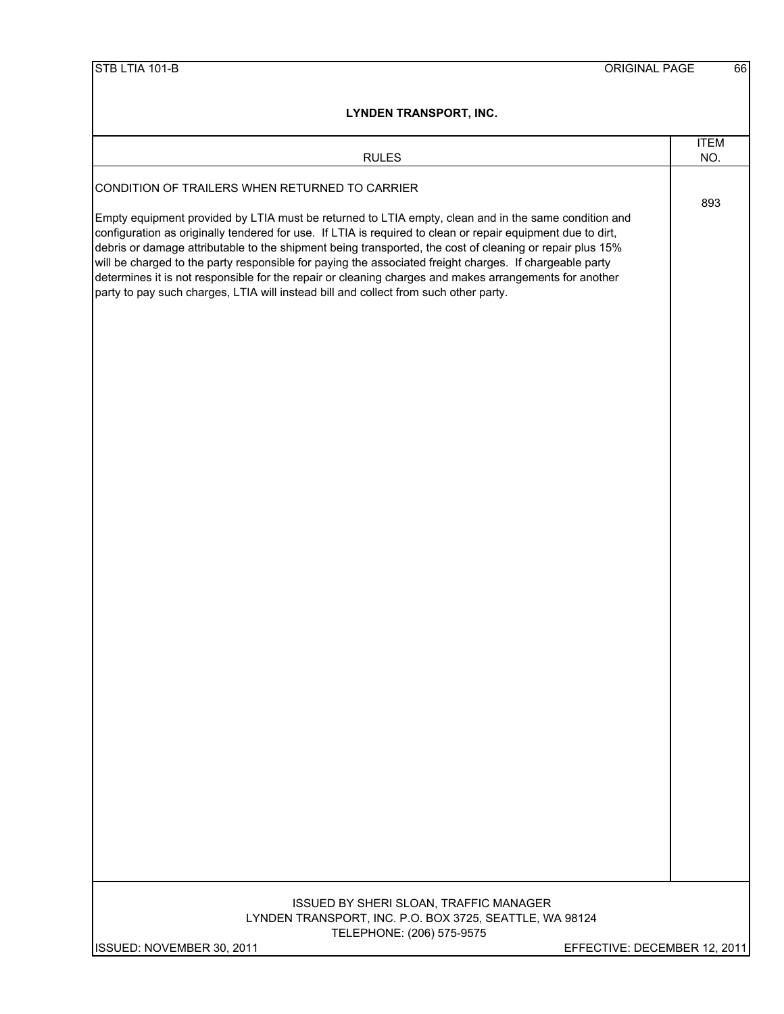| LINUEN IRANSPURI, INU.                                                                                                                                                                                                                                                                                                                                                                                                                                                                                                                                                                                                                       |                    |
|----------------------------------------------------------------------------------------------------------------------------------------------------------------------------------------------------------------------------------------------------------------------------------------------------------------------------------------------------------------------------------------------------------------------------------------------------------------------------------------------------------------------------------------------------------------------------------------------------------------------------------------------|--------------------|
| <b>RULES</b>                                                                                                                                                                                                                                                                                                                                                                                                                                                                                                                                                                                                                                 | <b>ITEM</b><br>NO. |
| CONDITION OF TRAILERS WHEN RETURNED TO CARRIER                                                                                                                                                                                                                                                                                                                                                                                                                                                                                                                                                                                               |                    |
| Empty equipment provided by LTIA must be returned to LTIA empty, clean and in the same condition and<br>configuration as originally tendered for use. If LTIA is required to clean or repair equipment due to dirt,<br>debris or damage attributable to the shipment being transported, the cost of cleaning or repair plus 15%<br>will be charged to the party responsible for paying the associated freight charges. If chargeable party<br>determines it is not responsible for the repair or cleaning charges and makes arrangements for another<br>party to pay such charges, LTIA will instead bill and collect from such other party. | 893                |
|                                                                                                                                                                                                                                                                                                                                                                                                                                                                                                                                                                                                                                              |                    |
|                                                                                                                                                                                                                                                                                                                                                                                                                                                                                                                                                                                                                                              |                    |
|                                                                                                                                                                                                                                                                                                                                                                                                                                                                                                                                                                                                                                              |                    |
|                                                                                                                                                                                                                                                                                                                                                                                                                                                                                                                                                                                                                                              |                    |
|                                                                                                                                                                                                                                                                                                                                                                                                                                                                                                                                                                                                                                              |                    |
|                                                                                                                                                                                                                                                                                                                                                                                                                                                                                                                                                                                                                                              |                    |
|                                                                                                                                                                                                                                                                                                                                                                                                                                                                                                                                                                                                                                              |                    |
|                                                                                                                                                                                                                                                                                                                                                                                                                                                                                                                                                                                                                                              |                    |
|                                                                                                                                                                                                                                                                                                                                                                                                                                                                                                                                                                                                                                              |                    |
|                                                                                                                                                                                                                                                                                                                                                                                                                                                                                                                                                                                                                                              |                    |
|                                                                                                                                                                                                                                                                                                                                                                                                                                                                                                                                                                                                                                              |                    |
|                                                                                                                                                                                                                                                                                                                                                                                                                                                                                                                                                                                                                                              |                    |
|                                                                                                                                                                                                                                                                                                                                                                                                                                                                                                                                                                                                                                              |                    |
|                                                                                                                                                                                                                                                                                                                                                                                                                                                                                                                                                                                                                                              |                    |
|                                                                                                                                                                                                                                                                                                                                                                                                                                                                                                                                                                                                                                              |                    |
| ISSUED BY SHERI SLOAN, TRAFFIC MANAGER                                                                                                                                                                                                                                                                                                                                                                                                                                                                                                                                                                                                       |                    |
| LYNDEN TRANSPORT, INC. P.O. BOX 3725, SEATTLE, WA 98124<br>TELEPHONE: (206) 575-9575                                                                                                                                                                                                                                                                                                                                                                                                                                                                                                                                                         |                    |
| ISSUED: NOVEMBER 30, 2011<br>EFFECTIVE: DECEMBER 12, 2011                                                                                                                                                                                                                                                                                                                                                                                                                                                                                                                                                                                    |                    |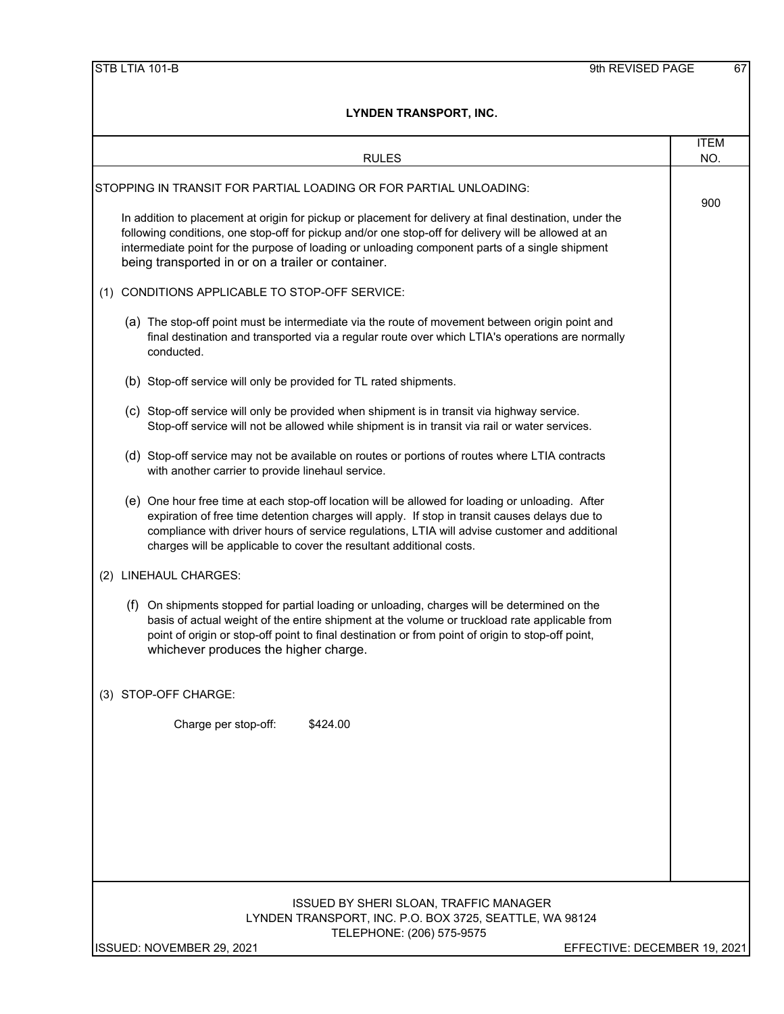| <b>RULES</b>                                                                                                                                                                                                                                                                                                                                                              | <b>ITEM</b><br>NO. |
|---------------------------------------------------------------------------------------------------------------------------------------------------------------------------------------------------------------------------------------------------------------------------------------------------------------------------------------------------------------------------|--------------------|
| STOPPING IN TRANSIT FOR PARTIAL LOADING OR FOR PARTIAL UNLOADING:                                                                                                                                                                                                                                                                                                         |                    |
| In addition to placement at origin for pickup or placement for delivery at final destination, under the<br>following conditions, one stop-off for pickup and/or one stop-off for delivery will be allowed at an<br>intermediate point for the purpose of loading or unloading component parts of a single shipment<br>being transported in or on a trailer or container.  | 900                |
| CONDITIONS APPLICABLE TO STOP-OFF SERVICE:<br>(1)                                                                                                                                                                                                                                                                                                                         |                    |
| (a) The stop-off point must be intermediate via the route of movement between origin point and<br>final destination and transported via a regular route over which LTIA's operations are normally<br>conducted.                                                                                                                                                           |                    |
| (b) Stop-off service will only be provided for TL rated shipments.                                                                                                                                                                                                                                                                                                        |                    |
| (c) Stop-off service will only be provided when shipment is in transit via highway service.<br>Stop-off service will not be allowed while shipment is in transit via rail or water services.                                                                                                                                                                              |                    |
| (d) Stop-off service may not be available on routes or portions of routes where LTIA contracts<br>with another carrier to provide linehaul service.                                                                                                                                                                                                                       |                    |
| (e) One hour free time at each stop-off location will be allowed for loading or unloading. After<br>expiration of free time detention charges will apply. If stop in transit causes delays due to<br>compliance with driver hours of service regulations, LTIA will advise customer and additional<br>charges will be applicable to cover the resultant additional costs. |                    |
| (2) LINEHAUL CHARGES:                                                                                                                                                                                                                                                                                                                                                     |                    |
| On shipments stopped for partial loading or unloading, charges will be determined on the<br>(f)<br>basis of actual weight of the entire shipment at the volume or truckload rate applicable from<br>point of origin or stop-off point to final destination or from point of origin to stop-off point,<br>whichever produces the higher charge.                            |                    |
| (3) STOP-OFF CHARGE:                                                                                                                                                                                                                                                                                                                                                      |                    |
| Charge per stop-off:<br>\$424.00                                                                                                                                                                                                                                                                                                                                          |                    |
|                                                                                                                                                                                                                                                                                                                                                                           |                    |
|                                                                                                                                                                                                                                                                                                                                                                           |                    |
|                                                                                                                                                                                                                                                                                                                                                                           |                    |
| ISSUED BY SHERI SLOAN, TRAFFIC MANAGER<br>LYNDEN TRANSPORT, INC. P.O. BOX 3725, SEATTLE, WA 98124<br>TELEPHONE: (206) 575-9575                                                                                                                                                                                                                                            |                    |
| ISSUED: NOVEMBER 29, 2021<br>EFFECTIVE: DECEMBER 19, 2021                                                                                                                                                                                                                                                                                                                 |                    |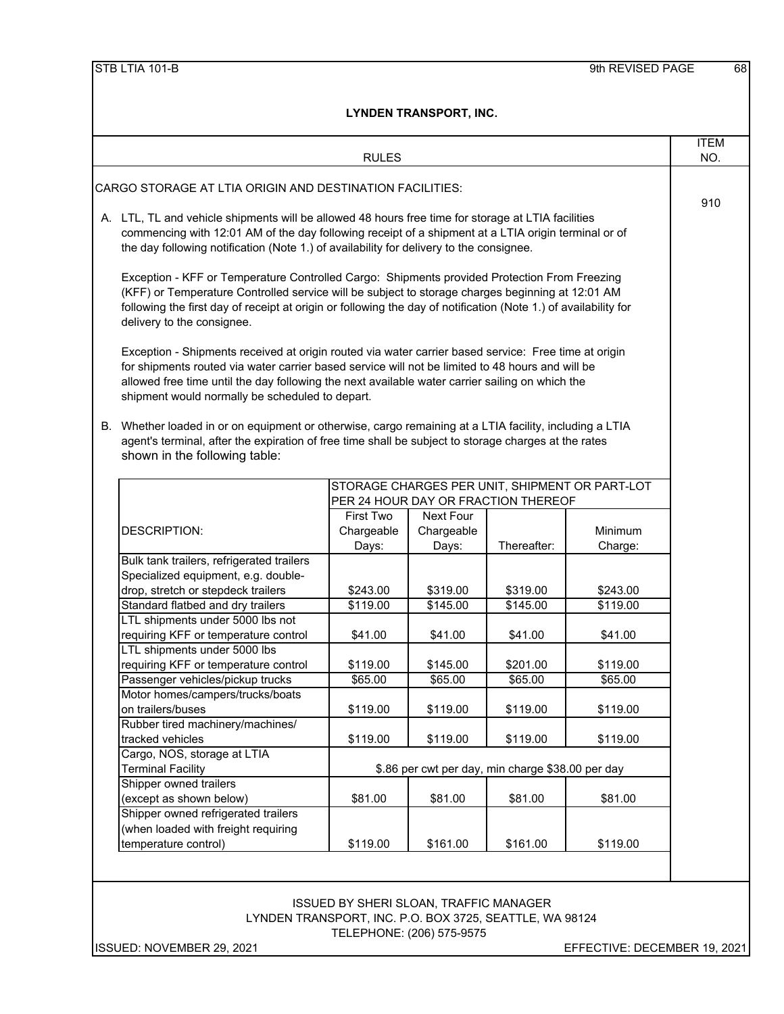|                                                                                                                                                                                                                                                                                                                                                                | <b>RULES</b>                                  |                           |                                                                                       |                              | <b>ITEM</b><br>NO. |
|----------------------------------------------------------------------------------------------------------------------------------------------------------------------------------------------------------------------------------------------------------------------------------------------------------------------------------------------------------------|-----------------------------------------------|---------------------------|---------------------------------------------------------------------------------------|------------------------------|--------------------|
| CARGO STORAGE AT LTIA ORIGIN AND DESTINATION FACILITIES:                                                                                                                                                                                                                                                                                                       |                                               |                           |                                                                                       |                              |                    |
| A. LTL, TL and vehicle shipments will be allowed 48 hours free time for storage at LTIA facilities<br>commencing with 12:01 AM of the day following receipt of a shipment at a LTIA origin terminal or of<br>the day following notification (Note 1.) of availability for delivery to the consignee.                                                           |                                               |                           |                                                                                       |                              |                    |
| Exception - KFF or Temperature Controlled Cargo: Shipments provided Protection From Freezing<br>(KFF) or Temperature Controlled service will be subject to storage charges beginning at 12:01 AM<br>following the first day of receipt at origin or following the day of notification (Note 1.) of availability for<br>delivery to the consignee.              |                                               |                           |                                                                                       |                              |                    |
| Exception - Shipments received at origin routed via water carrier based service: Free time at origin<br>for shipments routed via water carrier based service will not be limited to 48 hours and will be<br>allowed free time until the day following the next available water carrier sailing on which the<br>shipment would normally be scheduled to depart. |                                               |                           |                                                                                       |                              |                    |
| B. Whether loaded in or on equipment or otherwise, cargo remaining at a LTIA facility, including a LTIA<br>agent's terminal, after the expiration of free time shall be subject to storage charges at the rates<br>shown in the following table:                                                                                                               |                                               |                           |                                                                                       |                              |                    |
|                                                                                                                                                                                                                                                                                                                                                                |                                               |                           | STORAGE CHARGES PER UNIT, SHIPMENT OR PART-LOT<br>PER 24 HOUR DAY OR FRACTION THEREOF |                              |                    |
|                                                                                                                                                                                                                                                                                                                                                                | First Two                                     | Next Four                 |                                                                                       |                              |                    |
| <b>DESCRIPTION:</b>                                                                                                                                                                                                                                                                                                                                            | Chargeable<br>Days:                           | Chargeable<br>Days:       | Thereafter:                                                                           | Minimum<br>Charge:           |                    |
| Bulk tank trailers, refrigerated trailers<br>Specialized equipment, e.g. double-<br>drop, stretch or stepdeck trailers                                                                                                                                                                                                                                         | \$243.00                                      | \$319.00                  | \$319.00                                                                              | \$243.00                     |                    |
| Standard flatbed and dry trailers                                                                                                                                                                                                                                                                                                                              | \$119.00                                      | \$145.00                  | \$145.00                                                                              | \$119.00                     |                    |
| LTL shipments under 5000 lbs not                                                                                                                                                                                                                                                                                                                               |                                               |                           |                                                                                       |                              |                    |
| requiring KFF or temperature control                                                                                                                                                                                                                                                                                                                           | \$41.00                                       | \$41.00                   | \$41.00                                                                               | \$41.00                      |                    |
| LTL shipments under 5000 lbs                                                                                                                                                                                                                                                                                                                                   |                                               |                           |                                                                                       |                              |                    |
| requiring KFF or temperature control<br>Passenger vehicles/pickup trucks                                                                                                                                                                                                                                                                                       | \$119.00<br>\$65.00                           | \$145.00<br>\$65.00       | \$201.00<br>\$65.00                                                                   | \$119.00<br>\$65.00          |                    |
| Motor homes/campers/trucks/boats                                                                                                                                                                                                                                                                                                                               |                                               |                           |                                                                                       |                              |                    |
| on trailers/buses                                                                                                                                                                                                                                                                                                                                              | \$119.00                                      | \$119.00                  | \$119.00                                                                              | \$119.00                     |                    |
| Rubber tired machinery/machines/                                                                                                                                                                                                                                                                                                                               |                                               |                           |                                                                                       |                              |                    |
| tracked vehicles                                                                                                                                                                                                                                                                                                                                               | \$119.00                                      | \$119.00                  | \$119.00                                                                              | \$119.00                     |                    |
| Cargo, NOS, storage at LTIA                                                                                                                                                                                                                                                                                                                                    |                                               |                           |                                                                                       |                              |                    |
| <b>Terminal Facility</b>                                                                                                                                                                                                                                                                                                                                       |                                               |                           | \$.86 per cwt per day, min charge \$38.00 per day                                     |                              |                    |
| Shipper owned trailers                                                                                                                                                                                                                                                                                                                                         |                                               |                           |                                                                                       |                              |                    |
| (except as shown below)                                                                                                                                                                                                                                                                                                                                        | \$81.00                                       | \$81.00                   | \$81.00                                                                               | \$81.00                      |                    |
| Shipper owned refrigerated trailers<br>(when loaded with freight requiring                                                                                                                                                                                                                                                                                     |                                               |                           |                                                                                       |                              |                    |
| temperature control)                                                                                                                                                                                                                                                                                                                                           | \$119.00                                      | \$161.00                  | \$161.00                                                                              | \$119.00                     |                    |
|                                                                                                                                                                                                                                                                                                                                                                |                                               |                           |                                                                                       |                              |                    |
|                                                                                                                                                                                                                                                                                                                                                                | <b>ISSUED BY SHERI SLOAN, TRAFFIC MANAGER</b> | TELEPHONE: (206) 575-9575 | LYNDEN TRANSPORT, INC. P.O. BOX 3725, SEATTLE, WA 98124                               |                              |                    |
| ISSUED: NOVEMBER 29, 2021                                                                                                                                                                                                                                                                                                                                      |                                               |                           |                                                                                       | EFFECTIVE: DECEMBER 19, 2021 |                    |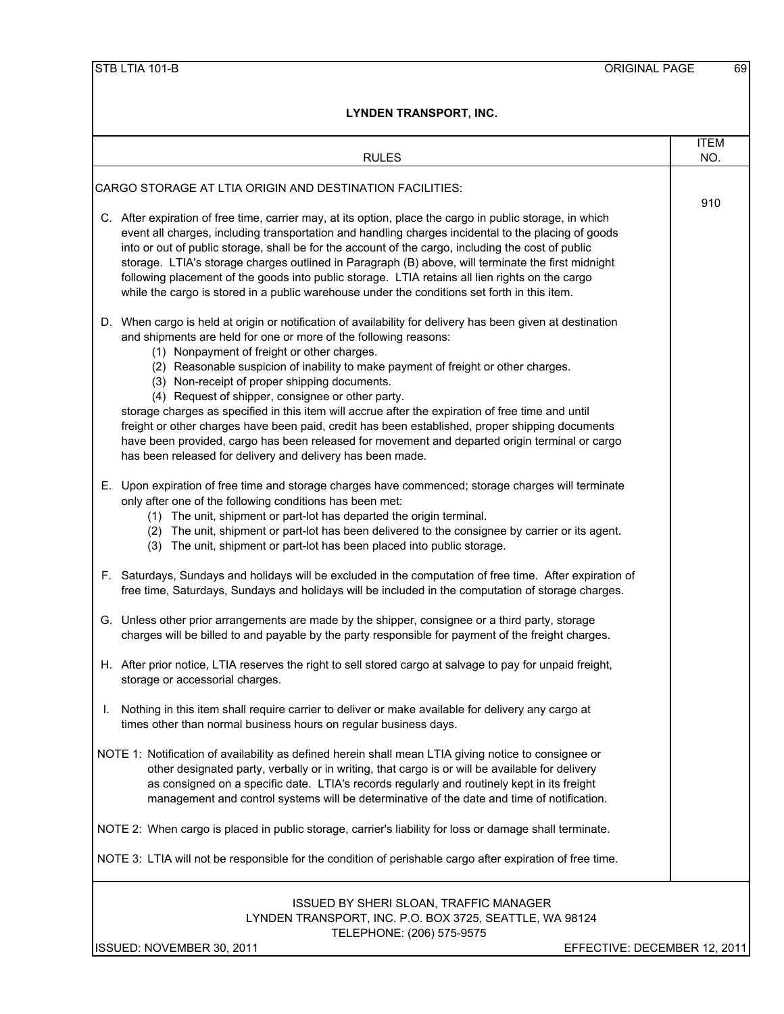| <b>RULES</b>                                                                                                                                                                                                                                                                                                                                                                                                                                                                                                                                                                                                                                                                                                                                                                                      | <b>ITEM</b><br>NO. |
|---------------------------------------------------------------------------------------------------------------------------------------------------------------------------------------------------------------------------------------------------------------------------------------------------------------------------------------------------------------------------------------------------------------------------------------------------------------------------------------------------------------------------------------------------------------------------------------------------------------------------------------------------------------------------------------------------------------------------------------------------------------------------------------------------|--------------------|
|                                                                                                                                                                                                                                                                                                                                                                                                                                                                                                                                                                                                                                                                                                                                                                                                   |                    |
| CARGO STORAGE AT LTIA ORIGIN AND DESTINATION FACILITIES:                                                                                                                                                                                                                                                                                                                                                                                                                                                                                                                                                                                                                                                                                                                                          |                    |
| C. After expiration of free time, carrier may, at its option, place the cargo in public storage, in which<br>event all charges, including transportation and handling charges incidental to the placing of goods<br>into or out of public storage, shall be for the account of the cargo, including the cost of public<br>storage. LTIA's storage charges outlined in Paragraph (B) above, will terminate the first midnight<br>following placement of the goods into public storage. LTIA retains all lien rights on the cargo<br>while the cargo is stored in a public warehouse under the conditions set forth in this item.                                                                                                                                                                   | 910                |
| D. When cargo is held at origin or notification of availability for delivery has been given at destination<br>and shipments are held for one or more of the following reasons:<br>(1) Nonpayment of freight or other charges.<br>(2) Reasonable suspicion of inability to make payment of freight or other charges.<br>(3) Non-receipt of proper shipping documents.<br>(4) Request of shipper, consignee or other party.<br>storage charges as specified in this item will accrue after the expiration of free time and until<br>freight or other charges have been paid, credit has been established, proper shipping documents<br>have been provided, cargo has been released for movement and departed origin terminal or cargo<br>has been released for delivery and delivery has been made. |                    |
| E. Upon expiration of free time and storage charges have commenced; storage charges will terminate<br>only after one of the following conditions has been met:<br>(1) The unit, shipment or part-lot has departed the origin terminal.<br>(2) The unit, shipment or part-lot has been delivered to the consignee by carrier or its agent.<br>(3) The unit, shipment or part-lot has been placed into public storage.                                                                                                                                                                                                                                                                                                                                                                              |                    |
| F. Saturdays, Sundays and holidays will be excluded in the computation of free time. After expiration of<br>free time, Saturdays, Sundays and holidays will be included in the computation of storage charges.                                                                                                                                                                                                                                                                                                                                                                                                                                                                                                                                                                                    |                    |
| G. Unless other prior arrangements are made by the shipper, consignee or a third party, storage<br>charges will be billed to and payable by the party responsible for payment of the freight charges.                                                                                                                                                                                                                                                                                                                                                                                                                                                                                                                                                                                             |                    |
| H. After prior notice, LTIA reserves the right to sell stored cargo at salvage to pay for unpaid freight,<br>storage or accessorial charges.                                                                                                                                                                                                                                                                                                                                                                                                                                                                                                                                                                                                                                                      |                    |
| Nothing in this item shall require carrier to deliver or make available for delivery any cargo at<br>times other than normal business hours on regular business days.                                                                                                                                                                                                                                                                                                                                                                                                                                                                                                                                                                                                                             |                    |
| NOTE 1: Notification of availability as defined herein shall mean LTIA giving notice to consignee or<br>other designated party, verbally or in writing, that cargo is or will be available for delivery<br>as consigned on a specific date. LTIA's records regularly and routinely kept in its freight<br>management and control systems will be determinative of the date and time of notification.                                                                                                                                                                                                                                                                                                                                                                                              |                    |
| NOTE 2: When cargo is placed in public storage, carrier's liability for loss or damage shall terminate.                                                                                                                                                                                                                                                                                                                                                                                                                                                                                                                                                                                                                                                                                           |                    |
| NOTE 3: LTIA will not be responsible for the condition of perishable cargo after expiration of free time.                                                                                                                                                                                                                                                                                                                                                                                                                                                                                                                                                                                                                                                                                         |                    |
| ISSUED BY SHERI SLOAN, TRAFFIC MANAGER<br>LYNDEN TRANSPORT, INC. P.O. BOX 3725, SEATTLE, WA 98124                                                                                                                                                                                                                                                                                                                                                                                                                                                                                                                                                                                                                                                                                                 |                    |

TELEPHONE: (206) 575-9575

ISSUED: NOVEMBER 30, 2011 **EFFECTIVE: DECEMBER 12, 2011**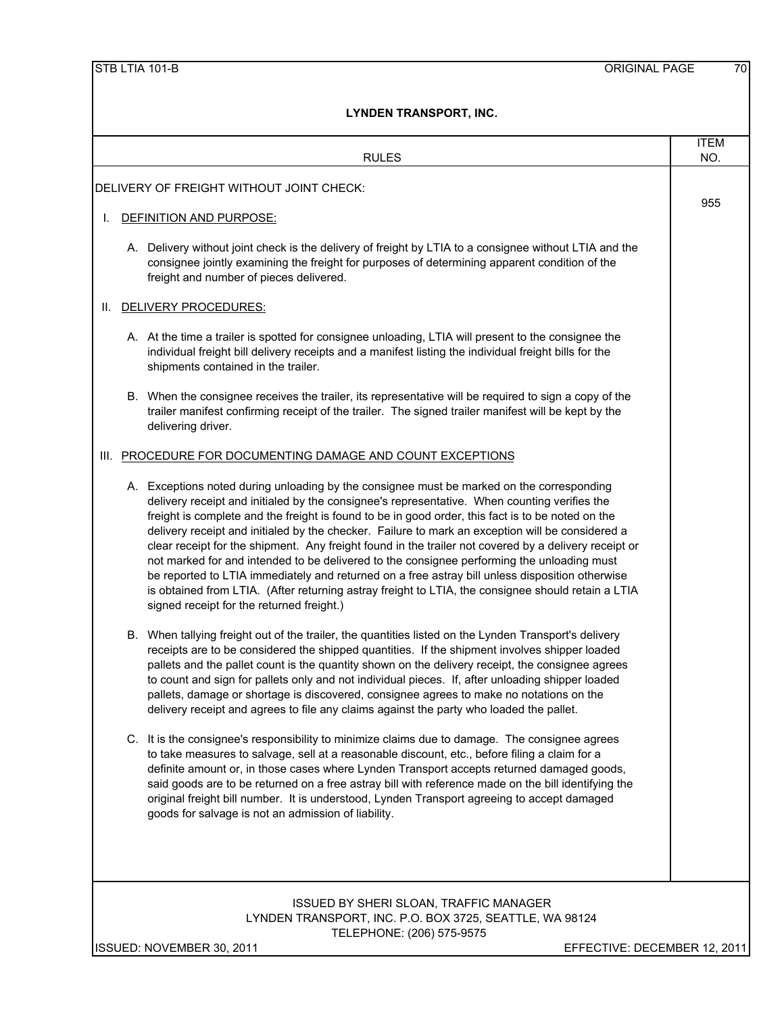|    | <b>RULES</b>                                                                                                                                                                                                                                                                                                                                                                                                                                                                                                                                                                                                                                                                                                                                                                                                                                                    | <b>ITEM</b><br>NO. |
|----|-----------------------------------------------------------------------------------------------------------------------------------------------------------------------------------------------------------------------------------------------------------------------------------------------------------------------------------------------------------------------------------------------------------------------------------------------------------------------------------------------------------------------------------------------------------------------------------------------------------------------------------------------------------------------------------------------------------------------------------------------------------------------------------------------------------------------------------------------------------------|--------------------|
|    |                                                                                                                                                                                                                                                                                                                                                                                                                                                                                                                                                                                                                                                                                                                                                                                                                                                                 |                    |
|    | DELIVERY OF FREIGHT WITHOUT JOINT CHECK:                                                                                                                                                                                                                                                                                                                                                                                                                                                                                                                                                                                                                                                                                                                                                                                                                        | 955                |
| I. | DEFINITION AND PURPOSE:                                                                                                                                                                                                                                                                                                                                                                                                                                                                                                                                                                                                                                                                                                                                                                                                                                         |                    |
|    | A. Delivery without joint check is the delivery of freight by LTIA to a consignee without LTIA and the<br>consignee jointly examining the freight for purposes of determining apparent condition of the<br>freight and number of pieces delivered.                                                                                                                                                                                                                                                                                                                                                                                                                                                                                                                                                                                                              |                    |
| Ш. | DELIVERY PROCEDURES:                                                                                                                                                                                                                                                                                                                                                                                                                                                                                                                                                                                                                                                                                                                                                                                                                                            |                    |
|    | A. At the time a trailer is spotted for consignee unloading, LTIA will present to the consignee the<br>individual freight bill delivery receipts and a manifest listing the individual freight bills for the<br>shipments contained in the trailer.                                                                                                                                                                                                                                                                                                                                                                                                                                                                                                                                                                                                             |                    |
|    | B. When the consignee receives the trailer, its representative will be required to sign a copy of the<br>trailer manifest confirming receipt of the trailer. The signed trailer manifest will be kept by the<br>delivering driver.                                                                                                                                                                                                                                                                                                                                                                                                                                                                                                                                                                                                                              |                    |
|    | III. PROCEDURE FOR DOCUMENTING DAMAGE AND COUNT EXCEPTIONS                                                                                                                                                                                                                                                                                                                                                                                                                                                                                                                                                                                                                                                                                                                                                                                                      |                    |
|    | A. Exceptions noted during unloading by the consignee must be marked on the corresponding<br>delivery receipt and initialed by the consignee's representative. When counting verifies the<br>freight is complete and the freight is found to be in good order, this fact is to be noted on the<br>delivery receipt and initialed by the checker. Failure to mark an exception will be considered a<br>clear receipt for the shipment. Any freight found in the trailer not covered by a delivery receipt or<br>not marked for and intended to be delivered to the consignee performing the unloading must<br>be reported to LTIA immediately and returned on a free astray bill unless disposition otherwise<br>is obtained from LTIA. (After returning astray freight to LTIA, the consignee should retain a LTIA<br>signed receipt for the returned freight.) |                    |
|    | B. When tallying freight out of the trailer, the quantities listed on the Lynden Transport's delivery<br>receipts are to be considered the shipped quantities. If the shipment involves shipper loaded<br>pallets and the pallet count is the quantity shown on the delivery receipt, the consignee agrees<br>to count and sign for pallets only and not individual pieces. If, after unloading shipper loaded<br>pallets, damage or shortage is discovered, consignee agrees to make no notations on the<br>delivery receipt and agrees to file any claims against the party who loaded the pallet.                                                                                                                                                                                                                                                            |                    |
|    | C. It is the consignee's responsibility to minimize claims due to damage. The consignee agrees<br>to take measures to salvage, sell at a reasonable discount, etc., before filing a claim for a<br>definite amount or, in those cases where Lynden Transport accepts returned damaged goods,<br>said goods are to be returned on a free astray bill with reference made on the bill identifying the<br>original freight bill number. It is understood, Lynden Transport agreeing to accept damaged<br>goods for salvage is not an admission of liability.                                                                                                                                                                                                                                                                                                       |                    |
|    | <b>ISSUED BY SHERI SLOAN, TRAFFIC MANAGER</b><br>LYNDEN TRANSPORT, INC. P.O. BOX 3725, SEATTLE, WA 98124<br>TELEPHONE: (206) 575-9575                                                                                                                                                                                                                                                                                                                                                                                                                                                                                                                                                                                                                                                                                                                           |                    |

ISSUED: NOVEMBER 30, 2011 **EXECTIVE: DECEMBER 12, 2011**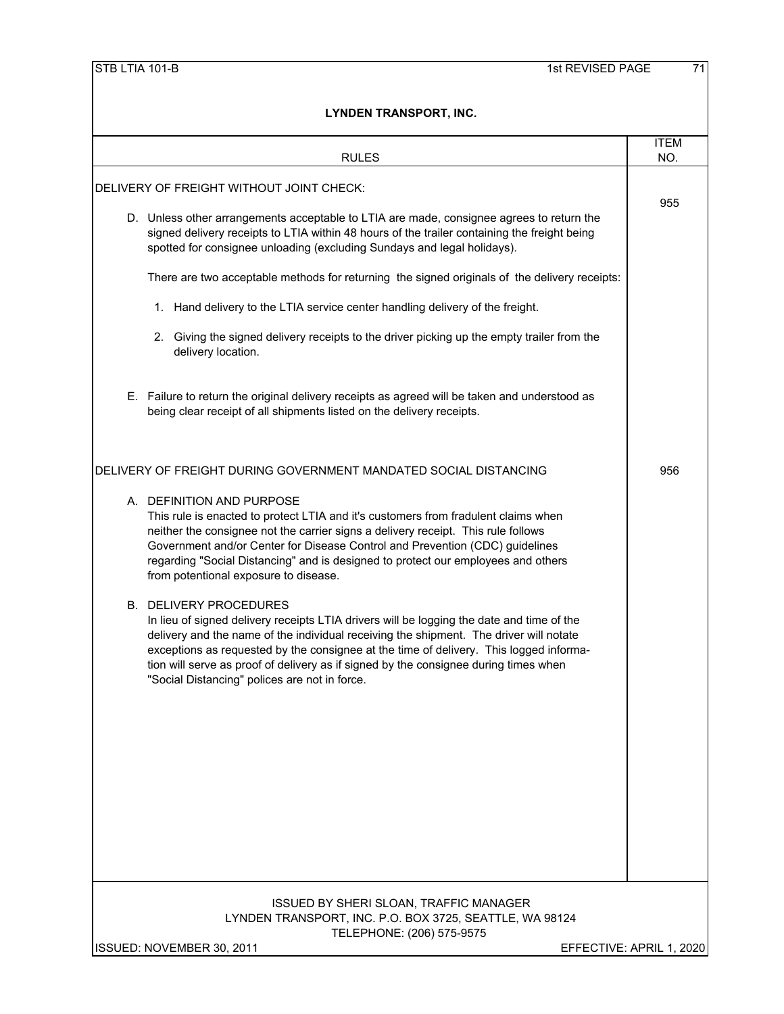| <b>RULES</b>                                                                                                                                                                                                                                                                                                                                                                                                                                            | <b>ITEM</b><br>NO.       |
|---------------------------------------------------------------------------------------------------------------------------------------------------------------------------------------------------------------------------------------------------------------------------------------------------------------------------------------------------------------------------------------------------------------------------------------------------------|--------------------------|
| DELIVERY OF FREIGHT WITHOUT JOINT CHECK:                                                                                                                                                                                                                                                                                                                                                                                                                |                          |
| D. Unless other arrangements acceptable to LTIA are made, consignee agrees to return the<br>signed delivery receipts to LTIA within 48 hours of the trailer containing the freight being<br>spotted for consignee unloading (excluding Sundays and legal holidays).                                                                                                                                                                                     | 955                      |
| There are two acceptable methods for returning the signed originals of the delivery receipts:                                                                                                                                                                                                                                                                                                                                                           |                          |
| 1. Hand delivery to the LTIA service center handling delivery of the freight.                                                                                                                                                                                                                                                                                                                                                                           |                          |
| 2. Giving the signed delivery receipts to the driver picking up the empty trailer from the<br>delivery location.                                                                                                                                                                                                                                                                                                                                        |                          |
| E. Failure to return the original delivery receipts as agreed will be taken and understood as<br>being clear receipt of all shipments listed on the delivery receipts.                                                                                                                                                                                                                                                                                  |                          |
| DELIVERY OF FREIGHT DURING GOVERNMENT MANDATED SOCIAL DISTANCING                                                                                                                                                                                                                                                                                                                                                                                        | 956                      |
| A. DEFINITION AND PURPOSE<br>This rule is enacted to protect LTIA and it's customers from fradulent claims when<br>neither the consignee not the carrier signs a delivery receipt. This rule follows<br>Government and/or Center for Disease Control and Prevention (CDC) guidelines<br>regarding "Social Distancing" and is designed to protect our employees and others<br>from potentional exposure to disease.                                      |                          |
| <b>B. DELIVERY PROCEDURES</b><br>In lieu of signed delivery receipts LTIA drivers will be logging the date and time of the<br>delivery and the name of the individual receiving the shipment. The driver will notate<br>exceptions as requested by the consignee at the time of delivery. This logged informa-<br>tion will serve as proof of delivery as if signed by the consignee during times when<br>"Social Distancing" polices are not in force. |                          |
| <b>ISSUED BY SHERI SLOAN, TRAFFIC MANAGER</b><br>LYNDEN TRANSPORT, INC. P.O. BOX 3725, SEATTLE, WA 98124<br>TELEPHONE: (206) 575-9575                                                                                                                                                                                                                                                                                                                   |                          |
| ISSUED: NOVEMBER 30, 2011                                                                                                                                                                                                                                                                                                                                                                                                                               | EFFECTIVE: APRIL 1, 2020 |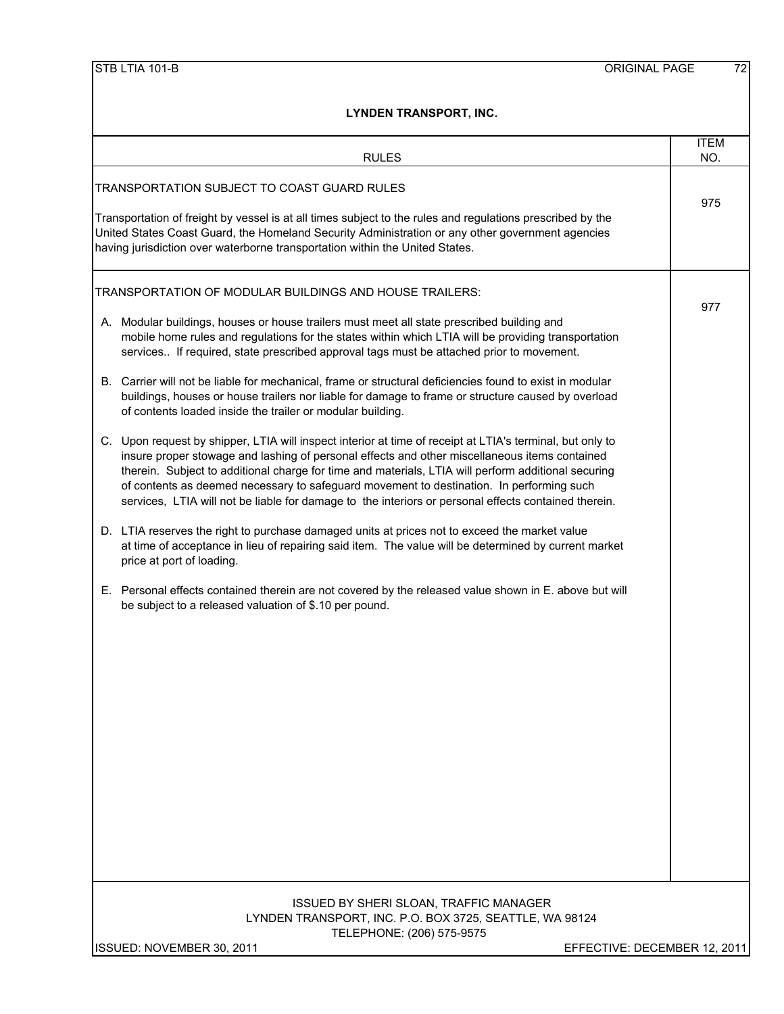|  | STB LTIA 101-B |
|--|----------------|
|  |                |

| <b>IVUEIV INAIVOFUNI, IIVU.</b>                                                                                                                                                                                                                                                                                                                                                                                                                                                                                       |                    |
|-----------------------------------------------------------------------------------------------------------------------------------------------------------------------------------------------------------------------------------------------------------------------------------------------------------------------------------------------------------------------------------------------------------------------------------------------------------------------------------------------------------------------|--------------------|
| <b>RULES</b>                                                                                                                                                                                                                                                                                                                                                                                                                                                                                                          | <b>ITEM</b><br>NO. |
| TRANSPORTATION SUBJECT TO COAST GUARD RULES<br>Transportation of freight by vessel is at all times subject to the rules and regulations prescribed by the<br>United States Coast Guard, the Homeland Security Administration or any other government agencies<br>having jurisdiction over waterborne transportation within the United States.                                                                                                                                                                         | 975                |
| TRANSPORTATION OF MODULAR BUILDINGS AND HOUSE TRAILERS:                                                                                                                                                                                                                                                                                                                                                                                                                                                               |                    |
| A. Modular buildings, houses or house trailers must meet all state prescribed building and<br>mobile home rules and regulations for the states within which LTIA will be providing transportation<br>services If required, state prescribed approval tags must be attached prior to movement.                                                                                                                                                                                                                         | 977                |
| B. Carrier will not be liable for mechanical, frame or structural deficiencies found to exist in modular<br>buildings, houses or house trailers nor liable for damage to frame or structure caused by overload<br>of contents loaded inside the trailer or modular building.                                                                                                                                                                                                                                          |                    |
| C. Upon request by shipper, LTIA will inspect interior at time of receipt at LTIA's terminal, but only to<br>insure proper stowage and lashing of personal effects and other miscellaneous items contained<br>therein. Subject to additional charge for time and materials, LTIA will perform additional securing<br>of contents as deemed necessary to safeguard movement to destination. In performing such<br>services, LTIA will not be liable for damage to the interiors or personal effects contained therein. |                    |
| D. LTIA reserves the right to purchase damaged units at prices not to exceed the market value<br>at time of acceptance in lieu of repairing said item. The value will be determined by current market<br>price at port of loading.                                                                                                                                                                                                                                                                                    |                    |
| E. Personal effects contained therein are not covered by the released value shown in E. above but will<br>be subject to a released valuation of \$.10 per pound.                                                                                                                                                                                                                                                                                                                                                      |                    |
| <b>ISSUED BY SHERI SLOAN, TRAFFIC MANAGER</b><br>LYNDEN TRANSPORT, INC. P.O. BOX 3725, SEATTLE, WA 98124<br>TELEPHONE: (206) 575-9575                                                                                                                                                                                                                                                                                                                                                                                 |                    |
| ISSUED: NOVEMBER 30, 2011<br>EFFECTIVE: DECEMBER 12, 2011                                                                                                                                                                                                                                                                                                                                                                                                                                                             |                    |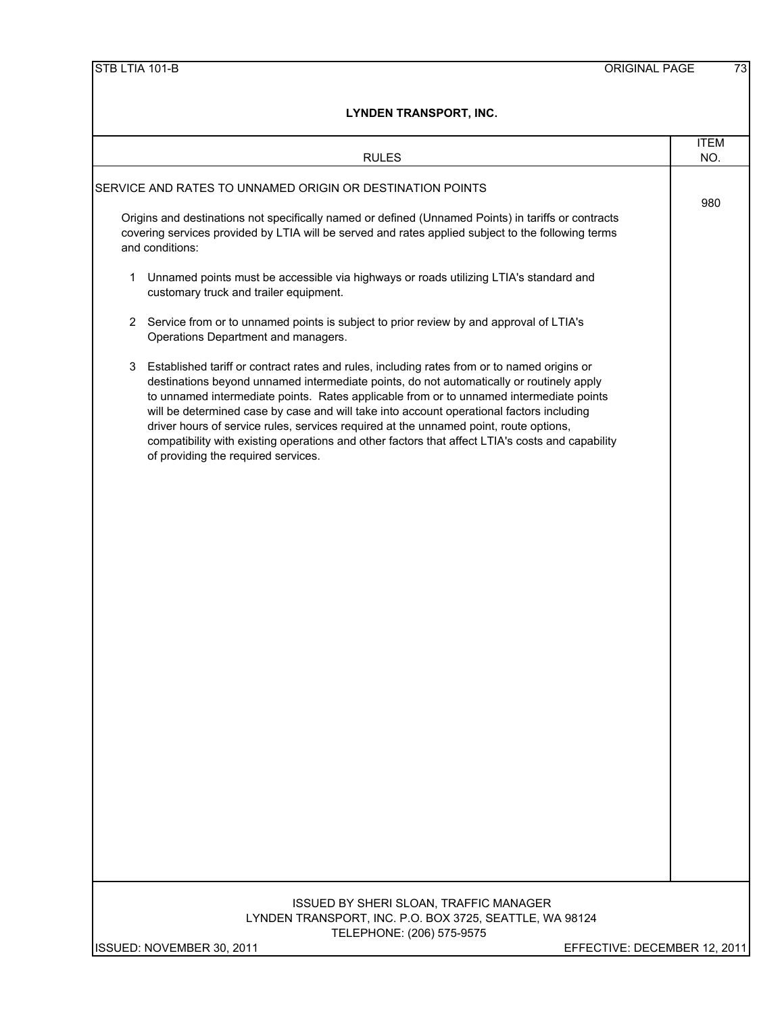| <b>RULES</b>                                                                                                                                                                                                                                                                                                                                                                                                                                                                                                                                                                                                            | <b>ITEM</b><br>NO. |
|-------------------------------------------------------------------------------------------------------------------------------------------------------------------------------------------------------------------------------------------------------------------------------------------------------------------------------------------------------------------------------------------------------------------------------------------------------------------------------------------------------------------------------------------------------------------------------------------------------------------------|--------------------|
| SERVICE AND RATES TO UNNAMED ORIGIN OR DESTINATION POINTS                                                                                                                                                                                                                                                                                                                                                                                                                                                                                                                                                               |                    |
| Origins and destinations not specifically named or defined (Unnamed Points) in tariffs or contracts<br>covering services provided by LTIA will be served and rates applied subject to the following terms<br>and conditions:                                                                                                                                                                                                                                                                                                                                                                                            | 980                |
| Unnamed points must be accessible via highways or roads utilizing LTIA's standard and<br>1<br>customary truck and trailer equipment.                                                                                                                                                                                                                                                                                                                                                                                                                                                                                    |                    |
| 2 Service from or to unnamed points is subject to prior review by and approval of LTIA's<br>Operations Department and managers.                                                                                                                                                                                                                                                                                                                                                                                                                                                                                         |                    |
| Established tariff or contract rates and rules, including rates from or to named origins or<br>3<br>destinations beyond unnamed intermediate points, do not automatically or routinely apply<br>to unnamed intermediate points. Rates applicable from or to unnamed intermediate points<br>will be determined case by case and will take into account operational factors including<br>driver hours of service rules, services required at the unnamed point, route options,<br>compatibility with existing operations and other factors that affect LTIA's costs and capability<br>of providing the required services. |                    |
|                                                                                                                                                                                                                                                                                                                                                                                                                                                                                                                                                                                                                         |                    |
|                                                                                                                                                                                                                                                                                                                                                                                                                                                                                                                                                                                                                         |                    |
|                                                                                                                                                                                                                                                                                                                                                                                                                                                                                                                                                                                                                         |                    |
|                                                                                                                                                                                                                                                                                                                                                                                                                                                                                                                                                                                                                         |                    |
|                                                                                                                                                                                                                                                                                                                                                                                                                                                                                                                                                                                                                         |                    |
|                                                                                                                                                                                                                                                                                                                                                                                                                                                                                                                                                                                                                         |                    |
|                                                                                                                                                                                                                                                                                                                                                                                                                                                                                                                                                                                                                         |                    |
|                                                                                                                                                                                                                                                                                                                                                                                                                                                                                                                                                                                                                         |                    |
|                                                                                                                                                                                                                                                                                                                                                                                                                                                                                                                                                                                                                         |                    |
|                                                                                                                                                                                                                                                                                                                                                                                                                                                                                                                                                                                                                         |                    |
|                                                                                                                                                                                                                                                                                                                                                                                                                                                                                                                                                                                                                         |                    |
| ISSUED BY SHERI SLOAN, TRAFFIC MANAGER<br>LYNDEN TRANSPORT, INC. P.O. BOX 3725, SEATTLE, WA 98124<br>TELEPHONE: (206) 575-9575                                                                                                                                                                                                                                                                                                                                                                                                                                                                                          |                    |
| ISSUED: NOVEMBER 30, 2011<br>EFFECTIVE: DECEMBER 12, 2011                                                                                                                                                                                                                                                                                                                                                                                                                                                                                                                                                               |                    |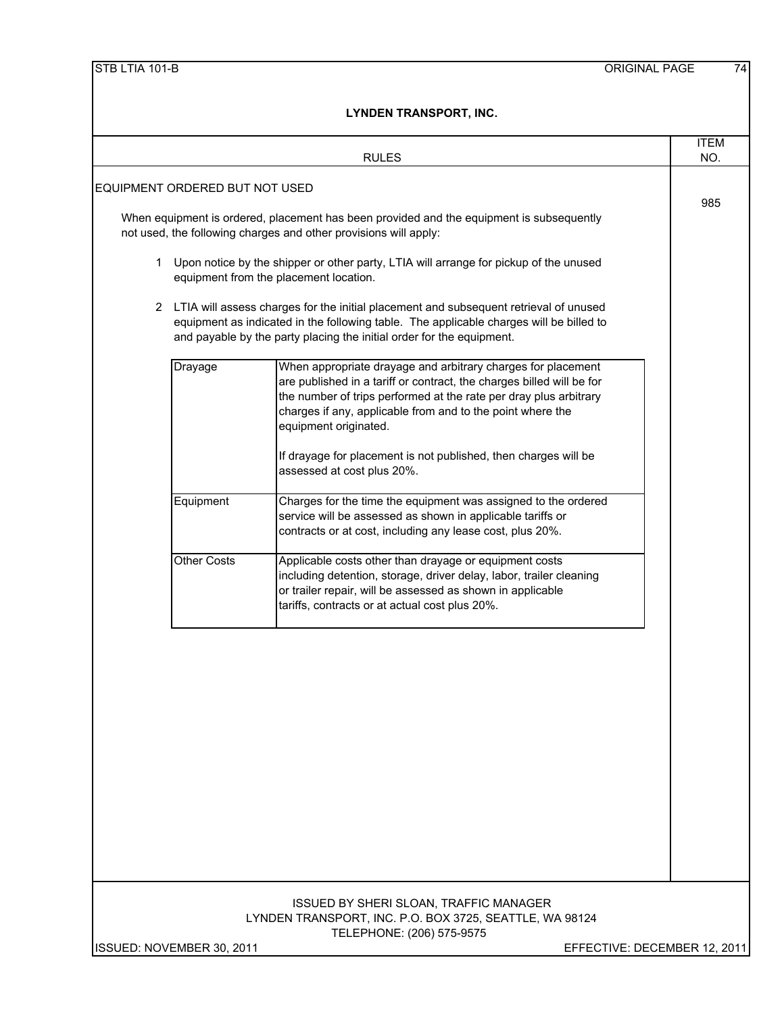|                                | <b>RULES</b>                                                                                                                                                                                                                                                                                                                                                                                       | <b>ITEM</b><br>NO.           |
|--------------------------------|----------------------------------------------------------------------------------------------------------------------------------------------------------------------------------------------------------------------------------------------------------------------------------------------------------------------------------------------------------------------------------------------------|------------------------------|
| EQUIPMENT ORDERED BUT NOT USED |                                                                                                                                                                                                                                                                                                                                                                                                    |                              |
|                                | When equipment is ordered, placement has been provided and the equipment is subsequently<br>not used, the following charges and other provisions will apply:                                                                                                                                                                                                                                       | 985                          |
|                                | 1 Upon notice by the shipper or other party, LTIA will arrange for pickup of the unused<br>equipment from the placement location.                                                                                                                                                                                                                                                                  |                              |
|                                | 2 LTIA will assess charges for the initial placement and subsequent retrieval of unused<br>equipment as indicated in the following table. The applicable charges will be billed to<br>and payable by the party placing the initial order for the equipment.                                                                                                                                        |                              |
| Drayage                        | When appropriate drayage and arbitrary charges for placement<br>are published in a tariff or contract, the charges billed will be for<br>the number of trips performed at the rate per dray plus arbitrary<br>charges if any, applicable from and to the point where the<br>equipment originated.<br>If drayage for placement is not published, then charges will be<br>assessed at cost plus 20%. |                              |
| Equipment                      | Charges for the time the equipment was assigned to the ordered<br>service will be assessed as shown in applicable tariffs or<br>contracts or at cost, including any lease cost, plus 20%.                                                                                                                                                                                                          |                              |
| <b>Other Costs</b>             | Applicable costs other than drayage or equipment costs<br>including detention, storage, driver delay, labor, trailer cleaning<br>or trailer repair, will be assessed as shown in applicable<br>tariffs, contracts or at actual cost plus 20%.                                                                                                                                                      |                              |
|                                |                                                                                                                                                                                                                                                                                                                                                                                                    |                              |
|                                | <b>ISSUED BY SHERI SLOAN, TRAFFIC MANAGER</b><br>LYNDEN TRANSPORT, INC. P.O. BOX 3725, SEATTLE, WA 98124<br>TELEPHONE: (206) 575-9575                                                                                                                                                                                                                                                              |                              |
| ISSUED: NOVEMBER 30, 2011      |                                                                                                                                                                                                                                                                                                                                                                                                    | EFFECTIVE: DECEMBER 12, 2011 |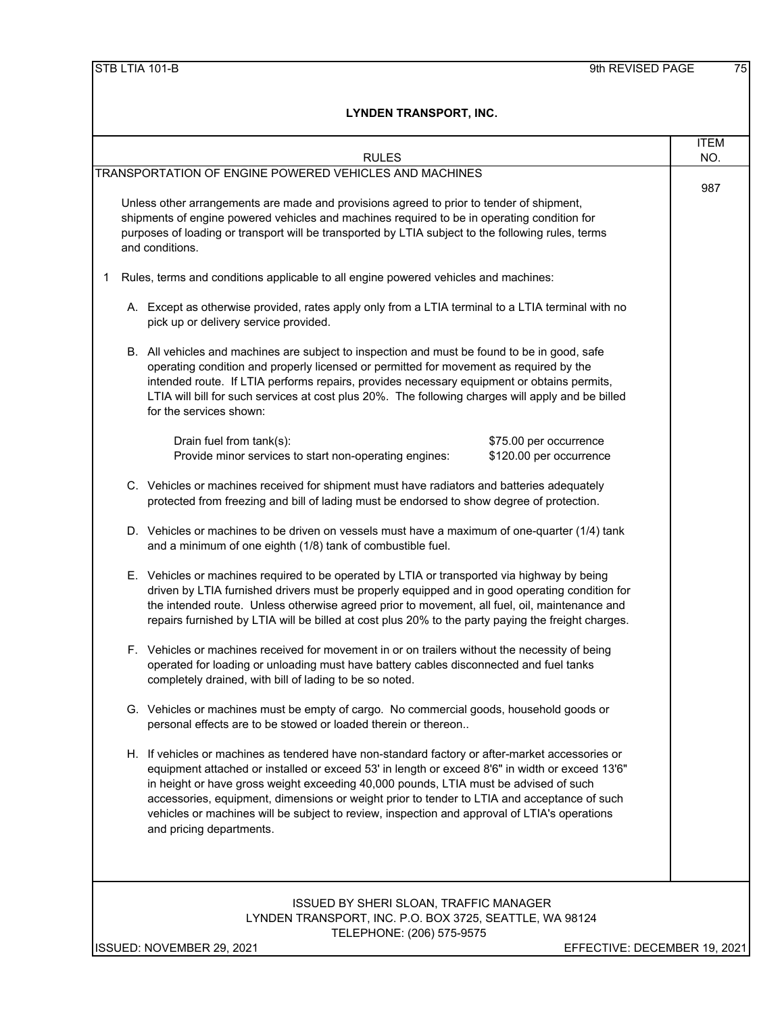|   |                                                                                                                                                                                                                                                                                                                                                                                                                                                                                                                       | <b>ITEM</b> |
|---|-----------------------------------------------------------------------------------------------------------------------------------------------------------------------------------------------------------------------------------------------------------------------------------------------------------------------------------------------------------------------------------------------------------------------------------------------------------------------------------------------------------------------|-------------|
|   | <b>RULES</b>                                                                                                                                                                                                                                                                                                                                                                                                                                                                                                          | NO.         |
|   | TRANSPORTATION OF ENGINE POWERED VEHICLES AND MACHINES<br>Unless other arrangements are made and provisions agreed to prior to tender of shipment,<br>shipments of engine powered vehicles and machines required to be in operating condition for<br>purposes of loading or transport will be transported by LTIA subject to the following rules, terms<br>and conditions.                                                                                                                                            | 987         |
|   |                                                                                                                                                                                                                                                                                                                                                                                                                                                                                                                       |             |
| 1 | Rules, terms and conditions applicable to all engine powered vehicles and machines:                                                                                                                                                                                                                                                                                                                                                                                                                                   |             |
|   | A. Except as otherwise provided, rates apply only from a LTIA terminal to a LTIA terminal with no<br>pick up or delivery service provided.                                                                                                                                                                                                                                                                                                                                                                            |             |
|   | B. All vehicles and machines are subject to inspection and must be found to be in good, safe<br>operating condition and properly licensed or permitted for movement as required by the<br>intended route. If LTIA performs repairs, provides necessary equipment or obtains permits,<br>LTIA will bill for such services at cost plus 20%. The following charges will apply and be billed<br>for the services shown:                                                                                                  |             |
|   | Drain fuel from tank(s):<br>\$75.00 per occurrence<br>Provide minor services to start non-operating engines:<br>\$120.00 per occurrence                                                                                                                                                                                                                                                                                                                                                                               |             |
|   | C. Vehicles or machines received for shipment must have radiators and batteries adequately<br>protected from freezing and bill of lading must be endorsed to show degree of protection.                                                                                                                                                                                                                                                                                                                               |             |
|   | D. Vehicles or machines to be driven on vessels must have a maximum of one-quarter (1/4) tank<br>and a minimum of one eighth (1/8) tank of combustible fuel.                                                                                                                                                                                                                                                                                                                                                          |             |
|   | E. Vehicles or machines required to be operated by LTIA or transported via highway by being<br>driven by LTIA furnished drivers must be properly equipped and in good operating condition for<br>the intended route. Unless otherwise agreed prior to movement, all fuel, oil, maintenance and<br>repairs furnished by LTIA will be billed at cost plus 20% to the party paying the freight charges.                                                                                                                  |             |
|   | F. Vehicles or machines received for movement in or on trailers without the necessity of being<br>operated for loading or unloading must have battery cables disconnected and fuel tanks<br>completely drained, with bill of lading to be so noted.                                                                                                                                                                                                                                                                   |             |
|   | G. Vehicles or machines must be empty of cargo. No commercial goods, household goods or<br>personal effects are to be stowed or loaded therein or thereon                                                                                                                                                                                                                                                                                                                                                             |             |
|   | H. If vehicles or machines as tendered have non-standard factory or after-market accessories or<br>equipment attached or installed or exceed 53' in length or exceed 8'6" in width or exceed 13'6"<br>in height or have gross weight exceeding 40,000 pounds, LTIA must be advised of such<br>accessories, equipment, dimensions or weight prior to tender to LTIA and acceptance of such<br>vehicles or machines will be subject to review, inspection and approval of LTIA's operations<br>and pricing departments. |             |
|   |                                                                                                                                                                                                                                                                                                                                                                                                                                                                                                                       |             |
|   | ISSUED BY SHERI SLOAN, TRAFFIC MANAGER<br>LYNDEN TRANSPORT, INC. P.O. BOX 3725, SEATTLE, WA 98124<br>TELEPHONE: (206) 575-9575                                                                                                                                                                                                                                                                                                                                                                                        |             |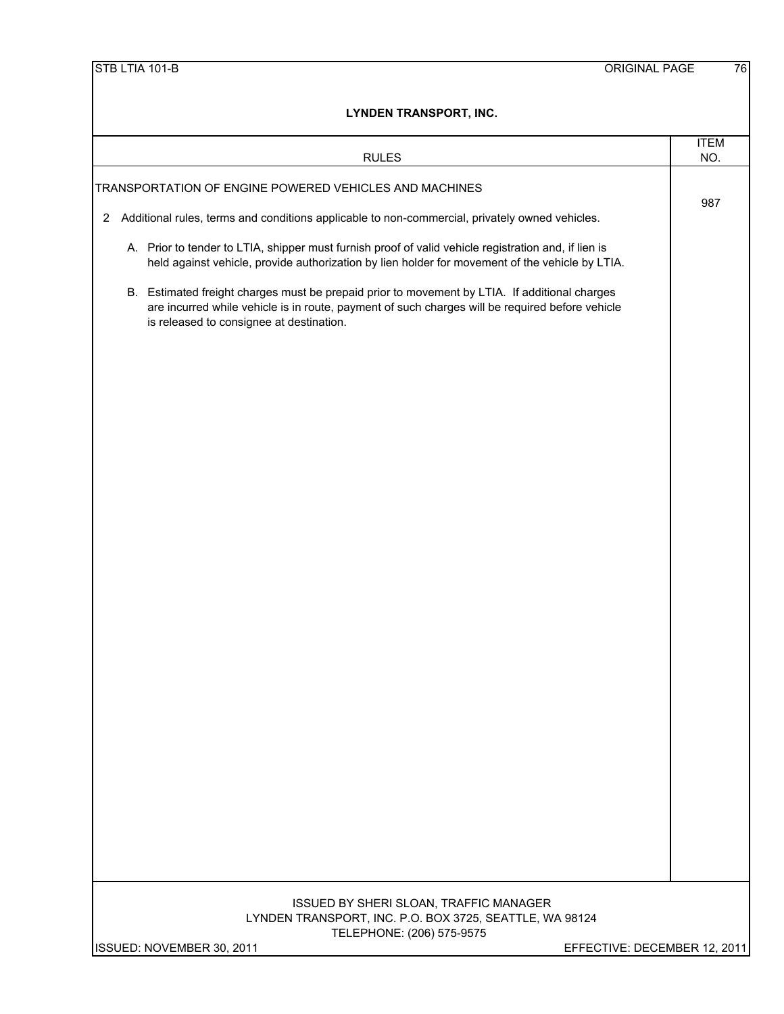| <b>RULES</b>                                                                                                                                                                                                                                 | <b>ITEM</b><br>NO.           |
|----------------------------------------------------------------------------------------------------------------------------------------------------------------------------------------------------------------------------------------------|------------------------------|
| TRANSPORTATION OF ENGINE POWERED VEHICLES AND MACHINES                                                                                                                                                                                       |                              |
| Additional rules, terms and conditions applicable to non-commercial, privately owned vehicles.<br>$\overline{2}$                                                                                                                             | 987                          |
| A. Prior to tender to LTIA, shipper must furnish proof of valid vehicle registration and, if lien is<br>held against vehicle, provide authorization by lien holder for movement of the vehicle by LTIA.                                      |                              |
| B. Estimated freight charges must be prepaid prior to movement by LTIA. If additional charges<br>are incurred while vehicle is in route, payment of such charges will be required before vehicle<br>is released to consignee at destination. |                              |
|                                                                                                                                                                                                                                              |                              |
|                                                                                                                                                                                                                                              |                              |
|                                                                                                                                                                                                                                              |                              |
|                                                                                                                                                                                                                                              |                              |
|                                                                                                                                                                                                                                              |                              |
|                                                                                                                                                                                                                                              |                              |
|                                                                                                                                                                                                                                              |                              |
|                                                                                                                                                                                                                                              |                              |
|                                                                                                                                                                                                                                              |                              |
|                                                                                                                                                                                                                                              |                              |
|                                                                                                                                                                                                                                              |                              |
|                                                                                                                                                                                                                                              |                              |
|                                                                                                                                                                                                                                              |                              |
| ISSUED BY SHERI SLOAN, TRAFFIC MANAGER<br>LYNDEN TRANSPORT, INC. P.O. BOX 3725, SEATTLE, WA 98124<br>TELEPHONE: (206) 575-9575                                                                                                               |                              |
| ISSUED: NOVEMBER 30, 2011                                                                                                                                                                                                                    | EFFECTIVE: DECEMBER 12, 2011 |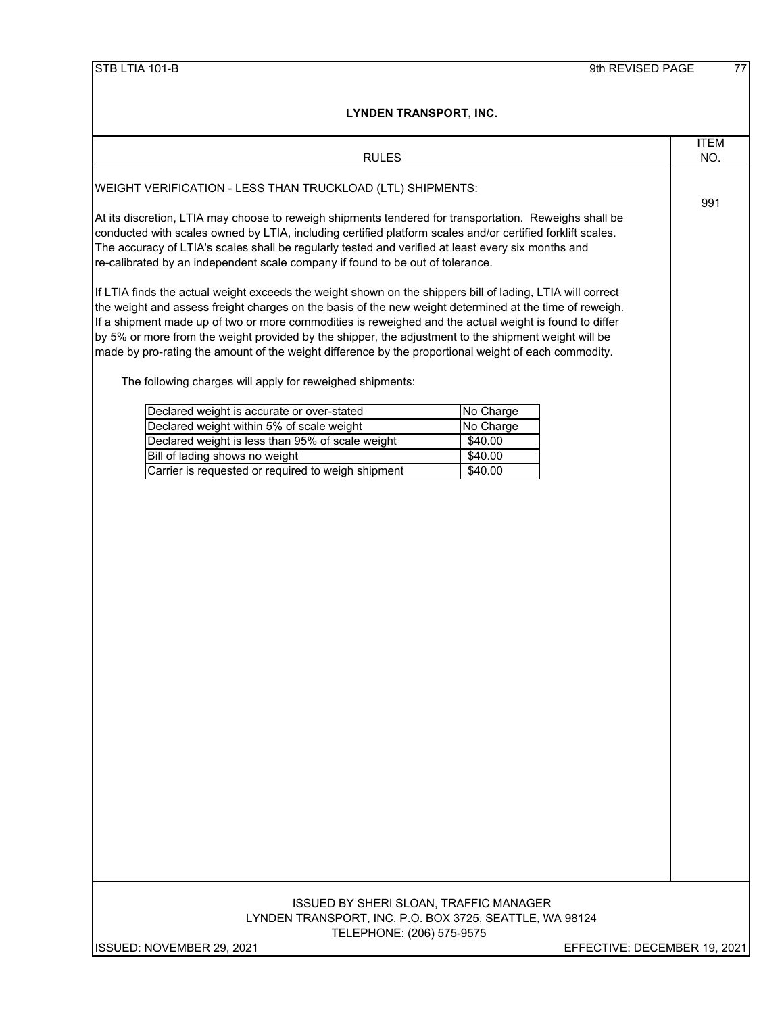| LYNDEN I KANSPORT, INC.                                                                                                                                                                                                                                                                                                                                                                                                                                                                                                                         |                    |
|-------------------------------------------------------------------------------------------------------------------------------------------------------------------------------------------------------------------------------------------------------------------------------------------------------------------------------------------------------------------------------------------------------------------------------------------------------------------------------------------------------------------------------------------------|--------------------|
| <b>RULES</b>                                                                                                                                                                                                                                                                                                                                                                                                                                                                                                                                    | <b>ITEM</b><br>NO. |
| WEIGHT VERIFICATION - LESS THAN TRUCKLOAD (LTL) SHIPMENTS:                                                                                                                                                                                                                                                                                                                                                                                                                                                                                      |                    |
| At its discretion, LTIA may choose to reweigh shipments tendered for transportation. Reweighs shall be<br>conducted with scales owned by LTIA, including certified platform scales and/or certified forklift scales.<br>The accuracy of LTIA's scales shall be regularly tested and verified at least every six months and<br>re-calibrated by an independent scale company if found to be out of tolerance.                                                                                                                                    |                    |
| If LTIA finds the actual weight exceeds the weight shown on the shippers bill of lading, LTIA will correct<br>the weight and assess freight charges on the basis of the new weight determined at the time of reweigh.<br>If a shipment made up of two or more commodities is reweighed and the actual weight is found to differ<br>by 5% or more from the weight provided by the shipper, the adjustment to the shipment weight will be<br>made by pro-rating the amount of the weight difference by the proportional weight of each commodity. |                    |
| The following charges will apply for reweighed shipments:                                                                                                                                                                                                                                                                                                                                                                                                                                                                                       |                    |
| Declared weight is accurate or over-stated<br>No Charge<br>Declared weight within 5% of scale weight<br>No Charge<br>Declared weight is less than 95% of scale weight<br>\$40.00                                                                                                                                                                                                                                                                                                                                                                |                    |
| Bill of lading shows no weight<br>\$40.00<br>Carrier is requested or required to weigh shipment<br>\$40.00                                                                                                                                                                                                                                                                                                                                                                                                                                      |                    |
|                                                                                                                                                                                                                                                                                                                                                                                                                                                                                                                                                 |                    |
|                                                                                                                                                                                                                                                                                                                                                                                                                                                                                                                                                 |                    |
| <b>ISSUED BY SHERI SLOAN, TRAFFIC MANAGER</b><br>LYNDEN TRANSPORT, INC. P.O. BOX 3725, SEATTLE, WA 98124<br>TELEPHONE: (206) 575-9575                                                                                                                                                                                                                                                                                                                                                                                                           |                    |
| EFFECTIVE: DECEMBER 19, 2021<br>ISSUED: NOVEMBER 29, 2021                                                                                                                                                                                                                                                                                                                                                                                                                                                                                       |                    |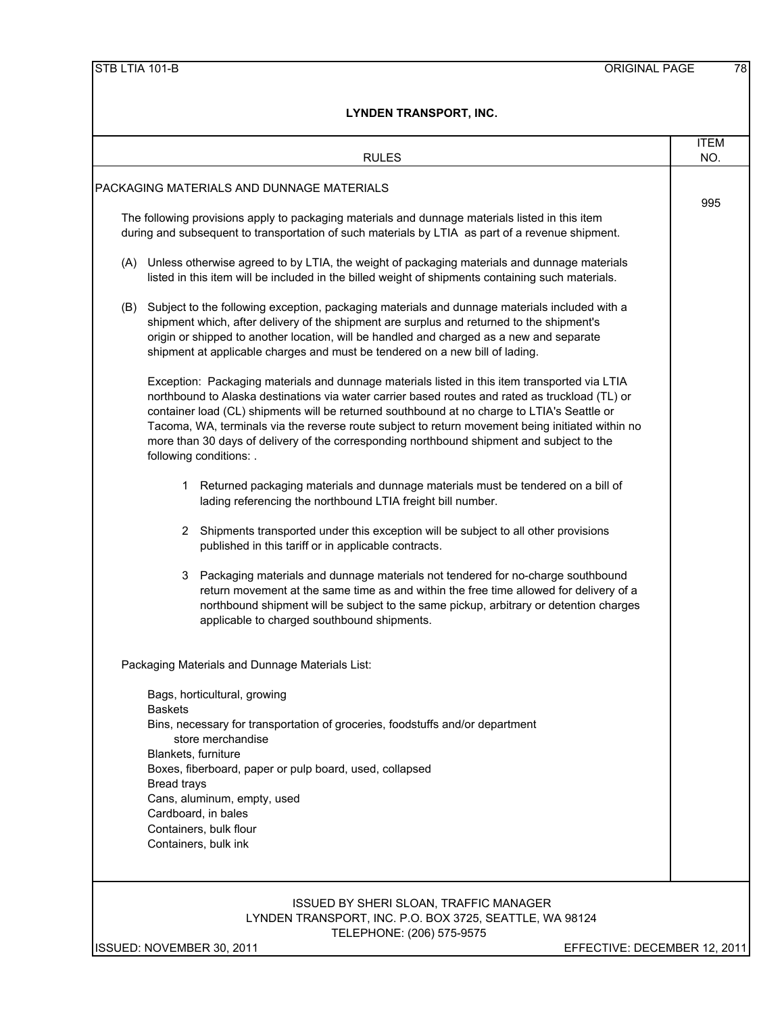|                                                                                                                                             |                    | <b>RULES</b>                                                                                                                                                                                                                                                                                                                                                                                                                                                                                                                | <b>ITEM</b><br>NO. |
|---------------------------------------------------------------------------------------------------------------------------------------------|--------------------|-----------------------------------------------------------------------------------------------------------------------------------------------------------------------------------------------------------------------------------------------------------------------------------------------------------------------------------------------------------------------------------------------------------------------------------------------------------------------------------------------------------------------------|--------------------|
|                                                                                                                                             |                    | PACKAGING MATERIALS AND DUNNAGE MATERIALS                                                                                                                                                                                                                                                                                                                                                                                                                                                                                   |                    |
|                                                                                                                                             |                    |                                                                                                                                                                                                                                                                                                                                                                                                                                                                                                                             | 995                |
|                                                                                                                                             |                    | The following provisions apply to packaging materials and dunnage materials listed in this item<br>during and subsequent to transportation of such materials by LTIA as part of a revenue shipment.                                                                                                                                                                                                                                                                                                                         |                    |
|                                                                                                                                             |                    | (A) Unless otherwise agreed to by LTIA, the weight of packaging materials and dunnage materials<br>listed in this item will be included in the billed weight of shipments containing such materials.                                                                                                                                                                                                                                                                                                                        |                    |
|                                                                                                                                             |                    | (B) Subject to the following exception, packaging materials and dunnage materials included with a<br>shipment which, after delivery of the shipment are surplus and returned to the shipment's<br>origin or shipped to another location, will be handled and charged as a new and separate<br>shipment at applicable charges and must be tendered on a new bill of lading.                                                                                                                                                  |                    |
|                                                                                                                                             |                    | Exception: Packaging materials and dunnage materials listed in this item transported via LTIA<br>northbound to Alaska destinations via water carrier based routes and rated as truckload (TL) or<br>container load (CL) shipments will be returned southbound at no charge to LTIA's Seattle or<br>Tacoma, WA, terminals via the reverse route subject to return movement being initiated within no<br>more than 30 days of delivery of the corresponding northbound shipment and subject to the<br>following conditions: . |                    |
|                                                                                                                                             | 1.                 | Returned packaging materials and dunnage materials must be tendered on a bill of<br>lading referencing the northbound LTIA freight bill number.                                                                                                                                                                                                                                                                                                                                                                             |                    |
|                                                                                                                                             |                    | 2 Shipments transported under this exception will be subject to all other provisions<br>published in this tariff or in applicable contracts.                                                                                                                                                                                                                                                                                                                                                                                |                    |
|                                                                                                                                             | 3                  | Packaging materials and dunnage materials not tendered for no-charge southbound<br>return movement at the same time as and within the free time allowed for delivery of a<br>northbound shipment will be subject to the same pickup, arbitrary or detention charges<br>applicable to charged southbound shipments.                                                                                                                                                                                                          |                    |
|                                                                                                                                             |                    | Packaging Materials and Dunnage Materials List:                                                                                                                                                                                                                                                                                                                                                                                                                                                                             |                    |
|                                                                                                                                             |                    | Bags, horticultural, growing                                                                                                                                                                                                                                                                                                                                                                                                                                                                                                |                    |
| <b>Baskets</b><br>Bins, necessary for transportation of groceries, foodstuffs and/or department<br>store merchandise<br>Blankets, furniture |                    |                                                                                                                                                                                                                                                                                                                                                                                                                                                                                                                             |                    |
|                                                                                                                                             | <b>Bread trays</b> | Boxes, fiberboard, paper or pulp board, used, collapsed<br>Cans, aluminum, empty, used                                                                                                                                                                                                                                                                                                                                                                                                                                      |                    |
|                                                                                                                                             |                    | Cardboard, in bales                                                                                                                                                                                                                                                                                                                                                                                                                                                                                                         |                    |
|                                                                                                                                             |                    | Containers, bulk flour<br>Containers, bulk ink                                                                                                                                                                                                                                                                                                                                                                                                                                                                              |                    |
|                                                                                                                                             |                    |                                                                                                                                                                                                                                                                                                                                                                                                                                                                                                                             |                    |
|                                                                                                                                             |                    | <b>ISSUED BY SHERI SLOAN, TRAFFIC MANAGER</b><br>LYNDEN TRANSPORT, INC. P.O. BOX 3725, SEATTLE, WA 98124                                                                                                                                                                                                                                                                                                                                                                                                                    |                    |
|                                                                                                                                             |                    | TELEPHONE: (206) 575-9575                                                                                                                                                                                                                                                                                                                                                                                                                                                                                                   |                    |
|                                                                                                                                             |                    | ISSUED: NOVEMBER 30, 2011<br>EFFECTIVE: DECEMBER 12, 2011                                                                                                                                                                                                                                                                                                                                                                                                                                                                   |                    |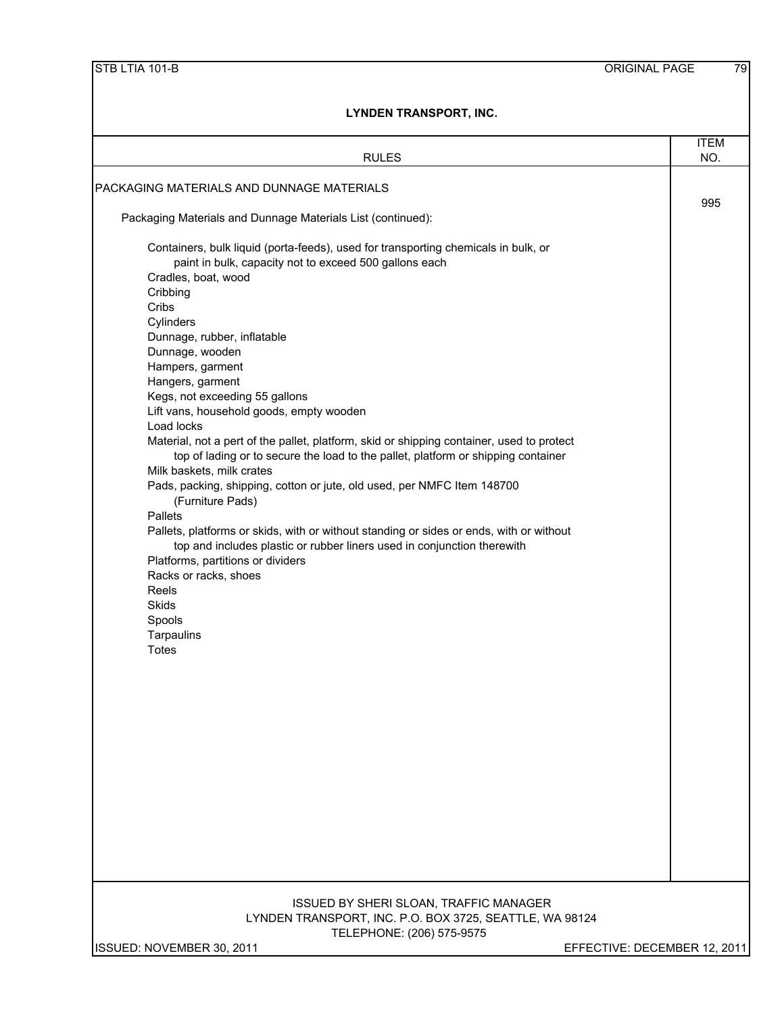| LYNDEN TRANSPORT, INC.                                                                                                                                                                                                                                                                                                                                                                                                                                                                                                                                                                                                                                                                                                                                                                                                                                                                                                                                                                                                           |             |  |
|----------------------------------------------------------------------------------------------------------------------------------------------------------------------------------------------------------------------------------------------------------------------------------------------------------------------------------------------------------------------------------------------------------------------------------------------------------------------------------------------------------------------------------------------------------------------------------------------------------------------------------------------------------------------------------------------------------------------------------------------------------------------------------------------------------------------------------------------------------------------------------------------------------------------------------------------------------------------------------------------------------------------------------|-------------|--|
|                                                                                                                                                                                                                                                                                                                                                                                                                                                                                                                                                                                                                                                                                                                                                                                                                                                                                                                                                                                                                                  | <b>ITEM</b> |  |
| <b>RULES</b>                                                                                                                                                                                                                                                                                                                                                                                                                                                                                                                                                                                                                                                                                                                                                                                                                                                                                                                                                                                                                     | NO.         |  |
| PACKAGING MATERIALS AND DUNNAGE MATERIALS                                                                                                                                                                                                                                                                                                                                                                                                                                                                                                                                                                                                                                                                                                                                                                                                                                                                                                                                                                                        | 995         |  |
| Packaging Materials and Dunnage Materials List (continued):                                                                                                                                                                                                                                                                                                                                                                                                                                                                                                                                                                                                                                                                                                                                                                                                                                                                                                                                                                      |             |  |
| Containers, bulk liquid (porta-feeds), used for transporting chemicals in bulk, or<br>paint in bulk, capacity not to exceed 500 gallons each<br>Cradles, boat, wood<br>Cribbing<br>Cribs<br>Cylinders<br>Dunnage, rubber, inflatable<br>Dunnage, wooden<br>Hampers, garment<br>Hangers, garment<br>Kegs, not exceeding 55 gallons<br>Lift vans, household goods, empty wooden<br>Load locks<br>Material, not a pert of the pallet, platform, skid or shipping container, used to protect<br>top of lading or to secure the load to the pallet, platform or shipping container<br>Milk baskets, milk crates<br>Pads, packing, shipping, cotton or jute, old used, per NMFC Item 148700<br>(Furniture Pads)<br><b>Pallets</b><br>Pallets, platforms or skids, with or without standing or sides or ends, with or without<br>top and includes plastic or rubber liners used in conjunction therewith<br>Platforms, partitions or dividers<br>Racks or racks, shoes<br>Reels<br><b>Skids</b><br>Spools<br>Tarpaulins<br><b>Totes</b> |             |  |
| ISSUED BY SHERI SLOAN, TRAFFIC MANAGER<br>LYNDEN TRANSPORT, INC. P.O. BOX 3725, SEATTLE, WA 98124<br>TELEPHONE: (206) 575-9575                                                                                                                                                                                                                                                                                                                                                                                                                                                                                                                                                                                                                                                                                                                                                                                                                                                                                                   |             |  |
| ISSUED: NOVEMBER 30, 2011<br>EFFECTIVE: DECEMBER 12, 2011                                                                                                                                                                                                                                                                                                                                                                                                                                                                                                                                                                                                                                                                                                                                                                                                                                                                                                                                                                        |             |  |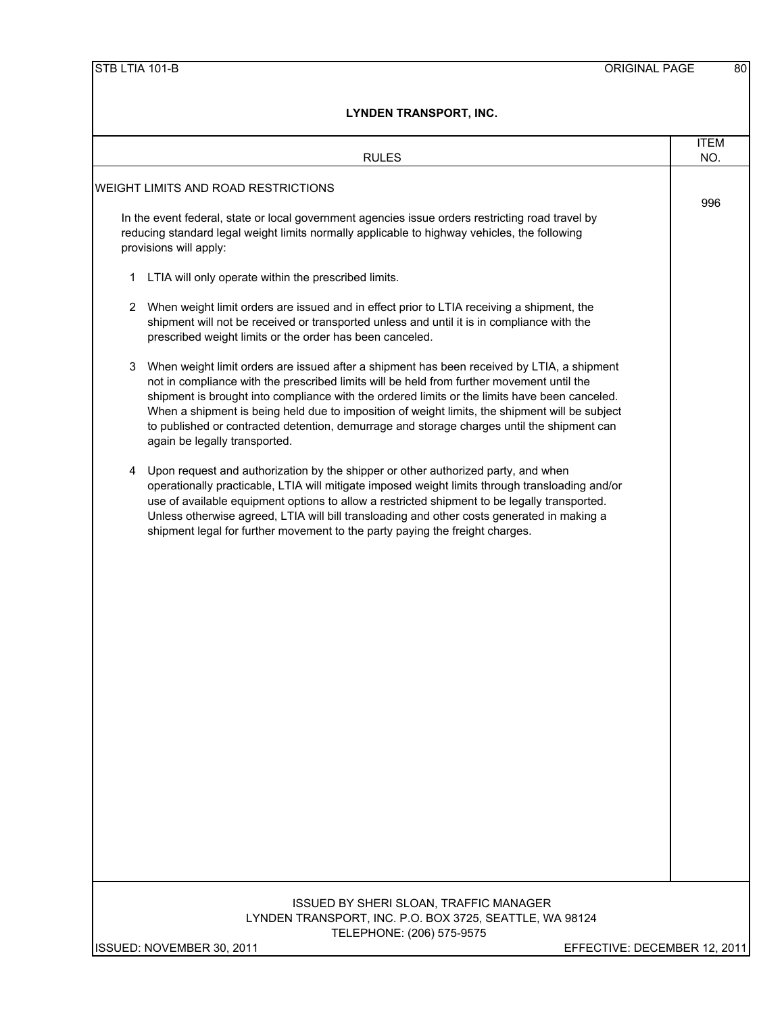| <b>RULES</b>                                                                                                                                                                                                                                                                                                                                                                                                                                                                                                                   | <b>ITEM</b><br>NO. |
|--------------------------------------------------------------------------------------------------------------------------------------------------------------------------------------------------------------------------------------------------------------------------------------------------------------------------------------------------------------------------------------------------------------------------------------------------------------------------------------------------------------------------------|--------------------|
| WEIGHT LIMITS AND ROAD RESTRICTIONS                                                                                                                                                                                                                                                                                                                                                                                                                                                                                            |                    |
| In the event federal, state or local government agencies issue orders restricting road travel by<br>reducing standard legal weight limits normally applicable to highway vehicles, the following<br>provisions will apply:                                                                                                                                                                                                                                                                                                     | 996                |
| LTIA will only operate within the prescribed limits.<br>1                                                                                                                                                                                                                                                                                                                                                                                                                                                                      |                    |
| When weight limit orders are issued and in effect prior to LTIA receiving a shipment, the<br>2<br>shipment will not be received or transported unless and until it is in compliance with the<br>prescribed weight limits or the order has been canceled.                                                                                                                                                                                                                                                                       |                    |
| 3<br>When weight limit orders are issued after a shipment has been received by LTIA, a shipment<br>not in compliance with the prescribed limits will be held from further movement until the<br>shipment is brought into compliance with the ordered limits or the limits have been canceled.<br>When a shipment is being held due to imposition of weight limits, the shipment will be subject<br>to published or contracted detention, demurrage and storage charges until the shipment can<br>again be legally transported. |                    |
| Upon request and authorization by the shipper or other authorized party, and when<br>4<br>operationally practicable, LTIA will mitigate imposed weight limits through transloading and/or<br>use of available equipment options to allow a restricted shipment to be legally transported.<br>Unless otherwise agreed, LTIA will bill transloading and other costs generated in making a<br>shipment legal for further movement to the party paying the freight charges.                                                        |                    |
|                                                                                                                                                                                                                                                                                                                                                                                                                                                                                                                                |                    |
|                                                                                                                                                                                                                                                                                                                                                                                                                                                                                                                                |                    |
|                                                                                                                                                                                                                                                                                                                                                                                                                                                                                                                                |                    |
|                                                                                                                                                                                                                                                                                                                                                                                                                                                                                                                                |                    |
|                                                                                                                                                                                                                                                                                                                                                                                                                                                                                                                                |                    |
| ISSUED BY SHERI SLOAN, TRAFFIC MANAGER<br>LYNDEN TRANSPORT, INC. P.O. BOX 3725, SEATTLE, WA 98124<br>TELEPHONE: (206) 575-9575                                                                                                                                                                                                                                                                                                                                                                                                 |                    |
| EFFECTIVE: DECEMBER 12, 2011<br>ISSUED: NOVEMBER 30, 2011                                                                                                                                                                                                                                                                                                                                                                                                                                                                      |                    |